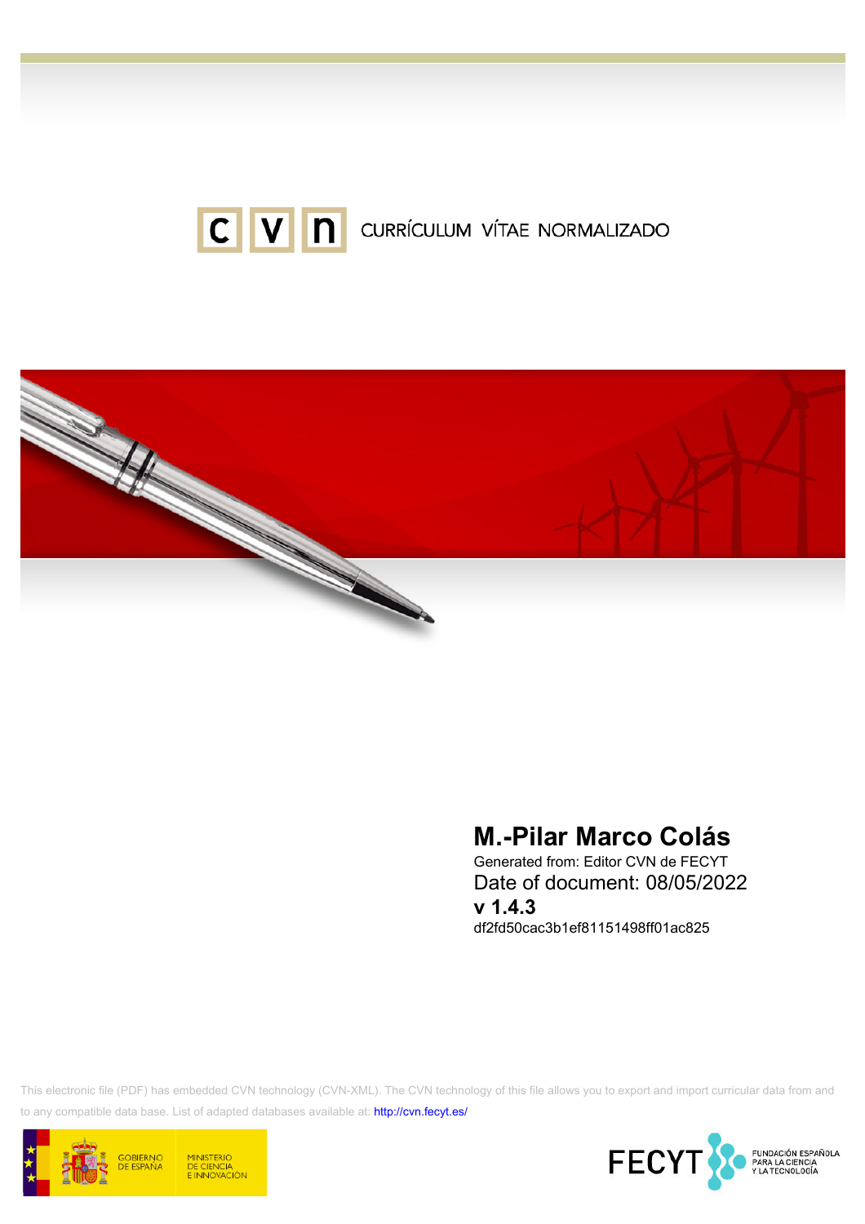



# M.-Pilar Marco Colás

Generated from: Editor CVN de FECYT Date of document: 08/05/2022 v 1.4.3 df2fd50cac3b1ef81151498ff01ac825

This electronic file (PDF) has embedded CVN technology (CVN-XML). The CVN technology of this file allows you to export and import curricular data from and to any compatible data base. List of adapted databases available at:<http://cvn.fecyt.es/>



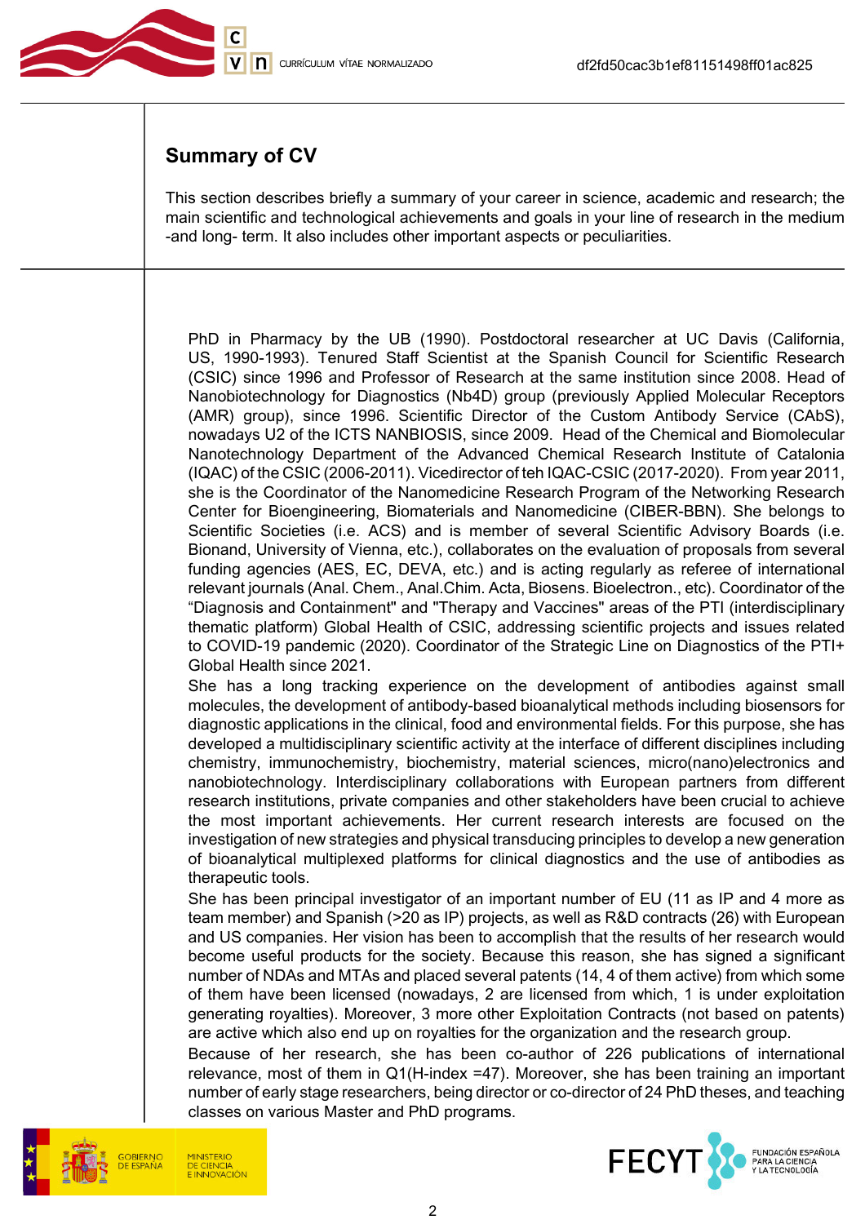

## Summary of CV

This section describes briefly a summary of your career in science, academic and research; the main scientific and technological achievements and goals in your line of research in the medium -and long- term. It also includes other important aspects or peculiarities.

PhD in Pharmacy by the UB (1990). Postdoctoral researcher at UC Davis (California, US, 1990-1993). Tenured Staff Scientist at the Spanish Council for Scientific Research (CSIC) since 1996 and Professor of Research at the same institution since 2008. Head of Nanobiotechnology for Diagnostics (Nb4D) group (previously Applied Molecular Receptors (AMR) group), since 1996. Scientific Director of the Custom Antibody Service (CAbS), nowadays U2 of the ICTS NANBIOSIS, since 2009. Head of the Chemical and Biomolecular Nanotechnology Department of the Advanced Chemical Research Institute of Catalonia (IQAC) of the CSIC (2006-2011). Vicedirector of teh IQAC-CSIC (2017-2020). From year 2011, she is the Coordinator of the Nanomedicine Research Program of the Networking Research Center for Bioengineering, Biomaterials and Nanomedicine (CIBER-BBN). She belongs to Scientific Societies (i.e. ACS) and is member of several Scientific Advisory Boards (i.e. Bionand, University of Vienna, etc.), collaborates on the evaluation of proposals from several funding agencies (AES, EC, DEVA, etc.) and is acting regularly as referee of international relevant journals (Anal. Chem., Anal.Chim. Acta, Biosens. Bioelectron., etc). Coordinator of the "Diagnosis and Containment" and "Therapy and Vaccines" areas of the PTI (interdisciplinary thematic platform) Global Health of CSIC, addressing scientific projects and issues related to COVID-19 pandemic (2020). Coordinator of the Strategic Line on Diagnostics of the PTI+ Global Health since 2021.

She has a long tracking experience on the development of antibodies against small molecules, the development of antibody-based bioanalytical methods including biosensors for diagnostic applications in the clinical, food and environmental fields. For this purpose, she has developed a multidisciplinary scientific activity at the interface of different disciplines including chemistry, immunochemistry, biochemistry, material sciences, micro(nano)electronics and nanobiotechnology. Interdisciplinary collaborations with European partners from different research institutions, private companies and other stakeholders have been crucial to achieve the most important achievements. Her current research interests are focused on the investigation of new strategies and physical transducing principles to develop a new generation of bioanalytical multiplexed platforms for clinical diagnostics and the use of antibodies as therapeutic tools.

She has been principal investigator of an important number of EU (11 as IP and 4 more as team member) and Spanish (>20 as IP) projects, as well as R&D contracts (26) with European and US companies. Her vision has been to accomplish that the results of her research would become useful products for the society. Because this reason, she has signed a significant number of NDAs and MTAs and placed several patents (14, 4 of them active) from which some of them have been licensed (nowadays, 2 are licensed from which, 1 is under exploitation generating royalties). Moreover, 3 more other Exploitation Contracts (not based on patents) are active which also end up on royalties for the organization and the research group.

Because of her research, she has been co-author of 226 publications of international relevance, most of them in Q1(H-index =47). Moreover, she has been training an important number of early stage researchers, being director or co-director of 24 PhD theses, and teaching classes on various Master and PhD programs.



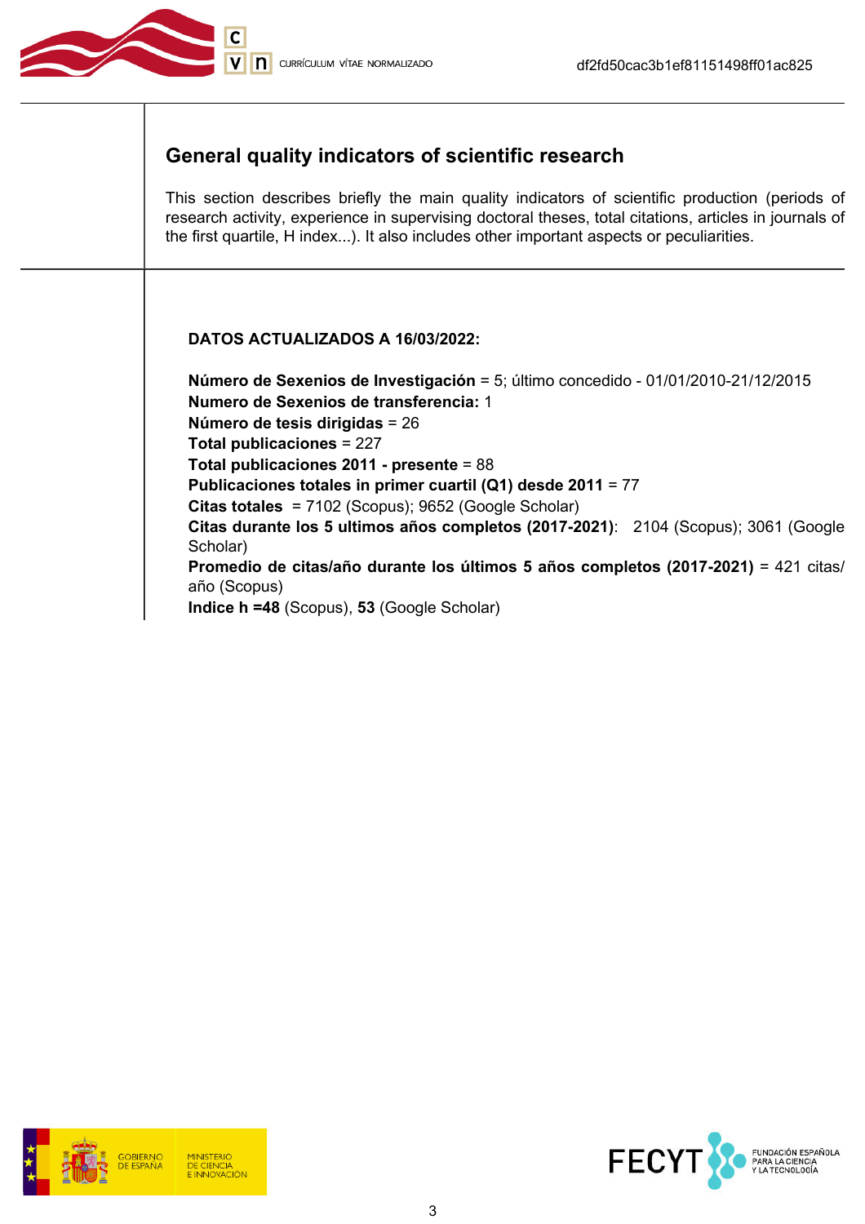

## General quality indicators of scientific research

This section describes briefly the main quality indicators of scientific production (periods of research activity, experience in supervising doctoral theses, total citations, articles in journals of the first quartile, H index...). It also includes other important aspects or peculiarities.

### DATOS ACTUALIZADOS A 16/03/2022:

Número de Sexenios de Investigación = 5; último concedido - 01/01/2010-21/12/2015 Numero de Sexenios de transferencia: 1 Número de tesis dirigidas = 26 Total publicaciones = 227 Total publicaciones 2011 - presente = 88 Publicaciones totales in primer cuartil (Q1) desde 2011 = 77 Citas totales = 7102 (Scopus); 9652 (Google Scholar) Citas durante los 5 ultimos años completos (2017-2021): 2104 (Scopus); 3061 (Google Scholar) Promedio de citas/año durante los últimos 5 años completos (2017-2021) = 421 citas/ año (Scopus) Indice h =48 (Scopus), 53 (Google Scholar)



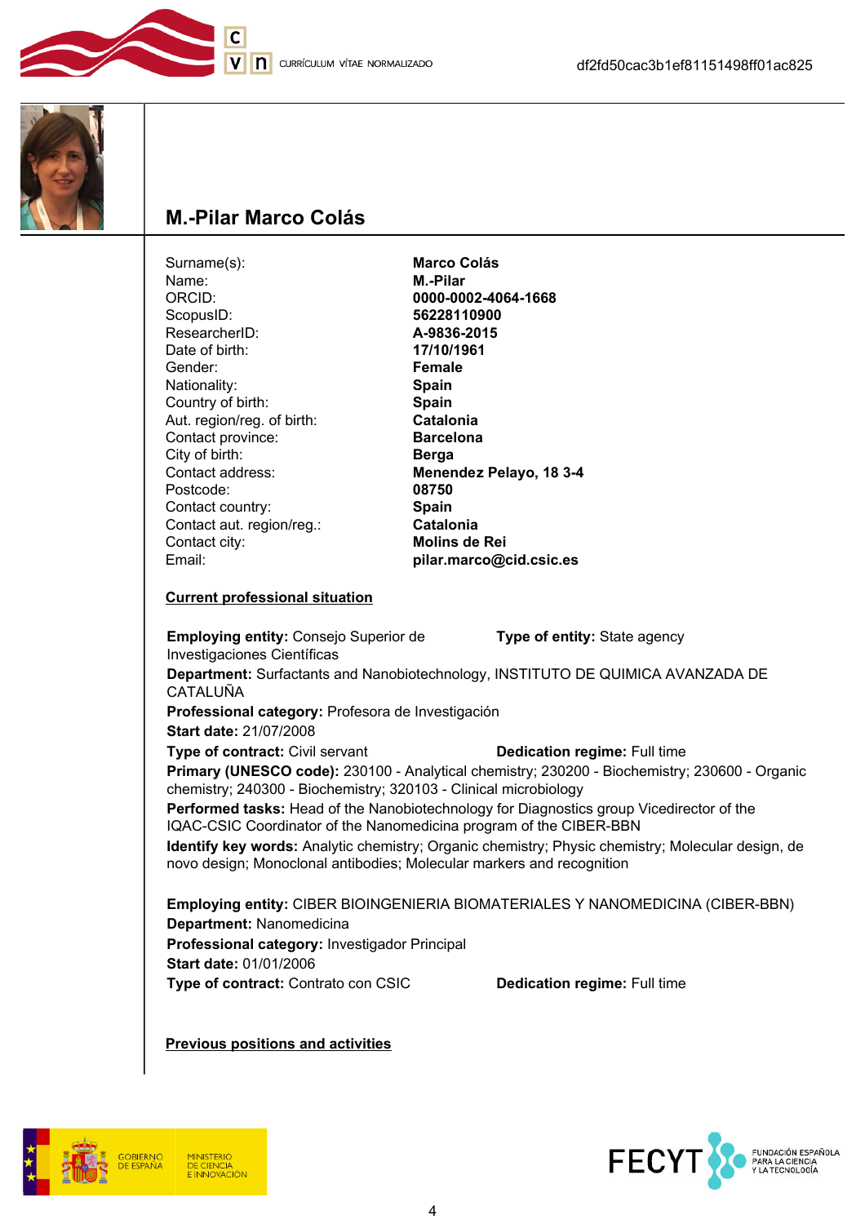



## M.-Pilar Marco Colás

 $\overline{c}$ 

| Surname(s):                                                                        | <b>Marco Colás</b>                                                                                                                                                         |
|------------------------------------------------------------------------------------|----------------------------------------------------------------------------------------------------------------------------------------------------------------------------|
| Name:                                                                              | M.-Pilar                                                                                                                                                                   |
| ORCID:                                                                             | 0000-0002-4064-1668                                                                                                                                                        |
| ScopusID:                                                                          | 56228110900                                                                                                                                                                |
| ResearcherID:                                                                      | A-9836-2015                                                                                                                                                                |
| Date of birth:                                                                     | 17/10/1961                                                                                                                                                                 |
| Gender:                                                                            | <b>Female</b>                                                                                                                                                              |
| Nationality:                                                                       | <b>Spain</b>                                                                                                                                                               |
| Country of birth:                                                                  | Spain                                                                                                                                                                      |
| Aut. region/reg. of birth:                                                         | <b>Catalonia</b>                                                                                                                                                           |
| Contact province:                                                                  | <b>Barcelona</b>                                                                                                                                                           |
| City of birth:                                                                     | <b>Berga</b>                                                                                                                                                               |
| Contact address:                                                                   | Menendez Pelayo, 18 3-4                                                                                                                                                    |
| Postcode:                                                                          | 08750                                                                                                                                                                      |
| Contact country:                                                                   | Spain                                                                                                                                                                      |
| Contact aut. region/reg.:                                                          | <b>Catalonia</b>                                                                                                                                                           |
| Contact city:                                                                      | <b>Molins de Rei</b>                                                                                                                                                       |
| Email:                                                                             | pilar.marco@cid.csic.es                                                                                                                                                    |
| <b>Employing entity: Consejo Superior de</b><br><b>Investigaciones Científicas</b> | Type of entity: State agency                                                                                                                                               |
| CATALUÑA                                                                           | Department: Surfactants and Nanobiotechnology, INSTITUTO DE QUIMICA AVANZADA DE                                                                                            |
| Professional category: Profesora de Investigación                                  |                                                                                                                                                                            |
| <b>Start date: 21/07/2008</b>                                                      |                                                                                                                                                                            |
| Type of contract: Civil servant                                                    | <b>Dedication regime: Full time</b>                                                                                                                                        |
|                                                                                    | Primary (UNESCO code): 230100 - Analytical chemistry; 230200 - Biochemistry; 230600 - Organic<br>chemistry; 240300 - Biochemistry; 320103 - Clinical microbiology          |
|                                                                                    | Performed tasks: Head of the Nanobiotechnology for Diagnostics group Vicedirector of the<br>IQAC-CSIC Coordinator of the Nanomedicina program of the CIBER-BBN             |
|                                                                                    | Identify key words: Analytic chemistry; Organic chemistry; Physic chemistry; Molecular design, de<br>novo design; Monoclonal antibodies; Molecular markers and recognition |
| Department: Nanomedicina                                                           | Employing entity: CIBER BIOINGENIERIA BIOMATERIALES Y NANOMEDICINA (CIBER-BBN)                                                                                             |
|                                                                                    |                                                                                                                                                                            |

Professional category: Investigador Principal Start date: 01/01/2006

Type of contract: Contrato con CSIC Dedication regime: Full time

Previous positions and activities





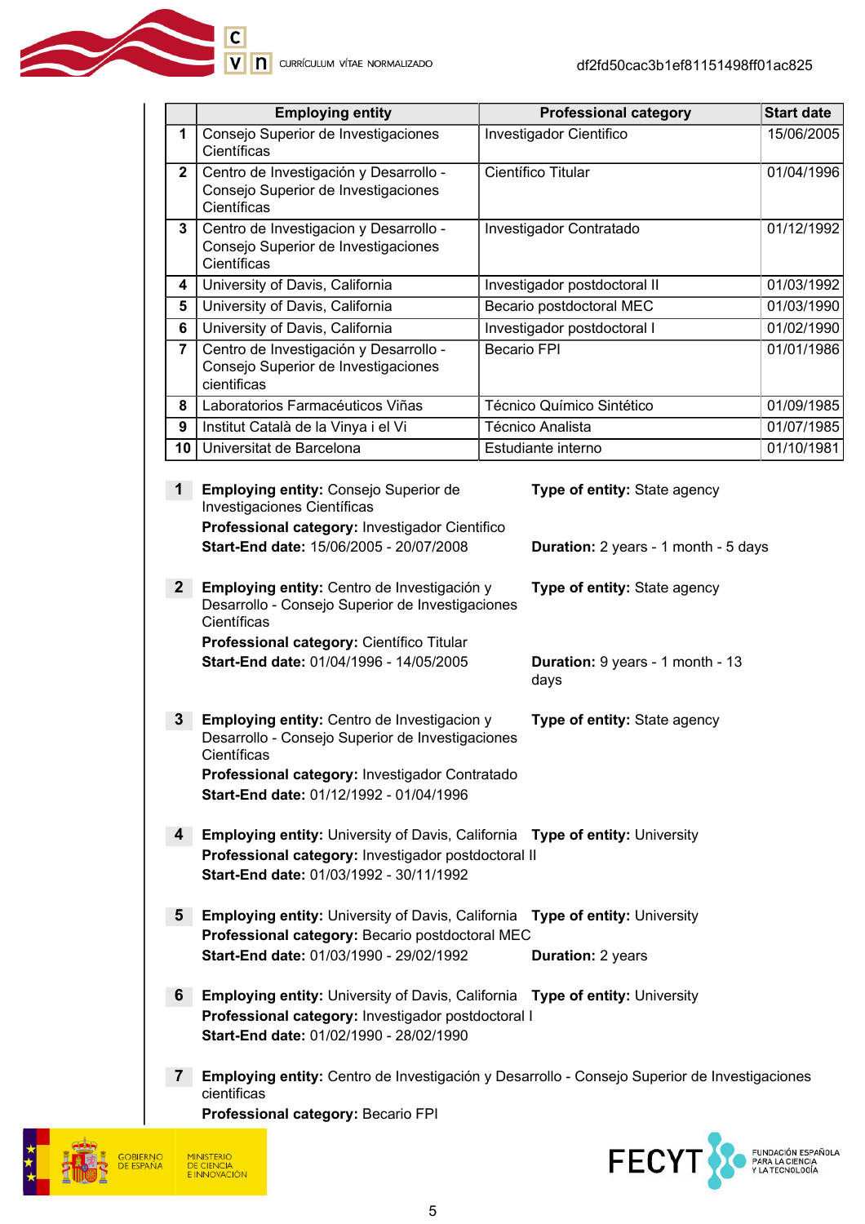|                | <b>Employing entity</b>                                                                                                                                                                                                                                                            | <b>Professional category</b>                                                                 | <b>Start date</b> |
|----------------|------------------------------------------------------------------------------------------------------------------------------------------------------------------------------------------------------------------------------------------------------------------------------------|----------------------------------------------------------------------------------------------|-------------------|
| 1              | Consejo Superior de Investigaciones<br>Científicas                                                                                                                                                                                                                                 | Investigador Cientifico                                                                      | 15/06/2005        |
| $\mathbf{2}$   | Centro de Investigación y Desarrollo -<br>Consejo Superior de Investigaciones<br>Científicas                                                                                                                                                                                       | Científico Titular                                                                           | 01/04/1996        |
| $\mathbf{3}$   | Centro de Investigacion y Desarrollo -<br>Consejo Superior de Investigaciones<br>Científicas                                                                                                                                                                                       | Investigador Contratado                                                                      | 01/12/1992        |
| 4              | University of Davis, California                                                                                                                                                                                                                                                    | Investigador postdoctoral II                                                                 | 01/03/1992        |
| 5              | University of Davis, California                                                                                                                                                                                                                                                    | Becario postdoctoral MEC                                                                     | 01/03/1990        |
| 6              | University of Davis, California                                                                                                                                                                                                                                                    | Investigador postdoctoral I                                                                  | 01/02/1990        |
| 7              | Centro de Investigación y Desarrollo -<br>Consejo Superior de Investigaciones<br>cientificas                                                                                                                                                                                       | <b>Becario FPI</b>                                                                           | 01/01/1986        |
| 8              | Laboratorios Farmacéuticos Viñas                                                                                                                                                                                                                                                   | Técnico Químico Sintético                                                                    | 01/09/1985        |
| 9              | Institut Català de la Vinya i el Vi                                                                                                                                                                                                                                                | Técnico Analista                                                                             | 01/07/1985        |
| 10             | Universitat de Barcelona                                                                                                                                                                                                                                                           | Estudiante interno                                                                           | 01/10/1981        |
| $\mathbf{1}$   | Employing entity: Consejo Superior de<br>Investigaciones Científicas<br>Professional category: Investigador Cientifico<br>Start-End date: 15/06/2005 - 20/07/2008                                                                                                                  | Type of entity: State agency<br>Duration: 2 years - 1 month - 5 days                         |                   |
| $\mathbf{2}$   | Employing entity: Centro de Investigación y<br>Type of entity: State agency<br>Desarrollo - Consejo Superior de Investigaciones<br>Científicas<br>Professional category: Científico Titular<br>Start-End date: 01/04/1996 - 14/05/2005<br>Duration: 9 years - 1 month - 13<br>days |                                                                                              |                   |
| $\mathbf{3}$   | Employing entity: Centro de Investigacion y<br>Type of entity: State agency<br>Desarrollo - Consejo Superior de Investigaciones<br>Científicas<br>Professional category: Investigador Contratado<br>Start-End date: 01/12/1992 - 01/04/1996                                        |                                                                                              |                   |
| 4              | <b>Employing entity: University of Davis, California Type of entity: University</b><br>Professional category: Investigador postdoctoral II<br>Start-End date: 01/03/1992 - 30/11/1992                                                                                              |                                                                                              |                   |
| $5^{\circ}$    | <b>Employing entity: University of Davis, California</b><br>Professional category: Becario postdoctoral MEC                                                                                                                                                                        | <b>Type of entity: University</b>                                                            |                   |
|                | Start-End date: 01/03/1990 - 29/02/1992                                                                                                                                                                                                                                            | <b>Duration: 2 years</b>                                                                     |                   |
| 6 <sup>1</sup> | <b>Employing entity: University of Davis, California Type of entity: University</b><br>Professional category: Investigador postdoctoral I<br>Start-End date: 01/02/1990 - 28/02/1990                                                                                               |                                                                                              |                   |
| $\mathbf{7}$   | cientificas<br>Professional category: Becario FPI                                                                                                                                                                                                                                  | Employing entity: Centro de Investigación y Desarrollo - Consejo Superior de Investigaciones |                   |
|                |                                                                                                                                                                                                                                                                                    |                                                                                              |                   |



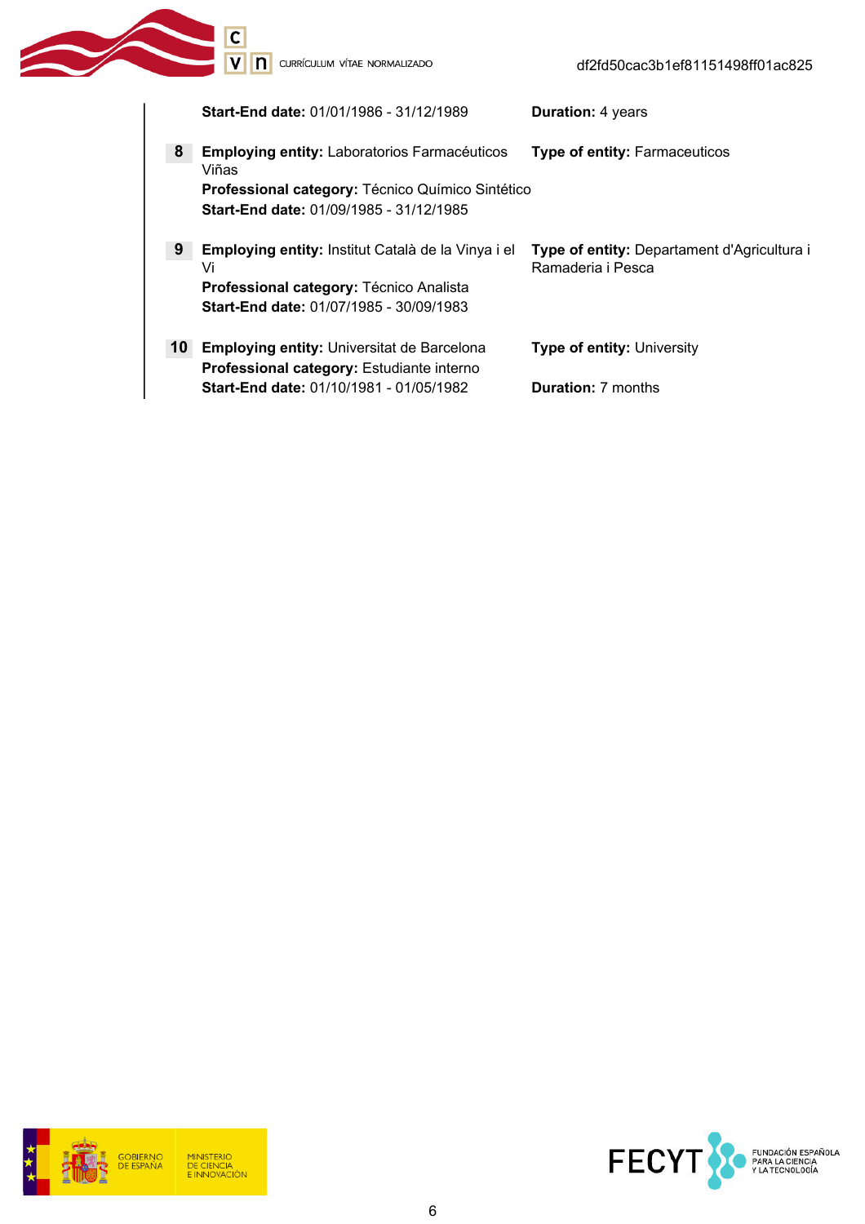**C**<br> **V N** CURRÍCULUM VÍTAE NORMALIZADO

|                 | <b>Start-End date: 01/01/1986 - 31/12/1989</b>                                                                   | <b>Duration: 4 years</b>                                         |
|-----------------|------------------------------------------------------------------------------------------------------------------|------------------------------------------------------------------|
| 8               | <b>Employing entity: Laboratorios Farmacéuticos</b><br>Viñas<br>Professional category: Técnico Químico Sintético | <b>Type of entity: Farmaceuticos</b>                             |
|                 | <b>Start-End date: 01/09/1985 - 31/12/1985</b>                                                                   |                                                                  |
| 9               | <b>Employing entity:</b> Institut Català de la Vinya i el<br>Vi                                                  | Type of entity: Departament d'Agricultura i<br>Ramaderia i Pesca |
|                 | Professional category: Técnico Analista<br>Start-End date: 01/07/1985 - 30/09/1983                               |                                                                  |
| 10 <sup>°</sup> | <b>Employing entity: Universitat de Barcelona</b><br>Professional category: Estudiante interno                   | <b>Type of entity: University</b>                                |
|                 | <b>Start-End date: 01/10/1981 - 01/05/1982</b>                                                                   | <b>Duration:</b> 7 months                                        |



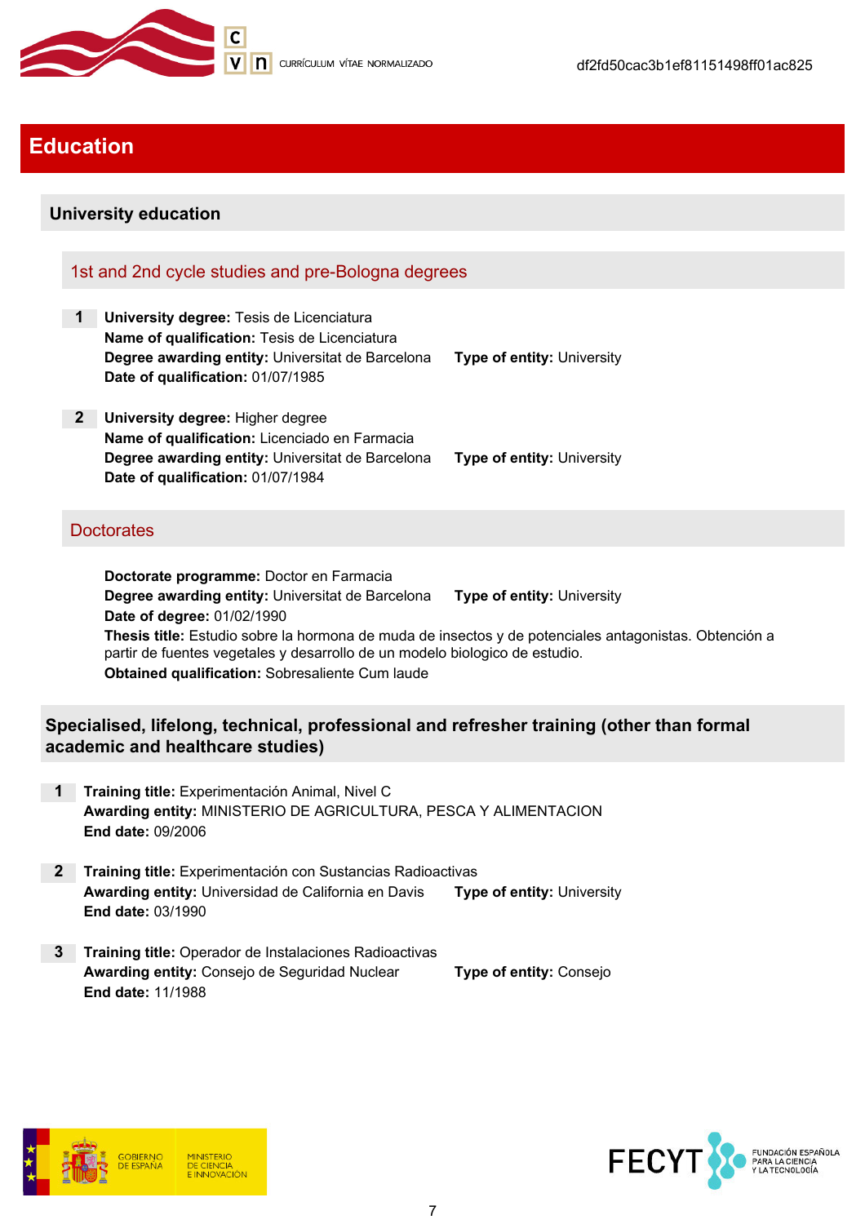

## Education

### University education

### 1st and 2nd cycle studies and pre-Bologna degrees

- 1 University degree: Tesis de Licenciatura Name of qualification: Tesis de Licenciatura Degree awarding entity: Universitat de Barcelona Type of entity: University Date of qualification: 01/07/1985
- 2 University degree: Higher degree Name of qualification: Licenciado en Farmacia Degree awarding entity: Universitat de Barcelona Type of entity: University Date of qualification: 01/07/1984

### **Doctorates**

Doctorate programme: Doctor en Farmacia Degree awarding entity: Universitat de Barcelona Type of entity: University Date of degree: 01/02/1990 Thesis title: Estudio sobre la hormona de muda de insectos y de potenciales antagonistas. Obtención a partir de fuentes vegetales y desarrollo de un modelo biologico de estudio. Obtained qualification: Sobresaliente Cum laude

### Specialised, lifelong, technical, professional and refresher training (other than formal academic and healthcare studies)

- 1 Training title: Experimentación Animal, Nivel C Awarding entity: MINISTERIO DE AGRICULTURA, PESCA Y ALIMENTACION End date: 09/2006
- 2 Training title: Experimentación con Sustancias Radioactivas Awarding entity: Universidad de California en Davis Type of entity: University End date: 03/1990
- 3 Training title: Operador de Instalaciones Radioactivas Awarding entity: Consejo de Seguridad Nuclear Type of entity: Consejo End date: 11/1988



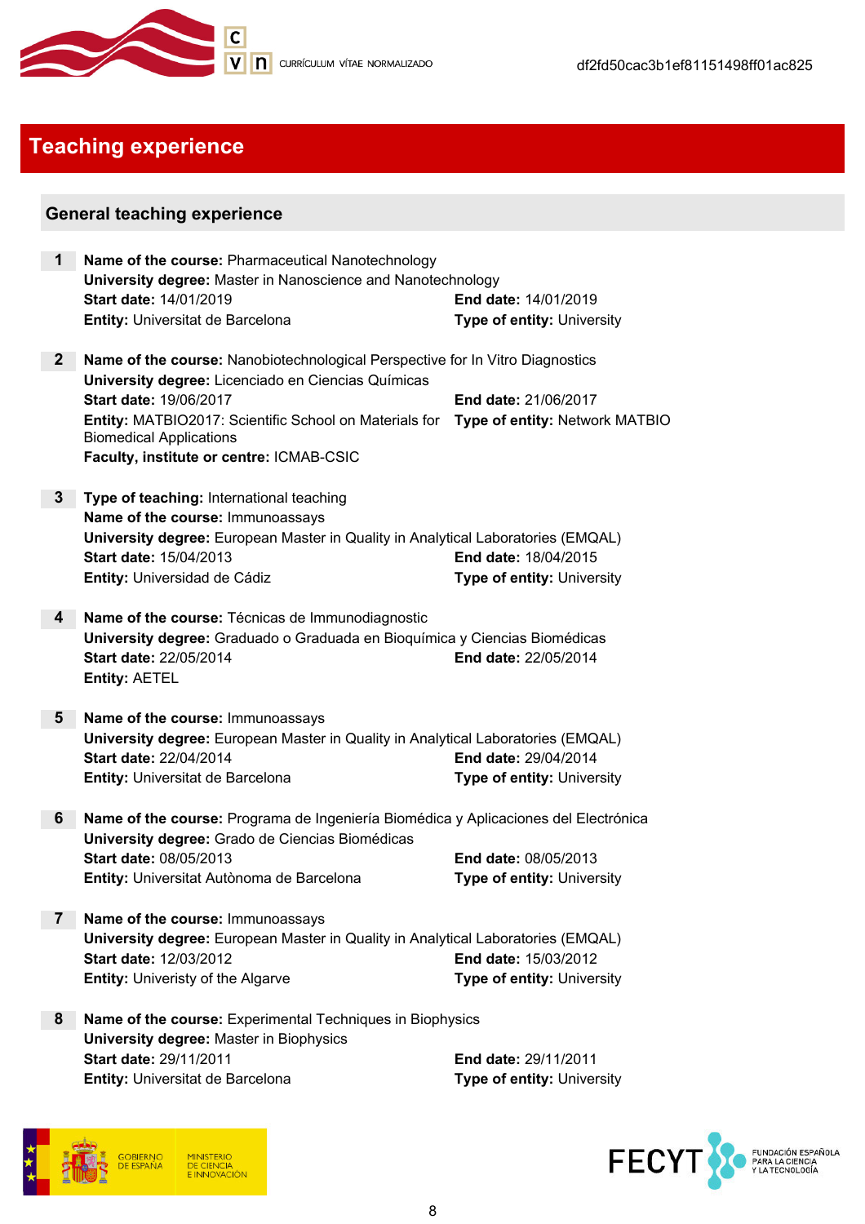

# Teaching experience

### General teaching experience

| $\mathbf 1$    | Name of the course: Pharmaceutical Nanotechnology                                                                                                             |                                   |  |
|----------------|---------------------------------------------------------------------------------------------------------------------------------------------------------------|-----------------------------------|--|
|                | University degree: Master in Nanoscience and Nanotechnology                                                                                                   |                                   |  |
|                | Start date: 14/01/2019                                                                                                                                        | <b>End date: 14/01/2019</b>       |  |
|                | Entity: Universitat de Barcelona                                                                                                                              | <b>Type of entity: University</b> |  |
| 2 <sup>2</sup> | Name of the course: Nanobiotechnological Perspective for In Vitro Diagnostics<br>University degree: Licenciado en Ciencias Químicas<br>Start date: 19/06/2017 | End date: 21/06/2017              |  |
|                | Entity: MATBIO2017: Scientific School on Materials for<br><b>Biomedical Applications</b><br>Faculty, institute or centre: ICMAB-CSIC                          | Type of entity: Network MATBIO    |  |
| 3              | Type of teaching: International teaching                                                                                                                      |                                   |  |
|                | Name of the course: Immunoassays                                                                                                                              |                                   |  |
|                | University degree: European Master in Quality in Analytical Laboratories (EMQAL)                                                                              |                                   |  |
|                | Start date: 15/04/2013                                                                                                                                        | End date: 18/04/2015              |  |
|                | Entity: Universidad de Cádiz                                                                                                                                  | Type of entity: University        |  |
| 4              | Name of the course: Técnicas de Immunodiagnostic                                                                                                              |                                   |  |
|                | University degree: Graduado o Graduada en Bioquímica y Ciencias Biomédicas                                                                                    |                                   |  |
|                | Start date: 22/05/2014<br><b>Entity: AETEL</b>                                                                                                                | End date: 22/05/2014              |  |
| 5              | Name of the course: Immunoassays                                                                                                                              |                                   |  |
|                | University degree: European Master in Quality in Analytical Laboratories (EMQAL)                                                                              |                                   |  |
|                | <b>Start date: 22/04/2014</b>                                                                                                                                 | <b>End date: 29/04/2014</b>       |  |
|                | Entity: Universitat de Barcelona                                                                                                                              | <b>Type of entity: University</b> |  |
| 6              | Name of the course: Programa de Ingeniería Biomédica y Aplicaciones del Electrónica<br>University degree: Grado de Ciencias Biomédicas                        |                                   |  |
|                | <b>Start date: 08/05/2013</b>                                                                                                                                 | <b>End date: 08/05/2013</b>       |  |
|                | Entity: Universitat Autònoma de Barcelona                                                                                                                     | <b>Type of entity: University</b> |  |
| $\overline{7}$ | Name of the course: Immunoassays                                                                                                                              |                                   |  |
|                | University degree: European Master in Quality in Analytical Laboratories (EMQAL)                                                                              |                                   |  |
|                | Start date: 12/03/2012                                                                                                                                        | End date: 15/03/2012              |  |
|                | <b>Entity: Univeristy of the Algarve</b>                                                                                                                      | <b>Type of entity: University</b> |  |
| 8              | Name of the course: Experimental Techniques in Biophysics                                                                                                     |                                   |  |
|                | <b>University degree: Master in Biophysics</b>                                                                                                                |                                   |  |
|                | Start date: 29/11/2011                                                                                                                                        | End date: 29/11/2011              |  |
|                | Entity: Universitat de Barcelona                                                                                                                              | Type of entity: University        |  |



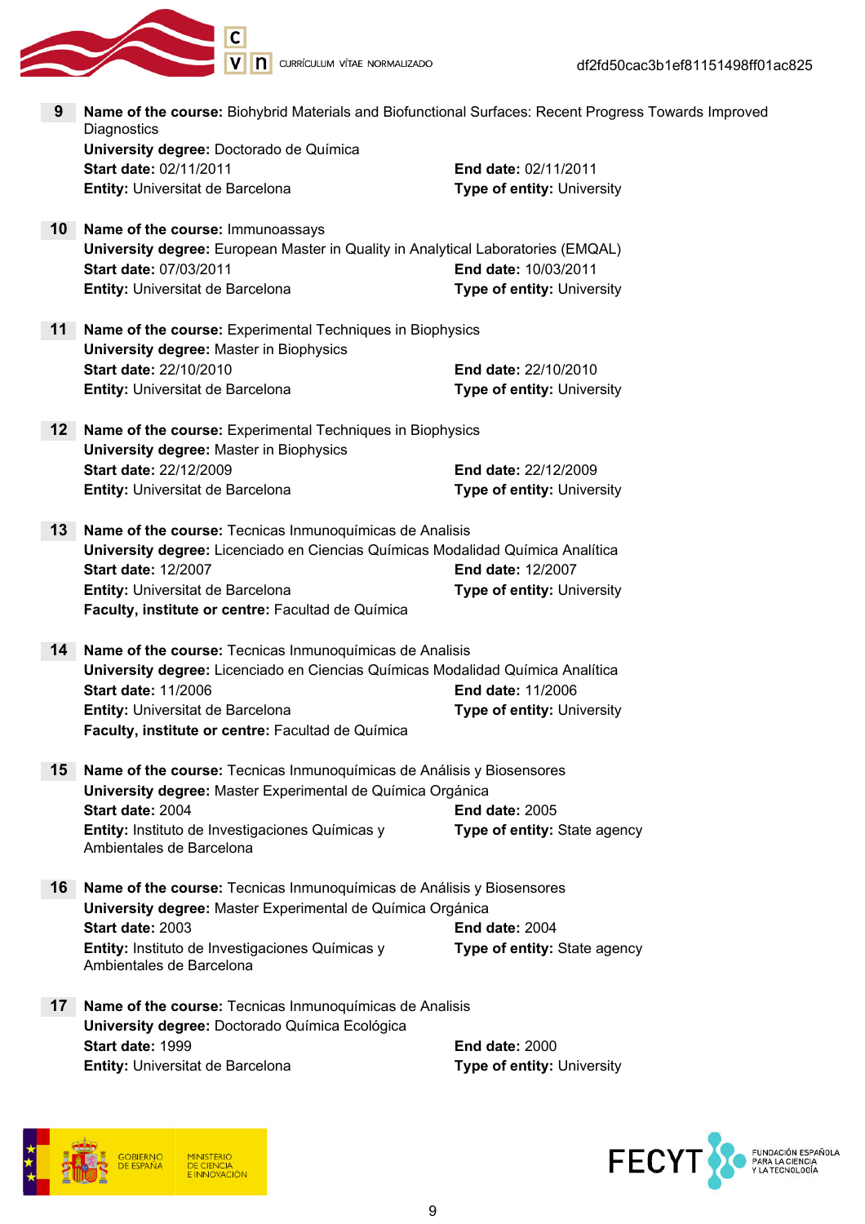

| 9               | Name of the course: Biohybrid Materials and Biofunctional Surfaces: Recent Progress Towards Improved<br>Diagnostics |                                   |
|-----------------|---------------------------------------------------------------------------------------------------------------------|-----------------------------------|
|                 | University degree: Doctorado de Química                                                                             |                                   |
|                 | Start date: 02/11/2011                                                                                              | End date: 02/11/2011              |
|                 | Entity: Universitat de Barcelona                                                                                    | Type of entity: University        |
| 10              | Name of the course: Immunoassays                                                                                    |                                   |
|                 | University degree: European Master in Quality in Analytical Laboratories (EMQAL)                                    |                                   |
|                 | Start date: 07/03/2011                                                                                              | End date: 10/03/2011              |
|                 | Entity: Universitat de Barcelona                                                                                    | <b>Type of entity: University</b> |
| 11              | Name of the course: Experimental Techniques in Biophysics                                                           |                                   |
|                 | <b>University degree: Master in Biophysics</b>                                                                      |                                   |
|                 | Start date: 22/10/2010                                                                                              | <b>End date: 22/10/2010</b>       |
|                 | Entity: Universitat de Barcelona                                                                                    | <b>Type of entity: University</b> |
| 12              | Name of the course: Experimental Techniques in Biophysics                                                           |                                   |
|                 | <b>University degree: Master in Biophysics</b>                                                                      |                                   |
|                 | Start date: 22/12/2009                                                                                              | End date: 22/12/2009              |
|                 | Entity: Universitat de Barcelona                                                                                    | Type of entity: University        |
| 13 <sup>7</sup> | Name of the course: Tecnicas Inmunoquímicas de Analisis                                                             |                                   |
|                 | University degree: Licenciado en Ciencias Químicas Modalidad Química Analítica                                      |                                   |
|                 | <b>Start date: 12/2007</b>                                                                                          | End date: 12/2007                 |
|                 | Entity: Universitat de Barcelona                                                                                    | Type of entity: University        |
|                 | Faculty, institute or centre: Facultad de Química                                                                   |                                   |
| 14              | Name of the course: Tecnicas Inmunoquímicas de Analisis                                                             |                                   |
|                 | University degree: Licenciado en Ciencias Químicas Modalidad Química Analítica                                      |                                   |
|                 | <b>Start date: 11/2006</b>                                                                                          | <b>End date: 11/2006</b>          |
|                 | Entity: Universitat de Barcelona                                                                                    | <b>Type of entity: University</b> |
|                 | Faculty, institute or centre: Facultad de Química                                                                   |                                   |
| 15              | Name of the course: Tecnicas Inmunoquímicas de Análisis y Biosensores                                               |                                   |
|                 | University degree: Master Experimental de Química Orgánica                                                          |                                   |
|                 | Start date: 2004                                                                                                    | <b>End date: 2005</b>             |
|                 | Entity: Instituto de Investigaciones Químicas y<br>Ambientales de Barcelona                                         | Type of entity: State agency      |
| 16              | Name of the course: Tecnicas Inmunoquímicas de Análisis y Biosensores                                               |                                   |
|                 | University degree: Master Experimental de Química Orgánica                                                          |                                   |
|                 | Start date: 2003                                                                                                    | <b>End date: 2004</b>             |
|                 | Entity: Instituto de Investigaciones Químicas y<br>Ambientales de Barcelona                                         | Type of entity: State agency      |
| $17\,$          | Name of the course: Tecnicas Inmunoquímicas de Analisis                                                             |                                   |
|                 | University degree: Doctorado Química Ecológica                                                                      |                                   |
|                 | Start date: 1999                                                                                                    | <b>End date: 2000</b>             |
|                 | Entity: Universitat de Barcelona                                                                                    | Type of entity: University        |



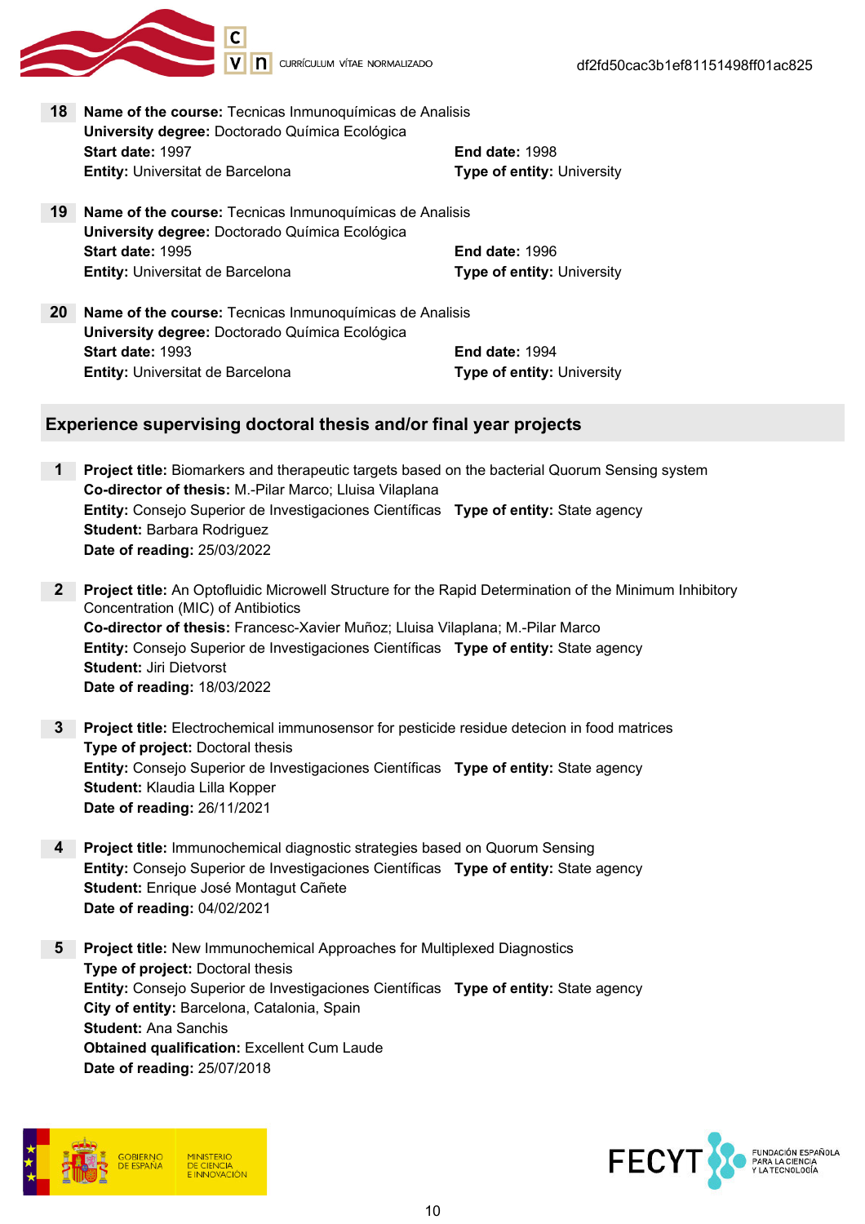

18 Name of the course: Tecnicas Inmunoquímicas de Analisis University degree: Doctorado Química Ecológica Start date: 1997 **End date: 1998 Entity:** Universitat de Barcelona Type of entity: University

- 19 Name of the course: Tecnicas Inmunoquímicas de Analisis University degree: Doctorado Química Ecológica Start date: 1995 **End date: 1996 Entity:** Universitat de Barcelona Type of entity: University
- 20 Name of the course: Tecnicas Inmunoquímicas de Analisis University degree: Doctorado Química Ecológica **Start date: 1993** End date: 1994 Entity: Universitat de Barcelona Type of entity: University

### Experience supervising doctoral thesis and/or final year projects

- 1 Project title: Biomarkers and therapeutic targets based on the bacterial Quorum Sensing system Co-director of thesis: M.-Pilar Marco; Lluisa Vilaplana Entity: Consejo Superior de Investigaciones Científicas Type of entity: State agency Student: Barbara Rodriguez Date of reading: 25/03/2022
- 2 Project title: An Optofluidic Microwell Structure for the Rapid Determination of the Minimum Inhibitory Concentration (MIC) of Antibiotics Co-director of thesis: Francesc-Xavier Muñoz; Lluisa Vilaplana; M.-Pilar Marco Entity: Consejo Superior de Investigaciones Científicas Type of entity: State agency Student: Jiri Dietvorst Date of reading: 18/03/2022
- 3 Project title: Electrochemical immunosensor for pesticide residue detecion in food matrices Type of project: Doctoral thesis Entity: Consejo Superior de Investigaciones Científicas Type of entity: State agency Student: Klaudia Lilla Kopper Date of reading: 26/11/2021
- 4 Project title: Immunochemical diagnostic strategies based on Quorum Sensing Entity: Consejo Superior de Investigaciones Científicas Type of entity: State agency Student: Enrique José Montagut Cañete Date of reading: 04/02/2021
- 5 Project title: New Immunochemical Approaches for Multiplexed Diagnostics Type of project: Doctoral thesis Entity: Consejo Superior de Investigaciones Científicas Type of entity: State agency City of entity: Barcelona, Catalonia, Spain Student: Ana Sanchis **Obtained qualification: Excellent Cum Laude** Date of reading: 25/07/2018



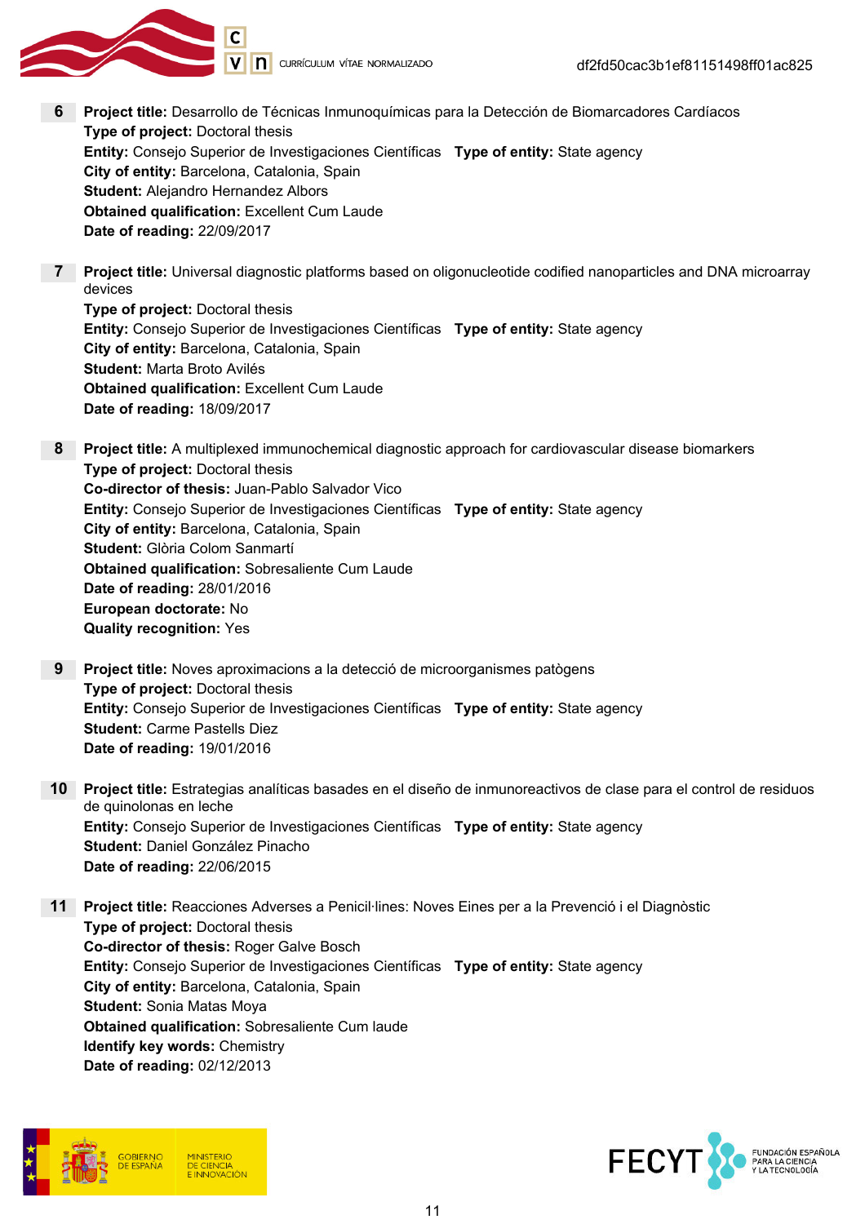

- 6 Project title: Desarrollo de Técnicas Inmunoquímicas para la Detección de Biomarcadores Cardíacos Type of project: Doctoral thesis Entity: Consejo Superior de Investigaciones Científicas Type of entity: State agency City of entity: Barcelona, Catalonia, Spain Student: Alejandro Hernandez Albors Obtained qualification: Excellent Cum Laude Date of reading: 22/09/2017
- 7 Project title: Universal diagnostic platforms based on oligonucleotide codified nanoparticles and DNA microarray devices

Type of project: Doctoral thesis Entity: Consejo Superior de Investigaciones Científicas Type of entity: State agency City of entity: Barcelona, Catalonia, Spain Student: Marta Broto Avilés Obtained qualification: Excellent Cum Laude Date of reading: 18/09/2017

- 8 Project title: A multiplexed immunochemical diagnostic approach for cardiovascular disease biomarkers Type of project: Doctoral thesis Co-director of thesis: Juan-Pablo Salvador Vico Entity: Consejo Superior de Investigaciones Científicas Type of entity: State agency City of entity: Barcelona, Catalonia, Spain Student: Glòria Colom Sanmartí Obtained qualification: Sobresaliente Cum Laude Date of reading: 28/01/2016 European doctorate: No Quality recognition: Yes
- 9 Project title: Noves aproximacions a la detecció de microorganismes patògens Type of project: Doctoral thesis Entity: Consejo Superior de Investigaciones Científicas Type of entity: State agency Student: Carme Pastells Diez Date of reading: 19/01/2016
- 10 Project title: Estrategias analíticas basades en el diseño de inmunoreactivos de clase para el control de residuos de quinolonas en leche Entity: Consejo Superior de Investigaciones Científicas Type of entity: State agency Student: Daniel González Pinacho Date of reading: 22/06/2015
- 11 Project title: Reacciones Adverses a Penicil·lines: Noves Eines per a la Prevenció i el Diagnòstic Type of project: Doctoral thesis Co-director of thesis: Roger Galve Bosch Entity: Consejo Superior de Investigaciones Científicas Type of entity: State agency City of entity: Barcelona, Catalonia, Spain Student: Sonia Matas Moya Obtained qualification: Sobresaliente Cum laude Identify key words: Chemistry Date of reading: 02/12/2013



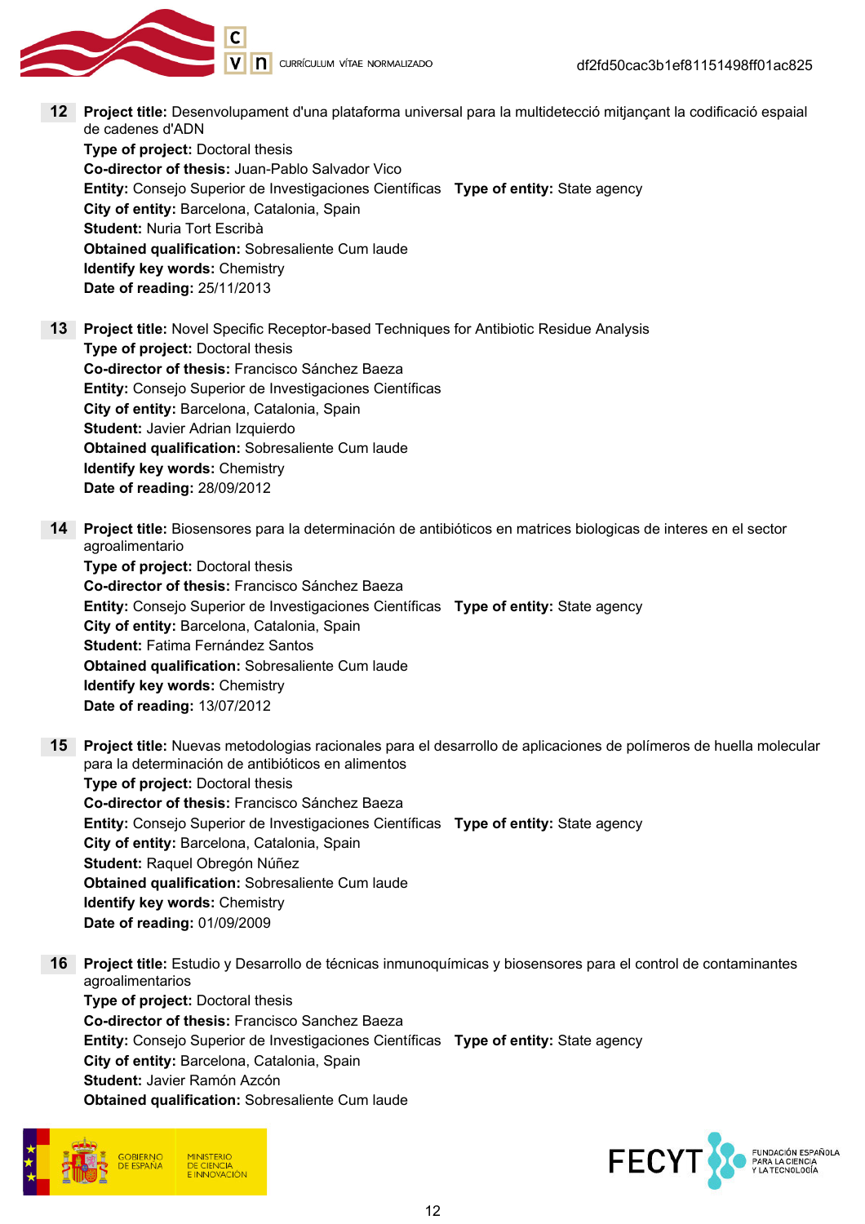

12 Project title: Desenvolupament d'una plataforma universal para la multidetecció mitjançant la codificació espaial de cadenes d'ADN

Type of project: Doctoral thesis Co-director of thesis: Juan-Pablo Salvador Vico Entity: Consejo Superior de Investigaciones Científicas Type of entity: State agency City of entity: Barcelona, Catalonia, Spain Student: Nuria Tort Escribà Obtained qualification: Sobresaliente Cum laude Identify key words: Chemistry Date of reading: 25/11/2013

13 Project title: Novel Specific Receptor-based Techniques for Antibiotic Residue Analysis Type of project: Doctoral thesis Co-director of thesis: Francisco Sánchez Baeza Entity: Consejo Superior de Investigaciones Científicas City of entity: Barcelona, Catalonia, Spain Student: Javier Adrian Izquierdo Obtained qualification: Sobresaliente Cum laude Identify key words: Chemistry Date of reading: 28/09/2012

14 Project title: Biosensores para la determinación de antibióticos en matrices biologicas de interes en el sector agroalimentario

Type of project: Doctoral thesis Co-director of thesis: Francisco Sánchez Baeza Entity: Consejo Superior de Investigaciones Científicas Type of entity: State agency City of entity: Barcelona, Catalonia, Spain Student: Fatima Fernández Santos Obtained qualification: Sobresaliente Cum laude Identify key words: Chemistry Date of reading: 13/07/2012

- 15 Project title: Nuevas metodologias racionales para el desarrollo de aplicaciones de polímeros de huella molecular para la determinación de antibióticos en alimentos Type of project: Doctoral thesis Co-director of thesis: Francisco Sánchez Baeza Entity: Consejo Superior de Investigaciones Científicas Type of entity: State agency City of entity: Barcelona, Catalonia, Spain Student: Raquel Obregón Núñez Obtained qualification: Sobresaliente Cum laude Identify key words: Chemistry Date of reading: 01/09/2009
- 16 Project title: Estudio y Desarrollo de técnicas inmunoquímicas y biosensores para el control de contaminantes agroalimentarios Type of project: Doctoral thesis Co-director of thesis: Francisco Sanchez Baeza Entity: Consejo Superior de Investigaciones Científicas Type of entity: State agency City of entity: Barcelona, Catalonia, Spain Student: Javier Ramón Azcón Obtained qualification: Sobresaliente Cum laude



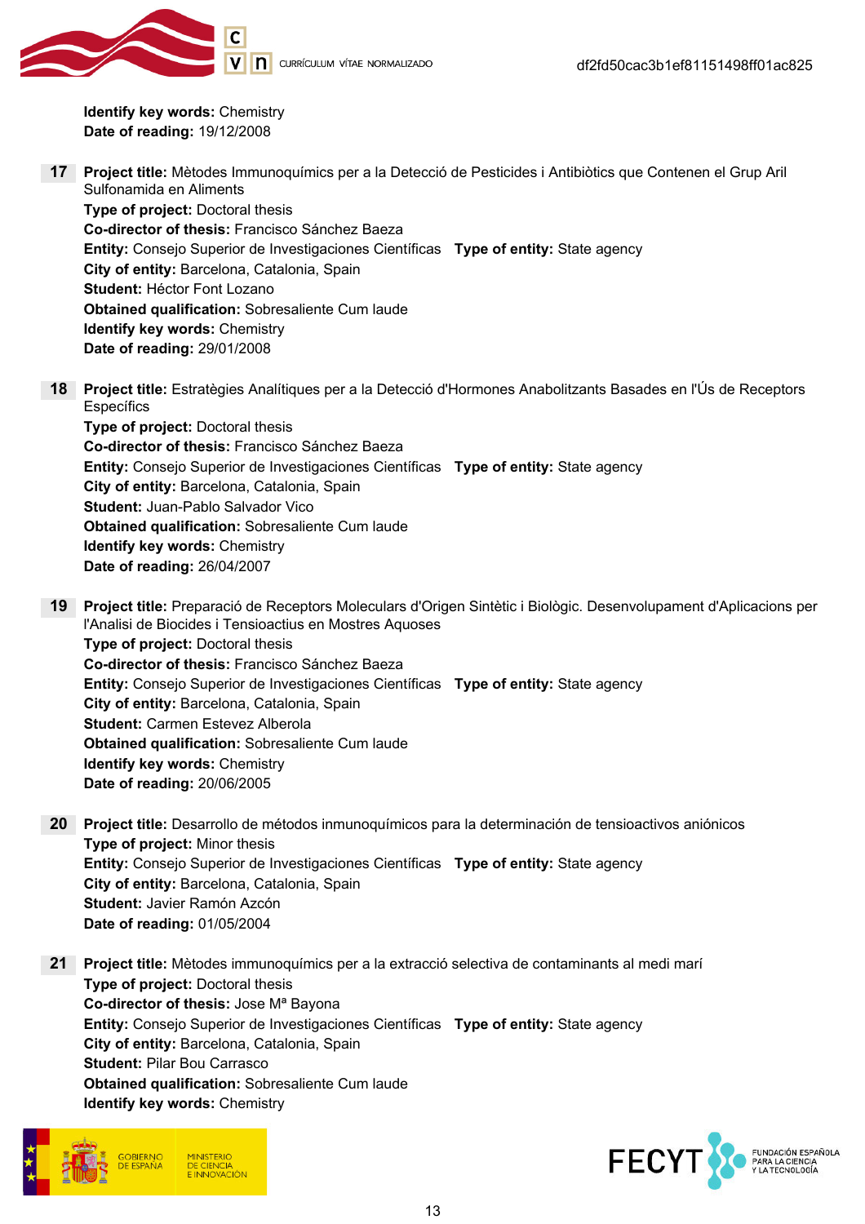

Identify key words: Chemistry Date of reading: 19/12/2008

- 17 Project title: Mètodes Immunoquímics per a la Detecció de Pesticides i Antibiòtics que Contenen el Grup Aril Sulfonamida en Aliments Type of project: Doctoral thesis Co-director of thesis: Francisco Sánchez Baeza Entity: Consejo Superior de Investigaciones Científicas Type of entity: State agency City of entity: Barcelona, Catalonia, Spain Student: Héctor Font Lozano Obtained qualification: Sobresaliente Cum laude Identify key words: Chemistry Date of reading: 29/01/2008
- 18 Project title: Estratègies Analítiques per a la Detecció d'Hormones Anabolitzants Basades en l'Ús de Receptors **Específics**

Type of project: Doctoral thesis Co-director of thesis: Francisco Sánchez Baeza Entity: Consejo Superior de Investigaciones Científicas Type of entity: State agency City of entity: Barcelona, Catalonia, Spain Student: Juan-Pablo Salvador Vico Obtained qualification: Sobresaliente Cum laude Identify key words: Chemistry Date of reading: 26/04/2007

- 19 Project title: Preparació de Receptors Moleculars d'Origen Sintètic i Biològic. Desenvolupament d'Aplicacions per l'Analisi de Biocides i Tensioactius en Mostres Aquoses Type of project: Doctoral thesis Co-director of thesis: Francisco Sánchez Baeza Entity: Consejo Superior de Investigaciones Científicas Type of entity: State agency City of entity: Barcelona, Catalonia, Spain Student: Carmen Estevez Alberola Obtained qualification: Sobresaliente Cum laude Identify key words: Chemistry Date of reading: 20/06/2005
- 20 Project title: Desarrollo de métodos inmunoquímicos para la determinación de tensioactivos aniónicos Type of project: Minor thesis Entity: Consejo Superior de Investigaciones Científicas Type of entity: State agency City of entity: Barcelona, Catalonia, Spain Student: Javier Ramón Azcón Date of reading: 01/05/2004

21 Proiect title: Mètodes immunoquímics per a la extracció selectiva de contaminants al medi marí Type of project: Doctoral thesis Co-director of thesis: Jose Mª Bayona Entity: Consejo Superior de Investigaciones Científicas Type of entity: State agency City of entity: Barcelona, Catalonia, Spain Student: Pilar Bou Carrasco Obtained qualification: Sobresaliente Cum laude Identify key words: Chemistry



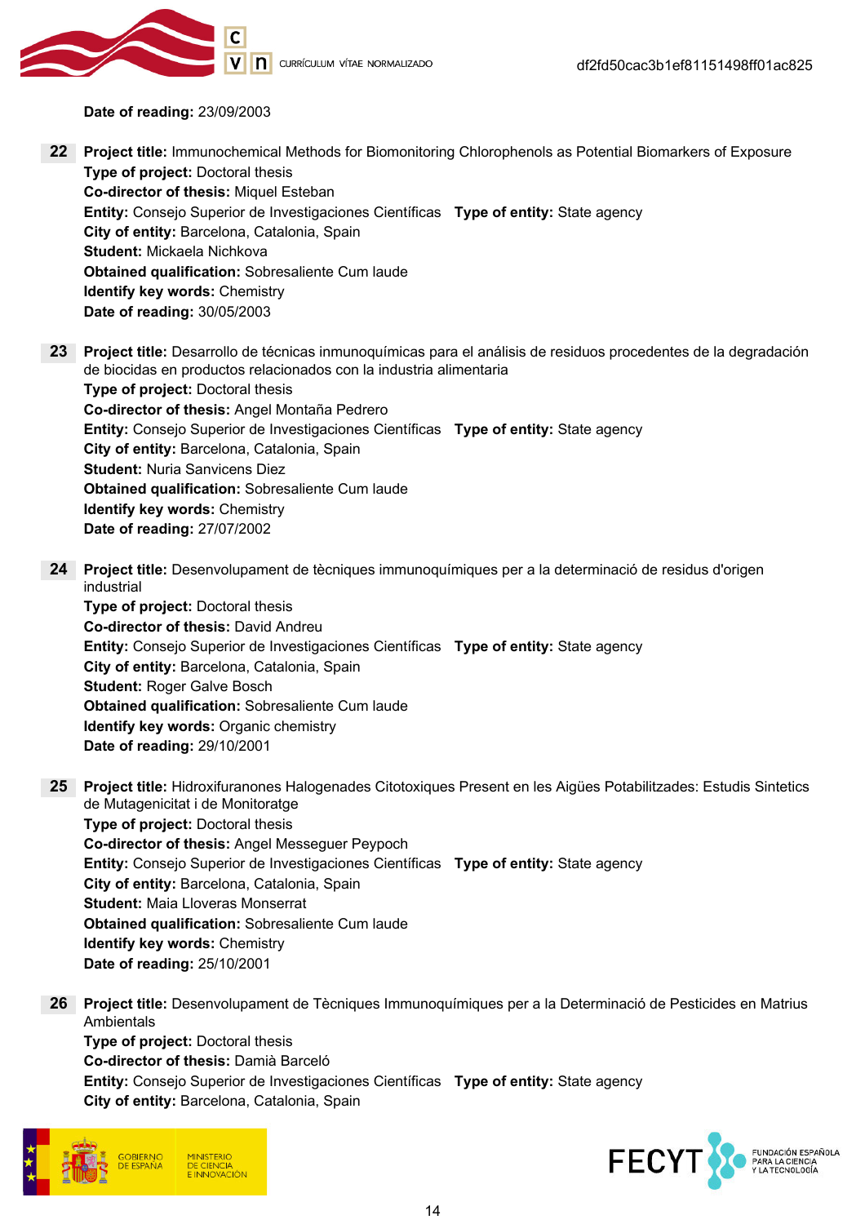

Date of reading: 23/09/2003

- 22 Project title: Immunochemical Methods for Biomonitoring Chlorophenols as Potential Biomarkers of Exposure Type of project: Doctoral thesis Co-director of thesis: Miquel Esteban Entity: Consejo Superior de Investigaciones Científicas Type of entity: State agency City of entity: Barcelona, Catalonia, Spain Student: Mickaela Nichkova Obtained qualification: Sobresaliente Cum laude Identify key words: Chemistry Date of reading: 30/05/2003
- 23 Project title: Desarrollo de técnicas inmunoquímicas para el análisis de residuos procedentes de la degradación de biocidas en productos relacionados con la industria alimentaria Type of project: Doctoral thesis Co-director of thesis: Angel Montaña Pedrero Entity: Consejo Superior de Investigaciones Científicas Type of entity: State agency City of entity: Barcelona, Catalonia, Spain Student: Nuria Sanvicens Diez Obtained qualification: Sobresaliente Cum laude Identify key words: Chemistry Date of reading: 27/07/2002
- 24 Project title: Desenvolupament de tècniques immunoquímiques per a la determinació de residus d'origen industrial

Type of project: Doctoral thesis Co-director of thesis: David Andreu Entity: Consejo Superior de Investigaciones Científicas Type of entity: State agency City of entity: Barcelona, Catalonia, Spain Student: Roger Galve Bosch Obtained qualification: Sobresaliente Cum laude Identify key words: Organic chemistry Date of reading: 29/10/2001

- 25 Project title: Hidroxifuranones Halogenades Citotoxiques Present en les Aigües Potabilitzades: Estudis Sintetics de Mutagenicitat i de Monitoratge Type of project: Doctoral thesis Co-director of thesis: Angel Messeguer Peypoch Entity: Consejo Superior de Investigaciones Científicas Type of entity: State agency City of entity: Barcelona, Catalonia, Spain Student: Maia Lloveras Monserrat Obtained qualification: Sobresaliente Cum laude Identify key words: Chemistry
	- Date of reading: 25/10/2001
- 26 Project title: Desenvolupament de Tècniques Immunoquímiques per a la Determinació de Pesticides en Matrius Ambientals

Type of project: Doctoral thesis Co-director of thesis: Damià Barceló Entity: Consejo Superior de Investigaciones Científicas Type of entity: State agency City of entity: Barcelona, Catalonia, Spain



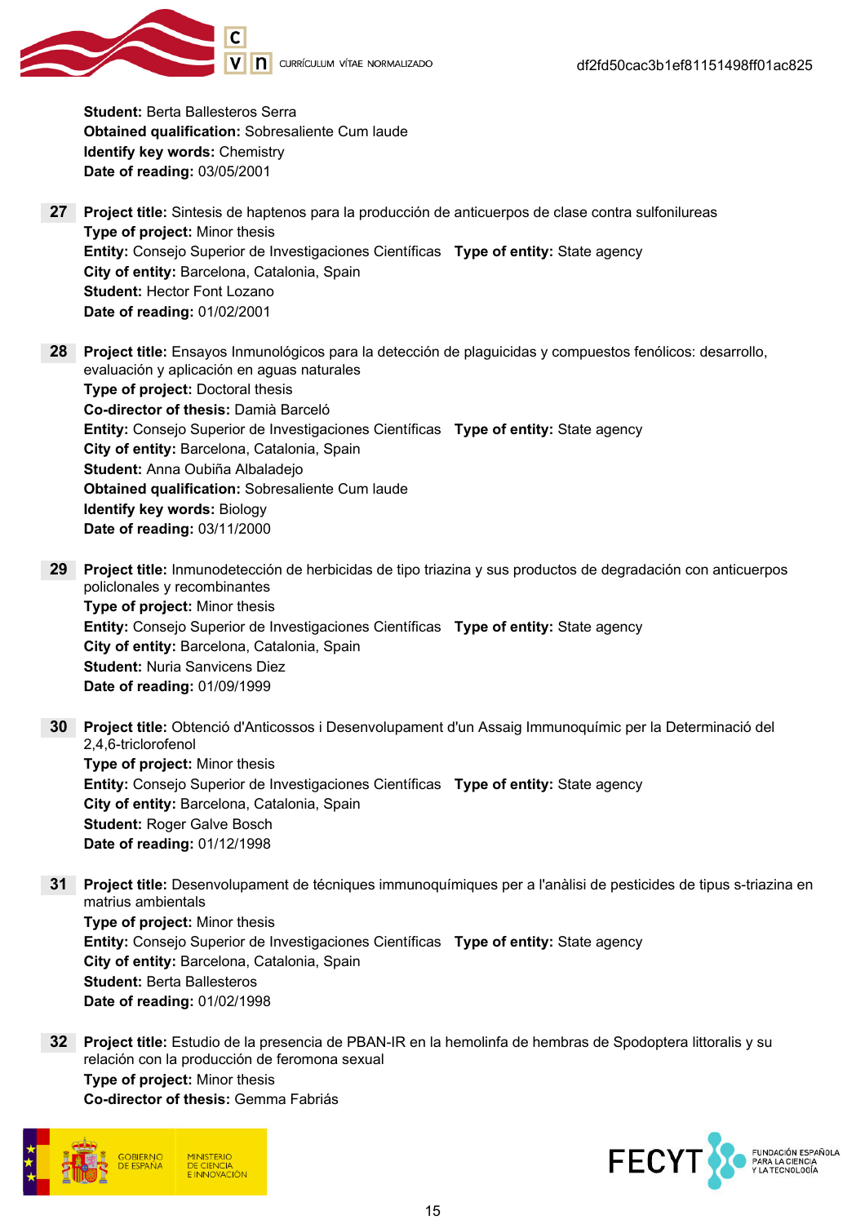Student: Berta Ballesteros Serra Obtained qualification: Sobresaliente Cum laude Identify key words: Chemistry Date of reading: 03/05/2001

- 27 Project title: Sintesis de haptenos para la producción de anticuerpos de clase contra sulfonilureas Type of project: Minor thesis Entity: Consejo Superior de Investigaciones Científicas Type of entity: State agency City of entity: Barcelona, Catalonia, Spain Student: Hector Font Lozano Date of reading: 01/02/2001
- 28 Project title: Ensayos Inmunológicos para la detección de plaguicidas y compuestos fenólicos: desarrollo, evaluación y aplicación en aguas naturales Type of project: Doctoral thesis Co-director of thesis: Damià Barceló Entity: Consejo Superior de Investigaciones Científicas Type of entity: State agency City of entity: Barcelona, Catalonia, Spain Student: Anna Oubiña Albaladejo Obtained qualification: Sobresaliente Cum laude Identify key words: Biology Date of reading: 03/11/2000
- 29 Project title: Inmunodetección de herbicidas de tipo triazina y sus productos de degradación con anticuerpos policlonales y recombinantes Type of project: Minor thesis Entity: Consejo Superior de Investigaciones Científicas Type of entity: State agency City of entity: Barcelona, Catalonia, Spain Student: Nuria Sanvicens Diez Date of reading: 01/09/1999
- 30 Project title: Obtenció d'Anticossos i Desenvolupament d'un Assaig Immunoquímic per la Determinació del 2,4,6-triclorofenol Type of project: Minor thesis Entity: Consejo Superior de Investigaciones Científicas Type of entity: State agency City of entity: Barcelona, Catalonia, Spain Student: Roger Galve Bosch Date of reading: 01/12/1998
- 31 Project title: Desenvolupament de técniques immunoquímiques per a l'anàlisi de pesticides de tipus s-triazina en matrius ambientals Type of project: Minor thesis Entity: Consejo Superior de Investigaciones Científicas Type of entity: State agency City of entity: Barcelona, Catalonia, Spain Student: Berta Ballesteros Date of reading: 01/02/1998
- 32 Project title: Estudio de la presencia de PBAN-IR en la hemolinfa de hembras de Spodoptera littoralis y su relación con la producción de feromona sexual Type of project: Minor thesis Co-director of thesis: Gemma Fabriás



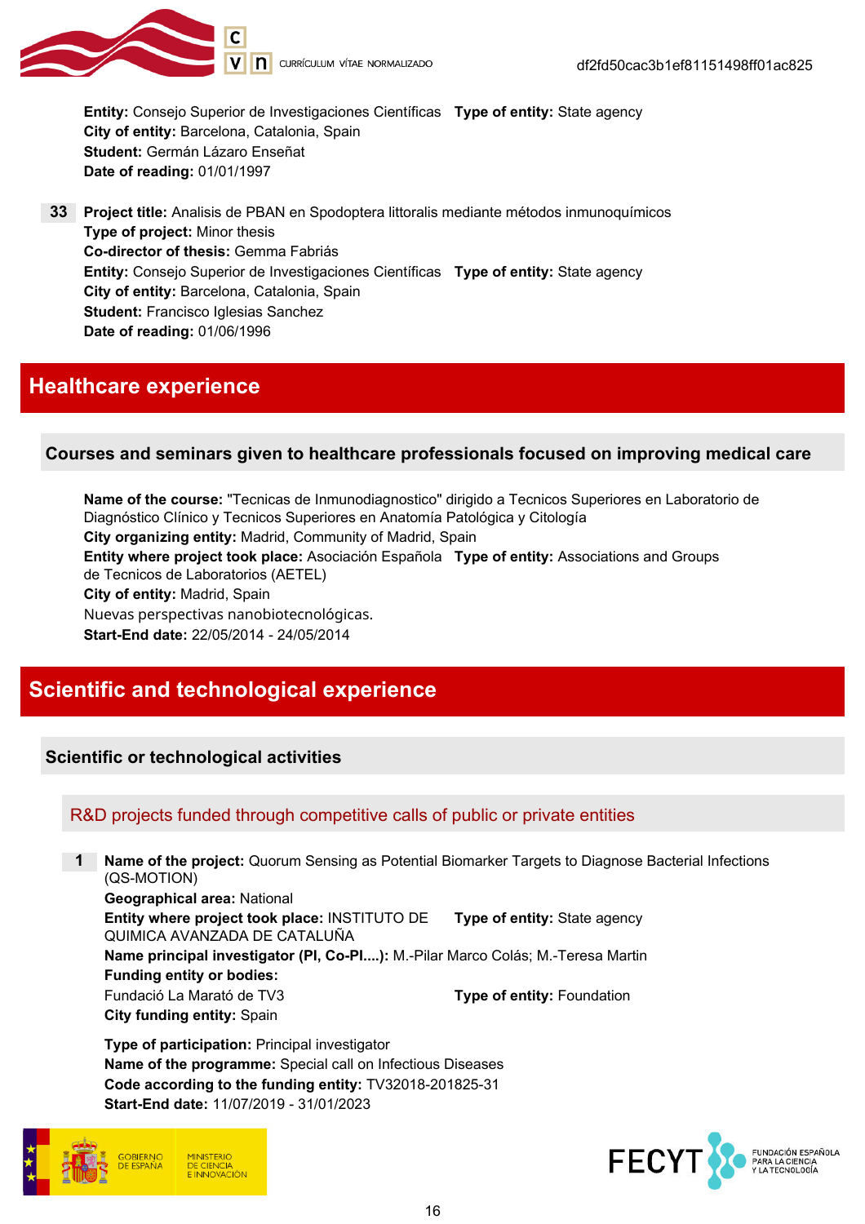

Entity: Consejo Superior de Investigaciones Científicas Type of entity: State agency City of entity: Barcelona, Catalonia, Spain Student: Germán Lázaro Enseñat Date of reading: 01/01/1997

33 Project title: Analisis de PBAN en Spodoptera littoralis mediante métodos inmunoquímicos Type of project: Minor thesis Co-director of thesis: Gemma Fabriás Entity: Consejo Superior de Investigaciones Científicas Type of entity: State agency City of entity: Barcelona, Catalonia, Spain Student: Francisco Iglesias Sanchez Date of reading: 01/06/1996

## Healthcare experience

### Courses and seminars given to healthcare professionals focused on improving medical care

Name of the course: "Tecnicas de Inmunodiagnostico" dirigido a Tecnicos Superiores en Laboratorio de Diagnóstico Clínico y Tecnicos Superiores en Anatomía Patológica y Citología City organizing entity: Madrid, Community of Madrid, Spain Entity where project took place: Asociación Española Type of entity: Associations and Groups de Tecnicos de Laboratorios (AETEL) City of entity: Madrid, Spain Nuevas perspectivas nanobiotecnológicas. Start-End date: 22/05/2014 - 24/05/2014

## Scientific and technological experience

### Scientific or technological activities

### R&D projects funded through competitive calls of public or private entities

1 Name of the project: Quorum Sensing as Potential Biomarker Targets to Diagnose Bacterial Infections (QS-MOTION) Geographical area: National Entity where project took place: INSTITUTO DE QUIMICA AVANZADA DE CATALUÑA Type of entity: State agency Name principal investigator (PI, Co-PI....): M.-Pilar Marco Colás; M.-Teresa Martin Funding entity or bodies: Fundació La Marató de TV3 Type of entity: Foundation City funding entity: Spain

Type of participation: Principal investigator Name of the programme: Special call on Infectious Diseases Code according to the funding entity: TV32018-201825-31 Start-End date: 11/07/2019 - 31/01/2023



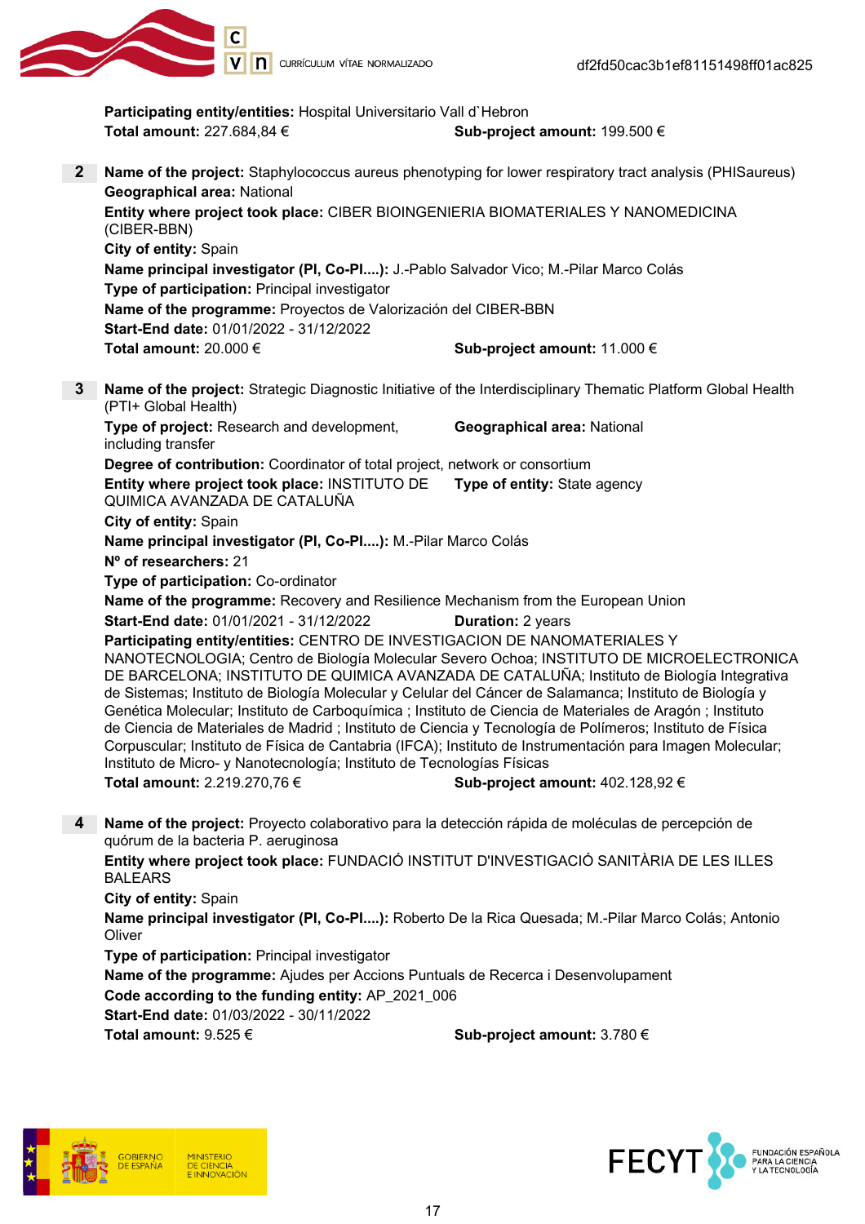

Participating entity/entities: Hospital Universitario Vall d'Hebron Total amount:  $227.684,84 \in$  Sub-project amount: 199.500 € 2 Name of the project: Staphylococcus aureus phenotyping for lower respiratory tract analysis (PHISaureus) Geographical area: National Entity where project took place: CIBER BIOINGENIERIA BIOMATERIALES Y NANOMEDICINA (CIBER-BBN) City of entity: Spain Name principal investigator (PI, Co-PI....): J.-Pablo Salvador Vico; M.-Pilar Marco Colás Type of participation: Principal investigator Name of the programme: Proyectos de Valorización del CIBER-BBN Start-End date: 01/01/2022 - 31/12/2022 Total amount:  $20.000 \in$  Sub-project amount: 11.000 € 3 Name of the project: Strategic Diagnostic Initiative of the Interdisciplinary Thematic Platform Global Health (PTI+ Global Health) Type of project: Research and development. including transfer Geographical area: National Degree of contribution: Coordinator of total project, network or consortium Entity where project took place: INSTITUTO DE Type of entity: State agency QUIMICA AVANZADA DE CATALUÑA City of entity: Spain Name principal investigator (PI, Co-PI....): M.-Pilar Marco Colás Nº of researchers: 21 Type of participation: Co-ordinator Name of the programme: Recovery and Resilience Mechanism from the European Union **Start-End date: 01/01/2021 - 31/12/2022 Duration: 2 years** Participating entity/entities: CENTRO DE INVESTIGACION DE NANOMATERIALES Y NANOTECNOLOGIA; Centro de Biología Molecular Severo Ochoa; INSTITUTO DE MICROELECTRONICA DE BARCELONA; INSTITUTO DE QUIMICA AVANZADA DE CATALUÑA; Instituto de Biología Integrativa de Sistemas; Instituto de Biología Molecular y Celular del Cáncer de Salamanca; Instituto de Biología y Genética Molecular; Instituto de Carboquímica ; Instituto de Ciencia de Materiales de Aragón ; Instituto de Ciencia de Materiales de Madrid ; Instituto de Ciencia y Tecnología de Polímeros; Instituto de Física Corpuscular; Instituto de Física de Cantabria (IFCA); Instituto de Instrumentación para Imagen Molecular; Instituto de Micro- y Nanotecnología; Instituto de Tecnologías Físicas Total amount:  $2.219.270.76 \in$  Sub-project amount:  $402.128.92 \in$ 4 Name of the project: Proyecto colaborativo para la detección rápida de moléculas de percepción de quórum de la bacteria P. aeruginosa Entity where project took place: FUNDACIÓ INSTITUT D'INVESTIGACIÓ SANITÀRIA DE LES ILLES BALEARS City of entity: Spain Name principal investigator (PI, Co-PI....): Roberto De la Rica Quesada; M.-Pilar Marco Colás; Antonio **Oliver** Type of participation: Principal investigator Name of the programme: Ajudes per Accions Puntuals de Recerca i Desenvolupament Code according to the funding entity: AP 2021 006 Start-End date: 01/03/2022 - 30/11/2022 Total amount:  $9.525 \in$  Sub-project amount: 3.780 €



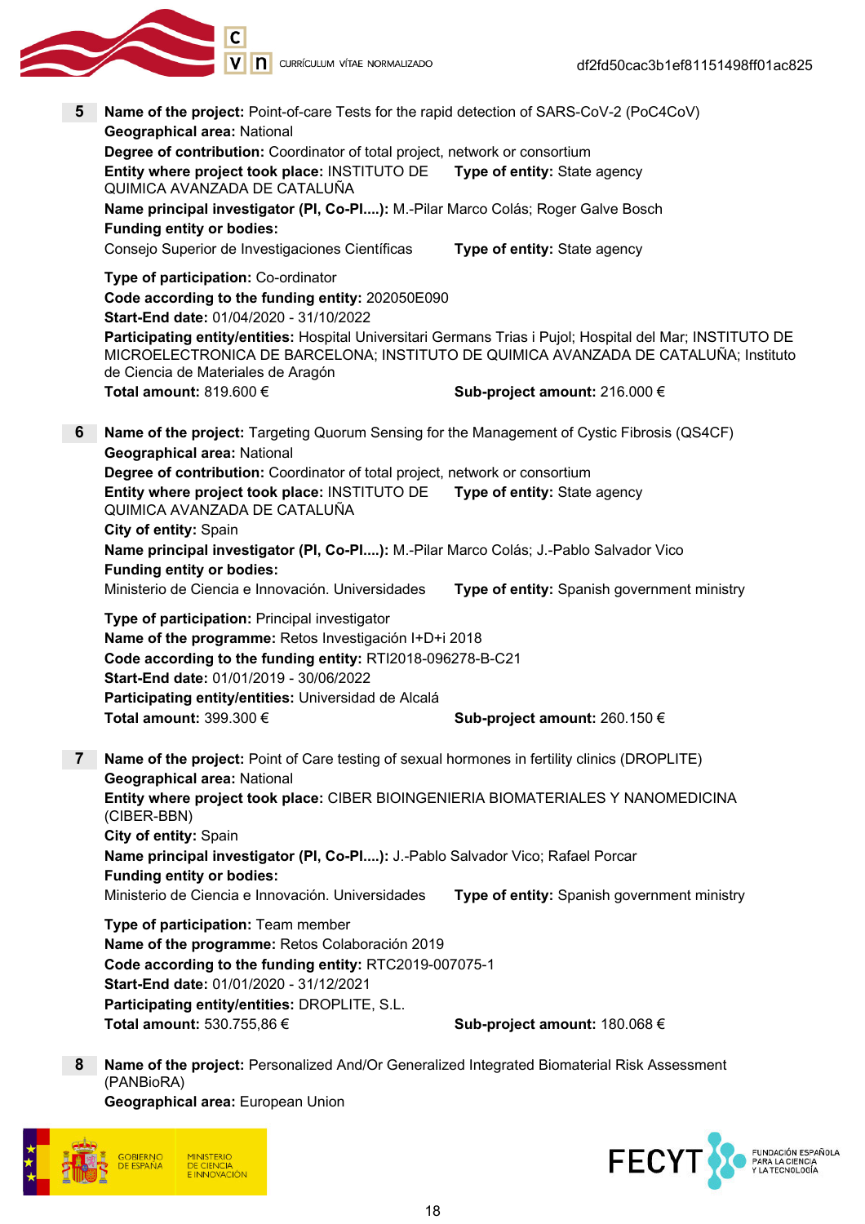

- 5 Name of the project: Point-of-care Tests for the rapid detection of SARS-CoV-2 (PoC4CoV) Geographical area: National Degree of contribution: Coordinator of total project, network or consortium Entity where project took place: INSTITUTO DE QUIMICA AVANZADA DE CATALUÑA Type of entity: State agency Name principal investigator (PI, Co-PI....): M.-Pilar Marco Colás; Roger Galve Bosch Funding entity or bodies: Consejo Superior de Investigaciones Científicas Type of entity: State agency Type of participation: Co-ordinator Code according to the funding entity: 202050E090 Start-End date: 01/04/2020 - 31/10/2022 Participating entity/entities: Hospital Universitari Germans Trias i Pujol; Hospital del Mar; INSTITUTO DE MICROELECTRONICA DE BARCELONA; INSTITUTO DE QUIMICA AVANZADA DE CATALUÑA; Instituto de Ciencia de Materiales de Aragón Total amount: 819.600 €  $\bullet$  Sub-project amount: 216.000 € 6 Name of the project: Targeting Quorum Sensing for the Management of Cystic Fibrosis (QS4CF) Geographical area: National Degree of contribution: Coordinator of total project, network or consortium Entity where project took place: INSTITUTO DE QUIMICA AVANZADA DE CATALUÑA Type of entity: State agency City of entity: Spain Name principal investigator (PI, Co-PI....): M.-Pilar Marco Colás; J.-Pablo Salvador Vico Funding entity or bodies: Ministerio de Ciencia e Innovación. Universidades **Type of entity:** Spanish government ministry Type of participation: Principal investigator Name of the programme: Retos Investigación I+D+i 2018 Code according to the funding entity: RTI2018-096278-B-C21 Start-End date: 01/01/2019 - 30/06/2022 Participating entity/entities: Universidad de Alcalá Total amount: 399.300 €  $\bullet$  Sub-project amount: 260.150 € Name of the project: Point of Care testing of sexual hormones in fertility clinics (DROPLITE) Geographical area: National Entity where project took place: CIBER BIOINGENIERIA BIOMATERIALES Y NANOMEDICINA (CIBER-BBN) City of entity: Spain Name principal investigator (PI, Co-PI....): J.-Pablo Salvador Vico; Rafael Porcar Funding entity or bodies: Ministerio de Ciencia e Innovación. Universidades **Type of entity:** Spanish government ministry Type of participation: Team member Name of the programme: Retos Colaboración 2019 Code according to the funding entity: RTC2019-007075-1 Start-End date: 01/01/2020 - 31/12/2021 Participating entity/entities: DROPLITE, S.L. Total amount:  $530.755,86 \in$  Sub-project amount: 180.068 €
	- 8 Name of the project: Personalized And/Or Generalized Integrated Biomaterial Risk Assessment (PANBioRA) Geographical area: European Union



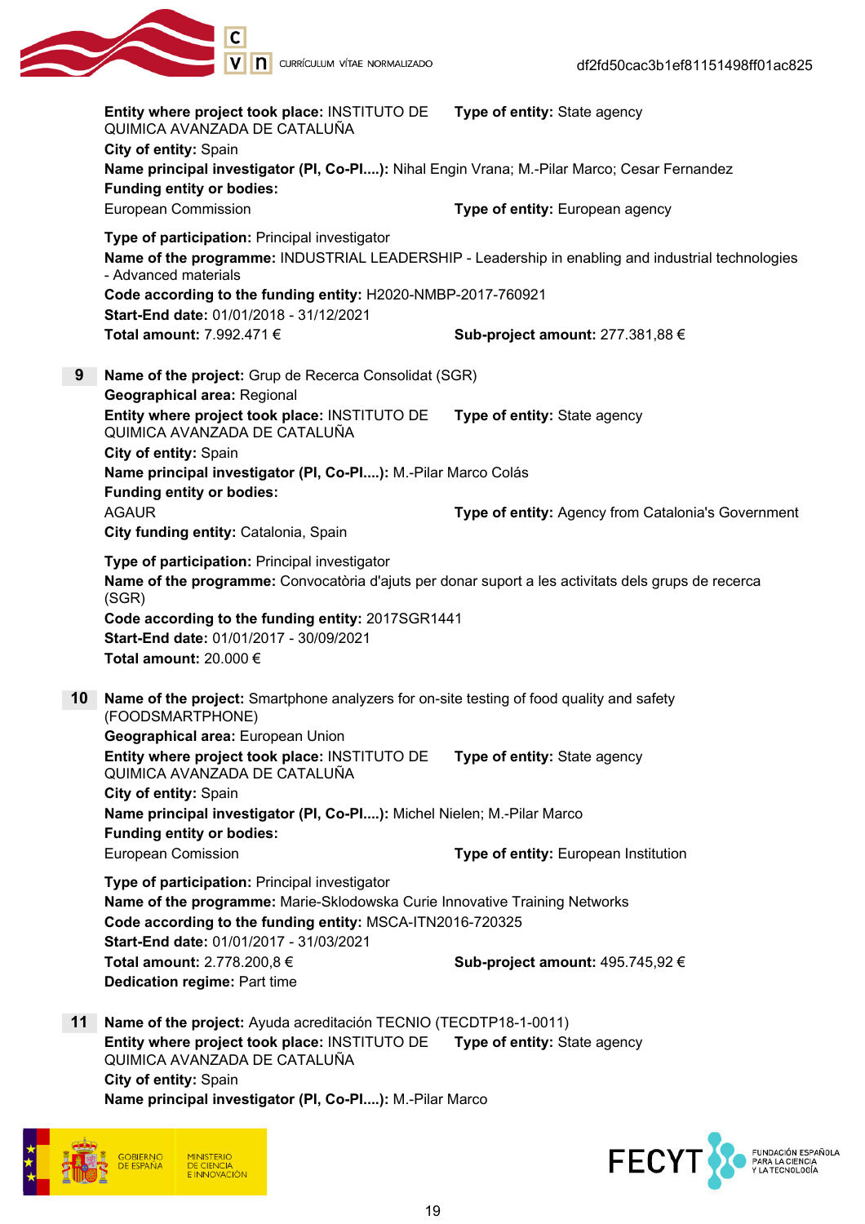

|    | Entity where project took place: INSTITUTO DE<br>QUIMICA AVANZADA DE CATALUÑA<br>City of entity: Spain                                                                                                                                                        | Type of entity: State agency                                                                      |
|----|---------------------------------------------------------------------------------------------------------------------------------------------------------------------------------------------------------------------------------------------------------------|---------------------------------------------------------------------------------------------------|
|    | Name principal investigator (PI, Co-PI): Nihal Engin Vrana; M.-Pilar Marco; Cesar Fernandez<br><b>Funding entity or bodies:</b>                                                                                                                               |                                                                                                   |
|    | <b>European Commission</b>                                                                                                                                                                                                                                    | Type of entity: European agency                                                                   |
|    | Type of participation: Principal investigator<br>- Advanced materials                                                                                                                                                                                         | Name of the programme: INDUSTRIAL LEADERSHIP - Leadership in enabling and industrial technologies |
|    | Code according to the funding entity: H2020-NMBP-2017-760921<br>Start-End date: 01/01/2018 - 31/12/2021                                                                                                                                                       |                                                                                                   |
|    | Total amount: 7.992.471 €                                                                                                                                                                                                                                     | Sub-project amount: 277.381,88 €                                                                  |
| 9  | Name of the project: Grup de Recerca Consolidat (SGR)<br><b>Geographical area: Regional</b>                                                                                                                                                                   |                                                                                                   |
|    | Entity where project took place: INSTITUTO DE<br>QUIMICA AVANZADA DE CATALUÑA                                                                                                                                                                                 | Type of entity: State agency                                                                      |
|    | City of entity: Spain<br>Name principal investigator (PI, Co-PI): M.-Pilar Marco Colás                                                                                                                                                                        |                                                                                                   |
|    | <b>Funding entity or bodies:</b><br><b>AGAUR</b><br>City funding entity: Catalonia, Spain                                                                                                                                                                     | Type of entity: Agency from Catalonia's Government                                                |
|    | Type of participation: Principal investigator<br>Name of the programme: Convocatòria d'ajuts per donar suport a les activitats dels grups de recerca<br>(SGR)<br>Code according to the funding entity: 2017SGR1441<br>Start-End date: 01/01/2017 - 30/09/2021 |                                                                                                   |
|    | Total amount: 20.000 €                                                                                                                                                                                                                                        |                                                                                                   |
| 10 | Name of the project: Smartphone analyzers for on-site testing of food quality and safety<br>(FOODSMARTPHONE)                                                                                                                                                  |                                                                                                   |
|    | Geographical area: European Union<br>Entity where project took place: INSTITUTO DE Type of entity: State agency<br>QUIMICA AVANZADA DE CATALUÑA                                                                                                               |                                                                                                   |
|    | City of entity: Spain<br>Name principal investigator (PI, Co-PI): Michel Nielen; M.-Pilar Marco<br><b>Funding entity or bodies:</b>                                                                                                                           |                                                                                                   |
|    | <b>European Comission</b>                                                                                                                                                                                                                                     | Type of entity: European Institution                                                              |
|    | Type of participation: Principal investigator<br>Name of the programme: Marie-Sklodowska Curie Innovative Training Networks<br>Code according to the funding entity: MSCA-ITN2016-720325<br>Start-End date: 01/01/2017 - 31/03/2021                           |                                                                                                   |
|    | Total amount: 2.778.200,8 €<br><b>Dedication regime: Part time</b>                                                                                                                                                                                            | Sub-project amount: 495.745,92 €                                                                  |
| 11 | Name of the project: Ayuda acreditación TECNIO (TECDTP18-1-0011)                                                                                                                                                                                              |                                                                                                   |
|    | Entity where project took place: INSTITUTO DE<br>QUIMICA AVANZADA DE CATALUÑA<br>City of entity: Spain                                                                                                                                                        | Type of entity: State agency                                                                      |

Name principal investigator (PI, Co-PI....): M.-Pilar Marco



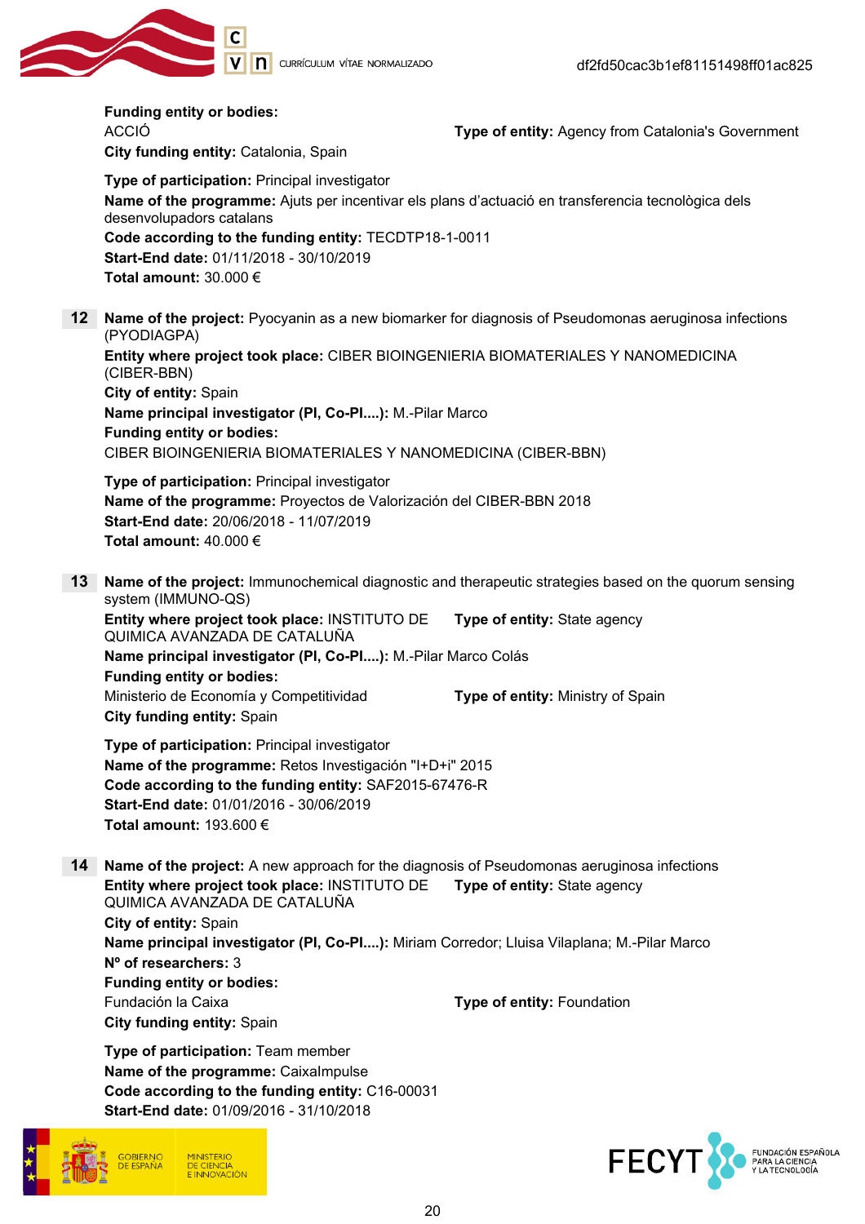

|                 | <b>Funding entity or bodies:</b><br><b>ACCIÓ</b><br>City funding entity: Catalonia, Spain<br>Type of participation: Principal investigator<br>Name of the programme: Ajuts per incentivar els plans d'actuació en transferencia tecnològica dels<br>desenvolupadors catalans<br>Code according to the funding entity: TECDTP18-1-0011<br>Start-End date: 01/11/2018 - 30/10/2019<br>Total amount: $30.000 \in$  | Type of entity: Agency from Catalonia's Government                                                                                                                         |
|-----------------|-----------------------------------------------------------------------------------------------------------------------------------------------------------------------------------------------------------------------------------------------------------------------------------------------------------------------------------------------------------------------------------------------------------------|----------------------------------------------------------------------------------------------------------------------------------------------------------------------------|
| 12 <sup>7</sup> | Name of the project: Pyocyanin as a new biomarker for diagnosis of Pseudomonas aeruginosa infections<br>(PYODIAGPA)<br>Entity where project took place: CIBER BIOINGENIERIA BIOMATERIALES Y NANOMEDICINA<br>(CIBER-BBN)<br>City of entity: Spain<br>Name principal investigator (PI, Co-PI): M.-Pilar Marco<br><b>Funding entity or bodies:</b><br>CIBER BIOINGENIERIA BIOMATERIALES Y NANOMEDICINA (CIBER-BBN) |                                                                                                                                                                            |
|                 | Type of participation: Principal investigator<br>Name of the programme: Proyectos de Valorización del CIBER-BBN 2018<br>Start-End date: 20/06/2018 - 11/07/2019<br>Total amount: $40.000 \in$                                                                                                                                                                                                                   |                                                                                                                                                                            |
| 13              | system (IMMUNO-QS)<br>Entity where project took place: INSTITUTO DE<br>QUIMICA AVANZADA DE CATALUÑA<br>Name principal investigator (PI, Co-PI): M.-Pilar Marco Colás<br><b>Funding entity or bodies:</b><br>Ministerio de Economía y Competitividad<br>City funding entity: Spain                                                                                                                               | Name of the project: Immunochemical diagnostic and therapeutic strategies based on the quorum sensing<br>Type of entity: State agency<br>Type of entity: Ministry of Spain |
|                 | Type of participation: Principal investigator<br>Name of the programme: Retos Investigación "I+D+i" 2015<br>Code according to the funding entity: SAF2015-67476-R<br>Start-End date: 01/01/2016 - 30/06/2019<br>Total amount: $193.600 \in$                                                                                                                                                                     |                                                                                                                                                                            |
| 14              | Name of the project: A new approach for the diagnosis of Pseudomonas aeruginosa infections<br>Entity where project took place: INSTITUTO DE<br>QUIMICA AVANZADA DE CATALUÑA<br>City of entity: Spain<br>Name principal investigator (PI, Co-PI): Miriam Corredor; Lluisa Vilaplana; M.-Pilar Marco<br>N° of researchers: 3<br><b>Funding entity or bodies:</b>                                                  | Type of entity: State agency                                                                                                                                               |

City funding entity: Spain

Fundación la Caixa **Type of entity:** Foundation

Type of participation: Team member Name of the programme: CaixaImpulse Code according to the funding entity: C16-00031 Start-End date: 01/09/2016 - 31/10/2018



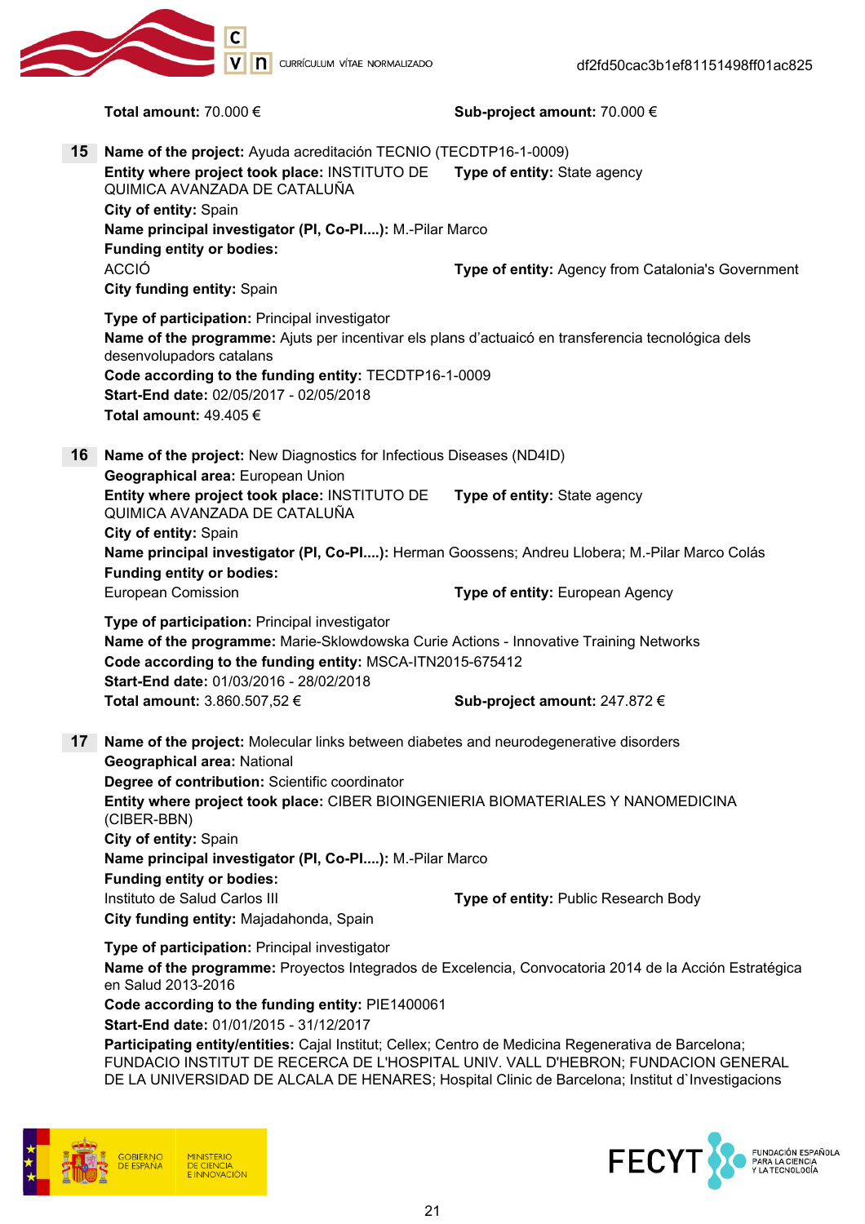

CURRÍCULUM VÍTAE NORMALIZADO

Total amount: 70.000 € Sub-project amount: 70.000 € 15 Name of the project: Ayuda acreditación TECNIO (TECDTP16-1-0009) Entity where project took place: INSTITUTO DE QUIMICA AVANZADA DE CATALUÑA Type of entity: State agency City of entity: Spain Name principal investigator (PI, Co-PI....): M.-Pilar Marco Funding entity or bodies: ACCIÓ Type of entity: Agency from Catalonia's Government City funding entity: Spain Type of participation: Principal investigator Name of the programme: Ajuts per incentivar els plans d'actuaicó en transferencia tecnológica dels desenvolupadors catalans Code according to the funding entity: TECDTP16-1-0009 Start-End date: 02/05/2017 - 02/05/2018 Total amount: 49.405 € 16 Name of the project: New Diagnostics for Infectious Diseases (ND4ID) Geographical area: European Union Entity where project took place: INSTITUTO DE QUIMICA AVANZADA DE CATALUÑA Type of entity: State agency City of entity: Spain Name principal investigator (PI, Co-PI....): Herman Goossens; Andreu Llobera; M.-Pilar Marco Colás Funding entity or bodies: European Comission Type of entity: European Agency Type of participation: Principal investigator Name of the programme: Marie-Sklowdowska Curie Actions - Innovative Training Networks Code according to the funding entity: MSCA-ITN2015-675412 Start-End date: 01/03/2016 - 28/02/2018 Total amount:  $3.860.507.52 \in$  Sub-project amount:  $247.872 \in$ 17 Name of the project: Molecular links between diabetes and neurodegenerative disorders Geographical area: National Degree of contribution: Scientific coordinator Entity where project took place: CIBER BIOINGENIERIA BIOMATERIALES Y NANOMEDICINA (CIBER-BBN) City of entity: Spain Name principal investigator (PI, Co-PI....): M.-Pilar Marco Funding entity or bodies: Instituto de Salud Carlos III **Type of entity:** Public Research Body City funding entity: Majadahonda, Spain Type of participation: Principal investigator Name of the programme: Proyectos Integrados de Excelencia, Convocatoria 2014 de la Acción Estratégica en Salud 2013-2016

Code according to the funding entity: PIE1400061 Start-End date: 01/01/2015 - 31/12/2017

Participating entity/entities: Caial Institut: Cellex: Centro de Medicina Regenerativa de Barcelona: FUNDACIO INSTITUT DE RECERCA DE L'HOSPITAL UNIV. VALL D'HEBRON; FUNDACION GENERAL DE LA UNIVERSIDAD DE ALCALA DE HENARES; Hospital Clinic de Barcelona; Institut d'Investigacions



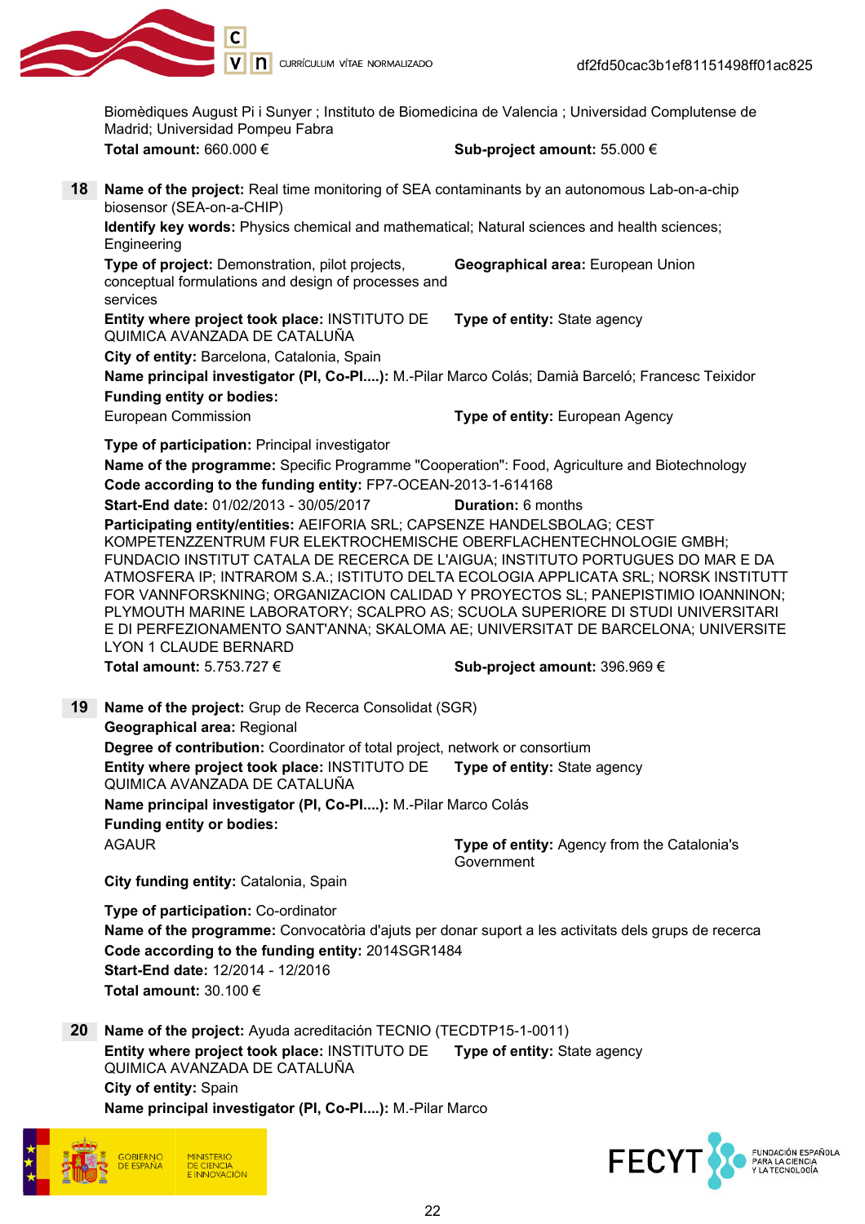

V | **n** currículum vítae normalizado

Biomèdiques August Pi i Sunyer ; Instituto de Biomedicina de Valencia ; Universidad Complutense de Madrid; Universidad Pompeu Fabra Total amount: 660.000 € Sub-project amount: 55.000 € 18 Name of the project: Real time monitoring of SEA contaminants by an autonomous Lab-on-a-chip biosensor (SEA-on-a-CHIP) Identify key words: Physics chemical and mathematical; Natural sciences and health sciences; **Engineering** Type of project: Demonstration, pilot projects, conceptual formulations and design of processes and services Geographical area: European Union Entity where project took place: INSTITUTO DE QUIMICA AVANZADA DE CATALUÑA Type of entity: State agency City of entity: Barcelona, Catalonia, Spain Name principal investigator (PI, Co-PI....): M.-Pilar Marco Colás; Damià Barceló; Francesc Teixidor Funding entity or bodies: European Commission **Type of entity:** European Agency Type of participation: Principal investigator Name of the programme: Specific Programme "Cooperation": Food, Agriculture and Biotechnology Code according to the funding entity: FP7-OCEAN-2013-1-614168 Start-End date: 01/02/2013 - 30/05/2017 Duration: 6 months Participating entity/entities: AEIFORIA SRL; CAPSENZE HANDELSBOLAG; CEST KOMPETENZZENTRUM FUR ELEKTROCHEMISCHE OBERFLACHENTECHNOLOGIE GMBH; FUNDACIO INSTITUT CATALA DE RECERCA DE L'AIGUA; INSTITUTO PORTUGUES DO MAR E DA ATMOSFERA IP; INTRAROM S.A.; ISTITUTO DELTA ECOLOGIA APPLICATA SRL; NORSK INSTITUTT FOR VANNFORSKNING; ORGANIZACION CALIDAD Y PROYECTOS SL; PANEPISTIMIO IOANNINON; PLYMOUTH MARINE LABORATORY; SCALPRO AS; SCUOLA SUPERIORE DI STUDI UNIVERSITARI E DI PERFEZIONAMENTO SANT'ANNA; SKALOMA AE; UNIVERSITAT DE BARCELONA; UNIVERSITE LYON 1 CLAUDE BERNARD Total amount:  $5.753.727 \in$  Sub-project amount:  $396.969 \in$ 19 Name of the project: Grup de Recerca Consolidat (SGR) Geographical area: Regional Degree of contribution: Coordinator of total project, network or consortium Entity where project took place: INSTITUTO DE QUIMICA AVANZADA DE CATALUÑA Type of entity: State agency Name principal investigator (PI, Co-PI....): M.-Pilar Marco Colás Funding entity or bodies: AGAUR **Type of entity:** Agency from the Catalonia's Government City funding entity: Catalonia, Spain Type of participation: Co-ordinator Name of the programme: Convocatòria d'ajuts per donar suport a les activitats dels grups de recerca Code according to the funding entity: 2014SGR1484 Start-End date: 12/2014 - 12/2016 Total amount: 30.100 €

20 Name of the project: Ayuda acreditación TECNIO (TECDTP15-1-0011) Entity where project took place: INSTITUTO DE QUIMICA AVANZADA DE CATALUÑA Type of entity: State agency City of entity: Spain Name principal investigator (PI, Co-PI....): M.-Pilar Marco



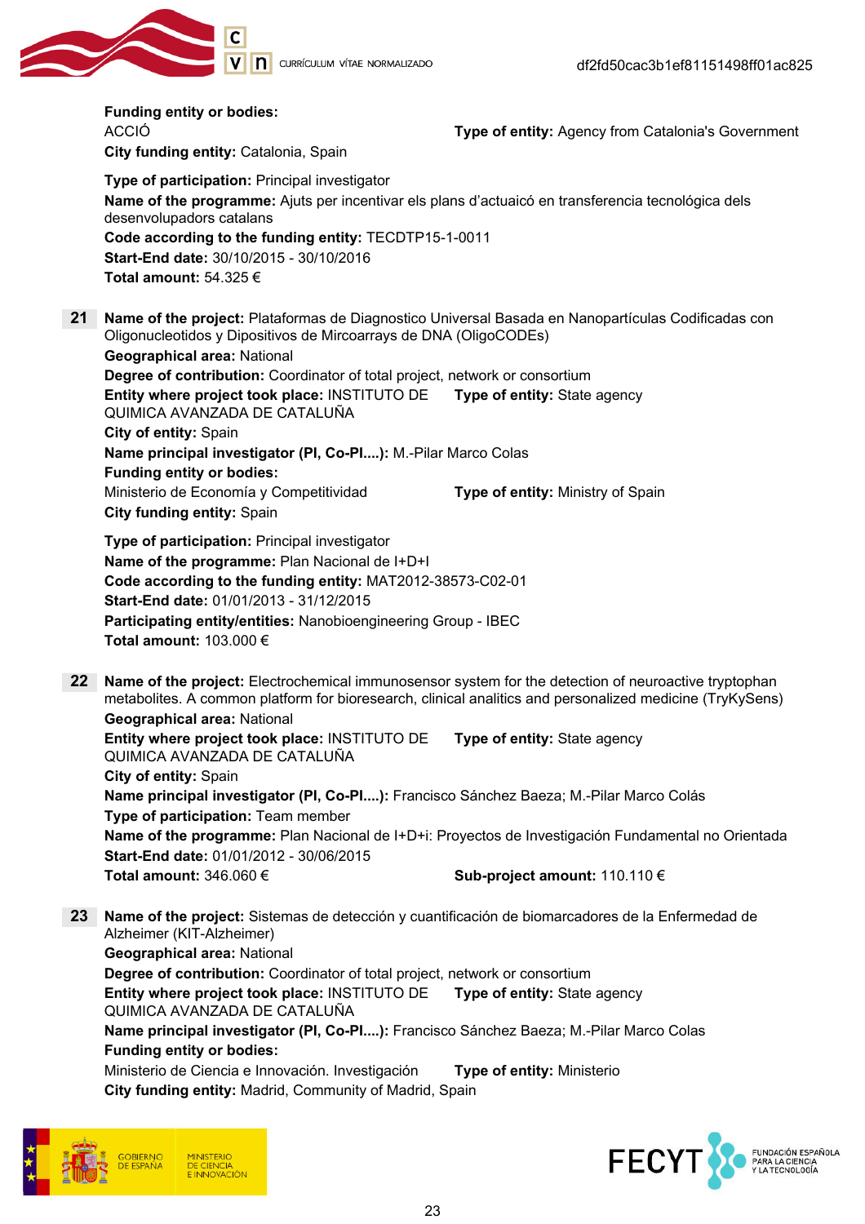

|         | <b>Funding entity or bodies:</b><br><b>ACCIÓ</b><br>City funding entity: Catalonia, Spain                                                                                                                                                                                                                         | Type of entity: Agency from Catalonia's Government |
|---------|-------------------------------------------------------------------------------------------------------------------------------------------------------------------------------------------------------------------------------------------------------------------------------------------------------------------|----------------------------------------------------|
|         | Type of participation: Principal investigator<br>Name of the programme: Ajuts per incentivar els plans d'actuaicó en transferencia tecnológica dels<br>desenvolupadors catalans<br>Code according to the funding entity: TECDTP15-1-0011<br>Start-End date: 30/10/2015 - 30/10/2016<br>Total amount: 54.325 $\in$ |                                                    |
| 21      | Name of the project: Plataformas de Diagnostico Universal Basada en Nanopartículas Codificadas con<br>Oligonucleotidos y Dipositivos de Mircoarrays de DNA (OligoCODEs)<br><b>Geographical area: National</b>                                                                                                     |                                                    |
|         | Degree of contribution: Coordinator of total project, network or consortium                                                                                                                                                                                                                                       |                                                    |
|         | Entity where project took place: INSTITUTO DE<br>QUIMICA AVANZADA DE CATALUÑA                                                                                                                                                                                                                                     | Type of entity: State agency                       |
|         | City of entity: Spain                                                                                                                                                                                                                                                                                             |                                                    |
|         | Name principal investigator (PI, Co-PI): M.-Pilar Marco Colas                                                                                                                                                                                                                                                     |                                                    |
|         | <b>Funding entity or bodies:</b>                                                                                                                                                                                                                                                                                  |                                                    |
|         | Ministerio de Economía y Competitividad<br>City funding entity: Spain                                                                                                                                                                                                                                             | Type of entity: Ministry of Spain                  |
|         | Type of participation: Principal investigator<br>Name of the programme: Plan Nacional de I+D+I<br>Code according to the funding entity: MAT2012-38573-C02-01<br>Start-End date: 01/01/2013 - 31/12/2015<br>Participating entity/entities: Nanobioengineering Group - IBEC<br>Total amount: 103.000 €              |                                                    |
| $22 \,$ | Name of the project: Electrochemical immunosensor system for the detection of neuroactive tryptophan<br>metabolites. A common platform for bioresearch, clinical analitics and personalized medicine (TryKySens)                                                                                                  |                                                    |
|         | <b>Geographical area: National</b><br>Entity where project took place: INSTITUTO DE<br>QUIMICA AVANZADA DE CATALUÑA                                                                                                                                                                                               | Type of entity: State agency                       |
|         | City of entity: Spain                                                                                                                                                                                                                                                                                             |                                                    |
|         | Name principal investigator (PI, Co-PI): Francisco Sánchez Baeza; M.-Pilar Marco Colás<br>Type of participation: Team member                                                                                                                                                                                      |                                                    |
|         | Name of the programme: Plan Nacional de I+D+i: Proyectos de Investigación Fundamental no Orientada<br>Start-End date: 01/01/2012 - 30/06/2015                                                                                                                                                                     |                                                    |
|         | Total amount: 346.060 $\epsilon$                                                                                                                                                                                                                                                                                  | Sub-project amount: 110.110 €                      |
| 23      | Name of the project: Sistemas de detección y cuantificación de biomarcadores de la Enfermedad de<br>Alzheimer (KIT-Alzheimer)                                                                                                                                                                                     |                                                    |
|         | <b>Geographical area: National</b>                                                                                                                                                                                                                                                                                |                                                    |
|         | Degree of contribution: Coordinator of total project, network or consortium                                                                                                                                                                                                                                       |                                                    |
|         | Entity where project took place: INSTITUTO DE<br>QUIMICA AVANZADA DE CATALUÑA                                                                                                                                                                                                                                     | Type of entity: State agency                       |
|         | Name principal investigator (PI, Co-PI): Francisco Sánchez Baeza; M.-Pilar Marco Colas<br><b>Funding entity or bodies:</b>                                                                                                                                                                                        |                                                    |
|         | Ministerio de Ciencia e Innovación. Investigación                                                                                                                                                                                                                                                                 | Type of entity: Ministerio                         |
|         | City funding entity: Madrid, Community of Madrid, Spain                                                                                                                                                                                                                                                           |                                                    |
|         |                                                                                                                                                                                                                                                                                                                   |                                                    |



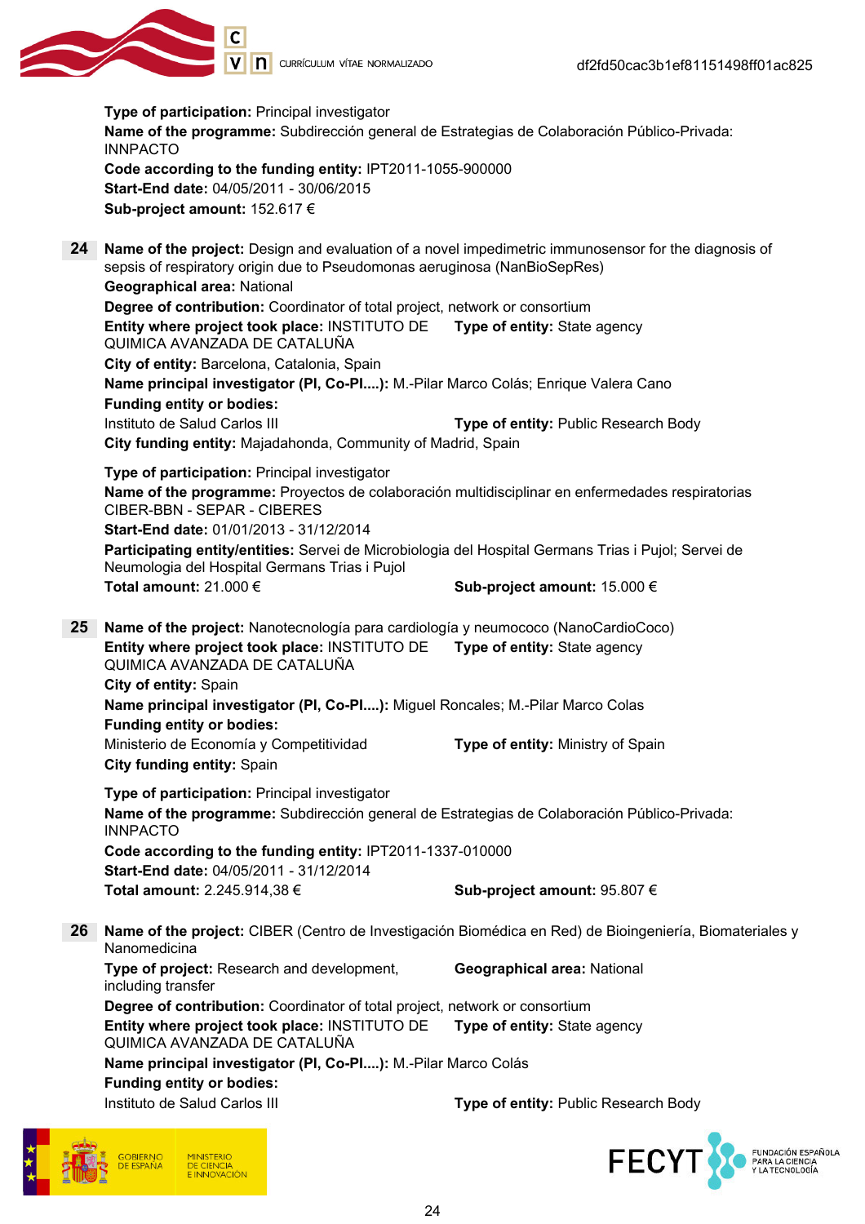

Type of participation: Principal investigator Name of the programme: Subdirección general de Estrategias de Colaboración Público-Privada: INNPACTO Code according to the funding entity: IPT2011-1055-900000 Start-End date: 04/05/2011 - 30/06/2015 Sub-project amount: 152.617 € 24 Name of the project: Design and evaluation of a novel impedimetric immunosensor for the diagnosis of sepsis of respiratory origin due to Pseudomonas aeruginosa (NanBioSepRes) Geographical area: National Degree of contribution: Coordinator of total project, network or consortium Entity where project took place: INSTITUTO DE QUIMICA AVANZADA DE CATALUÑA Type of entity: State agency City of entity: Barcelona, Catalonia, Spain Name principal investigator (PI, Co-PI....): M.-Pilar Marco Colás; Enrique Valera Cano Funding entity or bodies: Instituto de Salud Carlos III **Type of entity:** Public Research Body City funding entity: Majadahonda, Community of Madrid, Spain Type of participation: Principal investigator Name of the programme: Proyectos de colaboración multidisciplinar en enfermedades respiratorias CIBER-BBN - SEPAR - CIBERES Start-End date: 01/01/2013 - 31/12/2014 Participating entity/entities: Servei de Microbiologia del Hospital Germans Trias i Pujol; Servei de Neumologia del Hospital Germans Trias i Pujol Total amount: 21.000 €  $\bullet$  Sub-project amount: 15.000 € 25 Name of the project: Nanotecnología para cardiología y neumococo (NanoCardioCoco) Entity where project took place: INSTITUTO DE QUIMICA AVANZADA DE CATALUÑA Type of entity: State agency City of entity: Spain Name principal investigator (PI, Co-PI....): Miguel Roncales; M.-Pilar Marco Colas Funding entity or bodies: Ministerio de Economía y Competitividad **Type of entity:** Ministry of Spain City funding entity: Spain Type of participation: Principal investigator Name of the programme: Subdirección general de Estrategias de Colaboración Público-Privada: INNPACTO Code according to the funding entity: IPT2011-1337-010000 Start-End date: 04/05/2011 - 31/12/2014 Total amount:  $2.245.914,38 \in$  Sub-project amount:  $95.807 \in$ 26 Name of the project: CIBER (Centro de Investigación Biomédica en Red) de Bioingeniería, Biomateriales y Nanomedicina Type of project: Research and development, including transfer Geographical area: National Degree of contribution: Coordinator of total project, network or consortium Entity where project took place: INSTITUTO DE QUIMICA AVANZADA DE CATALUÑA Type of entity: State agency Name principal investigator (PI, Co-PI....): M.-Pilar Marco Colás

#### Funding entity or bodies:

**INISTERIC DE CIENCIA**<br>E INNOVACIÓN

Instituto de Salud Carlos III **Type of entity:** Public Research Body

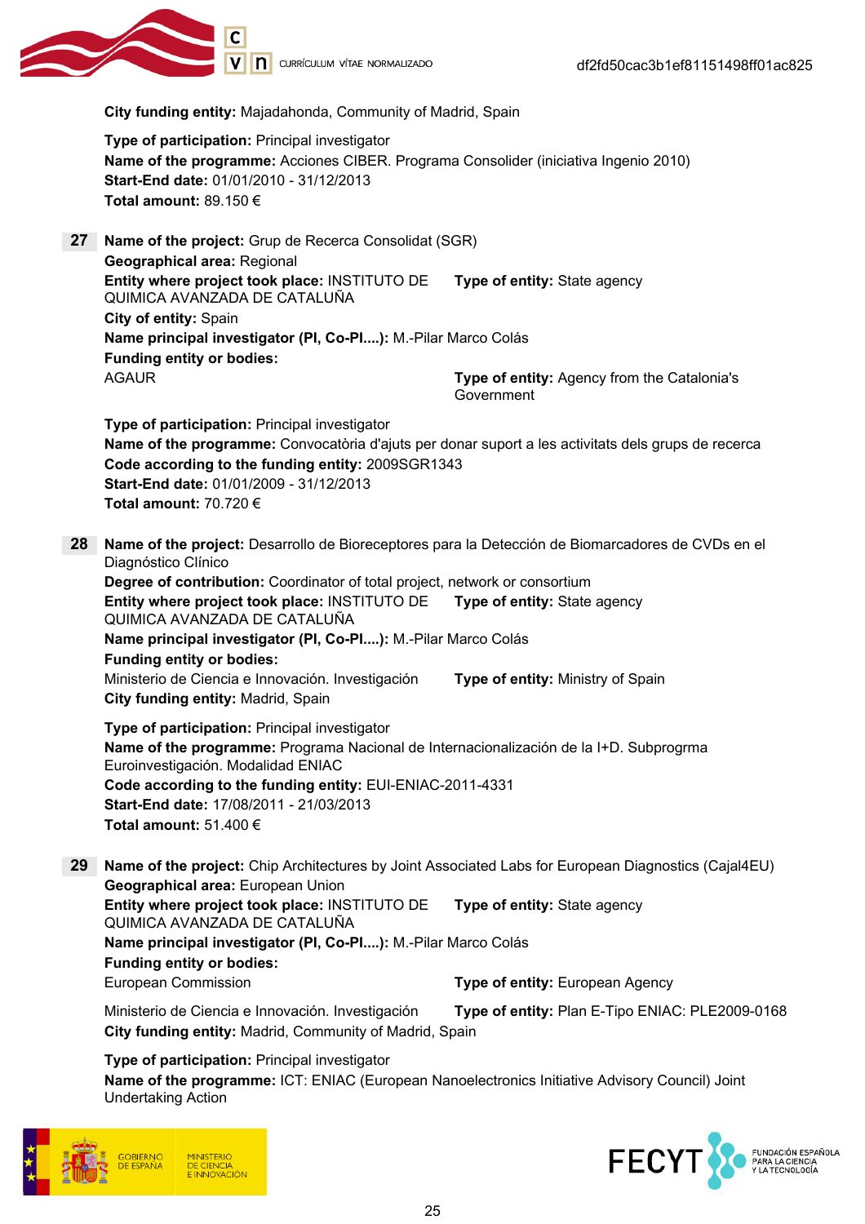

City funding entity: Majadahonda, Community of Madrid, Spain

Type of participation: Principal investigator Name of the programme: Acciones CIBER. Programa Consolider (iniciativa Ingenio 2010) Start-End date: 01/01/2010 - 31/12/2013 Total amount: 89.150 €

27 Name of the project: Grup de Recerca Consolidat (SGR) Geographical area: Regional Entity where project took place: INSTITUTO DE QUIMICA AVANZADA DE CATALUÑA Type of entity: State agency City of entity: Spain Name principal investigator (PI, Co-PI....): M.-Pilar Marco Colás Funding entity or bodies: AGAUR Type of entity: Agency from the Catalonia's Government

Type of participation: Principal investigator Name of the programme: Convocatòria d'ajuts per donar suport a les activitats dels grups de recerca Code according to the funding entity: 2009SGR1343 Start-End date: 01/01/2009 - 31/12/2013 Total amount: 70.720 €

28 Name of the project: Desarrollo de Bioreceptores para la Detección de Biomarcadores de CVDs en el Diagnóstico Clínico

Degree of contribution: Coordinator of total project, network or consortium Entity where project took place: INSTITUTO DE QUIMICA AVANZADA DE CATALUÑA Type of entity: State agency Name principal investigator (PI, Co-PI....): M.-Pilar Marco Colás Funding entity or bodies: Ministerio de Ciencia e Innovación. Investigación **Type of entity:** Ministry of Spain City funding entity: Madrid, Spain

Type of participation: Principal investigator Name of the programme: Programa Nacional de Internacionalización de la I+D. Subprogrma Euroinvestigación. Modalidad ENIAC Code according to the funding entity: EUI-ENIAC-2011-4331 Start-End date: 17/08/2011 - 21/03/2013 Total amount:  $51.400 \in$ 

29 Name of the project: Chip Architectures by Joint Associated Labs for European Diagnostics (Cajal4EU) Geographical area: European Union Entity where project took place: INSTITUTO DE QUIMICA AVANZADA DE CATALUÑA Type of entity: State agency Name principal investigator (PI, Co-PI....): M.-Pilar Marco Colás Funding entity or bodies: European Commission Type of entity: European Agency

Ministerio de Ciencia e Innovación. Investigación Type of entity: Plan E-Tipo ENIAC: PLE2009-0168 City funding entity: Madrid, Community of Madrid, Spain

Type of participation: Principal investigator Name of the programme: ICT: ENIAC (European Nanoelectronics Initiative Advisory Council) Joint Undertaking Action



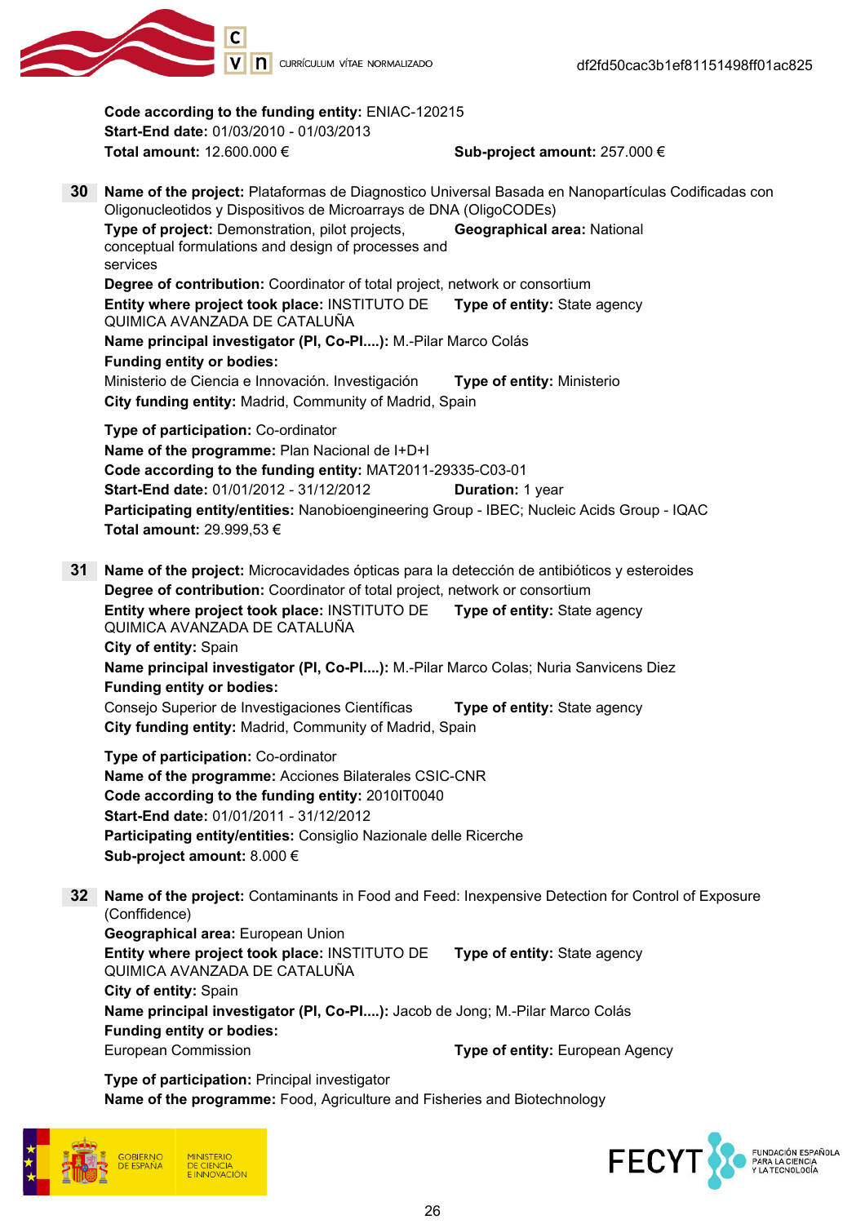

Code according to the funding entity: ENIAC-120215 Start-End date: 01/03/2010 - 01/03/2013 Total amount:  $12.600.000 \in$  Sub-project amount:  $257.000 \in$ 30 Name of the project: Plataformas de Diagnostico Universal Basada en Nanopartículas Codificadas con Oligonucleotidos y Dispositivos de Microarrays de DNA (OligoCODEs) Type of project: Demonstration, pilot projects, conceptual formulations and design of processes and services Geographical area: National Degree of contribution: Coordinator of total project, network or consortium Entity where project took place: INSTITUTO DE QUIMICA AVANZADA DE CATALUÑA Type of entity: State agency Name principal investigator (PI, Co-PI....): M.-Pilar Marco Colás Funding entity or bodies: Ministerio de Ciencia e Innovación. Investigación **Type of entity:** Ministerio City funding entity: Madrid, Community of Madrid, Spain Type of participation: Co-ordinator Name of the programme: Plan Nacional de I+D+I Code according to the funding entity: MAT2011-29335-C03-01 **Start-End date: 01/01/2012 - 31/12/2012 Duration: 1 year** Participating entity/entities: Nanobioengineering Group - IBEC; Nucleic Acids Group - IQAC Total amount: 29.999,53 € 31 Name of the project: Microcavidades ópticas para la detección de antibióticos y esteroides Degree of contribution: Coordinator of total project, network or consortium Entity where project took place: INSTITUTO DE QUIMICA AVANZADA DE CATALUÑA Type of entity: State agency City of entity: Spain Name principal investigator (PI, Co-PI....): M.-Pilar Marco Colas; Nuria Sanvicens Diez Funding entity or bodies: Consejo Superior de Investigaciones Científicas Type of entity: State agency City funding entity: Madrid, Community of Madrid, Spain Type of participation: Co-ordinator Name of the programme: Acciones Bilaterales CSIC-CNR Code according to the funding entity: 2010IT0040 Start-End date: 01/01/2011 - 31/12/2012 Participating entity/entities: Consiglio Nazionale delle Ricerche Sub-project amount: 8.000 €

32 Name of the project: Contaminants in Food and Feed: Inexpensive Detection for Control of Exposure (Conffidence) Geographical area: European Union Entity where project took place: INSTITUTO DE QUIMICA AVANZADA DE CATALUÑA Type of entity: State agency City of entity: Spain Name principal investigator (PI, Co-PI....): Jacob de Jong; M.-Pilar Marco Colás

#### Funding entity or bodies:

European Commission **European Agency Type of entity:** European Agency

Type of participation: Principal investigator Name of the programme: Food, Agriculture and Fisheries and Biotechnology



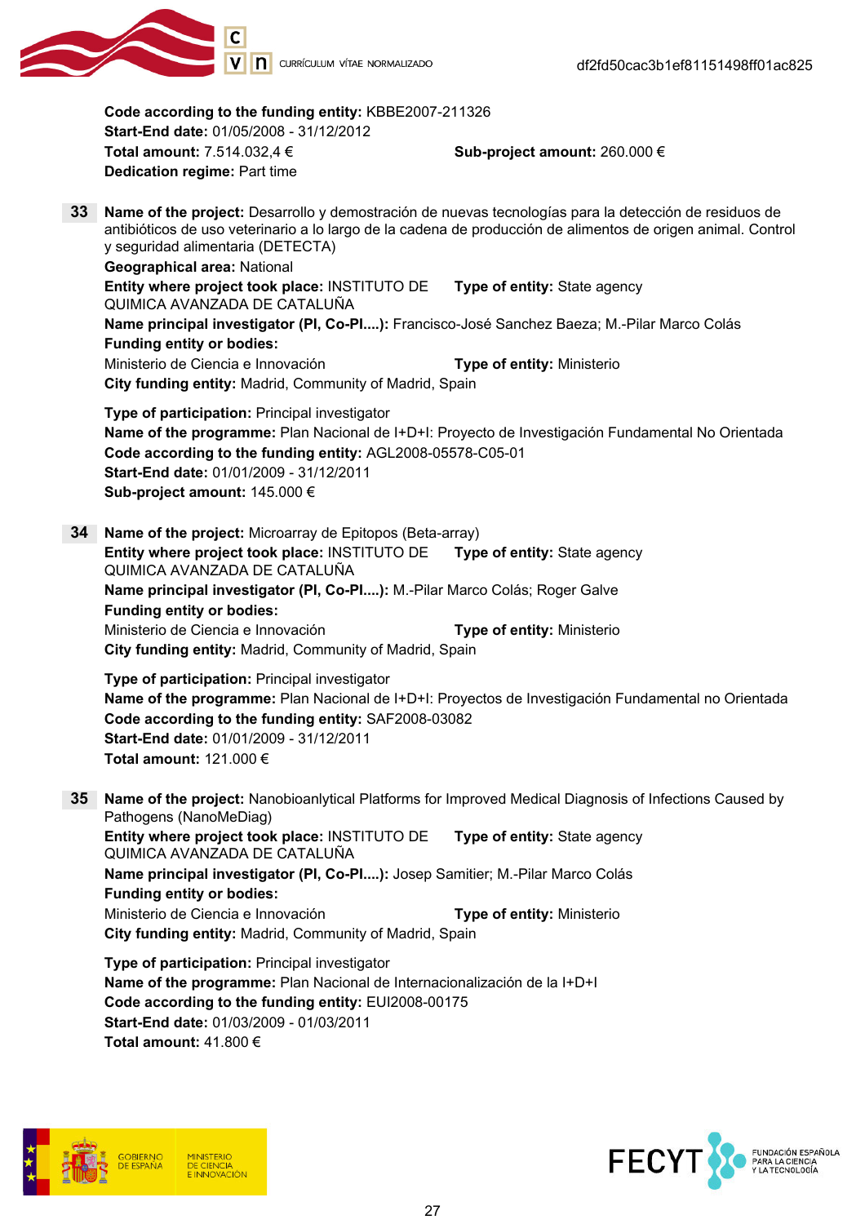

Code according to the funding entity: KBBE2007-211326 Start-End date: 01/05/2008 - 31/12/2012 Total amount:  $7.514.032.4 \in$  Sub-project amount: 260.000 € Dedication regime: Part time 33 Name of the project: Desarrollo y demostración de nuevas tecnologías para la detección de residuos de antibióticos de uso veterinario a lo largo de la cadena de producción de alimentos de origen animal. Control y seguridad alimentaria (DETECTA) Geographical area: National Entity where project took place: INSTITUTO DE QUIMICA AVANZADA DE CATALUÑA Type of entity: State agency Name principal investigator (PI, Co-PI....): Francisco-José Sanchez Baeza; M.-Pilar Marco Colás Funding entity or bodies: Ministerio de Ciencia e Innovación **Type of entity:** Ministerio City funding entity: Madrid, Community of Madrid, Spain Type of participation: Principal investigator Name of the programme: Plan Nacional de I+D+I: Proyecto de Investigación Fundamental No Orientada Code according to the funding entity: AGL2008-05578-C05-01 Start-End date: 01/01/2009 - 31/12/2011 Sub-project amount: 145.000 € 34 Name of the project: Microarray de Epitopos (Beta-array) Entity where project took place: INSTITUTO DE QUIMICA AVANZADA DE CATALUÑA Type of entity: State agency Name principal investigator (PI, Co-PI....): M.-Pilar Marco Colás; Roger Galve Funding entity or bodies: Ministerio de Ciencia e Innovación **Type of entity:** Ministerio City funding entity: Madrid, Community of Madrid, Spain Type of participation: Principal investigator Name of the programme: Plan Nacional de I+D+I: Proyectos de Investigación Fundamental no Orientada Code according to the funding entity: SAF2008-03082 Start-End date: 01/01/2009 - 31/12/2011 Total amount: 121.000 € 35 Name of the project: Nanobioanlytical Platforms for Improved Medical Diagnosis of Infections Caused by Pathogens (NanoMeDiag) Entity where project took place: INSTITUTO DE QUIMICA AVANZADA DE CATALUÑA Type of entity: State agency Name principal investigator (PI, Co-PI....): Josep Samitier; M.-Pilar Marco Colás Funding entity or bodies: Ministerio de Ciencia e Innovación **Type of entity:** Ministerio City funding entity: Madrid, Community of Madrid, Spain Type of participation: Principal investigator Name of the programme: Plan Nacional de Internacionalización de la I+D+I

Code according to the funding entity: EUI2008-00175 Start-End date: 01/03/2009 - 01/03/2011 Total amount: 41.800 €



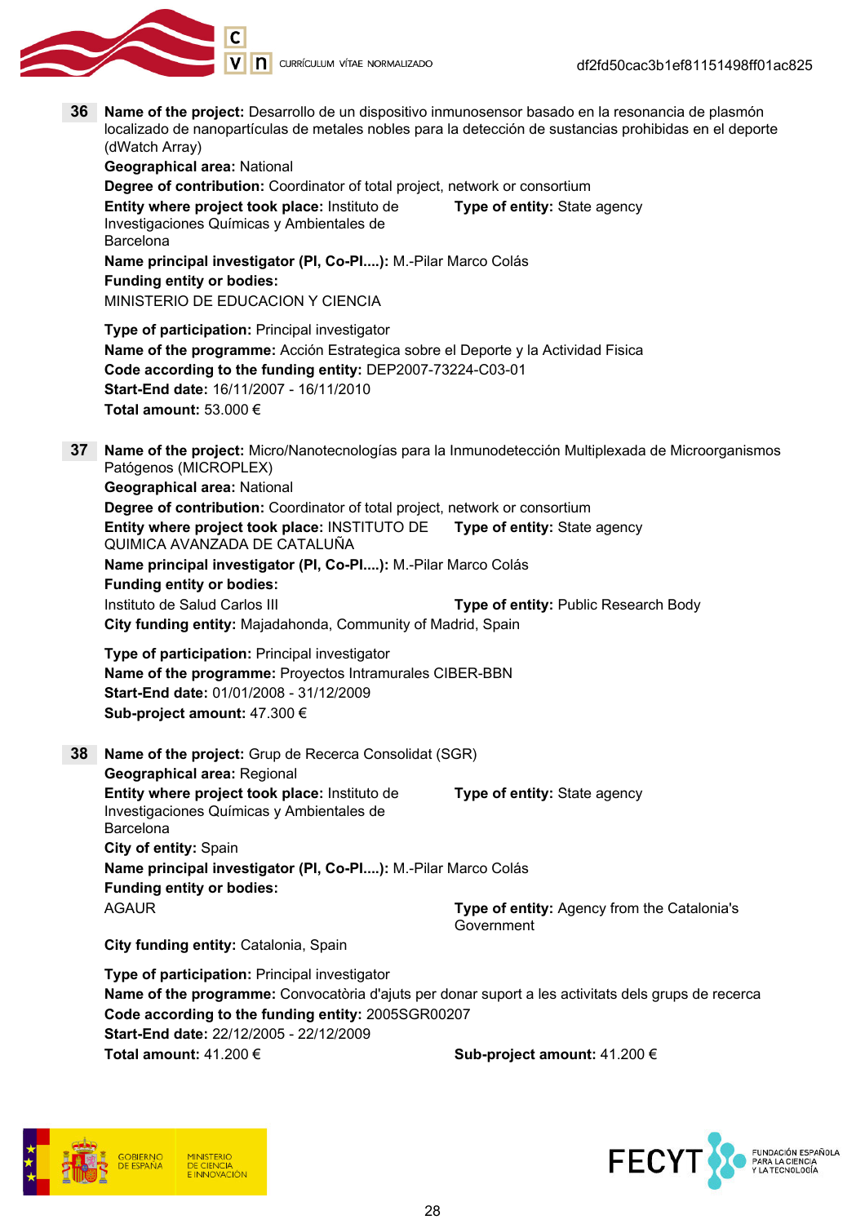

V | **n** currículum vítae normalizado

36 Name of the project: Desarrollo de un dispositivo inmunosensor basado en la resonancia de plasmón localizado de nanopartículas de metales nobles para la detección de sustancias prohibidas en el deporte (dWatch Array) Geographical area: National Degree of contribution: Coordinator of total project, network or consortium Entity where project took place: Instituto de Type of entity: State agency Investigaciones Químicas y Ambientales de Barcelona Name principal investigator (PI, Co-PI....): M.-Pilar Marco Colás Funding entity or bodies: MINISTERIO DE EDUCACION Y CIENCIA Type of participation: Principal investigator Name of the programme: Acción Estrategica sobre el Deporte y la Actividad Fisica Code according to the funding entity: DEP2007-73224-C03-01 Start-End date: 16/11/2007 - 16/11/2010 Total amount: 53.000 € 37 Name of the project: Micro/Nanotecnologías para la Inmunodetección Multiplexada de Microorganismos Patógenos (MICROPLEX) Geographical area: National Degree of contribution: Coordinator of total project, network or consortium Entity where project took place: INSTITUTO DE Type of entity: State agency QUIMICA AVANZADA DE CATALUÑA Name principal investigator (PI, Co-PI....): M.-Pilar Marco Colás Funding entity or bodies: Instituto de Salud Carlos III **Institute of entity: Public Research Body** City funding entity: Majadahonda, Community of Madrid, Spain Type of participation: Principal investigator Name of the programme: Proyectos Intramurales CIBER-BBN Start-End date: 01/01/2008 - 31/12/2009 Sub-project amount: 47.300 € 38 Name of the project: Grup de Recerca Consolidat (SGR) Geographical area: Regional Entity where project took place: Instituto de Type of entity: State agency Investigaciones Químicas y Ambientales de Barcelona City of entity: Spain Name principal investigator (PI, Co-PI....): M.-Pilar Marco Colás Funding entity or bodies: AGAUR **Type of entity:** Agency from the Catalonia's Government City funding entity: Catalonia, Spain Type of participation: Principal investigator Name of the programme: Convocatòria d'ajuts per donar suport a les activitats dels grups de recerca Code according to the funding entity: 2005SGR00207 Start-End date: 22/12/2005 - 22/12/2009 Total amount:  $41.200 \in$  Sub-project amount:  $41.200 \in$ **FECY** FUNDACIÓN ESPAÑOLA<br>PARA LA CIENCIA<br>Y LA TECNOLOGÍA **DE CIENCIA**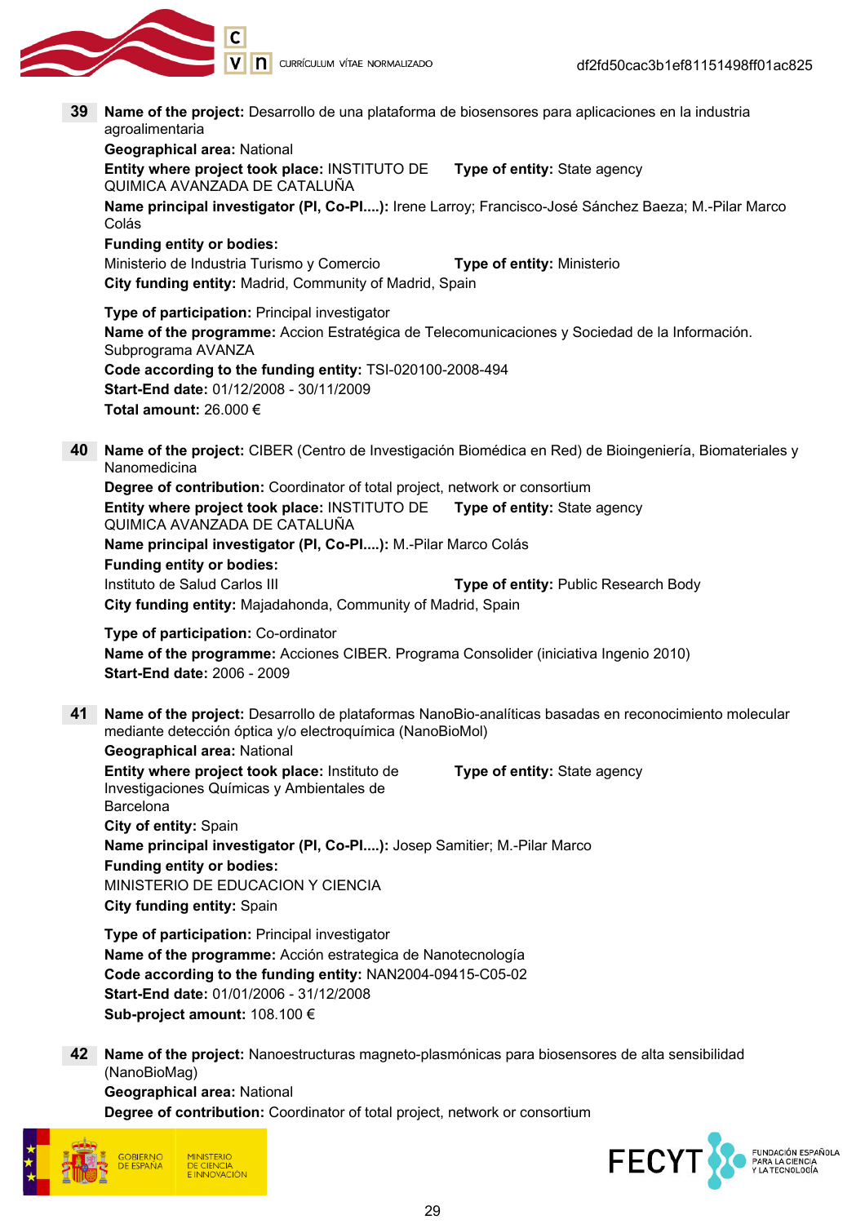

- 39 Name of the project: Desarrollo de una plataforma de biosensores para aplicaciones en la industria agroalimentaria Geographical area: National Entity where project took place: INSTITUTO DE QUIMICA AVANZADA DE CATALUÑA Type of entity: State agency Name principal investigator (PI, Co-PI....): Irene Larroy; Francisco-José Sánchez Baeza; M.-Pilar Marco Colás Funding entity or bodies: Ministerio de Industria Turismo y Comercio **Type of entity:** Ministerio City funding entity: Madrid, Community of Madrid, Spain Type of participation: Principal investigator Name of the programme: Accion Estratégica de Telecomunicaciones y Sociedad de la Información. Subprograma AVANZA Code according to the funding entity: TSI-020100-2008-494 Start-End date: 01/12/2008 - 30/11/2009 Total amount: 26.000 € 40 Name of the project: CIBER (Centro de Investigación Biomédica en Red) de Bioingeniería, Biomateriales y Nanomedicina Degree of contribution: Coordinator of total project, network or consortium Entity where project took place: INSTITUTO DE QUIMICA AVANZADA DE CATALUÑA Type of entity: State agency Name principal investigator (PI, Co-PI....): M.-Pilar Marco Colás Funding entity or bodies: Instituto de Salud Carlos III **Type of entity:** Public Research Body City funding entity: Majadahonda, Community of Madrid, Spain Type of participation: Co-ordinator Name of the programme: Acciones CIBER. Programa Consolider (iniciativa Ingenio 2010) Start-End date: 2006 - 2009 41 Name of the project: Desarrollo de plataformas NanoBio-analíticas basadas en reconocimiento molecular mediante detección óptica y/o electroquímica (NanoBioMol) Geographical area: National Entity where project took place: Instituto de Investigaciones Químicas y Ambientales de Barcelona Type of entity: State agency City of entity: Spain Name principal investigator (PI, Co-PI....): Josep Samitier; M.-Pilar Marco Funding entity or bodies: MINISTERIO DE EDUCACION Y CIENCIA City funding entity: Spain Type of participation: Principal investigator Name of the programme: Acción estrategica de Nanotecnología Code according to the funding entity: NAN2004-09415-C05-02 Start-End date: 01/01/2006 - 31/12/2008 Sub-project amount: 108.100 €
	- 42 Name of the project: Nanoestructuras magneto-plasmónicas para biosensores de alta sensibilidad (NanoBioMag)

Geographical area: National Degree of contribution: Coordinator of total project, network or consortium



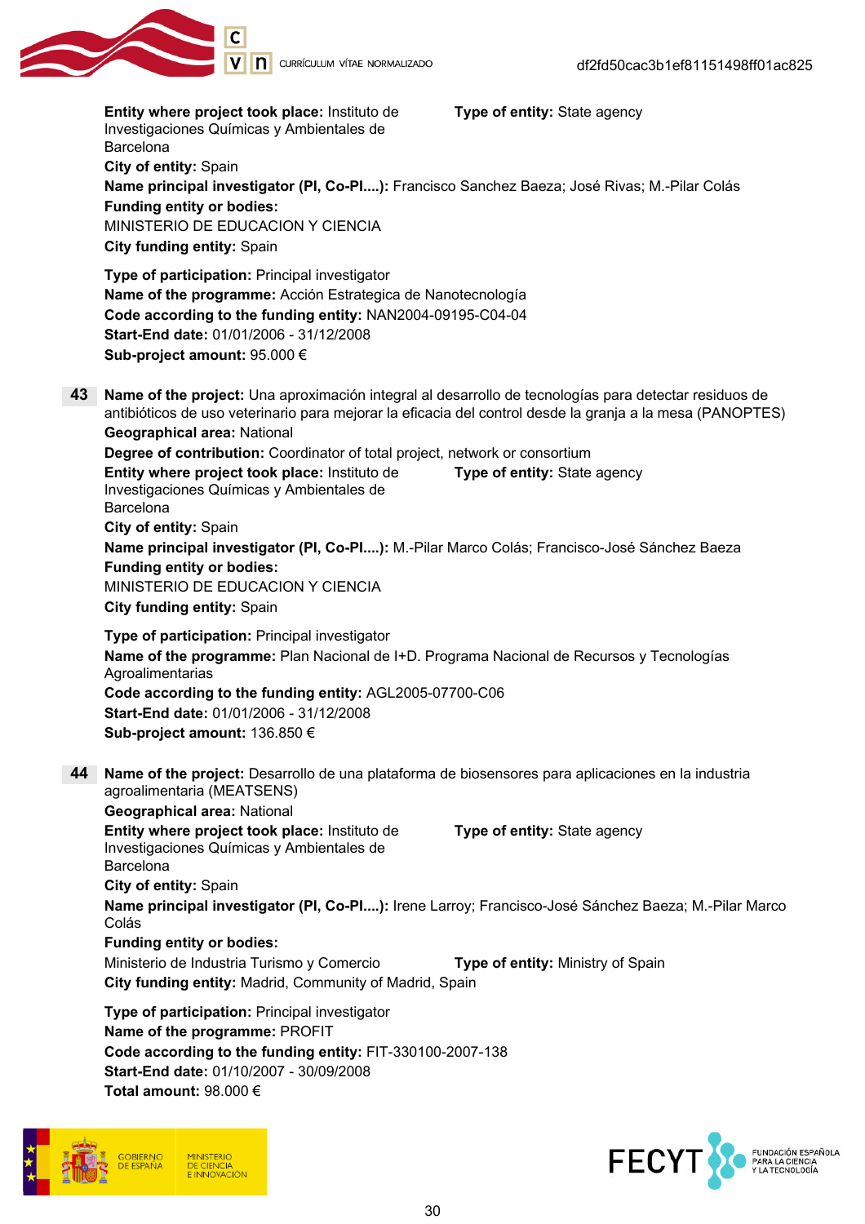

Entity where project took place: Instituto de Investigaciones Químicas y Ambientales de Barcelona Type of entity: State agency City of entity: Spain Name principal investigator (PI, Co-PI....): Francisco Sanchez Baeza; José Rivas; M.-Pilar Colás Funding entity or bodies: MINISTERIO DE EDUCACION Y CIENCIA City funding entity: Spain Type of participation: Principal investigator Name of the programme: Acción Estrategica de Nanotecnología Code according to the funding entity: NAN2004-09195-C04-04 Start-End date: 01/01/2006 - 31/12/2008 Sub-project amount: 95.000 € 43 Name of the project: Una aproximación integral al desarrollo de tecnologías para detectar residuos de antibióticos de uso veterinario para mejorar la eficacia del control desde la granja a la mesa (PANOPTES) Geographical area: National Degree of contribution: Coordinator of total project, network or consortium Entity where project took place: Instituto de Investigaciones Químicas y Ambientales de Barcelona Type of entity: State agency City of entity: Spain Name principal investigator (PI, Co-PI....): M.-Pilar Marco Colás; Francisco-José Sánchez Baeza Funding entity or bodies: MINISTERIO DE EDUCACION Y CIENCIA City funding entity: Spain Type of participation: Principal investigator Name of the programme: Plan Nacional de I+D. Programa Nacional de Recursos y Tecnologías Agroalimentarias Code according to the funding entity: AGL2005-07700-C06 Start-End date: 01/01/2006 - 31/12/2008 Sub-project amount: 136.850 € 44 Name of the project: Desarrollo de una plataforma de biosensores para aplicaciones en la industria agroalimentaria (MEATSENS) Geographical area: National Entity where project took place: Instituto de Investigaciones Químicas y Ambientales de Barcelona Type of entity: State agency City of entity: Spain Name principal investigator (PI, Co-PI....): Irene Larroy; Francisco-José Sánchez Baeza; M.-Pilar Marco Colás Funding entity or bodies: Ministerio de Industria Turismo y Comercio **Type of entity:** Ministry of Spain City funding entity: Madrid, Community of Madrid, Spain Type of participation: Principal investigator Name of the programme: PROFIT Code according to the funding entity: FIT-330100-2007-138 Start-End date: 01/10/2007 - 30/09/2008 Total amount: 98.000 €



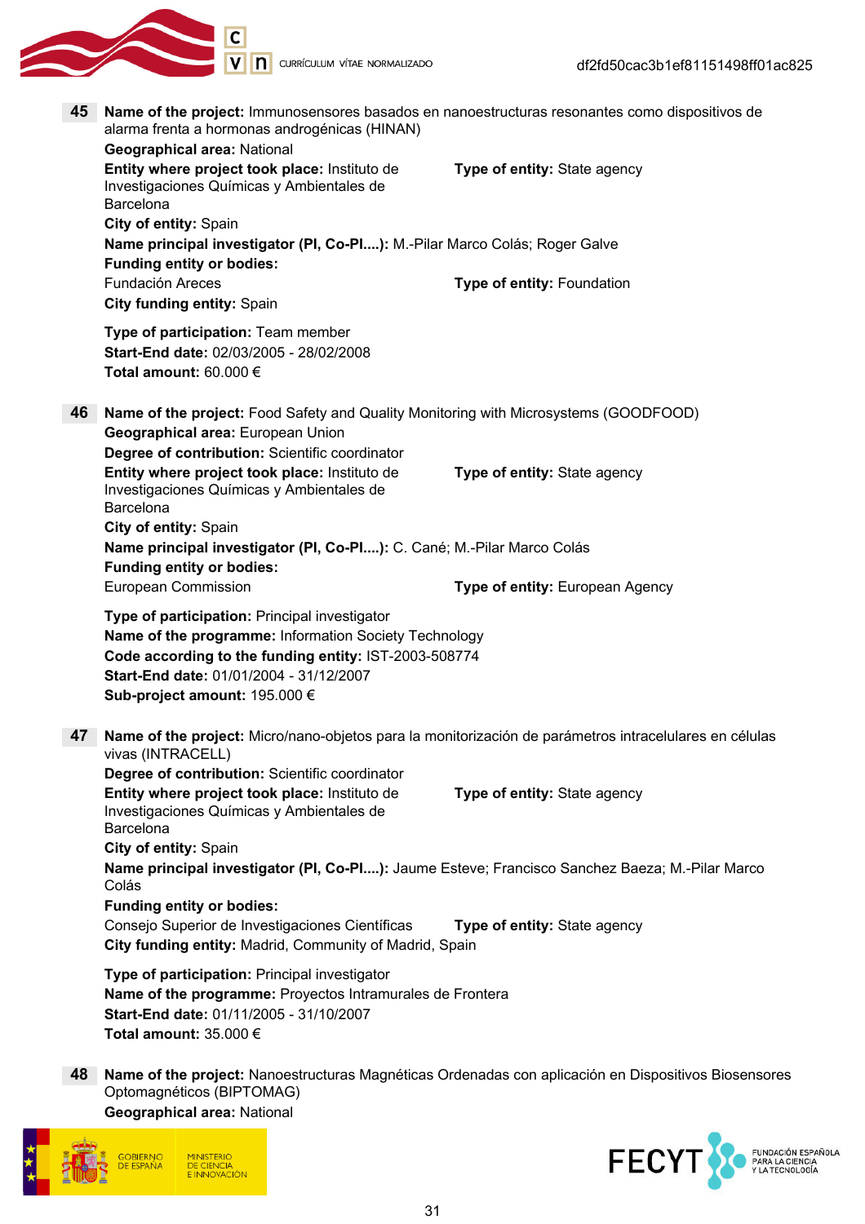

45 Name of the project: Immunosensores basados en nanoestructuras resonantes como dispositivos de alarma frenta a hormonas androgénicas (HINAN)

|    | <b>Geographical area: National</b>                                                                                                                                                                                                          |                                 |
|----|---------------------------------------------------------------------------------------------------------------------------------------------------------------------------------------------------------------------------------------------|---------------------------------|
|    | Entity where project took place: Instituto de<br>Investigaciones Químicas y Ambientales de<br>Barcelona                                                                                                                                     | Type of entity: State agency    |
|    | City of entity: Spain                                                                                                                                                                                                                       |                                 |
|    | Name principal investigator (PI, Co-PI): M.-Pilar Marco Colás; Roger Galve<br><b>Funding entity or bodies:</b>                                                                                                                              |                                 |
|    | Fundación Areces<br>City funding entity: Spain                                                                                                                                                                                              | Type of entity: Foundation      |
|    | Type of participation: Team member<br>Start-End date: 02/03/2005 - 28/02/2008<br>Total amount: 60.000 €                                                                                                                                     |                                 |
| 46 | Name of the project: Food Safety and Quality Monitoring with Microsystems (GOODFOOD)<br>Geographical area: European Union<br>Degree of contribution: Scientific coordinator                                                                 |                                 |
|    | Entity where project took place: Instituto de<br>Investigaciones Químicas y Ambientales de<br>Barcelona                                                                                                                                     | Type of entity: State agency    |
|    | City of entity: Spain<br>Name principal investigator (PI, Co-PI): C. Cané; M.-Pilar Marco Colás<br><b>Funding entity or bodies:</b>                                                                                                         |                                 |
|    | European Commission                                                                                                                                                                                                                         | Type of entity: European Agency |
|    | Type of participation: Principal investigator<br>Name of the programme: Information Society Technology<br>Code according to the funding entity: IST-2003-508774<br>Start-End date: 01/01/2004 - 31/12/2007<br>Sub-project amount: 195.000 € |                                 |
| 47 | Name of the project: Micro/nano-objetos para la monitorización de parámetros intracelulares en células<br>vivas (INTRACELL)                                                                                                                 |                                 |
|    | Degree of contribution: Scientific coordinator<br>Entity where project took place: Instituto de<br>Investigaciones Químicas y Ambientales de<br>Barcelona                                                                                   | Type of entity: State agency    |
|    | City of entity: Spain                                                                                                                                                                                                                       |                                 |
|    | Name principal investigator (PI, Co-PI): Jaume Esteve; Francisco Sanchez Baeza; M.-Pilar Marco<br>Colás                                                                                                                                     |                                 |
|    | <b>Funding entity or bodies:</b>                                                                                                                                                                                                            |                                 |
|    | Consejo Superior de Investigaciones Científicas<br>City funding entity: Madrid, Community of Madrid, Spain                                                                                                                                  | Type of entity: State agency    |
|    | Type of participation: Principal investigator<br>Name of the programme: Proyectos Intramurales de Frontera<br>Start-End date: 01/11/2005 - 31/10/2007<br>Total amount: $35.000 \in$                                                         |                                 |

48 Name of the project: Nanoestructuras Magnéticas Ordenadas con aplicación en Dispositivos Biosensores Optomagnéticos (BIPTOMAG) Geographical area: National



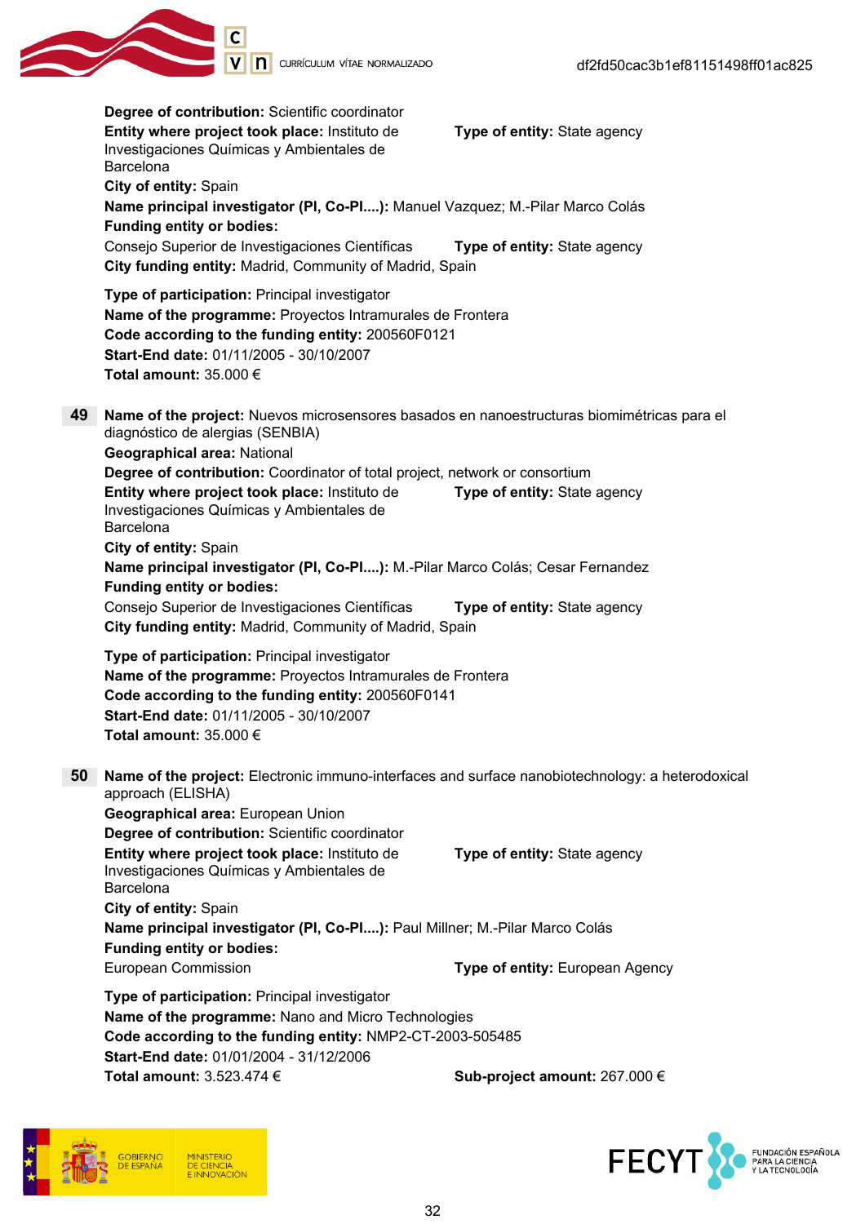

Degree of contribution: Scientific coordinator Entity where project took place: Instituto de Investigaciones Químicas y Ambientales de Barcelona Type of entity: State agency City of entity: Spain Name principal investigator (PI, Co-PI....): Manuel Vazquez; M.-Pilar Marco Colás Funding entity or bodies: Consejo Superior de Investigaciones Científicas Type of entity: State agency City funding entity: Madrid, Community of Madrid, Spain Type of participation: Principal investigator Name of the programme: Proyectos Intramurales de Frontera Code according to the funding entity: 200560F0121 Start-End date: 01/11/2005 - 30/10/2007 Total amount: 35.000 € 49 Name of the project: Nuevos microsensores basados en nanoestructuras biomimétricas para el diagnóstico de alergias (SENBIA) Geographical area: National Degree of contribution: Coordinator of total project, network or consortium Entity where project took place: Instituto de Investigaciones Químicas y Ambientales de Barcelona Type of entity: State agency City of entity: Spain Name principal investigator (PI, Co-PI....): M.-Pilar Marco Colás; Cesar Fernandez Funding entity or bodies: Consejo Superior de Investigaciones Científicas Type of entity: State agency City funding entity: Madrid, Community of Madrid, Spain Type of participation: Principal investigator Name of the programme: Proyectos Intramurales de Frontera Code according to the funding entity: 200560F0141 Start-End date: 01/11/2005 - 30/10/2007 Total amount: 35.000 € 50 Name of the project: Electronic immuno-interfaces and surface nanobiotechnology: a heterodoxical approach (ELISHA) Geographical area: European Union Degree of contribution: Scientific coordinator Entity where project took place: Instituto de Investigaciones Químicas y Ambientales de Barcelona Type of entity: State agency City of entity: Spain Name principal investigator (PI, Co-PI....): Paul Millner; M.-Pilar Marco Colás Funding entity or bodies: European Commission **European Agency Type of entity:** European Agency Type of participation: Principal investigator Name of the programme: Nano and Micro Technologies Code according to the funding entity: NMP2-CT-2003-505485 Start-End date: 01/01/2004 - 31/12/2006 Total amount:  $3.523.474 \in$  Sub-project amount: 267.000 €



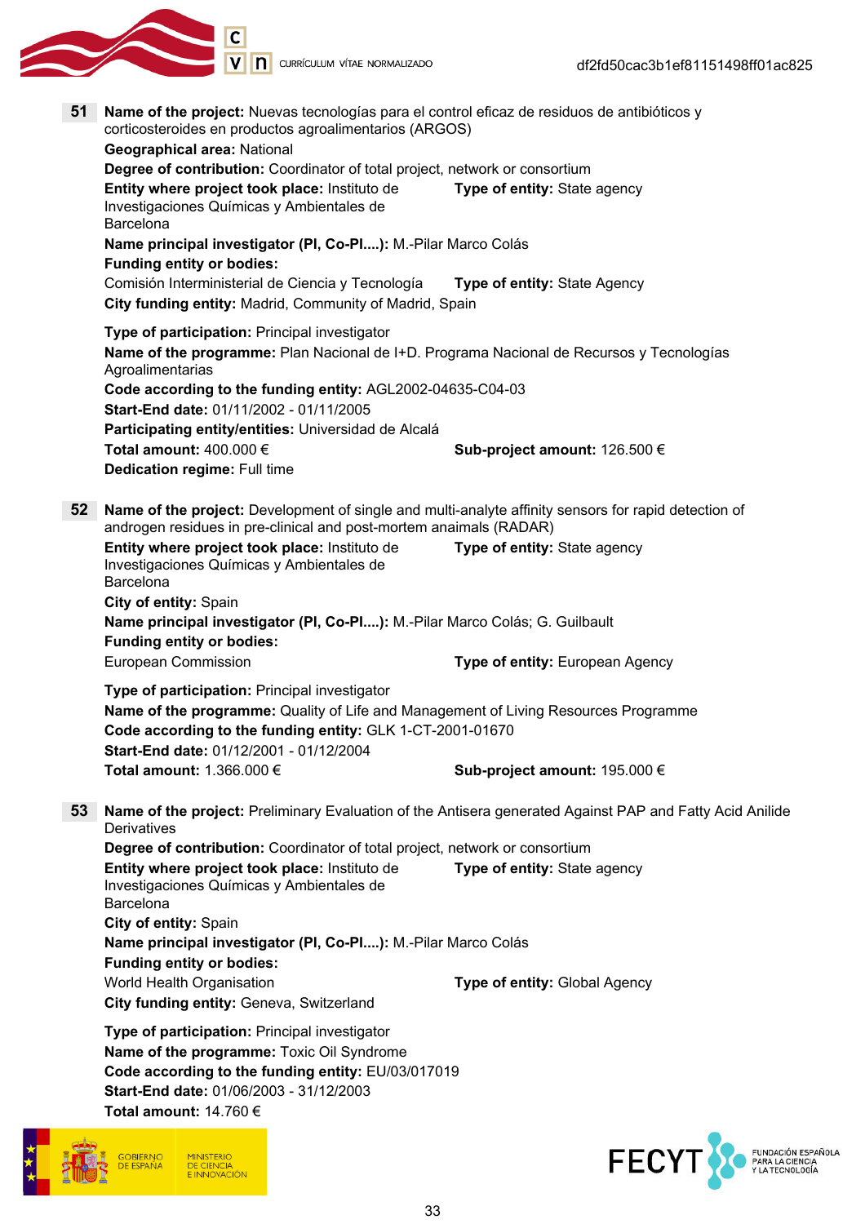

51 Name of the project: Nuevas tecnologías para el control eficaz de residuos de antibióticos y corticosteroides en productos agroalimentarios (ARGOS)

Geographical area: National Degree of contribution: Coordinator of total project, network or consortium Entity where project took place: Instituto de Investigaciones Químicas y Ambientales de Barcelona Type of entity: State agency Name principal investigator (PI, Co-PI....): M.-Pilar Marco Colás Funding entity or bodies: Comisión Interministerial de Ciencia y Tecnología Type of entity: State Agency City funding entity: Madrid, Community of Madrid, Spain Type of participation: Principal investigator Name of the programme: Plan Nacional de I+D. Programa Nacional de Recursos y Tecnologías Agroalimentarias Code according to the funding entity: AGL2002-04635-C04-03 Start-End date: 01/11/2002 - 01/11/2005 Participating entity/entities: Universidad de Alcalá Total amount:  $400.000 \in$  Sub-project amount: 126.500 € Dedication regime: Full time 52 Name of the project: Development of single and multi-analyte affinity sensors for rapid detection of androgen residues in pre-clinical and post-mortem anaimals (RADAR) Entity where project took place: Instituto de Investigaciones Químicas y Ambientales de Barcelona Type of entity: State agency City of entity: Spain Name principal investigator (PI, Co-PI....): M.-Pilar Marco Colás; G. Guilbault Funding entity or bodies: European Commission Type of entity: European Agency Type of participation: Principal investigator Name of the programme: Quality of Life and Management of Living Resources Programme Code according to the funding entity: GLK 1-CT-2001-01670 Start-End date: 01/12/2001 - 01/12/2004 Total amount: 1.366.000 € Sub-project amount: 195.000 € 53 Name of the project: Preliminary Evaluation of the Antisera generated Against PAP and Fatty Acid Anilide **Derivatives** Degree of contribution: Coordinator of total project, network or consortium Entity where project took place: Instituto de Investigaciones Químicas y Ambientales de Barcelona Type of entity: State agency City of entity: Spain Name principal investigator (PI, Co-PI....): M.-Pilar Marco Colás Funding entity or bodies: World Health Organisation Type of entity: Global Agency City funding entity: Geneva, Switzerland Type of participation: Principal investigator Name of the programme: Toxic Oil Syndrome Code according to the funding entity: EU/03/017019 Start-End date: 01/06/2003 - 31/12/2003 Total amount:  $14.760 \in$ 



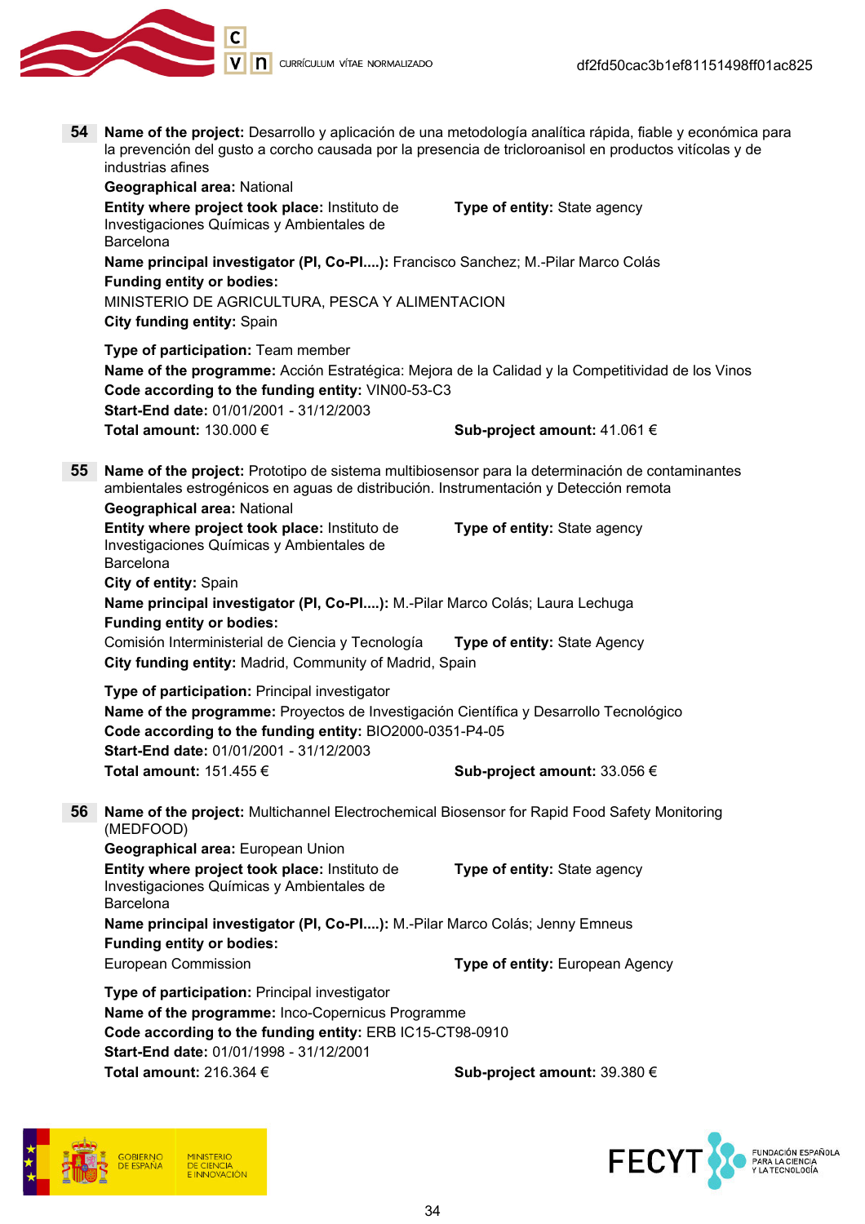

54 Name of the project: Desarrollo y aplicación de una metodología analítica rápida, fiable y económica para la prevención del gusto a corcho causada por la presencia de tricloroanisol en productos vitícolas y de industrias afines

Geographical area: National Entity where project took place: Instituto de Investigaciones Químicas y Ambientales de Barcelona Type of entity: State agency Name principal investigator (PI, Co-PI....): Francisco Sanchez; M.-Pilar Marco Colás Funding entity or bodies: MINISTERIO DE AGRICULTURA, PESCA Y ALIMENTACION City funding entity: Spain Type of participation: Team member Name of the programme: Acción Estratégica: Mejora de la Calidad y la Competitividad de los Vinos Code according to the funding entity: VIN00-53-C3 Start-End date: 01/01/2001 - 31/12/2003 Total amount: 130.000 € Sub-project amount: 41.061 € 55 Name of the project: Prototipo de sistema multibiosensor para la determinación de contaminantes ambientales estrogénicos en aguas de distribución. Instrumentación y Detección remota Geographical area: National Entity where project took place: Instituto de Investigaciones Químicas y Ambientales de Barcelona Type of entity: State agency City of entity: Spain Name principal investigator (PI, Co-PI....): M.-Pilar Marco Colás; Laura Lechuga Funding entity or bodies: Comisión Interministerial de Ciencia y Tecnología **Type of entity:** State Agency City funding entity: Madrid, Community of Madrid, Spain Type of participation: Principal investigator Name of the programme: Proyectos de Investigación Científica y Desarrollo Tecnológico Code according to the funding entity: BIO2000-0351-P4-05 Start-End date: 01/01/2001 - 31/12/2003 Total amount:  $151.455 \in$  Sub-project amount: 33.056 € 56 Name of the project: Multichannel Electrochemical Biosensor for Rapid Food Safety Monitoring (MEDFOOD) Geographical area: European Union Entity where project took place: Instituto de Investigaciones Químicas y Ambientales de Barcelona Type of entity: State agency Name principal investigator (PI, Co-PI....): M.-Pilar Marco Colás; Jenny Emneus Funding entity or bodies: European Commission Type of entity: European Agency

Type of participation: Principal investigator Name of the programme: Inco-Copernicus Programme Code according to the funding entity: ERB IC15-CT98-0910 Start-End date: 01/01/1998 - 31/12/2001 Total amount: 216.364 € Sub-project amount: 39.380 €



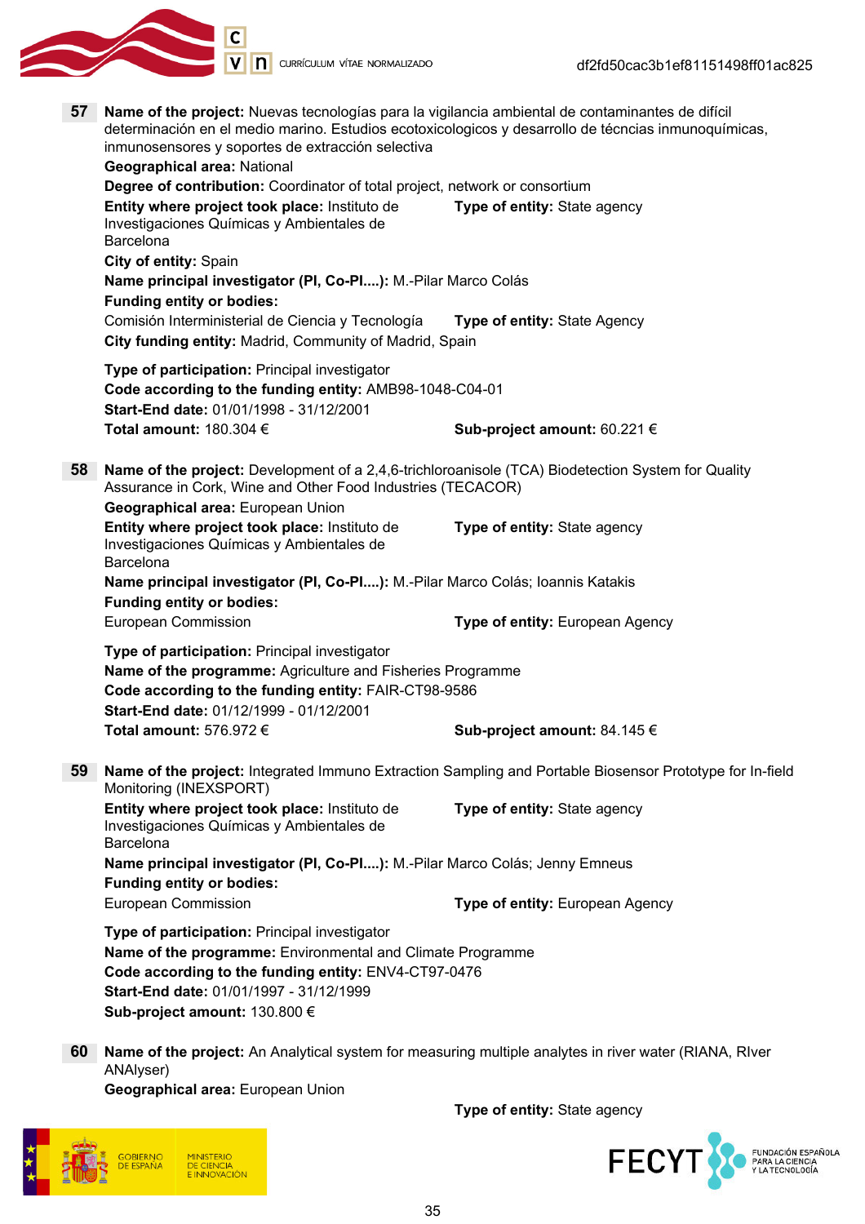

- V | **n** currículum vítae normalizado 57 Name of the project: Nuevas tecnologías para la vigilancia ambiental de contaminantes de difícil determinación en el medio marino. Estudios ecotoxicologicos y desarrollo de técncias inmunoquímicas, inmunosensores y soportes de extracción selectiva Geographical area: National Degree of contribution: Coordinator of total project, network or consortium Entity where project took place: Instituto de Type of entity: State agency Investigaciones Químicas y Ambientales de Barcelona City of entity: Spain Name principal investigator (PI, Co-PI....): M.-Pilar Marco Colás Funding entity or bodies: Comisión Interministerial de Ciencia y Tecnología Type of entity: State Agency City funding entity: Madrid, Community of Madrid, Spain Type of participation: Principal investigator Code according to the funding entity: AMB98-1048-C04-01 Start-End date: 01/01/1998 - 31/12/2001 Total amount:  $180.304 \in$  Sub-project amount:  $60.221 \in$ 58 Name of the project: Development of a 2,4,6-trichloroanisole (TCA) Biodetection System for Quality Assurance in Cork, Wine and Other Food Industries (TECACOR) Geographical area: European Union Entity where project took place: Instituto de Type of entity: State agency Investigaciones Químicas y Ambientales de Barcelona Name principal investigator (PI, Co-PI....): M.-Pilar Marco Colás; Ioannis Katakis Funding entity or bodies: European Commission **Type of entity:** European Agency Type of participation: Principal investigator Name of the programme: Agriculture and Fisheries Programme Code according to the funding entity: FAIR-CT98-9586 Start-End date: 01/12/1999 - 01/12/2001 Total amount:  $576.972 \in$  Sub-project amount:  $84.145 \in$ 59 Name of the project: Integrated Immuno Extraction Sampling and Portable Biosensor Prototype for In-field Monitoring (INEXSPORT) Entity where project took place: Instituto de Type of entity: State agency Investigaciones Químicas y Ambientales de Barcelona Name principal investigator (PI, Co-PI....): M.-Pilar Marco Colás; Jenny Emneus Funding entity or bodies:
	-
	- European Commission Type of entity: European Agency
	- Type of participation: Principal investigator Name of the programme: Environmental and Climate Programme Code according to the funding entity: ENV4-CT97-0476 Start-End date: 01/01/1997 - 31/12/1999 Sub-project amount: 130.800 €
	- 60 Name of the project: An Analytical system for measuring multiple analytes in river water (RIANA, RIver ANAlyser)

Geographical area: European Union

Type of entity: State agency



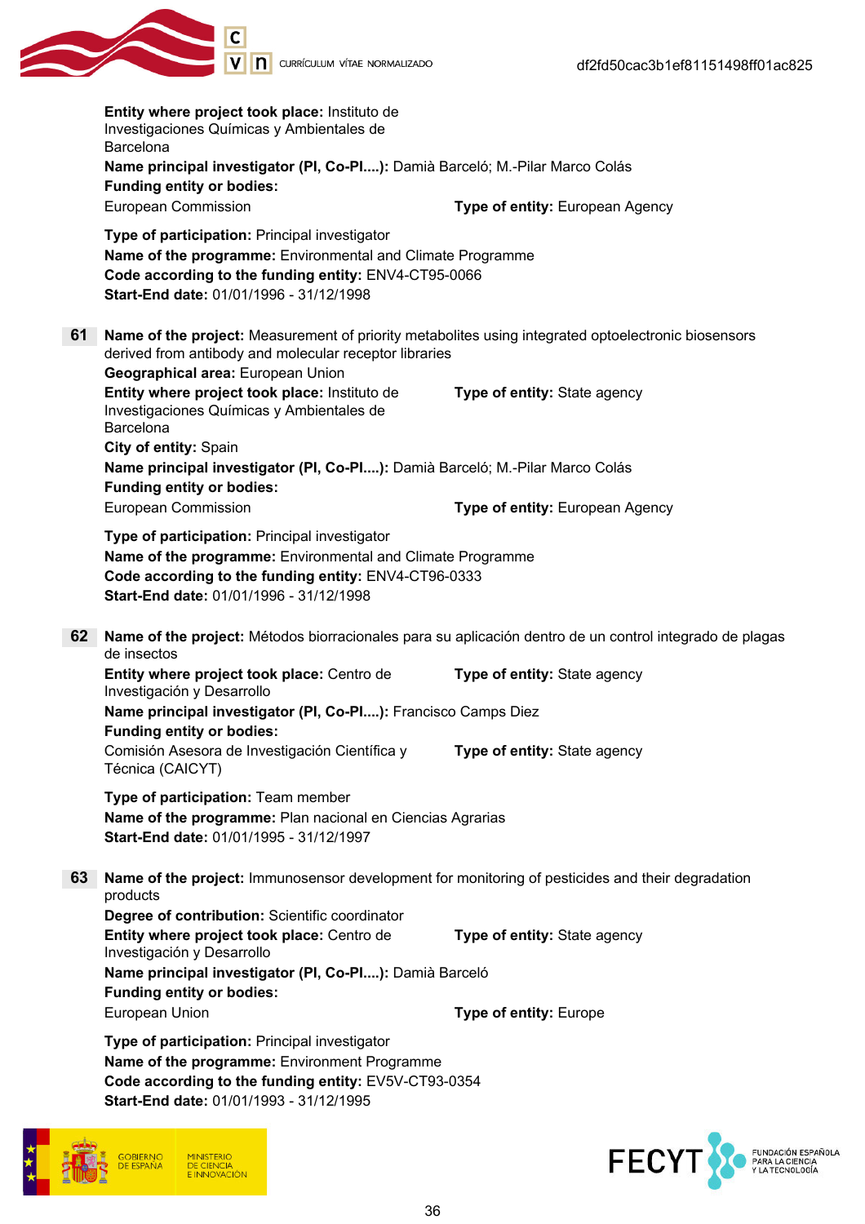|                                                                                                                                                                                                          | Entity where project took place: Instituto de<br>Investigaciones Químicas y Ambientales de<br>Barcelona<br>Name principal investigator (PI, Co-PI): Damià Barceló; M.-Pilar Marco Colás                        |                                 |
|----------------------------------------------------------------------------------------------------------------------------------------------------------------------------------------------------------|----------------------------------------------------------------------------------------------------------------------------------------------------------------------------------------------------------------|---------------------------------|
|                                                                                                                                                                                                          | <b>Funding entity or bodies:</b>                                                                                                                                                                               |                                 |
|                                                                                                                                                                                                          | European Commission                                                                                                                                                                                            | Type of entity: European Agency |
|                                                                                                                                                                                                          | Type of participation: Principal investigator<br>Name of the programme: Environmental and Climate Programme<br>Code according to the funding entity: ENV4-CT95-0066<br>Start-End date: 01/01/1996 - 31/12/1998 |                                 |
| 61<br>Name of the project: Measurement of priority metabolites using integrated optoelectronic biosensors<br>derived from antibody and molecular receptor libraries<br>Geographical area: European Union |                                                                                                                                                                                                                |                                 |
|                                                                                                                                                                                                          | Entity where project took place: Instituto de<br>Investigaciones Químicas y Ambientales de<br>Barcelona<br>City of entity: Spain                                                                               | Type of entity: State agency    |
|                                                                                                                                                                                                          | Name principal investigator (PI, Co-PI): Damià Barceló; M.-Pilar Marco Colás<br><b>Funding entity or bodies:</b>                                                                                               |                                 |
|                                                                                                                                                                                                          | European Commission                                                                                                                                                                                            | Type of entity: European Agency |
|                                                                                                                                                                                                          | Type of participation: Principal investigator<br>Name of the programme: Environmental and Climate Programme<br>Code according to the funding entity: ENV4-CT96-0333<br>Start-End date: 01/01/1996 - 31/12/1998 |                                 |
| 62                                                                                                                                                                                                       | Name of the project: Métodos biorracionales para su aplicación dentro de un control integrado de plagas<br>de insectos                                                                                         |                                 |
|                                                                                                                                                                                                          | Entity where project took place: Centro de<br>Investigación y Desarrollo                                                                                                                                       | Type of entity: State agency    |
|                                                                                                                                                                                                          | Name principal investigator (PI, Co-PI): Francisco Camps Diez<br><b>Funding entity or bodies:</b>                                                                                                              |                                 |
|                                                                                                                                                                                                          | Comisión Asesora de Investigación Científica y<br>Técnica (CAICYT)                                                                                                                                             | Type of entity: State agency    |
|                                                                                                                                                                                                          | Type of participation: Team member<br>Name of the programme: Plan nacional en Ciencias Agrarias<br>Start-End date: 01/01/1995 - 31/12/1997                                                                     |                                 |
| 63                                                                                                                                                                                                       | Name of the project: Immunosensor development for monitoring of pesticides and their degradation<br>products                                                                                                   |                                 |
|                                                                                                                                                                                                          | Degree of contribution: Scientific coordinator<br>Entity where project took place: Centro de<br>Investigación y Desarrollo                                                                                     | Type of entity: State agency    |
|                                                                                                                                                                                                          | Name principal investigator (PI, Co-PI): Damià Barceló<br><b>Funding entity or bodies:</b>                                                                                                                     |                                 |
|                                                                                                                                                                                                          | European Union                                                                                                                                                                                                 | Type of entity: Europe          |
|                                                                                                                                                                                                          | Type of participation: Principal investigator<br>Name of the programme: Environment Programme<br>Code according to the funding entity: EV5V-CT93-0354<br>Start-End date: 01/01/1993 - 31/12/1995               |                                 |
|                                                                                                                                                                                                          |                                                                                                                                                                                                                |                                 |



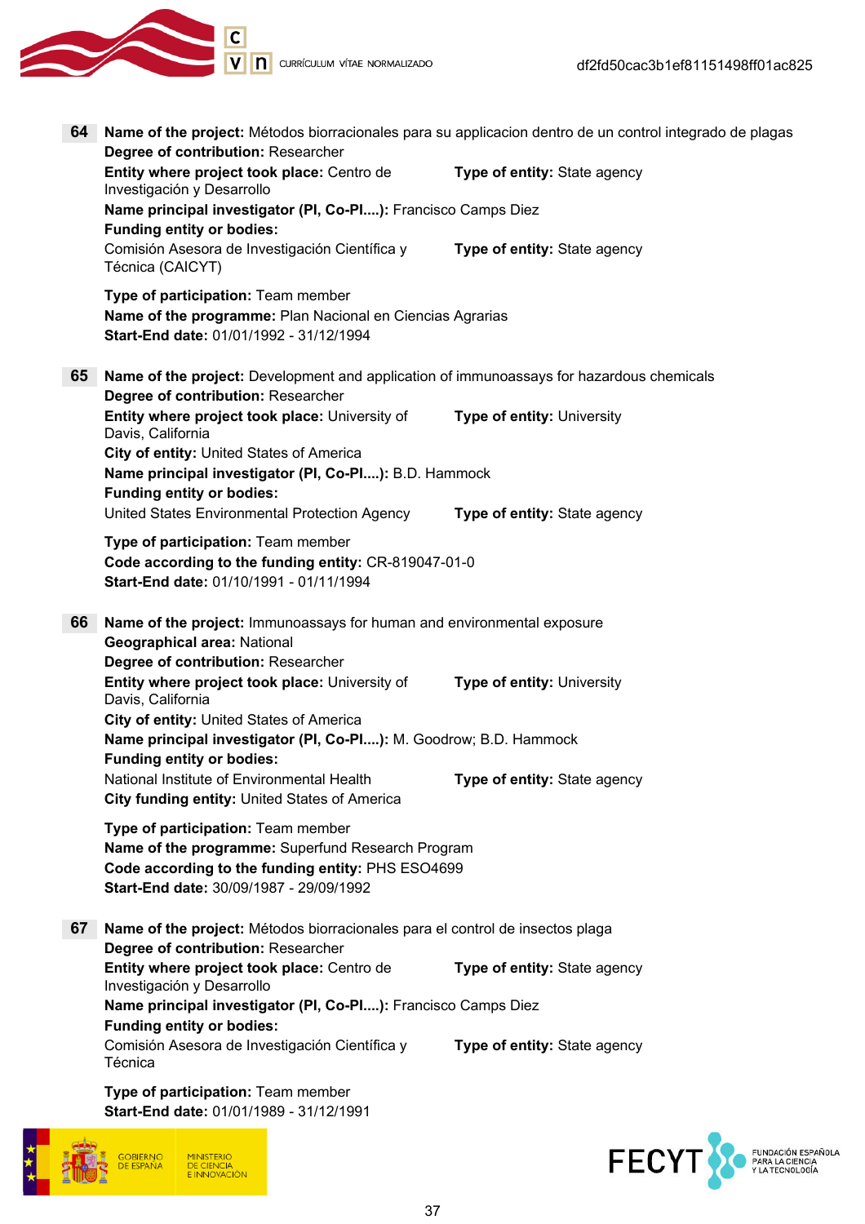

| 64                                                                                                                                                                                      | Name of the project: Métodos biorracionales para su applicacion dentro de un control integrado de plagas                                   |                              |
|-----------------------------------------------------------------------------------------------------------------------------------------------------------------------------------------|--------------------------------------------------------------------------------------------------------------------------------------------|------------------------------|
|                                                                                                                                                                                         | Degree of contribution: Researcher                                                                                                         |                              |
|                                                                                                                                                                                         | Entity where project took place: Centro de<br>Investigación y Desarrollo                                                                   | Type of entity: State agency |
|                                                                                                                                                                                         | Name principal investigator (PI, Co-PI): Francisco Camps Diez<br><b>Funding entity or bodies:</b>                                          |                              |
|                                                                                                                                                                                         | Comisión Asesora de Investigación Científica y<br>Técnica (CAICYT)                                                                         | Type of entity: State agency |
|                                                                                                                                                                                         | Type of participation: Team member<br>Name of the programme: Plan Nacional en Ciencias Agrarias<br>Start-End date: 01/01/1992 - 31/12/1994 |                              |
| 65                                                                                                                                                                                      | Name of the project: Development and application of immunoassays for hazardous chemicals<br>Degree of contribution: Researcher             |                              |
|                                                                                                                                                                                         | Entity where project took place: University of<br>Davis, California                                                                        | Type of entity: University   |
|                                                                                                                                                                                         | City of entity: United States of America<br>Name principal investigator (PI, Co-PI): B.D. Hammock<br><b>Funding entity or bodies:</b>      |                              |
|                                                                                                                                                                                         | United States Environmental Protection Agency                                                                                              | Type of entity: State agency |
|                                                                                                                                                                                         | Type of participation: Team member<br>Code according to the funding entity: CR-819047-01-0<br>Start-End date: 01/10/1991 - 01/11/1994      |                              |
| 66                                                                                                                                                                                      | Name of the project: Immunoassays for human and environmental exposure                                                                     |                              |
|                                                                                                                                                                                         | Geographical area: National                                                                                                                |                              |
|                                                                                                                                                                                         | Degree of contribution: Researcher<br>Entity where project took place: University of<br>Davis, California                                  | Type of entity: University   |
|                                                                                                                                                                                         | City of entity: United States of America<br>Name principal investigator (PI, Co-PI): M. Goodrow; B.D. Hammock                              |                              |
|                                                                                                                                                                                         | <b>Funding entity or bodies:</b>                                                                                                           |                              |
|                                                                                                                                                                                         | National Institute of Environmental Health<br>City funding entity: United States of America                                                | Type of entity: State agency |
| Type of participation: Team member<br>Name of the programme: Superfund Research Program<br>Code according to the funding entity: PHS ESO4699<br>Start-End date: 30/09/1987 - 29/09/1992 |                                                                                                                                            |                              |
| 67                                                                                                                                                                                      | Name of the project: Métodos biorracionales para el control de insectos plaga<br>Degree of contribution: Researcher                        |                              |
|                                                                                                                                                                                         | Entity where project took place: Centro de<br>Investigación y Desarrollo                                                                   | Type of entity: State agency |
|                                                                                                                                                                                         | Name principal investigator (PI, Co-PI): Francisco Camps Diez<br><b>Funding entity or bodies:</b>                                          |                              |
|                                                                                                                                                                                         | Comisión Asesora de Investigación Científica y<br>Técnica                                                                                  | Type of entity: State agency |
|                                                                                                                                                                                         | Type of participation: Team member<br>Start-End date: 01/01/1989 - 31/12/1991                                                              |                              |



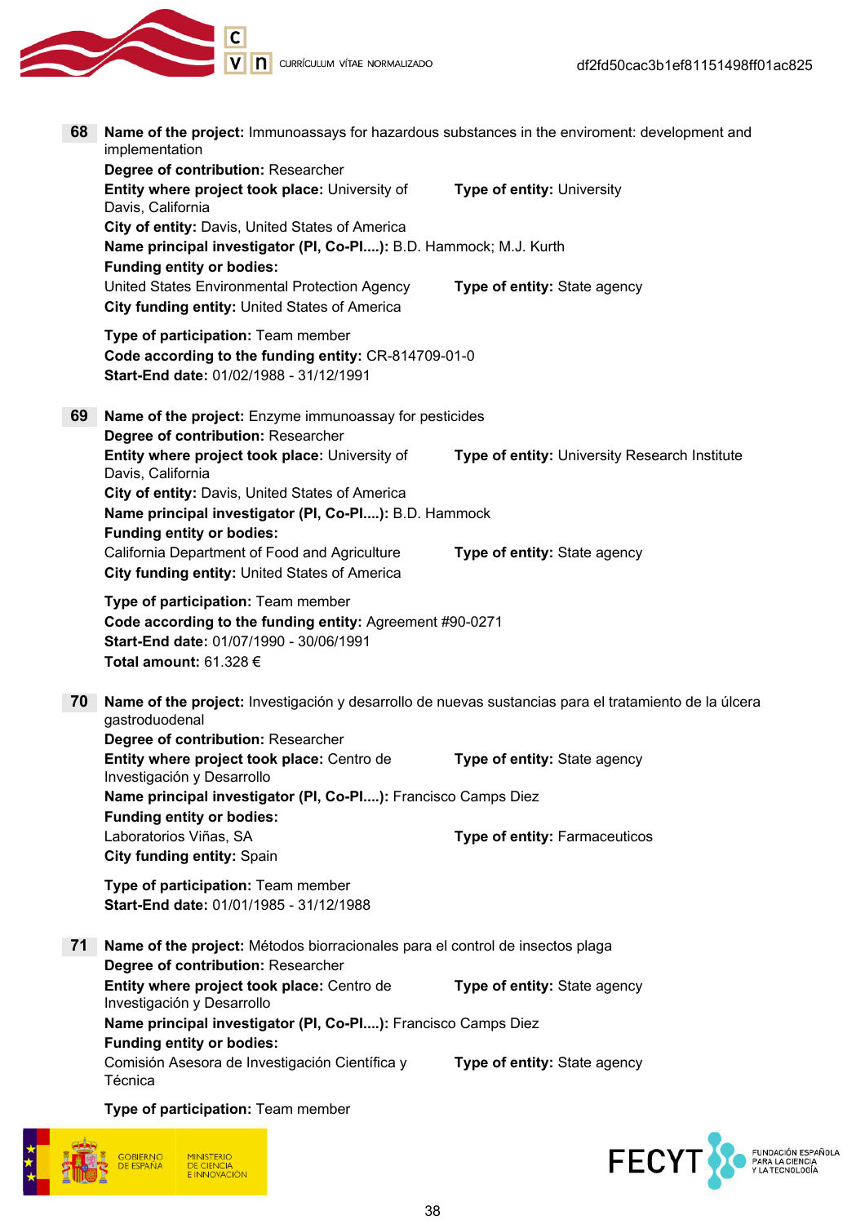IC<br>IV DI CURRÍCULUM VÍTAE NORMALIZADO

| 68 | Name of the project: Immunoassays for hazardous substances in the enviroment: development and<br>implementation                                                         |                                               |
|----|-------------------------------------------------------------------------------------------------------------------------------------------------------------------------|-----------------------------------------------|
|    | Degree of contribution: Researcher<br>Entity where project took place: University of<br>Davis, California                                                               | <b>Type of entity: University</b>             |
|    | City of entity: Davis, United States of America<br>Name principal investigator (PI, Co-PI): B.D. Hammock; M.J. Kurth<br><b>Funding entity or bodies:</b>                |                                               |
|    | United States Environmental Protection Agency<br>City funding entity: United States of America                                                                          | Type of entity: State agency                  |
|    | Type of participation: Team member<br>Code according to the funding entity: CR-814709-01-0<br>Start-End date: 01/02/1988 - 31/12/1991                                   |                                               |
| 69 | Name of the project: Enzyme immunoassay for pesticides                                                                                                                  |                                               |
|    | Degree of contribution: Researcher<br>Entity where project took place: University of<br>Davis, California                                                               | Type of entity: University Research Institute |
|    | City of entity: Davis, United States of America<br>Name principal investigator (PI, Co-PI): B.D. Hammock<br><b>Funding entity or bodies:</b>                            |                                               |
|    | California Department of Food and Agriculture<br>City funding entity: United States of America                                                                          | Type of entity: State agency                  |
|    | Type of participation: Team member<br>Code according to the funding entity: Agreement #90-0271<br>Start-End date: 01/07/1990 - 30/06/1991<br>Total amount: $61.328 \in$ |                                               |
| 70 | Name of the project: Investigación y desarrollo de nuevas sustancias para el tratamiento de la úlcera<br>gastroduodenal                                                 |                                               |
|    | Degree of contribution: Researcher<br>Entity where project took place: Centro de<br>Investigación y Desarrollo                                                          | Type of entity: State agency                  |
|    | Name principal investigator (PI, Co-PI): Francisco Camps Diez                                                                                                           |                                               |
|    | <b>Funding entity or bodies:</b><br>Laboratorios Viñas, SA                                                                                                              | Type of entity: Farmaceuticos                 |
|    | <b>City funding entity: Spain</b>                                                                                                                                       |                                               |
|    | Type of participation: Team member<br>Start-End date: 01/01/1985 - 31/12/1988                                                                                           |                                               |
| 71 | <b>Name of the project:</b> Métodos biorracionales para el control de insectos plaga                                                                                    |                                               |
|    | Degree of contribution: Researcher<br>Entity where project took place: Centro de<br>Investigación y Desarrollo                                                          | Type of entity: State agency                  |
|    | Name principal investigator (PI, Co-PI): Francisco Camps Diez                                                                                                           |                                               |
|    | <b>Funding entity or bodies:</b><br>Comisión Asesora de Investigación Científica y<br>Técnica                                                                           | Type of entity: State agency                  |
|    | Type of participation: Team member                                                                                                                                      |                                               |



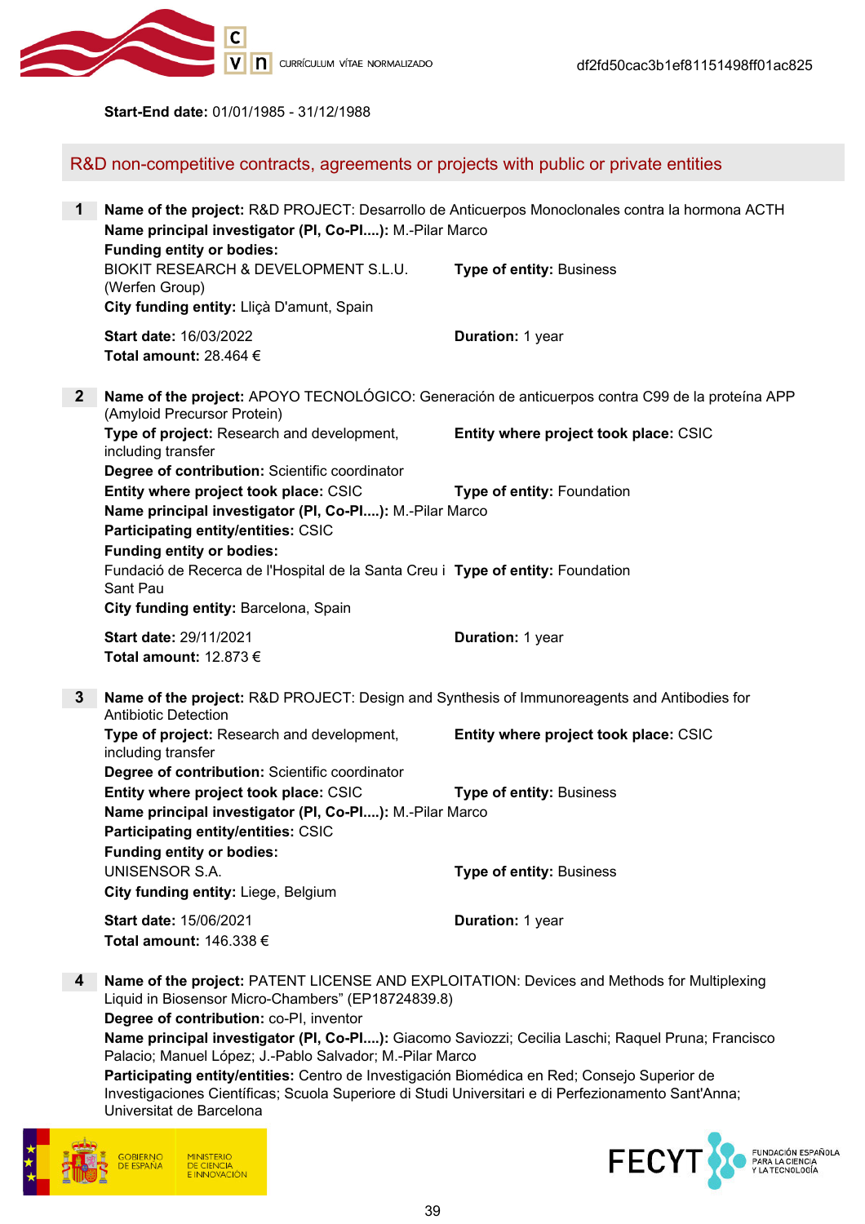

Start-End date: 01/01/1985 - 31/12/1988

R&D non-competitive contracts, agreements or projects with public or private entities

| $\mathbf 1$    | Name of the project: R&D PROJECT: Desarrollo de Anticuerpos Monoclonales contra la hormona ACTH<br>Name principal investigator (PI, Co-PI): M.-Pilar Marco<br><b>Funding entity or bodies:</b> |                                       |  |
|----------------|------------------------------------------------------------------------------------------------------------------------------------------------------------------------------------------------|---------------------------------------|--|
|                | BIOKIT RESEARCH & DEVELOPMENT S.L.U.<br>(Werfen Group)<br>City funding entity: Lliçà D'amunt, Spain                                                                                            | <b>Type of entity: Business</b>       |  |
|                | <b>Start date: 16/03/2022</b><br>Total amount: 28.464 $\in$                                                                                                                                    | Duration: 1 year                      |  |
| $\mathbf{2}$   | Name of the project: APOYO TECNOLÓGICO: Generación de anticuerpos contra C99 de la proteína APP<br>(Amyloid Precursor Protein)                                                                 |                                       |  |
|                | Type of project: Research and development,<br>including transfer<br>Degree of contribution: Scientific coordinator                                                                             | Entity where project took place: CSIC |  |
|                | Entity where project took place: CSIC<br>Name principal investigator (PI, Co-PI): M.-Pilar Marco<br>Participating entity/entities: CSIC<br><b>Funding entity or bodies:</b>                    | Type of entity: Foundation            |  |
|                | Fundació de Recerca de l'Hospital de la Santa Creu i Type of entity: Foundation<br>Sant Pau<br>City funding entity: Barcelona, Spain                                                           |                                       |  |
|                | Start date: 29/11/2021<br>Total amount: $12.873 \in$                                                                                                                                           | Duration: 1 year                      |  |
| $3\phantom{a}$ | Name of the project: R&D PROJECT: Design and Synthesis of Immunoreagents and Antibodies for<br><b>Antibiotic Detection</b>                                                                     |                                       |  |
|                | Type of project: Research and development,<br>including transfer<br>Degree of contribution: Scientific coordinator                                                                             | Entity where project took place: CSIC |  |
|                | Entity where project took place: CSIC<br>Name principal investigator (PI, Co-PI): M.-Pilar Marco<br>Participating entity/entities: CSIC<br><b>Funding entity or bodies:</b>                    | <b>Type of entity: Business</b>       |  |
|                | <b>UNISENSOR S.A.</b><br>City funding entity: Liege, Belgium                                                                                                                                   | Type of entity: Business              |  |
|                | Start date: 15/06/2021<br>Total amount: 146.338 €                                                                                                                                              | Duration: 1 year                      |  |

4 Name of the project: PATENT LICENSE AND EXPLOITATION: Devices and Methods for Multiplexing Liquid in Biosensor Micro-Chambers" (EP18724839.8)

Degree of contribution: co-PI, inventor

Name principal investigator (PI, Co-PI....): Giacomo Saviozzi; Cecilia Laschi; Raquel Pruna; Francisco Palacio; Manuel López; J.-Pablo Salvador; M.-Pilar Marco

Participating entity/entities: Centro de Investigación Biomédica en Red; Consejo Superior de Investigaciones Científicas; Scuola Superiore di Studi Universitari e di Perfezionamento Sant'Anna; Universitat de Barcelona



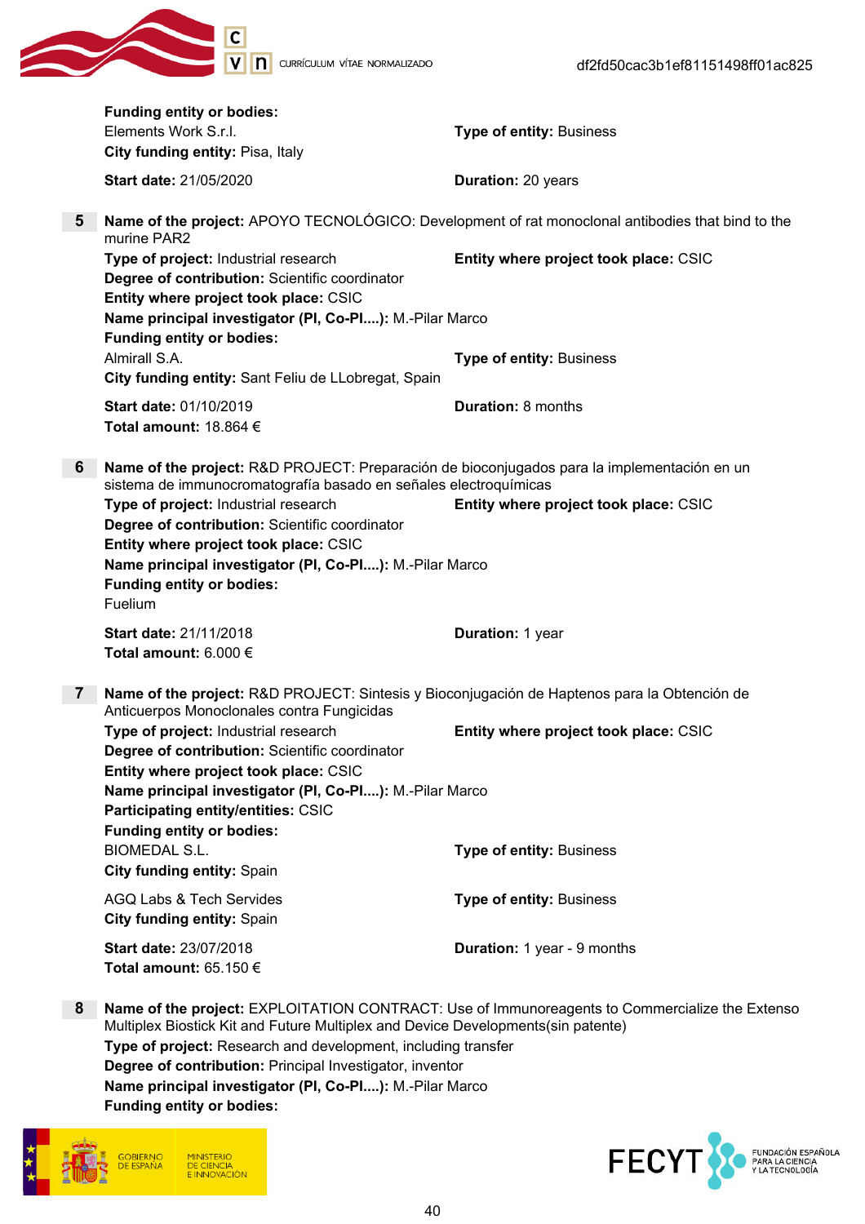

|                 | <b>Funding entity or bodies:</b>                                                                                                                                                                                                                                                                                                                              |                                                                                                   |
|-----------------|---------------------------------------------------------------------------------------------------------------------------------------------------------------------------------------------------------------------------------------------------------------------------------------------------------------------------------------------------------------|---------------------------------------------------------------------------------------------------|
|                 | Elements Work S.r.l.                                                                                                                                                                                                                                                                                                                                          | <b>Type of entity: Business</b>                                                                   |
|                 | City funding entity: Pisa, Italy                                                                                                                                                                                                                                                                                                                              |                                                                                                   |
|                 | <b>Start date: 21/05/2020</b>                                                                                                                                                                                                                                                                                                                                 | Duration: 20 years                                                                                |
| 5               | murine PAR2                                                                                                                                                                                                                                                                                                                                                   | Name of the project: APOYO TECNOLÓGICO: Development of rat monoclonal antibodies that bind to the |
|                 | Type of project: Industrial research<br>Degree of contribution: Scientific coordinator<br>Entity where project took place: CSIC<br>Name principal investigator (PI, Co-PI): M.-Pilar Marco                                                                                                                                                                    | Entity where project took place: CSIC                                                             |
|                 | <b>Funding entity or bodies:</b><br>Almirall S.A.<br>City funding entity: Sant Feliu de LLobregat, Spain                                                                                                                                                                                                                                                      | <b>Type of entity: Business</b>                                                                   |
|                 | <b>Start date: 01/10/2019</b><br>Total amount: 18.864 $\in$                                                                                                                                                                                                                                                                                                   | Duration: 8 months                                                                                |
| 6               | Name of the project: R&D PROJECT: Preparación de bioconjugados para la implementación en un<br>sistema de immunocromatografía basado en señales electroquímicas<br>Type of project: Industrial research<br>Degree of contribution: Scientific coordinator<br>Entity where project took place: CSIC<br>Name principal investigator (PI, Co-PI): M.-Pilar Marco | Entity where project took place: CSIC                                                             |
|                 | <b>Funding entity or bodies:</b><br>Fuelium                                                                                                                                                                                                                                                                                                                   |                                                                                                   |
|                 | <b>Start date: 21/11/2018</b><br>Total amount: $6.000 \in$                                                                                                                                                                                                                                                                                                    | Duration: 1 year                                                                                  |
| $7\phantom{.0}$ | Name of the project: R&D PROJECT: Sintesis y Bioconjugación de Haptenos para la Obtención de<br>Anticuerpos Monoclonales contra Fungicidas                                                                                                                                                                                                                    |                                                                                                   |
|                 | Type of project: Industrial research<br>Degree of contribution: Scientific coordinator<br>Entity where project took place: CSIC                                                                                                                                                                                                                               | Entity where project took place: CSIC                                                             |
|                 | Name principal investigator (PI, Co-PI): M.-Pilar Marco<br>Participating entity/entities: CSIC<br><b>Funding entity or bodies:</b>                                                                                                                                                                                                                            |                                                                                                   |
|                 | <b>BIOMEDAL S.L.</b><br>City funding entity: Spain                                                                                                                                                                                                                                                                                                            | <b>Type of entity: Business</b>                                                                   |
|                 | AGQ Labs & Tech Servides<br><b>City funding entity: Spain</b>                                                                                                                                                                                                                                                                                                 | <b>Type of entity: Business</b>                                                                   |
|                 | <b>Start date: 23/07/2018</b><br>Total amount: $65.150 \in$                                                                                                                                                                                                                                                                                                   | <b>Duration:</b> 1 year - 9 months                                                                |
| 8               | Multiplex Biostick Kit and Future Multiplex and Device Developments(sin patente)<br>Type of project: Research and development, including transfer<br>Degree of contribution: Principal Investigator, inventor<br>Name principal investigator (PI, Co-PI): M.-Pilar Marco<br><b>Funding entity or bodies:</b>                                                  | Name of the project: EXPLOITATION CONTRACT: Use of Immunoreagents to Commercialize the Extenso    |



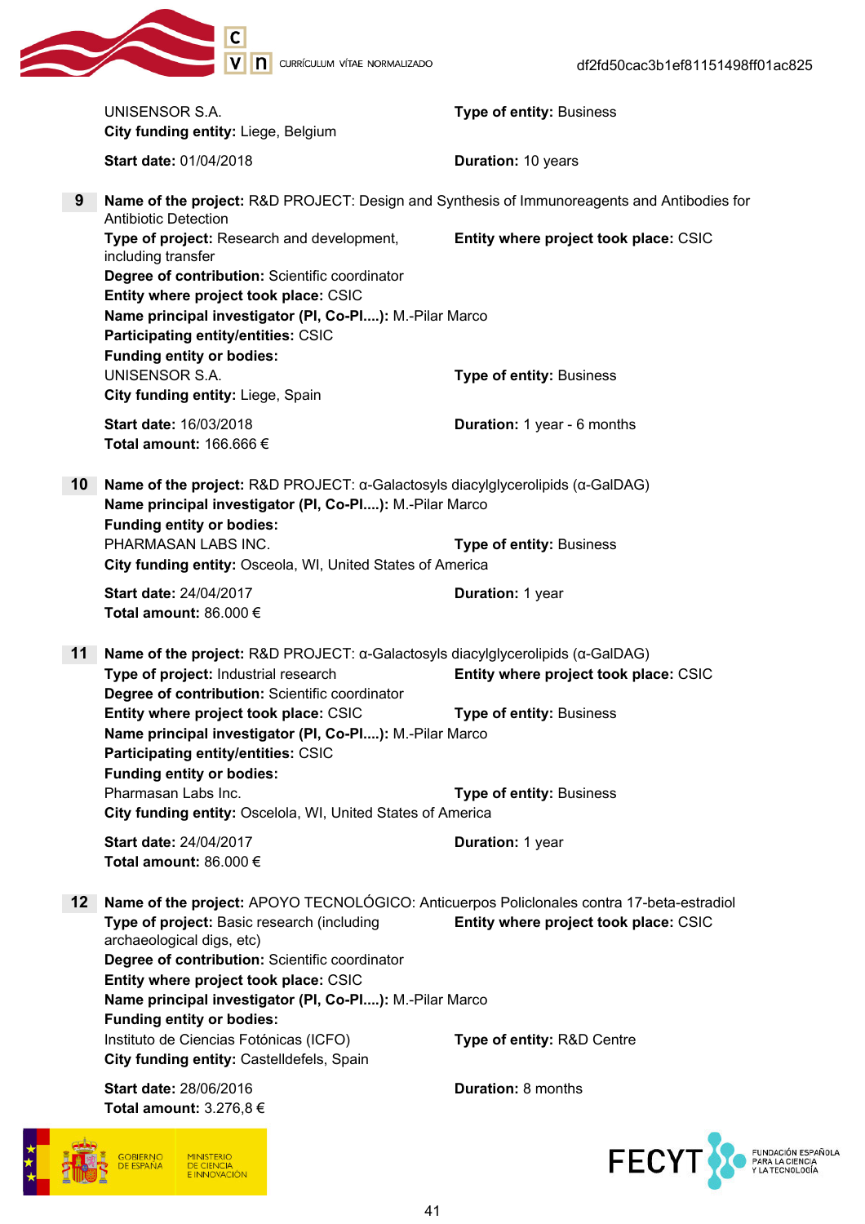

|                 | UNISENSOR S.A.<br>City funding entity: Liege, Belgium                                                                                                                                                                  | <b>Type of entity: Business</b>       |
|-----------------|------------------------------------------------------------------------------------------------------------------------------------------------------------------------------------------------------------------------|---------------------------------------|
|                 | <b>Start date: 01/04/2018</b>                                                                                                                                                                                          | Duration: 10 years                    |
| 9               | Name of the project: R&D PROJECT: Design and Synthesis of Immunoreagents and Antibodies for<br><b>Antibiotic Detection</b>                                                                                             |                                       |
|                 | Type of project: Research and development,<br>including transfer                                                                                                                                                       | Entity where project took place: CSIC |
|                 | Degree of contribution: Scientific coordinator<br>Entity where project took place: CSIC<br>Name principal investigator (PI, Co-PI): M.-Pilar Marco<br>Participating entity/entities: CSIC                              |                                       |
|                 | <b>Funding entity or bodies:</b>                                                                                                                                                                                       |                                       |
|                 | <b>UNISENSOR S.A.</b><br>City funding entity: Liege, Spain                                                                                                                                                             | <b>Type of entity: Business</b>       |
|                 | <b>Start date: 16/03/2018</b><br>Total amount: 166.666 €                                                                                                                                                               | <b>Duration:</b> 1 year - 6 months    |
| 10              | Name of the project: R&D PROJECT: $\alpha$ -Galactosyls diacylglycerolipids ( $\alpha$ -GalDAG)<br>Name principal investigator (PI, Co-PI): M.-Pilar Marco<br><b>Funding entity or bodies:</b>                         |                                       |
|                 | PHARMASAN LABS INC.<br>City funding entity: Osceola, WI, United States of America                                                                                                                                      | <b>Type of entity: Business</b>       |
|                 | Start date: 24/04/2017<br>Total amount: 86.000 $\in$                                                                                                                                                                   | Duration: 1 year                      |
| 11              | Name of the project: R&D PROJECT: $\alpha$ -Galactosyls diacylglycerolipids ( $\alpha$ -GalDAG)<br>Type of project: Industrial research<br>Degree of contribution: Scientific coordinator                              | Entity where project took place: CSIC |
|                 | Entity where project took place: CSIC<br>Name principal investigator (PI, Co-PI): M.-Pilar Marco<br>Participating entity/entities: CSIC<br><b>Funding entity or bodies:</b>                                            | <b>Type of entity: Business</b>       |
|                 | Pharmasan Labs Inc.<br>City funding entity: Oscelola, WI, United States of America                                                                                                                                     | <b>Type of entity: Business</b>       |
|                 | Start date: 24/04/2017<br>Total amount: 86.000 $\in$                                                                                                                                                                   | Duration: 1 year                      |
| 12 <sup>°</sup> | Name of the project: APOYO TECNOLÓGICO: Anticuerpos Policlonales contra 17-beta-estradiol<br>Type of project: Basic research (including<br>archaeological digs, etc)<br>Degree of contribution: Scientific coordinator | Entity where project took place: CSIC |
|                 | Entity where project took place: CSIC<br>Name principal investigator (PI, Co-PI): M.-Pilar Marco<br><b>Funding entity or bodies:</b>                                                                                   |                                       |
|                 | Instituto de Ciencias Fotónicas (ICFO)<br>City funding entity: Castelldefels, Spain                                                                                                                                    | Type of entity: R&D Centre            |
|                 | <b>Start date: 28/06/2016</b><br>Total amount: $3.276,8 \in$                                                                                                                                                           | <b>Duration: 8 months</b>             |



FECYT SUNDACIÓN ESPAÑOLA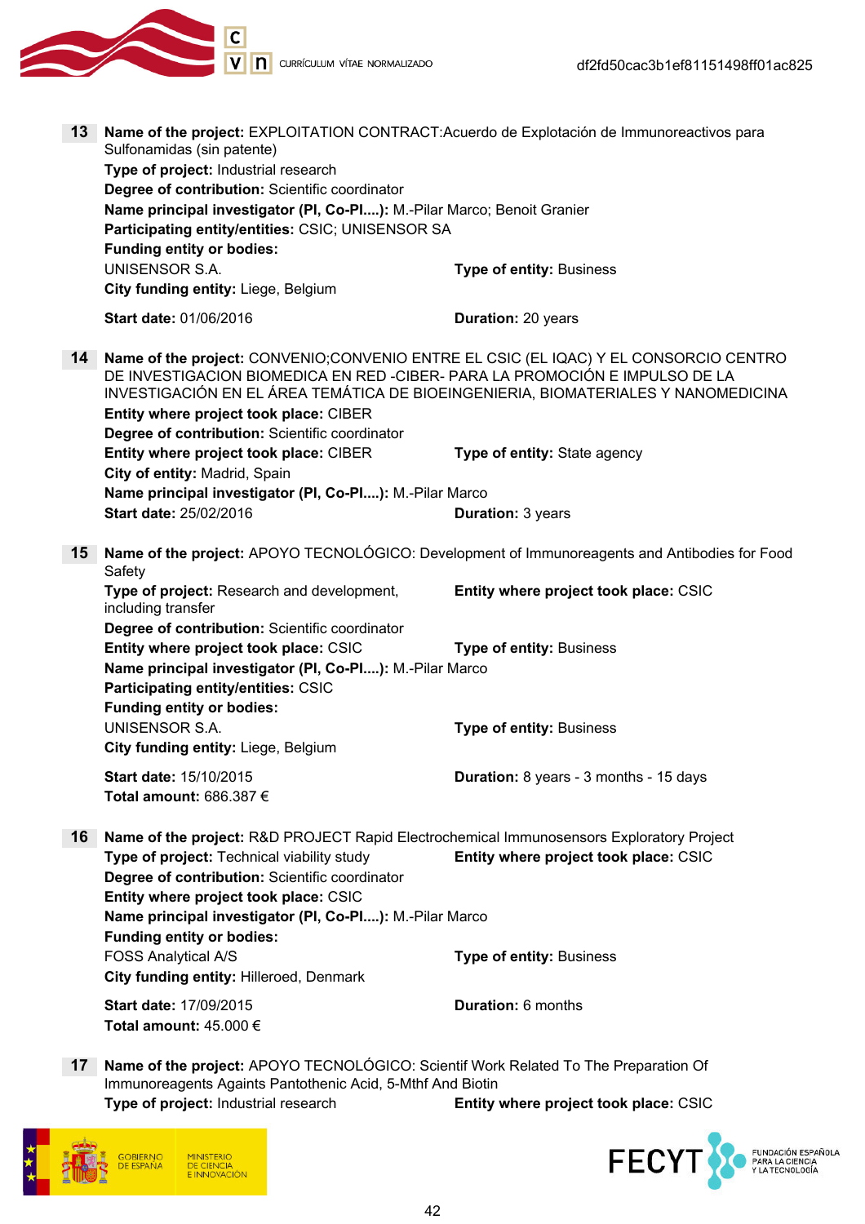

| 13                                                                                                                         | Name of the project: EXPLOITATION CONTRACT: Acuerdo de Explotación de Immunoreactivos para<br>Sulfonamidas (sin patente)<br>Type of project: Industrial research<br>Degree of contribution: Scientific coordinator<br>Name principal investigator (PI, Co-PI): M.-Pilar Marco; Benoit Granier<br>Participating entity/entities: CSIC; UNISENSOR SA |                                                                                   |  |
|----------------------------------------------------------------------------------------------------------------------------|----------------------------------------------------------------------------------------------------------------------------------------------------------------------------------------------------------------------------------------------------------------------------------------------------------------------------------------------------|-----------------------------------------------------------------------------------|--|
|                                                                                                                            | <b>Funding entity or bodies:</b>                                                                                                                                                                                                                                                                                                                   |                                                                                   |  |
|                                                                                                                            | <b>UNISENSOR S.A.</b>                                                                                                                                                                                                                                                                                                                              | <b>Type of entity: Business</b>                                                   |  |
|                                                                                                                            | City funding entity: Liege, Belgium                                                                                                                                                                                                                                                                                                                |                                                                                   |  |
|                                                                                                                            | Start date: 01/06/2016                                                                                                                                                                                                                                                                                                                             | Duration: 20 years                                                                |  |
| 14                                                                                                                         | Name of the project: CONVENIO;CONVENIO ENTRE EL CSIC (EL IQAC) Y EL CONSORCIO CENTRO<br>DE INVESTIGACION BIOMEDICA EN RED-CIBER- PARA LA PROMOCIÓN E IMPULSO DE LA<br>Entity where project took place: CIBER<br>Degree of contribution: Scientific coordinator                                                                                     | INVESTIGACIÓN EN EL ÁREA TEMÁTICA DE BIOEINGENIERIA, BIOMATERIALES Y NANOMEDICINA |  |
|                                                                                                                            | Entity where project took place: CIBER                                                                                                                                                                                                                                                                                                             | Type of entity: State agency                                                      |  |
|                                                                                                                            | City of entity: Madrid, Spain                                                                                                                                                                                                                                                                                                                      |                                                                                   |  |
|                                                                                                                            | Name principal investigator (PI, Co-PI): M.-Pilar Marco<br>Start date: 25/02/2016                                                                                                                                                                                                                                                                  | <b>Duration: 3 years</b>                                                          |  |
|                                                                                                                            |                                                                                                                                                                                                                                                                                                                                                    |                                                                                   |  |
| Name of the project: APOYO TECNOLÓGICO: Development of Immunoreagents and Antibodies for Food<br>15 <sub>1</sub><br>Safety |                                                                                                                                                                                                                                                                                                                                                    |                                                                                   |  |
|                                                                                                                            | Type of project: Research and development,<br>including transfer                                                                                                                                                                                                                                                                                   | Entity where project took place: CSIC                                             |  |
|                                                                                                                            | Degree of contribution: Scientific coordinator<br>Entity where project took place: CSIC<br>Name principal investigator (PI, Co-PI): M.-Pilar Marco<br>Participating entity/entities: CSIC<br><b>Funding entity or bodies:</b>                                                                                                                      | <b>Type of entity: Business</b>                                                   |  |
|                                                                                                                            | UNISENSOR S.A.<br>City funding entity: Liege, Belgium                                                                                                                                                                                                                                                                                              | <b>Type of entity: Business</b>                                                   |  |
|                                                                                                                            | Start date: 15/10/2015<br>Total amount: 686.387 $\epsilon$                                                                                                                                                                                                                                                                                         | Duration: 8 years - 3 months - 15 days                                            |  |
| 16                                                                                                                         | Name of the project: R&D PROJECT Rapid Electrochemical Immunosensors Exploratory Project<br>Type of project: Technical viability study<br>Degree of contribution: Scientific coordinator<br>Entity where project took place: CSIC                                                                                                                  | Entity where project took place: CSIC                                             |  |
|                                                                                                                            | Name principal investigator (PI, Co-PI): M.-Pilar Marco                                                                                                                                                                                                                                                                                            |                                                                                   |  |
|                                                                                                                            | <b>Funding entity or bodies:</b><br>FOSS Analytical A/S                                                                                                                                                                                                                                                                                            | <b>Type of entity: Business</b>                                                   |  |
|                                                                                                                            | City funding entity: Hilleroed, Denmark                                                                                                                                                                                                                                                                                                            |                                                                                   |  |
|                                                                                                                            | Start date: 17/09/2015<br>Total amount: $45.000 \in$                                                                                                                                                                                                                                                                                               | <b>Duration: 6 months</b>                                                         |  |
| $17\,$                                                                                                                     | Name of the project: APOYO TECNOLÓGICO: Scientif Work Related To The Preparation Of<br>Immunoreagents Againts Pantothenic Acid, 5-Mthf And Biotin                                                                                                                                                                                                  |                                                                                   |  |

Immunoreagents Againts Pantotheric<br>Type of project: Industrial research



Entity where project took place: CSIC

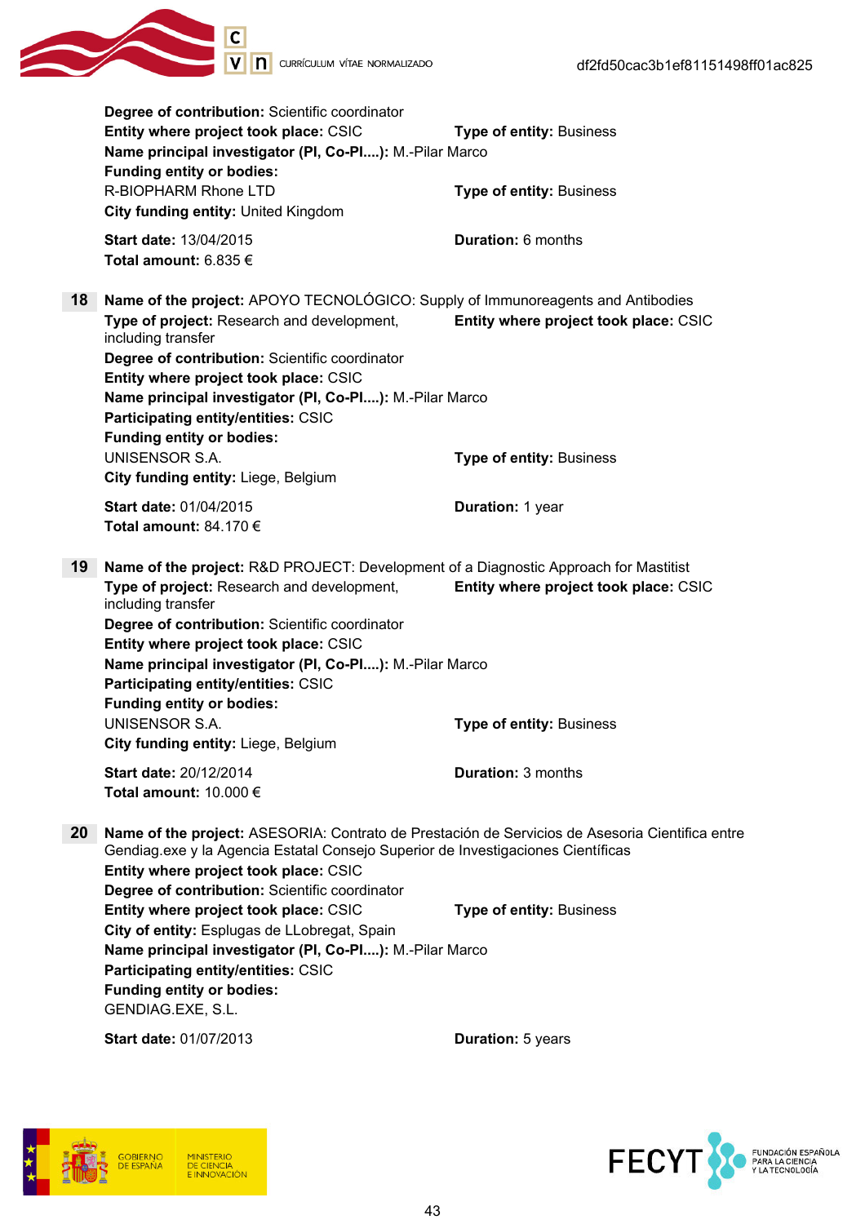

Degree of contribution: Scientific coordinator **Entity where project took place: CSIC Type of entity: Business** Name principal investigator (PI, Co-PI....): M.-Pilar Marco Funding entity or bodies: R-BIOPHARM Rhone LTD **Type of entity:** Business City funding entity: United Kingdom Start date: 13/04/2015 Duration: 6 months Total amount: 6.835 € 18 Name of the project: APOYO TECNOLÓGICO: Supply of Immunoreagents and Antibodies Type of project: Research and development, including transfer Entity where project took place: CSIC Degree of contribution: Scientific coordinator Entity where project took place: CSIC Name principal investigator (PI, Co-PI....): M.-Pilar Marco Participating entity/entities: CSIC Funding entity or bodies: UNISENSOR S.A. Type of entity: Business City funding entity: Liege, Belgium Start date: 01/04/2015 Channel Duration: 1 year Total amount: 84.170 € 19 Name of the project: R&D PROJECT: Development of a Diagnostic Approach for Mastitist Type of project: Research and development, including transfer Entity where project took place: CSIC Degree of contribution: Scientific coordinator Entity where project took place: CSIC Name principal investigator (PI, Co-PI....): M.-Pilar Marco Participating entity/entities: CSIC Funding entity or bodies: UNISENSOR S.A. Type of entity: Business City funding entity: Liege, Belgium Start date: 20/12/2014 Duration: 3 months Total amount:  $10,000 \in$ 20 Name of the project: ASESORIA: Contrato de Prestación de Servicios de Asesoria Cientifica entre Gendiag.exe y la Agencia Estatal Consejo Superior de Investigaciones Científicas Entity where project took place: CSIC Degree of contribution: Scientific coordinator Entity where project took place: CSIC Type of entity: Business City of entity: Esplugas de LLobregat, Spain Name principal investigator (PI, Co-PI....): M.-Pilar Marco Participating entity/entities: CSIC Funding entity or bodies: GENDIAG.EXE, S.L. Start date: 01/07/2013 Duration: 5 years



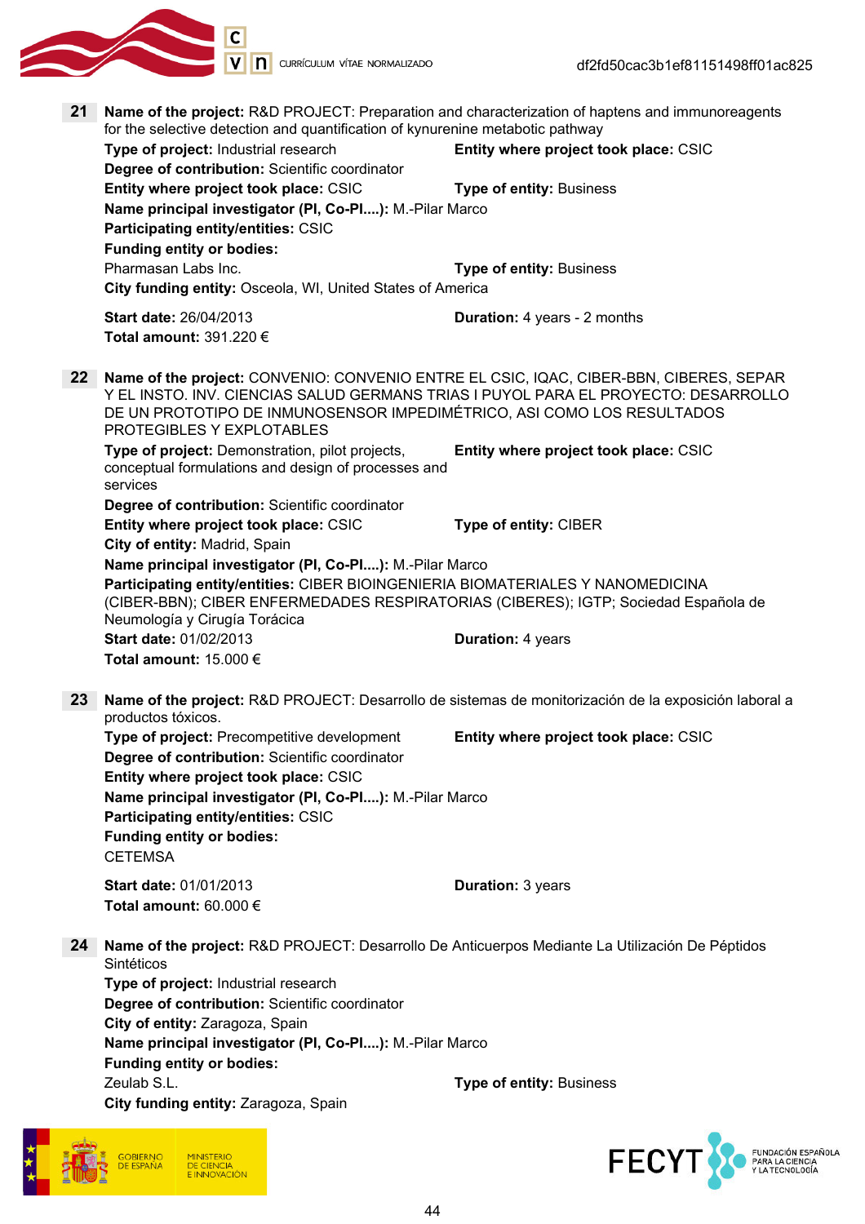

21 Name of the project: R&D PROJECT: Preparation and characterization of haptens and immunoreagents for the selective detection and quantification of kynurenine metabotic pathway Type of project: Industrial research Entity where project took place: CSIC Degree of contribution: Scientific coordinator Entity where project took place: CSIC Type of entity: Business Name principal investigator (PI, Co-PI....): M.-Pilar Marco Participating entity/entities: CSIC Funding entity or bodies: **Pharmasan Labs Inc.** Tries and the Company of entity: Business City funding entity: Osceola, WI, United States of America Start date: 26/04/2013 Duration: 4 years - 2 months Total amount: 391.220 € 22 Name of the project: CONVENIO: CONVENIO ENTRE EL CSIC, IQAC, CIBER-BBN, CIBERES, SEPAR Y EL INSTO. INV. CIENCIAS SALUD GERMANS TRIAS I PUYOL PARA EL PROYECTO: DESARROLLO DE UN PROTOTIPO DE INMUNOSENSOR IMPEDIMÉTRICO, ASI COMO LOS RESULTADOS PROTEGIBLES Y EXPLOTABLES Type of project: Demonstration, pilot projects, conceptual formulations and design of processes and services Entity where project took place: CSIC Degree of contribution: Scientific coordinator Entity where project took place: CSIC Type of entity: CIBER City of entity: Madrid, Spain Name principal investigator (PI, Co-PI....): M.-Pilar Marco Participating entity/entities: CIBER BIOINGENIERIA BIOMATERIALES Y NANOMEDICINA (CIBER-BBN); CIBER ENFERMEDADES RESPIRATORIAS (CIBERES); IGTP; Sociedad Española de Neumología y Cirugía Torácica Start date: 01/02/2013 Duration: 4 years Total amount: 15.000 € 23 Name of the project: R&D PROJECT: Desarrollo de sistemas de monitorización de la exposición laboral a productos tóxicos. Type of project: Precompetitive development Entity where project took place: CSIC Degree of contribution: Scientific coordinator Entity where project took place: CSIC Name principal investigator (PI, Co-PI....): M.-Pilar Marco Participating entity/entities: CSIC Funding entity or bodies: **CETEMSA** Start date: 01/01/2013 **Duration: 3 years** Total amount: 60.000 € 24 Name of the project: R&D PROJECT: Desarrollo De Anticuerpos Mediante La Utilización De Péptidos Sintéticos Type of project: Industrial research Degree of contribution: Scientific coordinator City of entity: Zaragoza, Spain Name principal investigator (PI, Co-PI....): M.-Pilar Marco Funding entity or bodies: Zeulab S.L. **Zeulab S.L. Zeulab S.L. Zeulab S.L. Zeulab S.L. Zeulab S.L. Zeulab S.L. Zeulab S.L. Zeulab S.L. Zeulab S.L. Zeulab S.L. Zeulab S.L. Zeulab S.L. Zeulab S.L. Zeulab S.L. Zeulab S.L.** City funding entity: Zaragoza, Spain



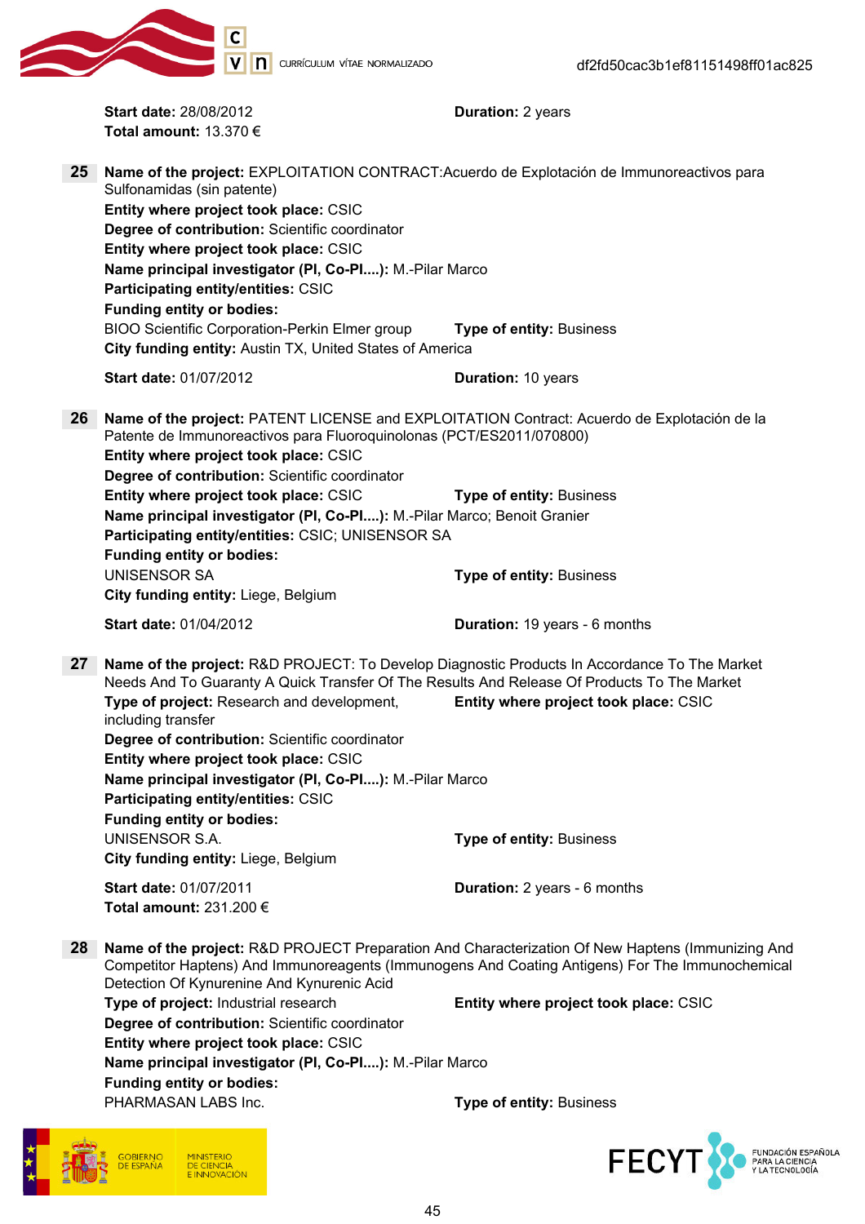151498ff01ac825

|                 | C                                                                                                                                                                                                                                                                                                                                                      |                                       |                                                                                                                                                                                                     |
|-----------------|--------------------------------------------------------------------------------------------------------------------------------------------------------------------------------------------------------------------------------------------------------------------------------------------------------------------------------------------------------|---------------------------------------|-----------------------------------------------------------------------------------------------------------------------------------------------------------------------------------------------------|
|                 |                                                                                                                                                                                                                                                                                                                                                        | <b>D</b> CURRÍCULUM VÍTAE NORMALIZADO | df2fd50cac3b1ef81151498ff01ac8                                                                                                                                                                      |
|                 | <b>Start date: 28/08/2012</b><br>Total amount: $13.370 \in$                                                                                                                                                                                                                                                                                            |                                       | <b>Duration: 2 years</b>                                                                                                                                                                            |
| 25 <sub>2</sub> | Sulfonamidas (sin patente)<br>Entity where project took place: CSIC<br>Degree of contribution: Scientific coordinator<br>Entity where project took place: CSIC<br>Name principal investigator (PI, Co-PI): M.-Pilar Marco<br>Participating entity/entities: CSIC<br><b>Funding entity or bodies:</b><br>BIOO Scientific Corporation-Perkin Elmer group |                                       | Name of the project: EXPLOITATION CONTRACT: Acuerdo de Explotación de Immunoreactivos para<br><b>Type of entity: Business</b>                                                                       |
|                 | City funding entity: Austin TX, United States of America                                                                                                                                                                                                                                                                                               |                                       |                                                                                                                                                                                                     |
|                 | <b>Start date: 01/07/2012</b>                                                                                                                                                                                                                                                                                                                          |                                       | <b>Duration: 10 years</b>                                                                                                                                                                           |
| 26              | Patente de Immunoreactivos para Fluoroquinolonas (PCT/ES2011/070800)<br>Entity where project took place: CSIC<br>Degree of contribution: Scientific coordinator                                                                                                                                                                                        |                                       | Name of the project: PATENT LICENSE and EXPLOITATION Contract: Acuerdo de Explotación de la                                                                                                         |
|                 | Entity where project took place: CSIC<br>Name principal investigator (PI, Co-PI): M.-Pilar Marco; Benoit Granier<br>Participating entity/entities: CSIC; UNISENSOR SA<br><b>Funding entity or bodies:</b>                                                                                                                                              |                                       | <b>Type of entity: Business</b>                                                                                                                                                                     |
|                 | <b>UNISENSOR SA</b><br>City funding entity: Liege, Belgium                                                                                                                                                                                                                                                                                             |                                       | <b>Type of entity: Business</b>                                                                                                                                                                     |
|                 | <b>Start date: 01/04/2012</b>                                                                                                                                                                                                                                                                                                                          |                                       | Duration: 19 years - 6 months                                                                                                                                                                       |
| 27              |                                                                                                                                                                                                                                                                                                                                                        |                                       | Name of the project: R&D PROJECT: To Develop Diagnostic Products In Accordance To The Market                                                                                                        |
|                 | Type of project: Research and development,<br>including transfer<br>Degree of contribution: Scientific coordinator<br>Entity where project took place: CSIC<br>Name principal investigator (PI, Co-PI): M.-Pilar Marco<br>Participating entity/entities: CSIC<br><b>Funding entity or bodies:</b>                                                      |                                       | Needs And To Guaranty A Quick Transfer Of The Results And Release Of Products To The Market<br>Entity where project took place: CSIC                                                                |
|                 | <b>UNISENSOR S.A.</b>                                                                                                                                                                                                                                                                                                                                  |                                       | <b>Type of entity: Business</b>                                                                                                                                                                     |
|                 | City funding entity: Liege, Belgium                                                                                                                                                                                                                                                                                                                    |                                       |                                                                                                                                                                                                     |
|                 | <b>Start date: 01/07/2011</b><br>Total amount: 231.200 $\epsilon$                                                                                                                                                                                                                                                                                      |                                       | Duration: 2 years - 6 months                                                                                                                                                                        |
| 28              | Detection Of Kynurenine And Kynurenic Acid                                                                                                                                                                                                                                                                                                             |                                       | Name of the project: R&D PROJECT Preparation And Characterization Of New Haptens (Immunizing And<br>Competitor Haptens) And Immunoreagents (Immunogens And Coating Antigens) For The Immunochemical |
|                 | Type of project: Industrial research<br>Degree of contribution: Scientific coordinator<br>Entity where project took place: CSIC                                                                                                                                                                                                                        |                                       | Entity where project took place: CSIC                                                                                                                                                               |
|                 | Name principal investigator (PI, Co-PI): M.-Pilar Marco<br><b>Funding entity or bodies:</b>                                                                                                                                                                                                                                                            |                                       |                                                                                                                                                                                                     |
|                 | PHARMASAN LABS Inc.                                                                                                                                                                                                                                                                                                                                    |                                       | <b>Type of entity: Business</b>                                                                                                                                                                     |
|                 | GOBIERNO                                                                                                                                                                                                                                                                                                                                               |                                       | <b>FECYT</b>                                                                                                                                                                                        |

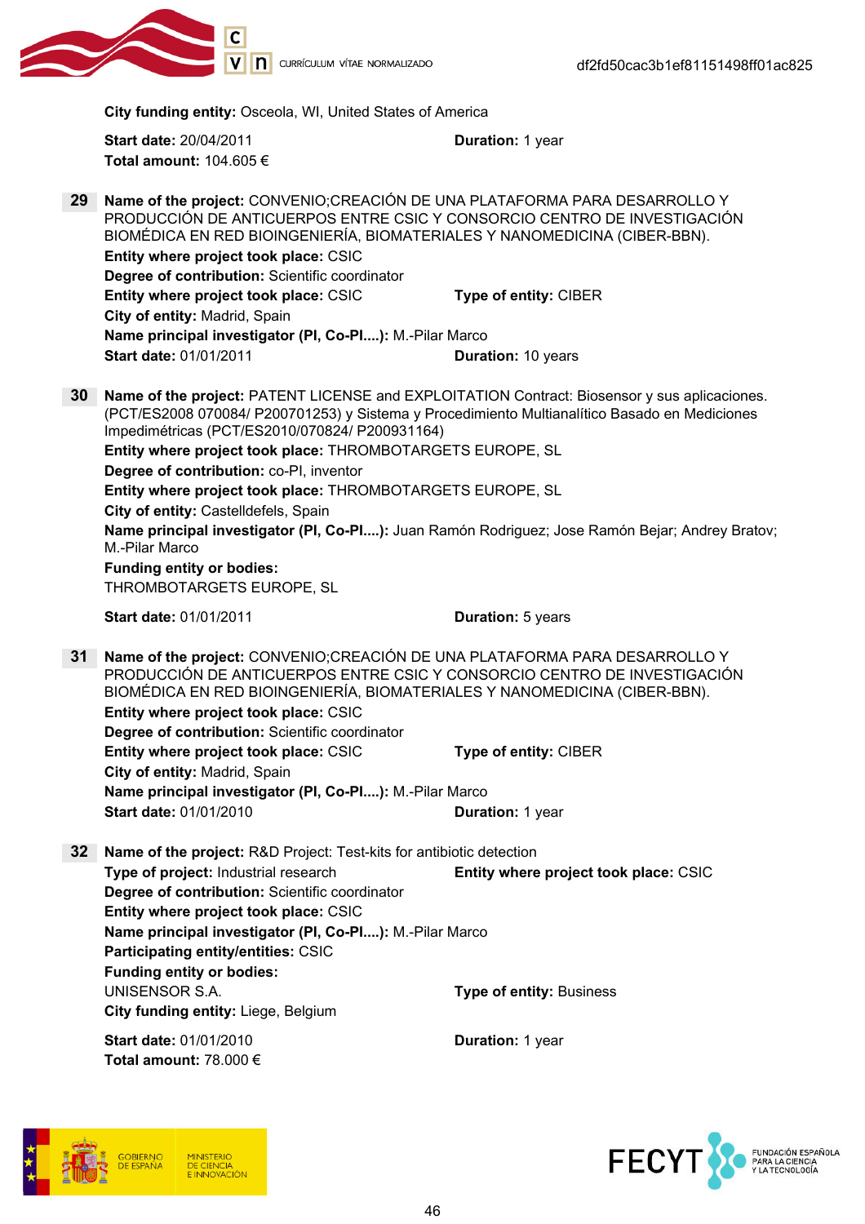

City funding entity: Osceola, WI, United States of America

Start date: 20/04/2011 **Duration: 1 year** Total amount: 104.605 €

29 Name of the project: CONVENIO;CREACIÓN DE UNA PLATAFORMA PARA DESARROLLO Y PRODUCCIÓN DE ANTICUERPOS ENTRE CSIC Y CONSORCIO CENTRO DE INVESTIGACIÓN BIOMÉDICA EN RED BIOINGENIERÍA, BIOMATERIALES Y NANOMEDICINA (CIBER-BBN). Entity where project took place: CSIC Degree of contribution: Scientific coordinator Entity where project took place: CSIC Type of entity: CIBER City of entity: Madrid, Spain Name principal investigator (PI, Co-PI....): M.-Pilar Marco Start date: 01/01/2011 Duration: 10 years 30 Name of the project: PATENT LICENSE and EXPLOITATION Contract: Biosensor y sus aplicaciones. (PCT/ES2008 070084/ P200701253) y Sistema y Procedimiento Multianalítico Basado en Mediciones Impedimétricas (PCT/ES2010/070824/ P200931164) Entity where project took place: THROMBOTARGETS EUROPE, SL Degree of contribution: co-PI, inventor Entity where project took place: THROMBOTARGETS EUROPE, SL City of entity: Castelldefels, Spain Name principal investigator (PI, Co-PI....): Juan Ramón Rodriguez; Jose Ramón Bejar; Andrey Bratov; M.-Pilar Marco Funding entity or bodies: THROMBOTARGETS EUROPE, SL Start date: 01/01/2011 Duration: 5 years 31 Name of the project: CONVENIO;CREACIÓN DE UNA PLATAFORMA PARA DESARROLLO Y PRODUCCIÓN DE ANTICUERPOS ENTRE CSIC Y CONSORCIO CENTRO DE INVESTIGACIÓN BIOMÉDICA EN RED BIOINGENIERÍA, BIOMATERIALES Y NANOMEDICINA (CIBER-BBN). Entity where project took place: CSIC Degree of contribution: Scientific coordinator Entity where project took place: CSIC Type of entity: CIBER City of entity: Madrid, Spain Name principal investigator (PI, Co-PI....): M.-Pilar Marco Start date: 01/01/2010 **Duration: 1 year** 32 Name of the project: R&D Project: Test-kits for antibiotic detection Type of project: Industrial research Entity where project took place: CSIC Degree of contribution: Scientific coordinator Entity where project took place: CSIC Name principal investigator (PI, Co-PI....): M.-Pilar Marco Participating entity/entities: CSIC Funding entity or bodies: UNISENSOR S.A. Type of entity: Business City funding entity: Liege, Belgium Start date: 01/01/2010 Duration: 1 year Total amount: 78.000 €



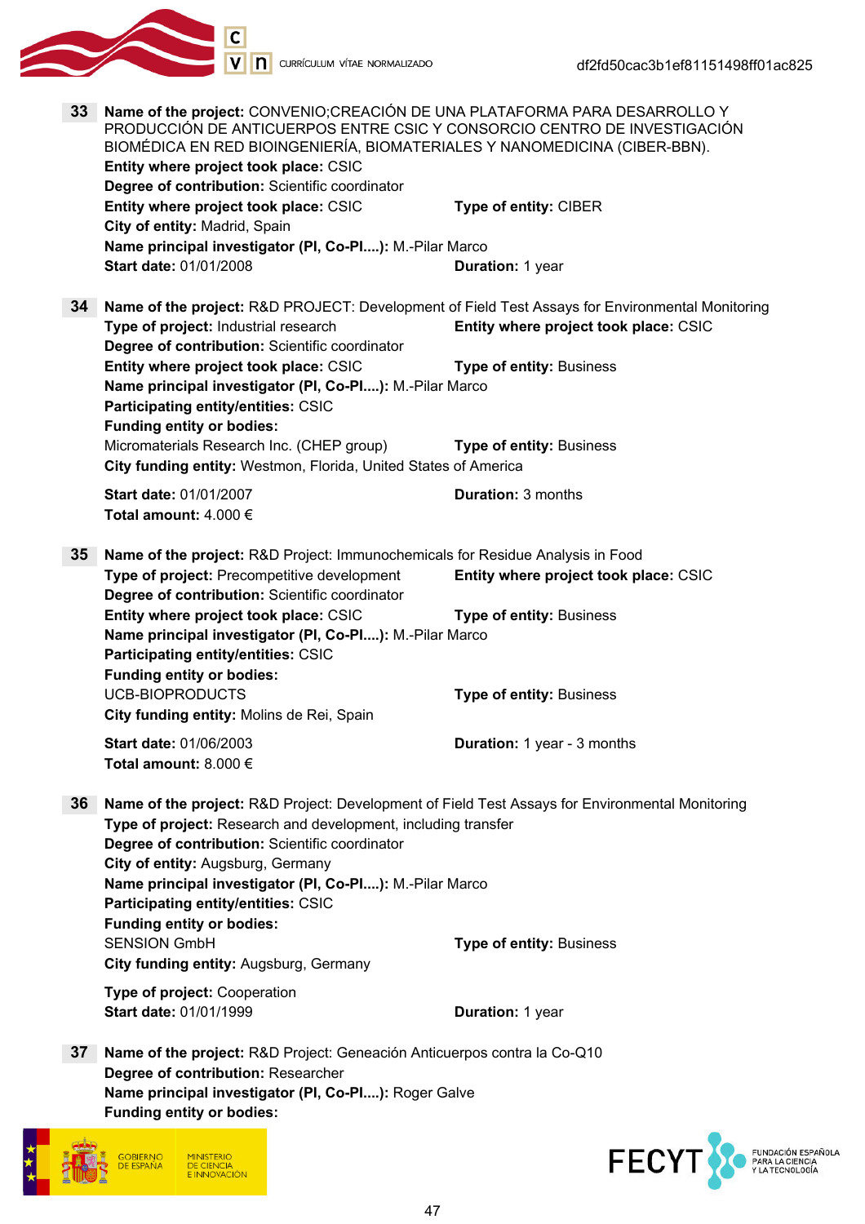





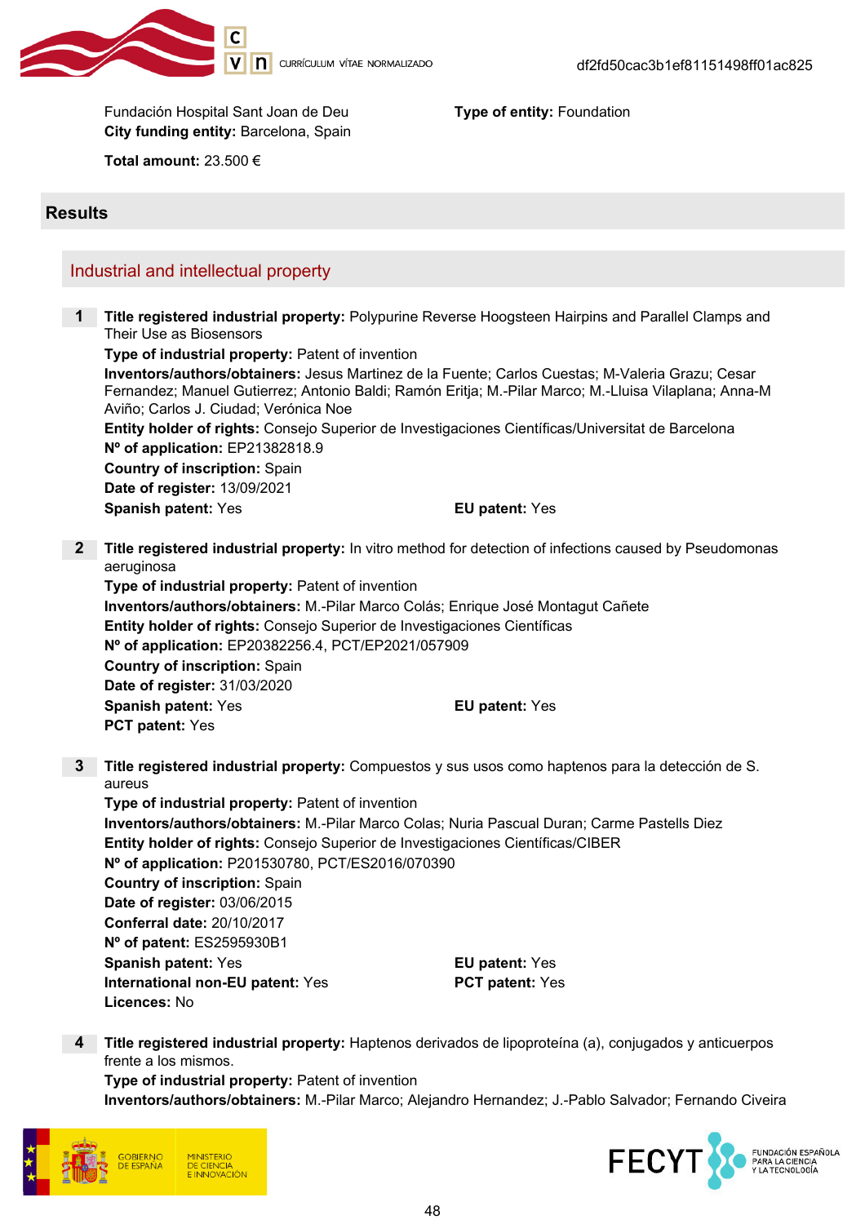

Fundación Hospital Sant Joan de Deu **Type of entity:** Foundation City funding entity: Barcelona, Spain

Total amount: 23.500 €

### **Results**

## Industrial and intellectual property

1 Title registered industrial property: Polypurine Reverse Hoogsteen Hairpins and Parallel Clamps and Their Use as Biosensors

Type of industrial property: Patent of invention Inventors/authors/obtainers: Jesus Martinez de la Fuente; Carlos Cuestas; M-Valeria Grazu; Cesar Fernandez; Manuel Gutierrez; Antonio Baldi; Ramón Eritja; M.-Pilar Marco; M.-Lluisa Vilaplana; Anna-M Aviño; Carlos J. Ciudad; Verónica Noe

Entity holder of rights: Consejo Superior de Investigaciones Científicas/Universitat de Barcelona Nº of application: EP21382818.9

Country of inscription: Spain Date of register: 13/09/2021 Spanish patent: Yes **EU** patent: Yes

2 Title registered industrial property: In vitro method for detection of infections caused by Pseudomonas aeruginosa

Type of industrial property: Patent of invention Inventors/authors/obtainers: M.-Pilar Marco Colás; Enrique José Montagut Cañete Entity holder of rights: Consejo Superior de Investigaciones Científicas Nº of application: EP20382256.4, PCT/EP2021/057909 Country of inscription: Spain Date of register: 31/03/2020 Spanish patent: Yes **EU** patent: Yes PCT patent: Yes

3 Title registered industrial property: Compuestos y sus usos como haptenos para la detección de S. aureus

Type of industrial property: Patent of invention Inventors/authors/obtainers: M.-Pilar Marco Colas; Nuria Pascual Duran; Carme Pastells Diez Entity holder of rights: Consejo Superior de Investigaciones Científicas/CIBER Nº of application: P201530780, PCT/ES2016/070390 Country of inscription: Spain Date of register: 03/06/2015 Conferral date: 20/10/2017 Nº of patent: ES2595930B1 Spanish patent: Yes **EU** patent: Yes International non-EU patent: Yes PCT patent: Yes Licences: No

4 Title registered industrial property: Haptenos derivados de lipoproteína (a), conjugados y anticuerpos frente a los mismos.

Type of industrial property: Patent of invention Inventors/authors/obtainers: M.-Pilar Marco; Alejandro Hernandez; J.-Pablo Salvador; Fernando Civeira



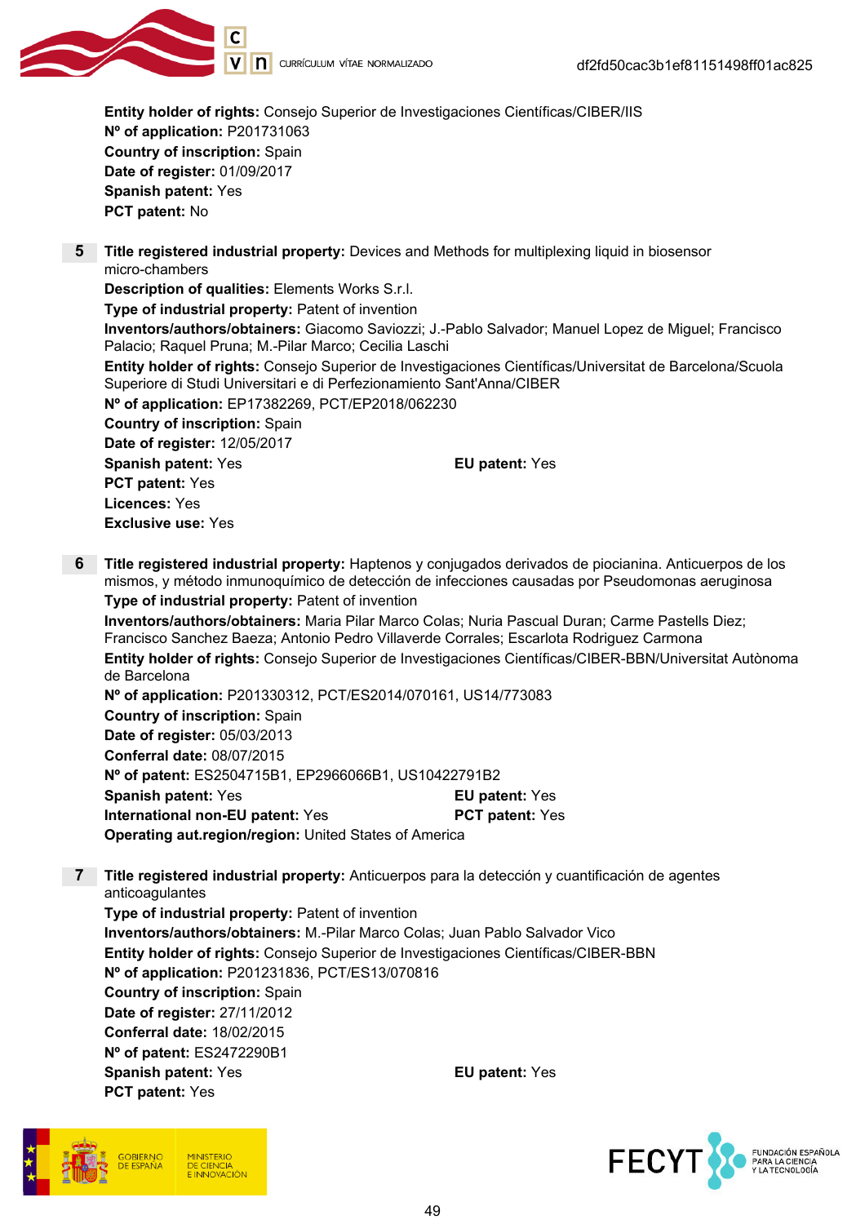

Entity holder of rights: Consejo Superior de Investigaciones Científicas/CIBER/IIS Nº of application: P201731063 Country of inscription: Spain Date of register: 01/09/2017 Spanish patent: Yes PCT patent: No

5 Title registered industrial property: Devices and Methods for multiplexing liquid in biosensor micro-chambers

Description of qualities: Elements Works S.r.l.

Type of industrial property: Patent of invention

Inventors/authors/obtainers: Giacomo Saviozzi; J.-Pablo Salvador; Manuel Lopez de Miguel; Francisco Palacio; Raquel Pruna; M.-Pilar Marco; Cecilia Laschi

Entity holder of rights: Consejo Superior de Investigaciones Científicas/Universitat de Barcelona/Scuola Superiore di Studi Universitari e di Perfezionamiento Sant'Anna/CIBER

Nº of application: EP17382269, PCT/EP2018/062230

Country of inscription: Spain Date of register: 12/05/2017

Spanish patent: Yes **EU** patent: Yes PCT patent: Yes Licences: Yes Exclusive use: Yes

6 Title registered industrial property: Haptenos y conjugados derivados de piocianina. Anticuerpos de los mismos, y método inmunoquímico de detección de infecciones causadas por Pseudomonas aeruginosa Type of industrial property: Patent of invention

Inventors/authors/obtainers: Maria Pilar Marco Colas; Nuria Pascual Duran; Carme Pastells Diez; Francisco Sanchez Baeza; Antonio Pedro Villaverde Corrales; Escarlota Rodriguez Carmona Entity holder of rights: Consejo Superior de Investigaciones Científicas/CIBER-BBN/Universitat Autònoma de Barcelona

Nº of application: P201330312, PCT/ES2014/070161, US14/773083 Country of inscription: Spain Date of register: 05/03/2013 Conferral date: 08/07/2015 Nº of patent: ES2504715B1, EP2966066B1, US10422791B2 **Spanish patent: Yes EU patent: Yes** International non-EU patent: Yes PCT patent: Yes Operating aut.region/region: United States of America

7 Title registered industrial property: Anticuerpos para la detección y cuantificación de agentes anticoagulantes

Type of industrial property: Patent of invention Inventors/authors/obtainers: M.-Pilar Marco Colas; Juan Pablo Salvador Vico Entity holder of rights: Consejo Superior de Investigaciones Científicas/CIBER-BBN Nº of application: P201231836, PCT/ES13/070816 Country of inscription: Spain Date of register: 27/11/2012 Conferral date: 18/02/2015 Nº of patent: ES2472290B1 Spanish patent: Yes **EU** patent: Yes PCT patent: Yes



**FECY** FUNDACIÓN ESPAÑOLA<br>PARA LA CIENCIA<br>Y LA TECNOLOGÍA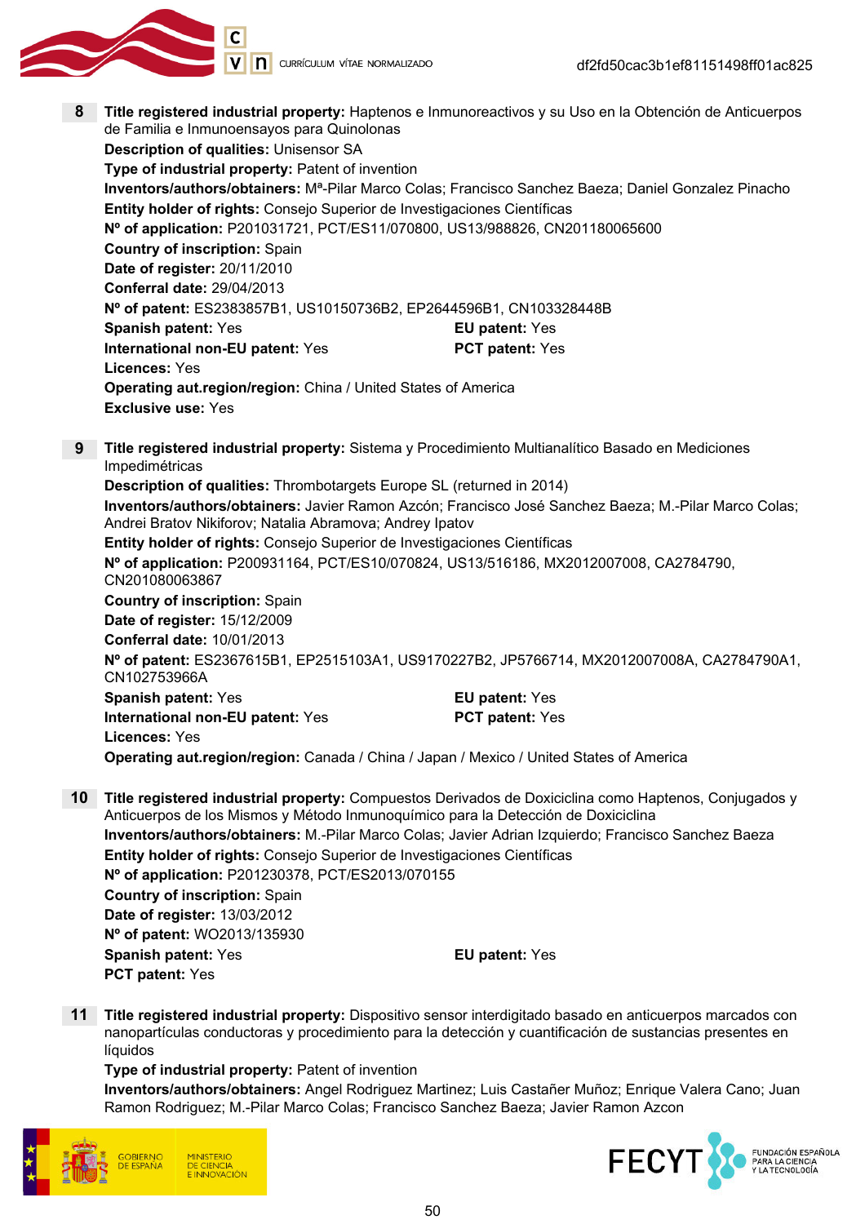

8 Title registered industrial property: Haptenos e Inmunoreactivos y su Uso en la Obtención de Anticuerpos de Familia e Inmunoensayos para Quinolonas

Description of qualities: Unisensor SA Type of industrial property: Patent of invention Inventors/authors/obtainers: Mª-Pilar Marco Colas; Francisco Sanchez Baeza; Daniel Gonzalez Pinacho Entity holder of rights: Consejo Superior de Investigaciones Científicas Nº of application: P201031721, PCT/ES11/070800, US13/988826, CN201180065600 Country of inscription: Spain Date of register: 20/11/2010 Conferral date: 29/04/2013 Nº of patent: ES2383857B1, US10150736B2, EP2644596B1, CN103328448B Spanish patent: Yes **EU** patent: Yes International non-EU patent: Yes PCT patent: Yes Licences: Yes Operating aut.region/region: China / United States of America Exclusive use: Yes

9 Title registered industrial property: Sistema y Procedimiento Multianalítico Basado en Mediciones Impedimétricas

Description of qualities: Thrombotargets Europe SL (returned in 2014) Inventors/authors/obtainers: Javier Ramon Azcón; Francisco José Sanchez Baeza; M.-Pilar Marco Colas; Andrei Bratov Nikiforov; Natalia Abramova; Andrey Ipatov Entity holder of rights: Consejo Superior de Investigaciones Científicas Nº of application: P200931164, PCT/ES10/070824, US13/516186, MX2012007008, CA2784790, CN201080063867 Country of inscription: Spain Date of register: 15/12/2009 Conferral date: 10/01/2013 Nº of patent: ES2367615B1, EP2515103A1, US9170227B2, JP5766714, MX2012007008A, CA2784790A1, CN102753966A Spanish patent: Yes **EU** patent: Yes International non-EU patent: Yes PCT patent: Yes Licences: Yes

- Operating aut.region/region: Canada / China / Japan / Mexico / United States of America
- 10 Title registered industrial property: Compuestos Derivados de Doxiciclina como Haptenos, Conjugados y Anticuerpos de los Mismos y Método Inmunoquímico para la Detección de Doxiciclina Inventors/authors/obtainers: M.-Pilar Marco Colas; Javier Adrian Izquierdo; Francisco Sanchez Baeza Entity holder of rights: Consejo Superior de Investigaciones Científicas Nº of application: P201230378, PCT/ES2013/070155 Country of inscription: Spain Date of register: 13/03/2012 Nº of patent: WO2013/135930 Spanish patent: Yes **EU** patent: Yes PCT patent: Yes
- 11 Title registered industrial property: Dispositivo sensor interdigitado basado en anticuerpos marcados con nanopartículas conductoras y procedimiento para la detección y cuantificación de sustancias presentes en líquidos

Type of industrial property: Patent of invention

Inventors/authors/obtainers: Angel Rodriguez Martinez; Luis Castañer Muñoz; Enrique Valera Cano; Juan Ramon Rodriguez; M.-Pilar Marco Colas; Francisco Sanchez Baeza; Javier Ramon Azcon



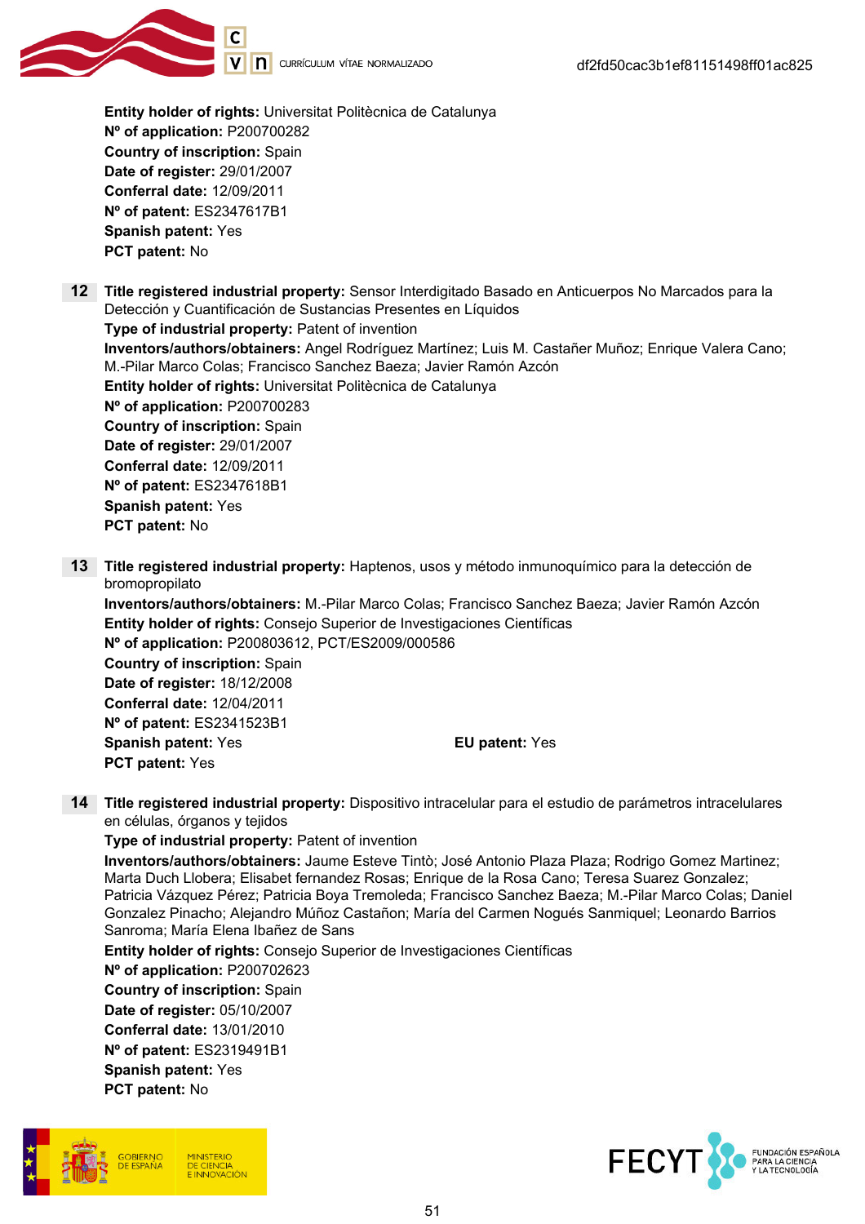

Entity holder of rights: Universitat Politècnica de Catalunya Nº of application: P200700282 Country of inscription: Spain Date of register: 29/01/2007 Conferral date: 12/09/2011 Nº of patent: ES2347617B1 Spanish patent: Yes PCT patent: No

12 Title registered industrial property: Sensor Interdigitado Basado en Anticuerpos No Marcados para la Detección y Cuantificación de Sustancias Presentes en Líquidos

Type of industrial property: Patent of invention Inventors/authors/obtainers: Angel Rodríguez Martínez; Luis M. Castañer Muñoz; Enrique Valera Cano; M.-Pilar Marco Colas; Francisco Sanchez Baeza; Javier Ramón Azcón Entity holder of rights: Universitat Politècnica de Catalunya Nº of application: P200700283 Country of inscription: Spain Date of register: 29/01/2007 Conferral date: 12/09/2011 Nº of patent: ES2347618B1 Spanish patent: Yes PCT patent: No

13 Title registered industrial property: Haptenos, usos y método inmunoquímico para la detección de bromopropilato

Inventors/authors/obtainers: M.-Pilar Marco Colas; Francisco Sanchez Baeza; Javier Ramón Azcón Entity holder of rights: Consejo Superior de Investigaciones Científicas Nº of application: P200803612, PCT/ES2009/000586 Country of inscription: Spain Date of register: 18/12/2008 Conferral date: 12/04/2011 Nº of patent: ES2341523B1 Spanish patent: Yes **EU** patent: Yes PCT patent: Yes

14 Title registered industrial property: Dispositivo intracelular para el estudio de parámetros intracelulares en células, órganos y tejidos

Type of industrial property: Patent of invention Inventors/authors/obtainers: Jaume Esteve Tintò; José Antonio Plaza Plaza; Rodrigo Gomez Martinez; Marta Duch Llobera; Elisabet fernandez Rosas; Enrique de la Rosa Cano; Teresa Suarez Gonzalez; Patricia Vázquez Pérez; Patricia Boya Tremoleda; Francisco Sanchez Baeza; M.-Pilar Marco Colas; Daniel Gonzalez Pinacho; Alejandro Múñoz Castañon; María del Carmen Nogués Sanmiquel; Leonardo Barrios Sanroma; María Elena Ibañez de Sans

Entity holder of rights: Consejo Superior de Investigaciones Científicas Nº of application: P200702623 Country of inscription: Spain Date of register: 05/10/2007 Conferral date: 13/01/2010 Nº of patent: ES2319491B1 Spanish patent: Yes PCT patent: No



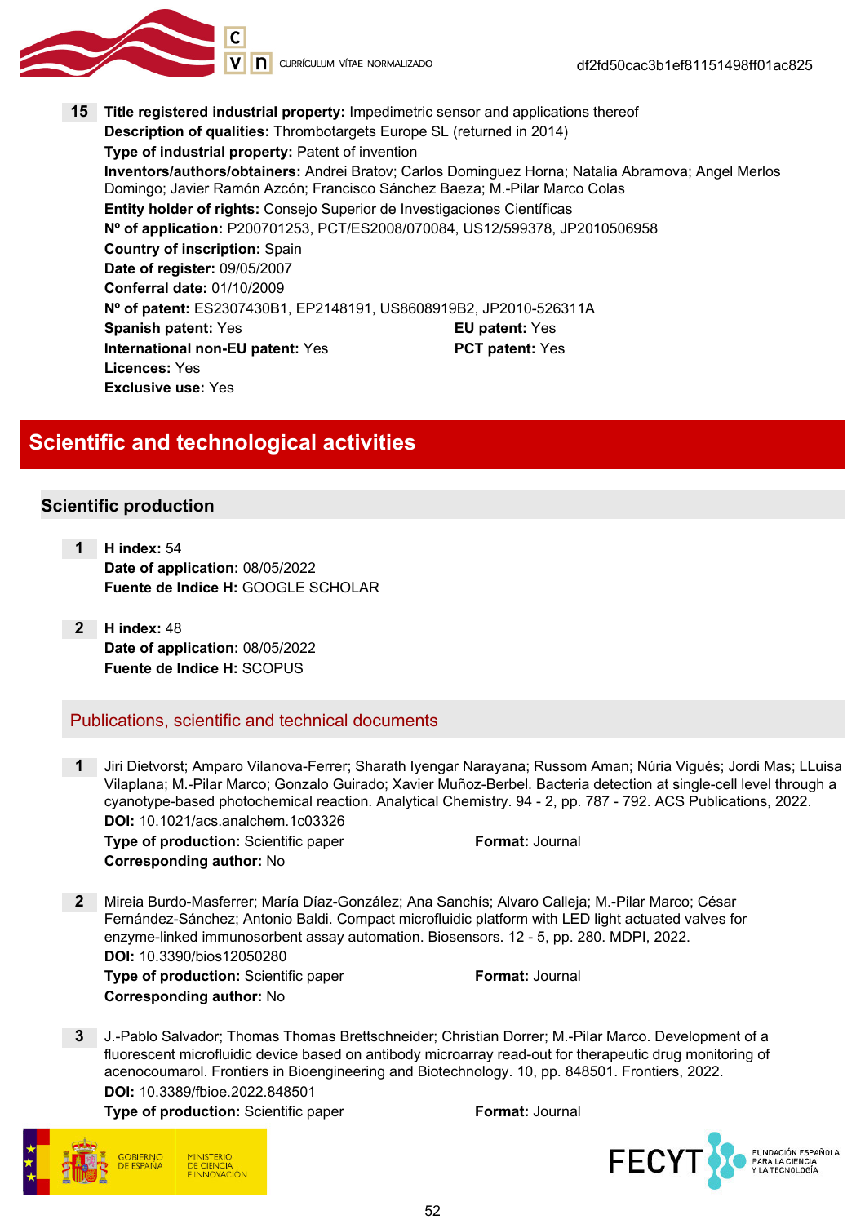

V | **n** currículum vítae normalizado

15 Title registered industrial property: Impedimetric sensor and applications thereof Description of qualities: Thrombotargets Europe SL (returned in 2014) Type of industrial property: Patent of invention Inventors/authors/obtainers: Andrei Bratov; Carlos Dominguez Horna; Natalia Abramova; Angel Merlos Domingo; Javier Ramón Azcón; Francisco Sánchez Baeza; M.-Pilar Marco Colas Entity holder of rights: Consejo Superior de Investigaciones Científicas Nº of application: P200701253, PCT/ES2008/070084, US12/599378, JP2010506958 Country of inscription: Spain Date of register: 09/05/2007 Conferral date: 01/10/2009 Nº of patent: ES2307430B1, EP2148191, US8608919B2, JP2010-526311A Spanish patent: Yes **EU** patent: Yes International non-EU patent: Yes PCT patent: Yes Licences: Yes Exclusive use: Yes

# Scientific and technological activities

#### Scientific production

- 1 H index: 54 Date of application: 08/05/2022 Fuente de Indice H: GOOGLE SCHOLAR
	- 2 H index: 48 Date of application: 08/05/2022 Fuente de Indice H: SCOPUS

#### Publications, scientific and technical documents

1 Jiri Dietvorst; Amparo Vilanova-Ferrer; Sharath Iyengar Narayana; Russom Aman; Núria Vigués; Jordi Mas; LLuisa Vilaplana; M.-Pilar Marco; Gonzalo Guirado; Xavier Muñoz-Berbel. Bacteria detection at single-cell level through a cyanotype-based photochemical reaction. Analytical Chemistry. 94 - 2, pp. 787 - 792. ACS Publications, 2022. DOI: 10.1021/acs.analchem.1c03326

Type of production: Scientific paper Format: Journal Corresponding author: No

2 Mireia Burdo-Masferrer; María Díaz-González; Ana Sanchís; Alvaro Calleja; M.-Pilar Marco; César Fernández-Sánchez; Antonio Baldi. Compact microfluidic platform with LED light actuated valves for enzyme-linked immunosorbent assay automation. Biosensors. 12 - 5, pp. 280. MDPI, 2022. DOI: 10.3390/bios12050280 Type of production: Scientific paper Format: Journal

Corresponding author: No

3 J.-Pablo Salvador; Thomas Thomas Brettschneider; Christian Dorrer; M.-Pilar Marco. Development of a fluorescent microfluidic device based on antibody microarray read-out for therapeutic drug monitoring of acenocoumarol. Frontiers in Bioengineering and Biotechnology. 10, pp. 848501. Frontiers, 2022. DOI: 10.3389/fbioe.2022.848501

Type of production: Scientific paper Format: Journal



FECY<sup>-</sup> FUNDACIÓN ESPAÑOLA<br>PARA LA CIENCIA<br>Y LA TECNOLOGÍA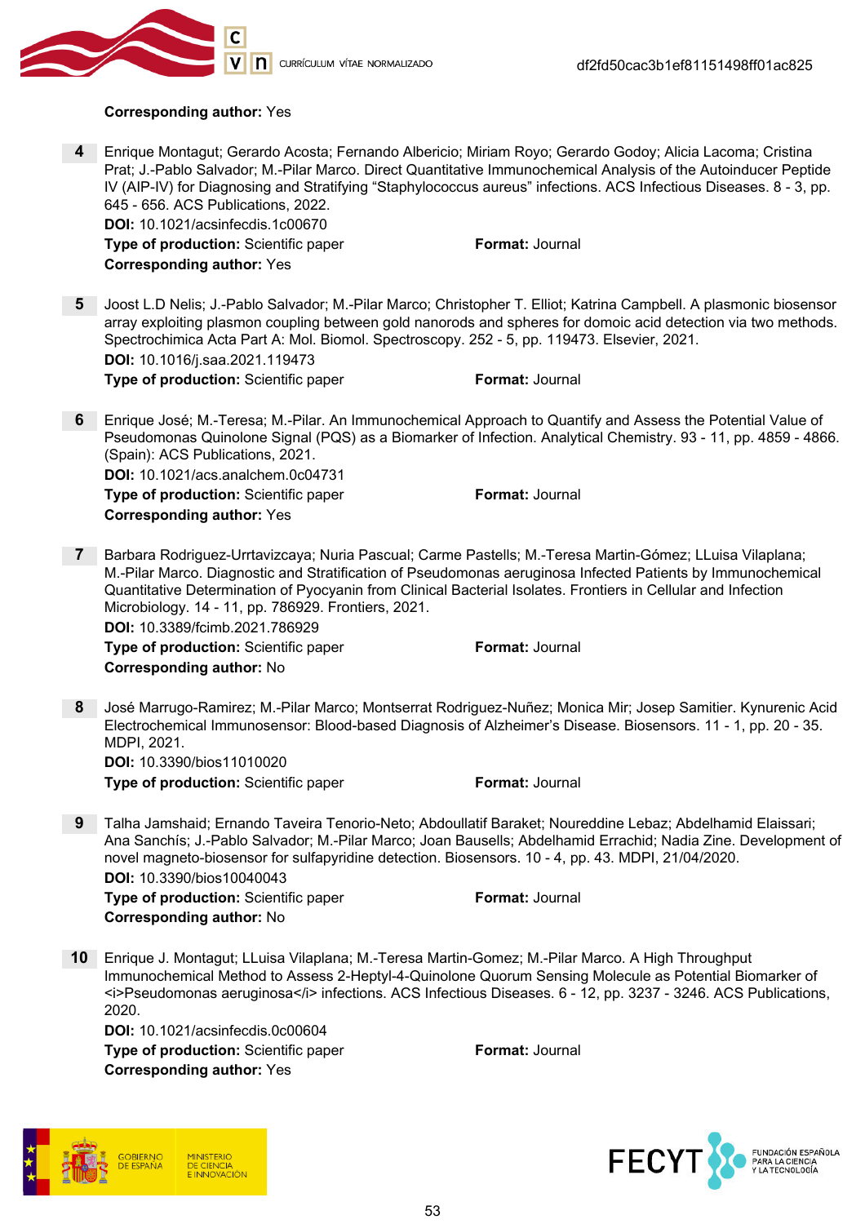

#### Corresponding author: Yes

4 Enrique Montagut; Gerardo Acosta; Fernando Albericio; Miriam Royo; Gerardo Godoy; Alicia Lacoma; Cristina Prat; J.-Pablo Salvador; M.-Pilar Marco. Direct Quantitative Immunochemical Analysis of the Autoinducer Peptide IV (AIP-IV) for Diagnosing and Stratifying "Staphylococcus aureus" infections. ACS Infectious Diseases. 8 - 3, pp. 645 - 656. ACS Publications, 2022.

DOI: 10.1021/acsinfecdis.1c00670 **Type of production:** Scientific paper Format: Journal Corresponding author: Yes

5 Joost L.D Nelis; J.-Pablo Salvador; M.-Pilar Marco; Christopher T. Elliot; Katrina Campbell. A plasmonic biosensor array exploiting plasmon coupling between gold nanorods and spheres for domoic acid detection via two methods. Spectrochimica Acta Part A: Mol. Biomol. Spectroscopy. 252 - 5, pp. 119473. Elsevier, 2021. DOI: 10.1016/j.saa.2021.119473

**Type of production:** Scientific paper Format: Journal

6 Enrique José; M.-Teresa; M.-Pilar. An Immunochemical Approach to Quantify and Assess the Potential Value of Pseudomonas Quinolone Signal (PQS) as a Biomarker of Infection. Analytical Chemistry. 93 - 11, pp. 4859 - 4866. (Spain): ACS Publications, 2021. DOI: 10.1021/acs.analchem.0c04731

Type of production: Scientific paper Format: Journal

Corresponding author: Yes

7 Barbara Rodriguez-Urrtavizcaya; Nuria Pascual; Carme Pastells; M.-Teresa Martin-Gómez; LLuisa Vilaplana; M.-Pilar Marco. Diagnostic and Stratification of Pseudomonas aeruginosa Infected Patients by Immunochemical Quantitative Determination of Pyocyanin from Clinical Bacterial Isolates. Frontiers in Cellular and Infection Microbiology. 14 - 11, pp. 786929. Frontiers, 2021. DOI: 10.3389/fcimb.2021.786929

**Type of production:** Scientific paper Format: Journal Corresponding author: No

8 José Marrugo-Ramirez; M.-Pilar Marco; Montserrat Rodriguez-Nuñez; Monica Mir; Josep Samitier. Kynurenic Acid Electrochemical Immunosensor: Blood-based Diagnosis of Alzheimer's Disease. Biosensors. 11 - 1, pp. 20 - 35. MDPI, 2021. DOI: 10.3390/bios11010020

**Type of production:** Scientific paper Format: Journal

9 Talha Jamshaid; Ernando Taveira Tenorio-Neto; Abdoullatif Baraket; Noureddine Lebaz; Abdelhamid Elaissari; Ana Sanchís; J.-Pablo Salvador; M.-Pilar Marco; Joan Bausells; Abdelhamid Errachid; Nadia Zine. Development of novel magneto-biosensor for sulfapyridine detection. Biosensors. 10 - 4, pp. 43. MDPI, 21/04/2020. DOI: 10.3390/bios10040043 Type of production: Scientific paper Format: Journal

Corresponding author: No

10 Enrique J. Montagut; LLuisa Vilaplana; M.-Teresa Martin-Gomez; M.-Pilar Marco. A High Throughput Immunochemical Method to Assess 2-Heptyl-4-Quinolone Quorum Sensing Molecule as Potential Biomarker of <i>Pseudomonas aeruginosa</i> infections. ACS Infectious Diseases. 6 - 12, pp. 3237 - 3246. ACS Publications, 2020.

DOI: 10.1021/acsinfecdis.0c00604 **Type of production:** Scientific paper Format: Journal Corresponding author: Yes

**DE CIENCIA** 

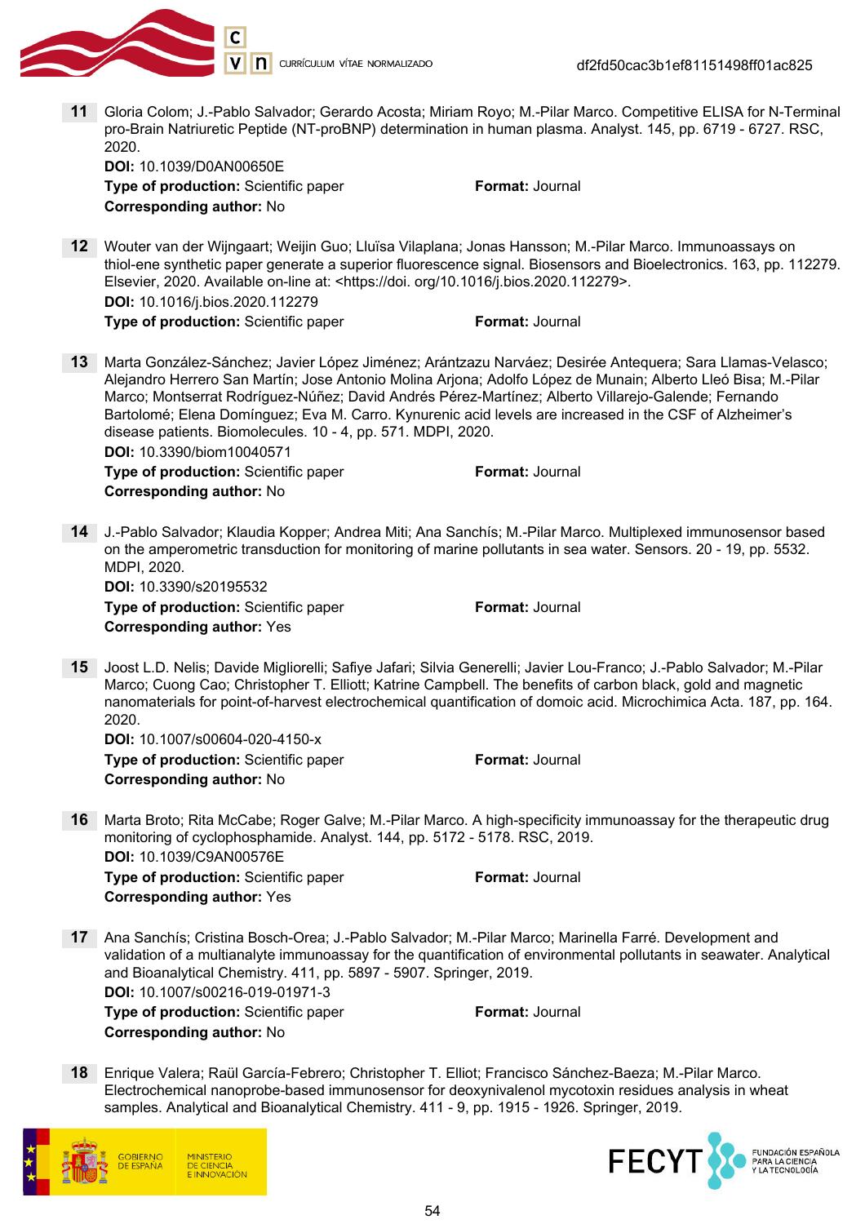

11 Gloria Colom; J.-Pablo Salvador; Gerardo Acosta; Miriam Royo; M.-Pilar Marco. Competitive ELISA for N-Terminal pro-Brain Natriuretic Peptide (NT-proBNP) determination in human plasma. Analyst. 145, pp. 6719 - 6727. RSC, 2020. DOI: 10.1039/D0AN00650E

**Type of production:** Scientific paper Format: Journal Corresponding author: No

12 Wouter van der Wijngaart; Weijin Guo; Lluïsa Vilaplana; Jonas Hansson; M.-Pilar Marco. Immunoassays on thiol-ene synthetic paper generate a superior fluorescence signal. Biosensors and Bioelectronics. 163, pp. 112279. Elsevier, 2020. Available on-line at: <https://doi. org/10.1016/j.bios.2020.112279>. DOI: 10.1016/j.bios.2020.112279

**Type of production:** Scientific paper Format: Journal

13 Marta González-Sánchez; Javier López Jiménez; Arántzazu Narváez; Desirée Antequera; Sara Llamas-Velasco; Alejandro Herrero San Martín; Jose Antonio Molina Arjona; Adolfo López de Munain; Alberto Lleó Bisa; M.-Pilar Marco; Montserrat Rodríguez-Núñez; David Andrés Pérez-Martínez; Alberto Villarejo-Galende; Fernando Bartolomé; Elena Domínguez; Eva M. Carro. Kynurenic acid levels are increased in the CSF of Alzheimer's disease patients. Biomolecules. 10 - 4, pp. 571. MDPI, 2020. DOI: 10.3390/biom10040571

**Type of production:** Scientific paper Format: Journal Corresponding author: No

14 J.-Pablo Salvador; Klaudia Kopper; Andrea Miti; Ana Sanchís; M.-Pilar Marco. Multiplexed immunosensor based on the amperometric transduction for monitoring of marine pollutants in sea water. Sensors. 20 - 19, pp. 5532. MDPI, 2020.

DOI: 10.3390/s20195532 **Type of production:** Scientific paper Format: Journal Corresponding author: Yes

15 Joost L.D. Nelis; Davide Migliorelli; Safiye Jafari; Silvia Generelli; Javier Lou-Franco; J.-Pablo Salvador; M.-Pilar Marco; Cuong Cao; Christopher T. Elliott; Katrine Campbell. The benefits of carbon black, gold and magnetic nanomaterials for point-of-harvest electrochemical quantification of domoic acid. Microchimica Acta. 187, pp. 164. 2020.

DOI: 10.1007/s00604-020-4150-x Type of production: Scientific paper Format: Journal Corresponding author: No

16 Marta Broto; Rita McCabe; Roger Galve; M.-Pilar Marco. A high-specificity immunoassay for the therapeutic drug monitoring of cyclophosphamide. Analyst. 144, pp. 5172 - 5178. RSC, 2019. DOI: 10.1039/C9AN00576E

**Type of production:** Scientific paper Format: Journal Corresponding author: Yes

17 Ana Sanchís; Cristina Bosch-Orea; J.-Pablo Salvador; M.-Pilar Marco; Marinella Farré. Development and validation of a multianalyte immunoassay for the quantification of environmental pollutants in seawater. Analytical and Bioanalytical Chemistry. 411, pp. 5897 - 5907. Springer, 2019. DOI: 10.1007/s00216-019-01971-3

Type of production: Scientific paper Format: Journal Corresponding author: No

18 Enrique Valera; Raül García-Febrero; Christopher T. Elliot; Francisco Sánchez-Baeza; M.-Pilar Marco. Electrochemical nanoprobe-based immunosensor for deoxynivalenol mycotoxin residues analysis in wheat samples. Analytical and Bioanalytical Chemistry. 411 - 9, pp. 1915 - 1926. Springer, 2019.



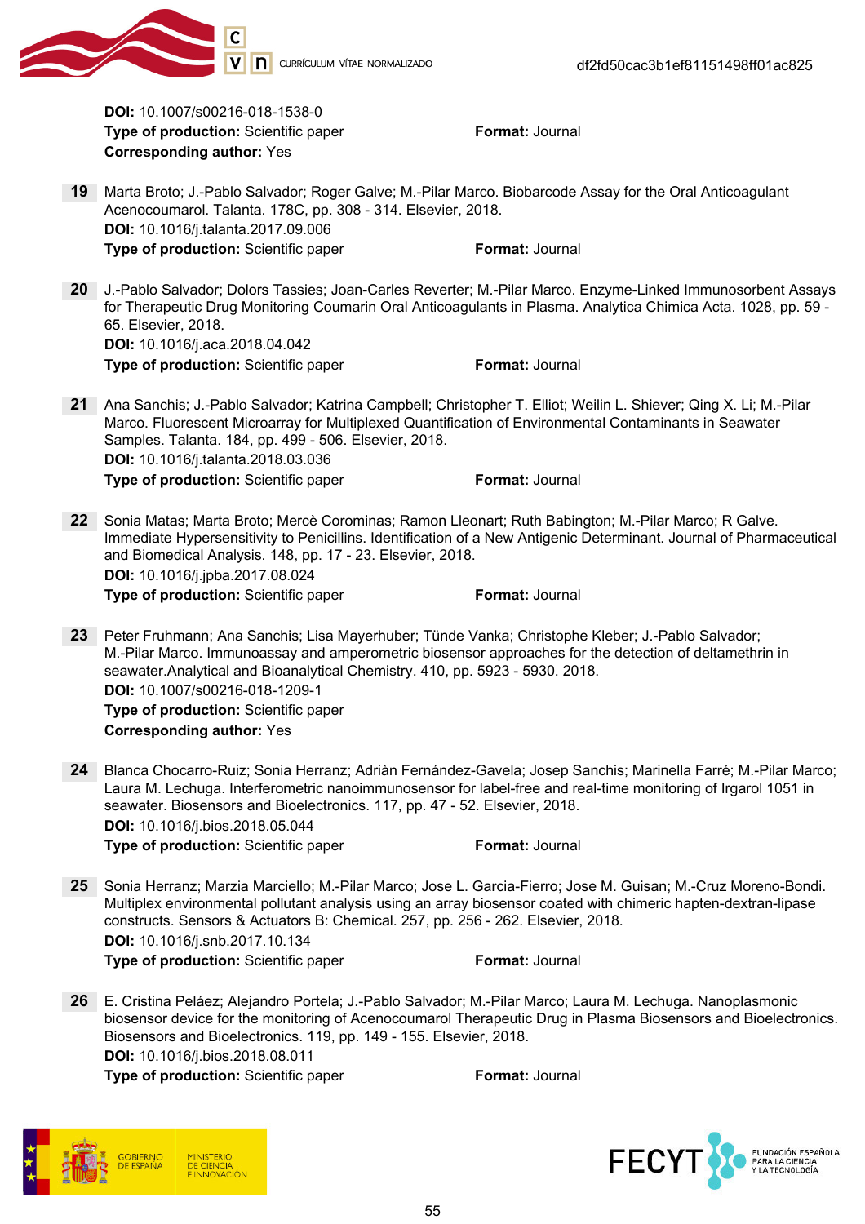

DOI: 10.1007/s00216-018-1538-0 **Type of production:** Scientific paper Format: Journal Corresponding author: Yes

- 19 Marta Broto; J.-Pablo Salvador; Roger Galve; M.-Pilar Marco. Biobarcode Assay for the Oral Anticoagulant Acenocoumarol. Talanta. 178C, pp. 308 - 314. Elsevier, 2018. DOI: 10.1016/j.talanta.2017.09.006 **Type of production:** Scientific paper Format: Journal
- 20 J.-Pablo Salvador; Dolors Tassies; Joan-Carles Reverter; M.-Pilar Marco. Enzyme-Linked Immunosorbent Assays for Therapeutic Drug Monitoring Coumarin Oral Anticoagulants in Plasma. Analytica Chimica Acta. 1028, pp. 59 - 65. Elsevier, 2018. DOI: 10.1016/j.aca.2018.04.042 **Type of production:** Scientific paper Format: Journal
- 21 Ana Sanchis; J.-Pablo Salvador; Katrina Campbell; Christopher T. Elliot; Weilin L. Shiever; Qing X. Li; M.-Pilar Marco. Fluorescent Microarray for Multiplexed Quantification of Environmental Contaminants in Seawater Samples. Talanta. 184, pp. 499 - 506. Elsevier, 2018. DOI: 10.1016/j.talanta.2018.03.036 **Type of production:** Scientific paper Format: Journal
- 22 Sonia Matas; Marta Broto; Mercè Corominas; Ramon Lleonart; Ruth Babington; M.-Pilar Marco; R Galve. Immediate Hypersensitivity to Penicillins. Identification of a New Antigenic Determinant. Journal of Pharmaceutical and Biomedical Analysis. 148, pp. 17 - 23. Elsevier, 2018. DOI: 10.1016/j.jpba.2017.08.024

Type of production: Scientific paper Format: Journal

23 Peter Fruhmann; Ana Sanchis; Lisa Mayerhuber; Tünde Vanka; Christophe Kleber; J.-Pablo Salvador; M.-Pilar Marco. Immunoassay and amperometric biosensor approaches for the detection of deltamethrin in seawater.Analytical and Bioanalytical Chemistry. 410, pp. 5923 - 5930. 2018. DOI: 10.1007/s00216-018-1209-1 Type of production: Scientific paper

Corresponding author: Yes

- 24 Blanca Chocarro-Ruiz; Sonia Herranz; Adriàn Fernández-Gavela; Josep Sanchis; Marinella Farré; M.-Pilar Marco; Laura M. Lechuga. Interferometric nanoimmunosensor for label-free and real-time monitoring of Irgarol 1051 in seawater. Biosensors and Bioelectronics. 117, pp. 47 - 52. Elsevier, 2018. DOI: 10.1016/j.bios.2018.05.044 **Type of production:** Scientific paper Format: Journal
- 25 Sonia Herranz; Marzia Marciello; M.-Pilar Marco; Jose L. Garcia-Fierro; Jose M. Guisan; M.-Cruz Moreno-Bondi. Multiplex environmental pollutant analysis using an array biosensor coated with chimeric hapten-dextran-lipase constructs. Sensors & Actuators B: Chemical. 257, pp. 256 - 262. Elsevier, 2018. DOI: 10.1016/j.snb.2017.10.134

**Type of production:** Scientific paper Format: Journal

26 E. Cristina Peláez; Alejandro Portela; J.-Pablo Salvador; M.-Pilar Marco; Laura M. Lechuga. Nanoplasmonic biosensor device for the monitoring of Acenocoumarol Therapeutic Drug in Plasma Biosensors and Bioelectronics. Biosensors and Bioelectronics. 119, pp. 149 - 155. Elsevier, 2018. DOI: 10.1016/j.bios.2018.08.011

**Type of production:** Scientific paper Format: Journal

**DE CIENCIA** ININOVACIÓN

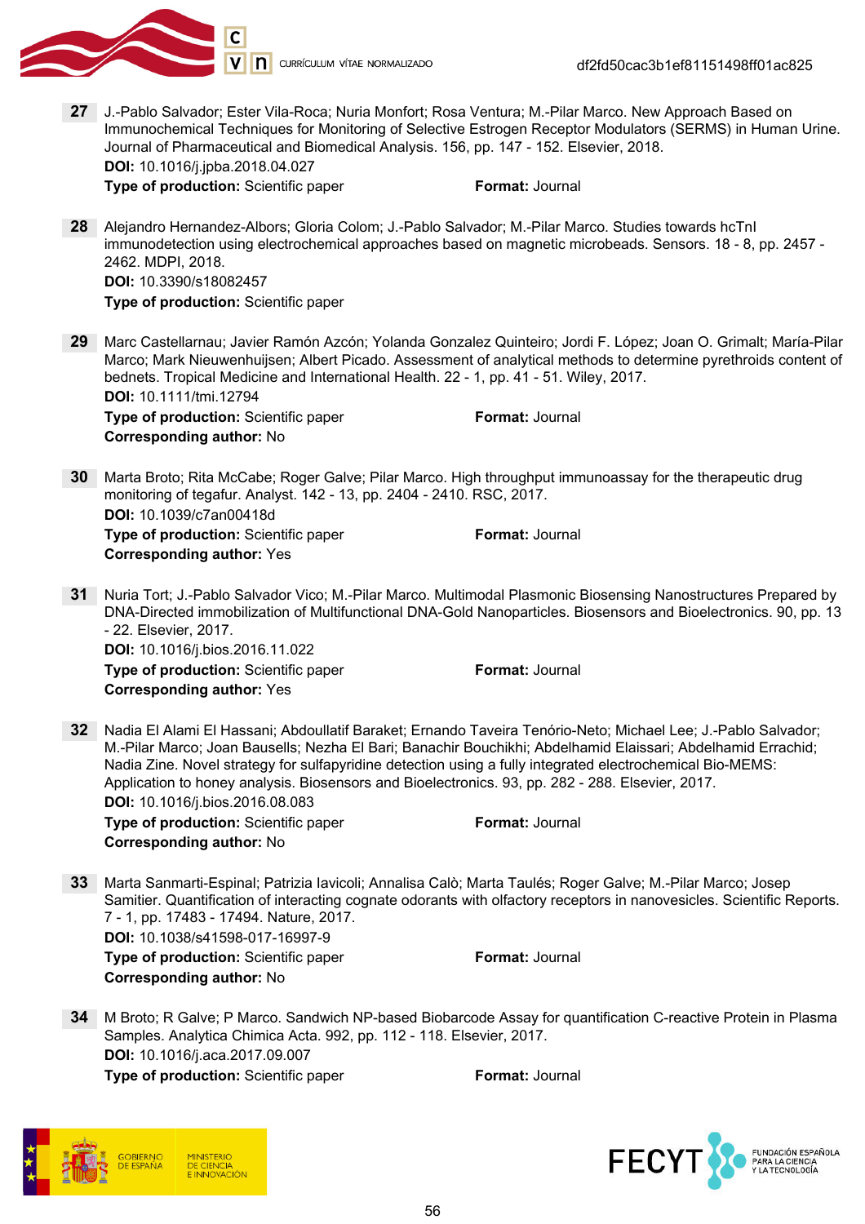

27 J.-Pablo Salvador; Ester Vila-Roca; Nuria Monfort; Rosa Ventura; M.-Pilar Marco. New Approach Based on Immunochemical Techniques for Monitoring of Selective Estrogen Receptor Modulators (SERMS) in Human Urine. Journal of Pharmaceutical and Biomedical Analysis. 156, pp. 147 - 152. Elsevier, 2018. DOI: 10.1016/j.jpba.2018.04.027

**Type of production:** Scientific paper Format: Journal

28 Alejandro Hernandez-Albors; Gloria Colom; J.-Pablo Salvador; M.-Pilar Marco. Studies towards hcTnI immunodetection using electrochemical approaches based on magnetic microbeads. Sensors. 18 - 8, pp. 2457 - 2462. MDPI, 2018. DOI: 10.3390/s18082457

Type of production: Scientific paper

- 29 Marc Castellarnau; Javier Ramón Azcón; Yolanda Gonzalez Quinteiro; Jordi F. López; Joan O. Grimalt; María-Pilar Marco; Mark Nieuwenhuijsen; Albert Picado. Assessment of analytical methods to determine pyrethroids content of bednets. Tropical Medicine and International Health. 22 - 1, pp. 41 - 51. Wiley, 2017. DOI: 10.1111/tmi.12794 **Type of production:** Scientific paper Format: Journal Corresponding author: No
- 30 Marta Broto; Rita McCabe; Roger Galve; Pilar Marco. High throughput immunoassay for the therapeutic drug monitoring of tegafur. Analyst. 142 - 13, pp. 2404 - 2410. RSC, 2017. DOI: 10.1039/c7an00418d **Type of production:** Scientific paper Format: Journal Corresponding author: Yes
- 31 Nuria Tort; J.-Pablo Salvador Vico; M.-Pilar Marco. Multimodal Plasmonic Biosensing Nanostructures Prepared by DNA-Directed immobilization of Multifunctional DNA-Gold Nanoparticles. Biosensors and Bioelectronics. 90, pp. 13 - 22. Elsevier, 2017. DOI: 10.1016/j.bios.2016.11.022

**Type of production:** Scientific paper Format: Journal Corresponding author: Yes

- 32 Nadia El Alami El Hassani; Abdoullatif Baraket; Ernando Taveira Tenório-Neto; Michael Lee; J.-Pablo Salvador; M.-Pilar Marco; Joan Bausells; Nezha El Bari; Banachir Bouchikhi; Abdelhamid Elaissari; Abdelhamid Errachid; Nadia Zine. Novel strategy for sulfapyridine detection using a fully integrated electrochemical Bio-MEMS: Application to honey analysis. Biosensors and Bioelectronics. 93, pp. 282 - 288. Elsevier, 2017. DOI: 10.1016/j.bios.2016.08.083 **Type of production:** Scientific paper Format: Journal Corresponding author: No
- 33 Marta Sanmarti-Espinal; Patrizia Iavicoli; Annalisa Calò; Marta Taulés; Roger Galve; M.-Pilar Marco; Josep Samitier. Quantification of interacting cognate odorants with olfactory receptors in nanovesicles. Scientific Reports. 7 - 1, pp. 17483 - 17494. Nature, 2017. DOI: 10.1038/s41598-017-16997-9 **Type of production:** Scientific paper Format: Journal Corresponding author: No
- 34 M Broto; R Galve; P Marco. Sandwich NP-based Biobarcode Assay for quantification C-reactive Protein in Plasma Samples. Analytica Chimica Acta. 992, pp. 112 - 118. Elsevier, 2017. DOI: 10.1016/j.aca.2017.09.007 Type of production: Scientific paper Format: Journal

DE CIENCIA **INNOVACIÓN** 

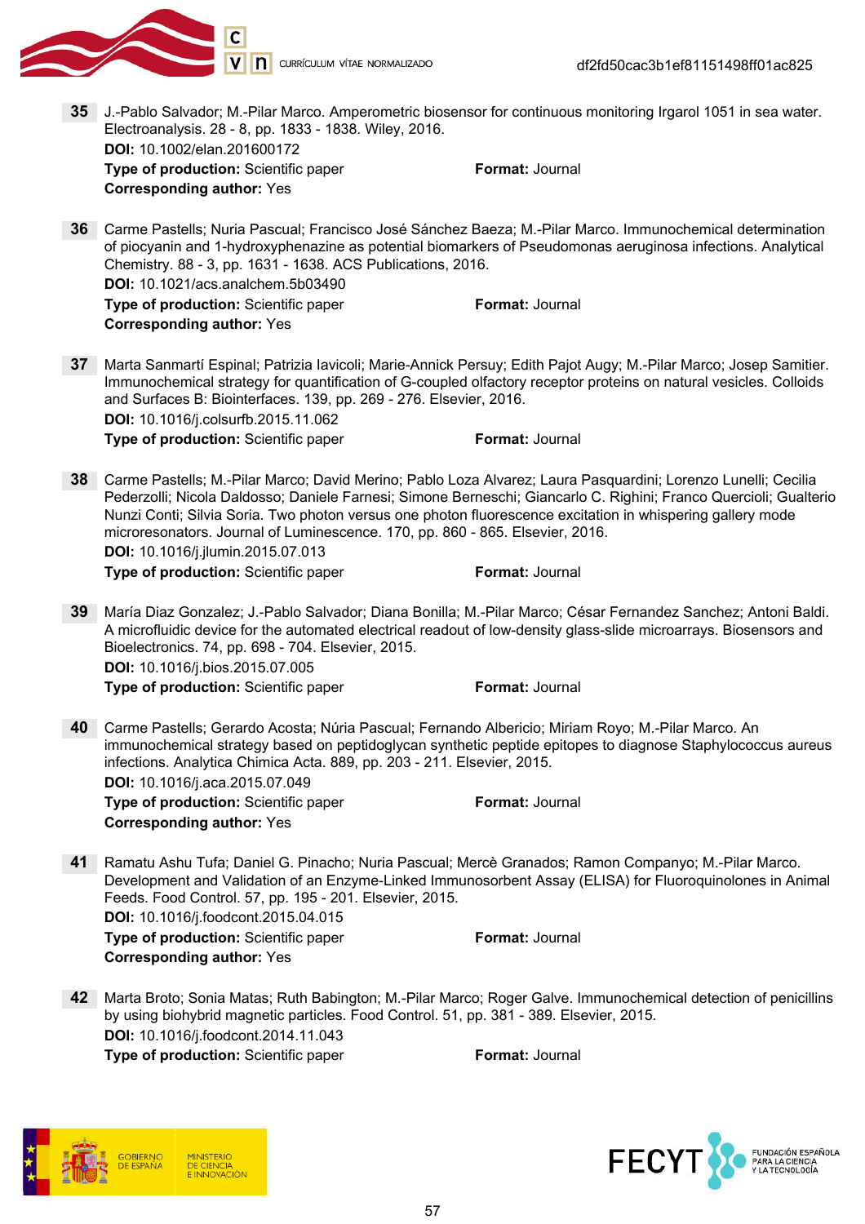

35 J.-Pablo Salvador; M.-Pilar Marco. Amperometric biosensor for continuous monitoring Irgarol 1051 in sea water. Electroanalysis. 28 - 8, pp. 1833 - 1838. Wiley, 2016. DOI: 10.1002/elan.201600172 **Type of production:** Scientific paper Format: Journal Corresponding author: Yes 36 Carme Pastells; Nuria Pascual; Francisco José Sánchez Baeza; M.-Pilar Marco. Immunochemical determination of piocyanin and 1-hydroxyphenazine as potential biomarkers of Pseudomonas aeruginosa infections. Analytical Chemistry. 88 - 3, pp. 1631 - 1638. ACS Publications, 2016. DOI: 10.1021/acs.analchem.5b03490 Type of production: Scientific paper Format: Journal Corresponding author: Yes 37 Marta Sanmartí Espinal; Patrizia Iavicoli; Marie-Annick Persuy; Edith Pajot Augy; M.-Pilar Marco; Josep Samitier. Immunochemical strategy for quantification of G-coupled olfactory receptor proteins on natural vesicles. Colloids and Surfaces B: Biointerfaces. 139, pp. 269 - 276. Elsevier, 2016. DOI: 10.1016/j.colsurfb.2015.11.062 **Type of production:** Scientific paper Format: Journal 38 Carme Pastells; M.-Pilar Marco; David Merino; Pablo Loza Alvarez; Laura Pasquardini; Lorenzo Lunelli; Cecilia Pederzolli; Nicola Daldosso; Daniele Farnesi; Simone Berneschi; Giancarlo C. Righini; Franco Quercioli; Gualterio Nunzi Conti; Silvia Soria. Two photon versus one photon fluorescence excitation in whispering gallery mode

DOI: 10.1016/j.jlumin.2015.07.013 Type of production: Scientific paper Format: Journal

39 María Diaz Gonzalez; J.-Pablo Salvador; Diana Bonilla; M.-Pilar Marco; César Fernandez Sanchez; Antoni Baldi.

microresonators. Journal of Luminescence. 170, pp. 860 - 865. Elsevier, 2016.

A microfluidic device for the automated electrical readout of low-density glass-slide microarrays. Biosensors and Bioelectronics. 74, pp. 698 - 704. Elsevier, 2015. DOI: 10.1016/j.bios.2015.07.005 **Type of production:** Scientific paper Format: Journal

40 Carme Pastells; Gerardo Acosta; Núria Pascual; Fernando Albericio; Miriam Royo; M.-Pilar Marco. An immunochemical strategy based on peptidoglycan synthetic peptide epitopes to diagnose Staphylococcus aureus infections. Analytica Chimica Acta. 889, pp. 203 - 211. Elsevier, 2015. DOI: 10.1016/j.aca.2015.07.049

**Type of production:** Scientific paper Format: Journal Corresponding author: Yes

41 Ramatu Ashu Tufa; Daniel G. Pinacho; Nuria Pascual; Mercè Granados; Ramon Companyo; M.-Pilar Marco. Development and Validation of an Enzyme-Linked Immunosorbent Assay (ELISA) for Fluoroquinolones in Animal Feeds. Food Control. 57, pp. 195 - 201. Elsevier, 2015.

DOI: 10.1016/j.foodcont.2015.04.015 **Type of production:** Scientific paper Format: Journal Corresponding author: Yes

42 Marta Broto; Sonia Matas; Ruth Babington; M.-Pilar Marco; Roger Galve. Immunochemical detection of penicillins by using biohybrid magnetic particles. Food Control. 51, pp. 381 - 389. Elsevier, 2015. DOI: 10.1016/j.foodcont.2014.11.043

Type of production: Scientific paper Format: Journal

**DE CIENCIA** 

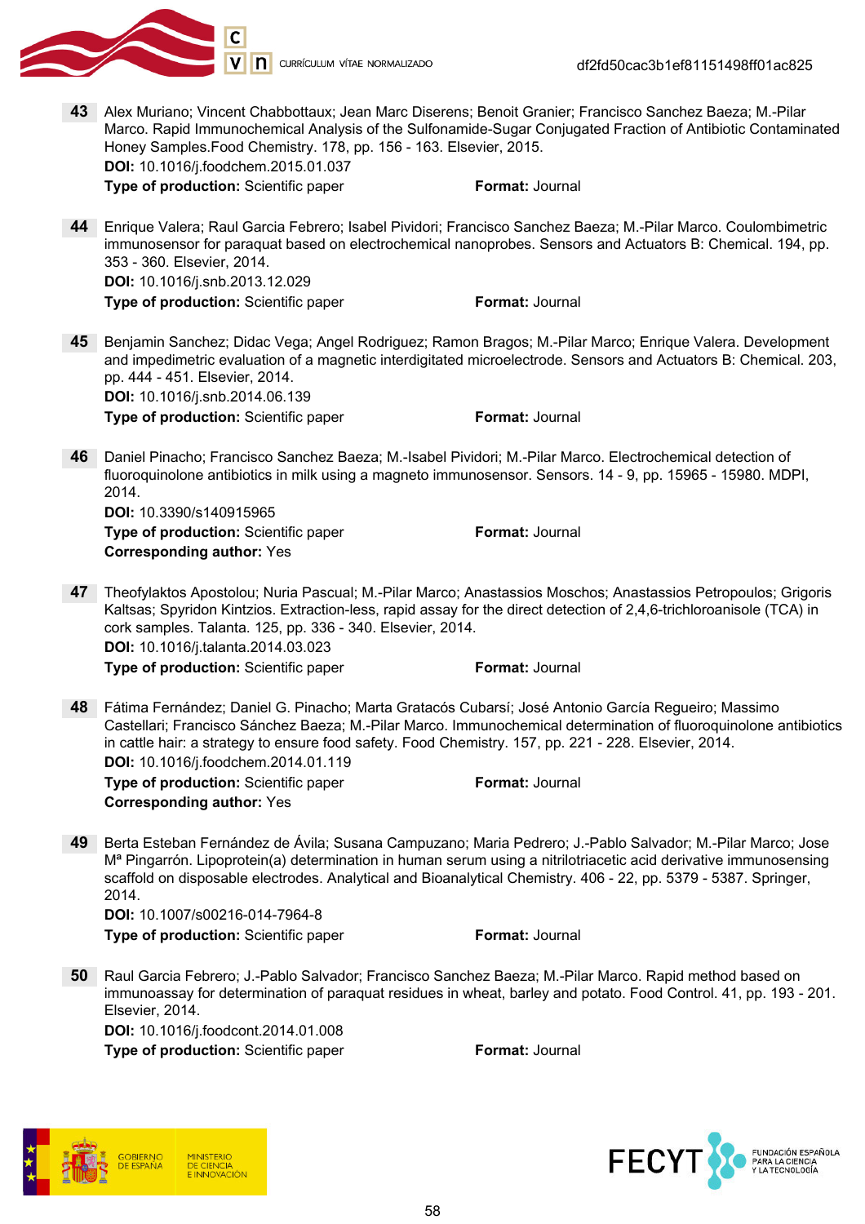

43 Alex Muriano; Vincent Chabbottaux; Jean Marc Diserens; Benoit Granier; Francisco Sanchez Baeza; M.-Pilar Marco. Rapid Immunochemical Analysis of the Sulfonamide-Sugar Conjugated Fraction of Antibiotic Contaminated Honey Samples.Food Chemistry. 178, pp. 156 - 163. Elsevier, 2015. DOI: 10.1016/j.foodchem.2015.01.037

**Type of production:** Scientific paper Format: Journal

44 Enrique Valera; Raul Garcia Febrero; Isabel Pividori; Francisco Sanchez Baeza; M.-Pilar Marco. Coulombimetric immunosensor for paraquat based on electrochemical nanoprobes. Sensors and Actuators B: Chemical. 194, pp. 353 - 360. Elsevier, 2014. DOI: 10.1016/j.snb.2013.12.029

**Type of production:** Scientific paper Format: Journal

- 45 Benjamin Sanchez; Didac Vega; Angel Rodriguez; Ramon Bragos; M.-Pilar Marco; Enrique Valera. Development and impedimetric evaluation of a magnetic interdigitated microelectrode. Sensors and Actuators B: Chemical. 203, pp. 444 - 451. Elsevier, 2014. DOI: 10.1016/j.snb.2014.06.139 **Type of production:** Scientific paper Format: Journal
- 46 Daniel Pinacho; Francisco Sanchez Baeza; M.-Isabel Pividori; M.-Pilar Marco. Electrochemical detection of fluoroquinolone antibiotics in milk using a magneto immunosensor. Sensors. 14 - 9, pp. 15965 - 15980. MDPI, 2014.

DOI: 10.3390/s140915965 **Type of production:** Scientific paper Format: Journal Corresponding author: Yes

47 Theofylaktos Apostolou; Nuria Pascual; M.-Pilar Marco; Anastassios Moschos; Anastassios Petropoulos; Grigoris Kaltsas; Spyridon Kintzios. Extraction-less, rapid assay for the direct detection of 2,4,6-trichloroanisole (TCA) in cork samples. Talanta. 125, pp. 336 - 340. Elsevier, 2014. DOI: 10.1016/j.talanta.2014.03.023

**Type of production:** Scientific paper Format: Journal

48 Fátima Fernández; Daniel G. Pinacho; Marta Gratacós Cubarsí; José Antonio García Regueiro; Massimo Castellari; Francisco Sánchez Baeza; M.-Pilar Marco. Immunochemical determination of fluoroquinolone antibiotics in cattle hair: a strategy to ensure food safety. Food Chemistry. 157, pp. 221 - 228. Elsevier, 2014. DOI: 10.1016/j.foodchem.2014.01.119

**Type of production:** Scientific paper Format: Journal Corresponding author: Yes

49 Berta Esteban Fernández de Ávila; Susana Campuzano; Maria Pedrero; J.-Pablo Salvador; M.-Pilar Marco; Jose Mª Pingarrón. Lipoprotein(a) determination in human serum using a nitrilotriacetic acid derivative immunosensing scaffold on disposable electrodes. Analytical and Bioanalytical Chemistry. 406 - 22, pp. 5379 - 5387. Springer, 2014.

DOI: 10.1007/s00216-014-7964-8 Type of production: Scientific paper Format: Journal

50 Raul Garcia Febrero; J.-Pablo Salvador; Francisco Sanchez Baeza; M.-Pilar Marco. Rapid method based on immunoassay for determination of paraquat residues in wheat, barley and potato. Food Control. 41, pp. 193 - 201. Elsevier, 2014. DOI: 10.1016/j.foodcont.2014.01.008



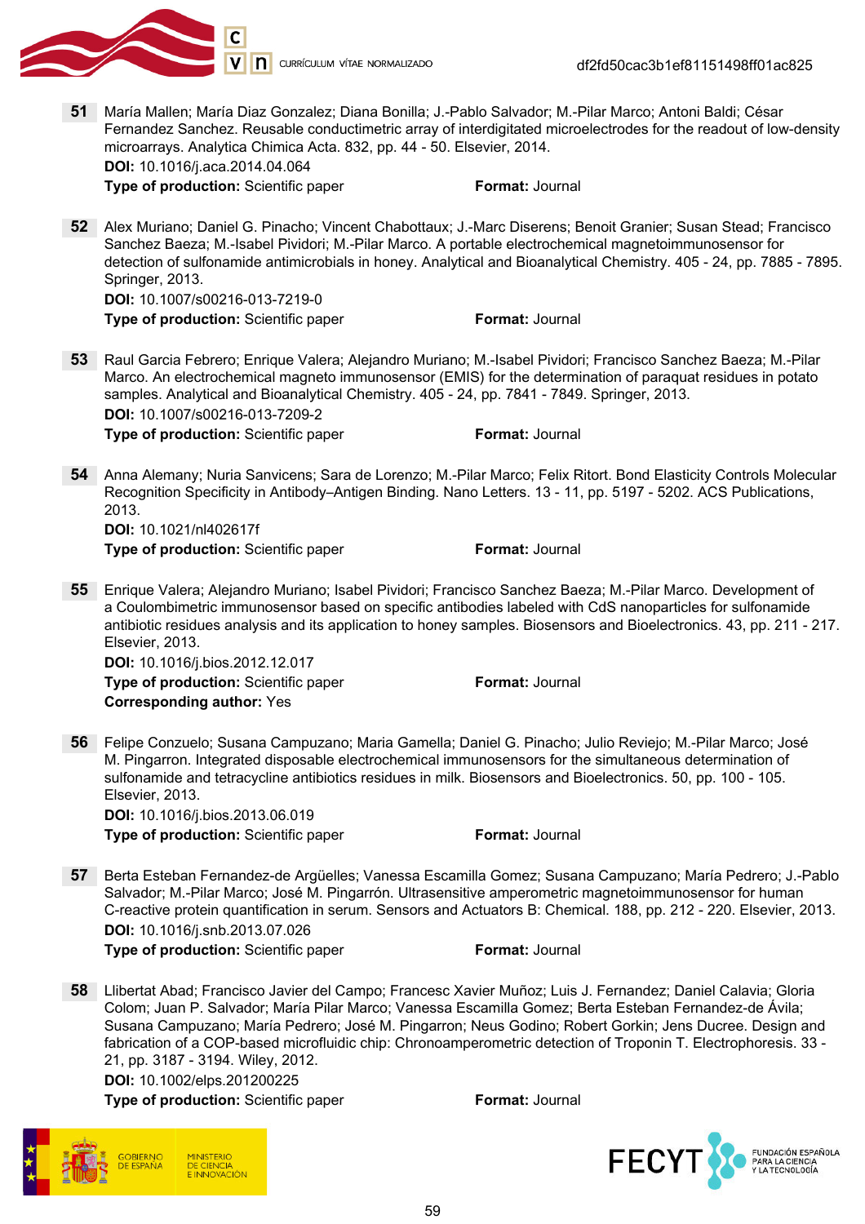

51 María Mallen; María Diaz Gonzalez; Diana Bonilla; J.-Pablo Salvador; M.-Pilar Marco; Antoni Baldi; César Fernandez Sanchez. Reusable conductimetric array of interdigitated microelectrodes for the readout of low-density microarrays. Analytica Chimica Acta. 832, pp. 44 - 50. Elsevier, 2014.

DOI: 10.1016/j.aca.2014.04.064

**Type of production:** Scientific paper Format: Journal

52 Alex Muriano; Daniel G. Pinacho; Vincent Chabottaux; J.-Marc Diserens; Benoit Granier; Susan Stead; Francisco Sanchez Baeza; M.-Isabel Pividori; M.-Pilar Marco. A portable electrochemical magnetoimmunosensor for detection of sulfonamide antimicrobials in honey. Analytical and Bioanalytical Chemistry. 405 - 24, pp. 7885 - 7895. Springer, 2013.

DOI: 10.1007/s00216-013-7219-0

**Type of production:** Scientific paper Format: Journal

53 Raul Garcia Febrero; Enrique Valera; Alejandro Muriano; M.-Isabel Pividori; Francisco Sanchez Baeza; M.-Pilar Marco. An electrochemical magneto immunosensor (EMIS) for the determination of paraquat residues in potato samples. Analytical and Bioanalytical Chemistry. 405 - 24, pp. 7841 - 7849. Springer, 2013. DOI: 10.1007/s00216-013-7209-2

**Type of production:** Scientific paper Format: Journal

54 Anna Alemany; Nuria Sanvicens; Sara de Lorenzo; M.-Pilar Marco; Felix Ritort. Bond Elasticity Controls Molecular Recognition Specificity in Antibody–Antigen Binding. Nano Letters. 13 - 11, pp. 5197 - 5202. ACS Publications, 2013.

DOI: 10.1021/nl402617f **Type of production:** Scientific paper Format: Journal

55 Enrique Valera; Alejandro Muriano; Isabel Pividori; Francisco Sanchez Baeza; M.-Pilar Marco. Development of a Coulombimetric immunosensor based on specific antibodies labeled with CdS nanoparticles for sulfonamide antibiotic residues analysis and its application to honey samples. Biosensors and Bioelectronics. 43, pp. 211 - 217. Elsevier, 2013.

DOI: 10.1016/j.bios.2012.12.017

Type of production: Scientific paper Format: Journal Corresponding author: Yes

56 Felipe Conzuelo; Susana Campuzano; Maria Gamella; Daniel G. Pinacho; Julio Reviejo; M.-Pilar Marco; José M. Pingarron. Integrated disposable electrochemical immunosensors for the simultaneous determination of sulfonamide and tetracycline antibiotics residues in milk. Biosensors and Bioelectronics. 50, pp. 100 - 105. Elsevier, 2013. DOI: 10.1016/j.bios.2013.06.019

**Type of production:** Scientific paper Format: Journal

57 Berta Esteban Fernandez-de Argüelles; Vanessa Escamilla Gomez; Susana Campuzano; María Pedrero; J.-Pablo Salvador; M.-Pilar Marco; José M. Pingarrón. Ultrasensitive amperometric magnetoimmunosensor for human C-reactive protein quantification in serum. Sensors and Actuators B: Chemical. 188, pp. 212 - 220. Elsevier, 2013. DOI: 10.1016/j.snb.2013.07.026 **Type of production:** Scientific paper Format: Journal

58 Llibertat Abad; Francisco Javier del Campo; Francesc Xavier Muñoz; Luis J. Fernandez; Daniel Calavia; Gloria Colom; Juan P. Salvador; María Pilar Marco; Vanessa Escamilla Gomez; Berta Esteban Fernandez-de Ávila; Susana Campuzano; María Pedrero; José M. Pingarron; Neus Godino; Robert Gorkin; Jens Ducree. Design and fabrication of a COP-based microfluidic chip: Chronoamperometric detection of Troponin T. Electrophoresis. 33 - 21, pp. 3187 - 3194. Wiley, 2012.

DOI: 10.1002/elps.201200225



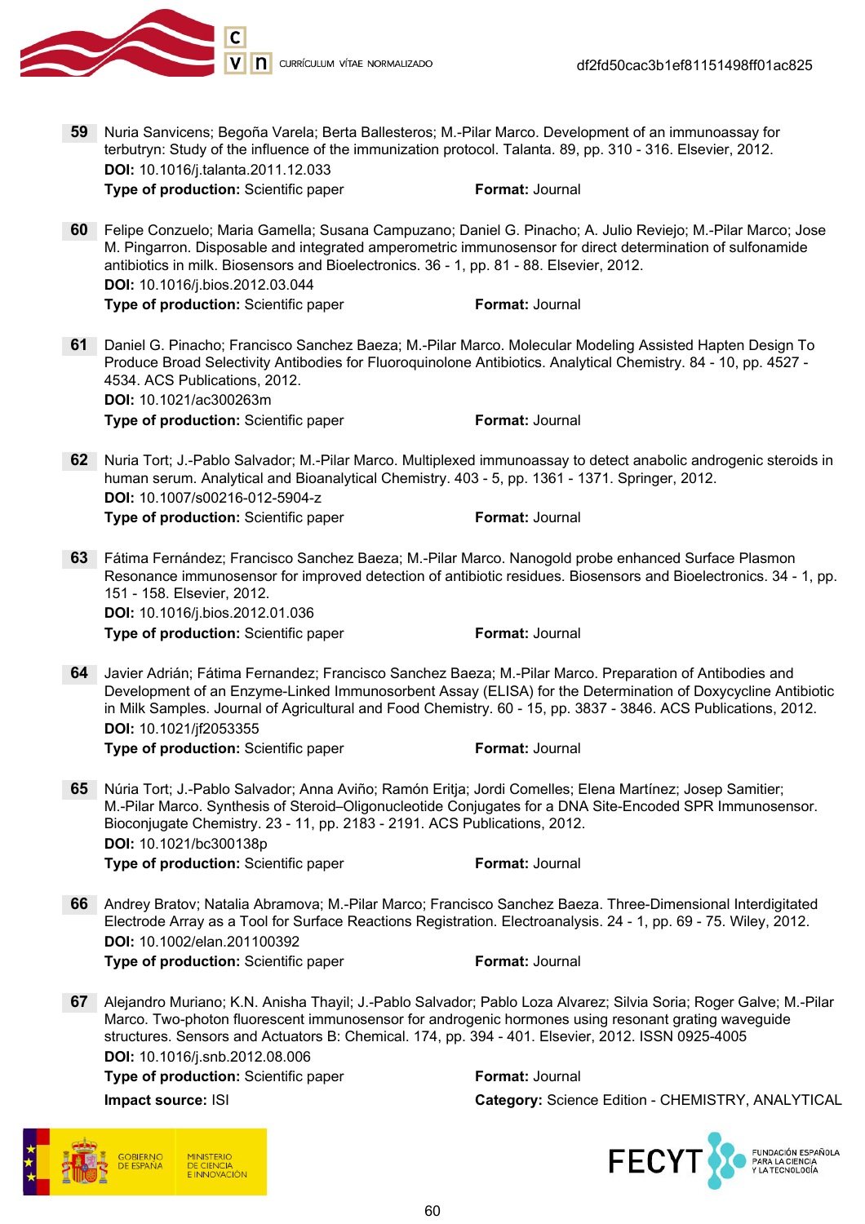

59 Nuria Sanvicens; Begoña Varela; Berta Ballesteros; M.-Pilar Marco. Development of an immunoassay for terbutryn: Study of the influence of the immunization protocol. Talanta. 89, pp. 310 - 316. Elsevier, 2012. DOI: 10.1016/j.talanta.2011.12.033

**Type of production:** Scientific paper Format: Journal

- 60 Felipe Conzuelo; Maria Gamella; Susana Campuzano; Daniel G. Pinacho; A. Julio Reviejo; M.-Pilar Marco; Jose M. Pingarron. Disposable and integrated amperometric immunosensor for direct determination of sulfonamide antibiotics in milk. Biosensors and Bioelectronics. 36 - 1, pp. 81 - 88. Elsevier, 2012. DOI: 10.1016/j.bios.2012.03.044 Type of production: Scientific paper Format: Journal
- 61 Daniel G. Pinacho; Francisco Sanchez Baeza; M.-Pilar Marco. Molecular Modeling Assisted Hapten Design To Produce Broad Selectivity Antibodies for Fluoroquinolone Antibiotics. Analytical Chemistry. 84 - 10, pp. 4527 - 4534. ACS Publications, 2012. DOI: 10.1021/ac300263m Type of production: Scientific paper Format: Journal
- 62 Nuria Tort; J.-Pablo Salvador; M.-Pilar Marco. Multiplexed immunoassay to detect anabolic androgenic steroids in human serum. Analytical and Bioanalytical Chemistry. 403 - 5, pp. 1361 - 1371. Springer, 2012. DOI: 10.1007/s00216-012-5904-z **Type of production:** Scientific paper Format: Journal
- 63 Fátima Fernández; Francisco Sanchez Baeza; M.-Pilar Marco. Nanogold probe enhanced Surface Plasmon Resonance immunosensor for improved detection of antibiotic residues. Biosensors and Bioelectronics. 34 - 1, pp. 151 - 158. Elsevier, 2012. DOI: 10.1016/j.bios.2012.01.036 Type of production: Scientific paper Format: Journal
- 64 Javier Adrián; Fátima Fernandez; Francisco Sanchez Baeza; M.-Pilar Marco. Preparation of Antibodies and Development of an Enzyme-Linked Immunosorbent Assay (ELISA) for the Determination of Doxycycline Antibiotic in Milk Samples. Journal of Agricultural and Food Chemistry. 60 - 15, pp. 3837 - 3846. ACS Publications, 2012. DOI: 10.1021/jf2053355

**Type of production:** Scientific paper Format: Journal

65 Núria Tort; J.-Pablo Salvador; Anna Aviño; Ramón Eritja; Jordi Comelles; Elena Martínez; Josep Samitier; M.-Pilar Marco. Synthesis of Steroid–Oligonucleotide Conjugates for a DNA Site-Encoded SPR Immunosensor. Bioconjugate Chemistry. 23 - 11, pp. 2183 - 2191. ACS Publications, 2012. DOI: 10.1021/bc300138p

**Type of production:** Scientific paper Format: Journal

- 66 Andrey Bratov; Natalia Abramova; M.-Pilar Marco; Francisco Sanchez Baeza. Three-Dimensional Interdigitated Electrode Array as a Tool for Surface Reactions Registration. Electroanalysis. 24 - 1, pp. 69 - 75. Wiley, 2012. DOI: 10.1002/elan.201100392 **Type of production:** Scientific paper Format: Journal
- 67 Alejandro Muriano; K.N. Anisha Thayil; J.-Pablo Salvador; Pablo Loza Alvarez; Silvia Soria; Roger Galve; M.-Pilar Marco. Two-photon fluorescent immunosensor for androgenic hormones using resonant grating waveguide structures. Sensors and Actuators B: Chemical. 174, pp. 394 - 401. Elsevier, 2012. ISSN 0925-4005 DOI: 10.1016/j.snb.2012.08.006

Type of production: Scientific paper Format: Journal Impact source: ISI Category: Science Edition - CHEMISTRY, ANALYTICAL



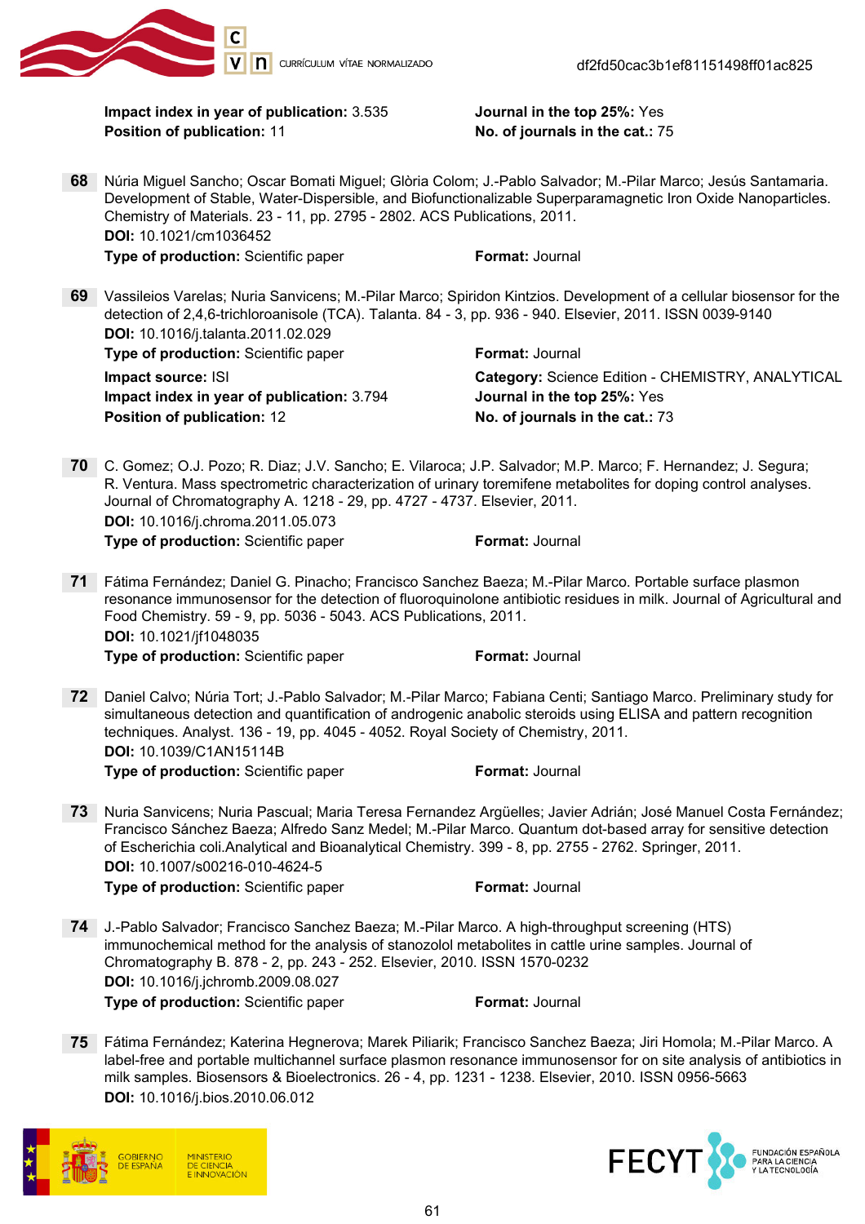

Impact index in year of publication: 3.535 Journal in the top 25%: Yes Position of publication: 11 **No. of journals in the cat.: 75** 

- 68 Núria Miguel Sancho; Oscar Bomati Miguel; Glòria Colom; J.-Pablo Salvador; M.-Pilar Marco; Jesús Santamaria. Development of Stable, Water-Dispersible, and Biofunctionalizable Superparamagnetic Iron Oxide Nanoparticles. Chemistry of Materials. 23 - 11, pp. 2795 - 2802. ACS Publications, 2011. DOI: 10.1021/cm1036452 **Type of production:** Scientific paper Format: Journal
- 69 Vassileios Varelas; Nuria Sanvicens; M.-Pilar Marco; Spiridon Kintzios. Development of a cellular biosensor for the detection of 2,4,6-trichloroanisole (TCA). Talanta. 84 - 3, pp. 936 - 940. Elsevier, 2011. ISSN 0039-9140 DOI: 10.1016/j.talanta.2011.02.029 **Type of production:** Scientific paper Format: Journal

Impact index in year of publication: 3.794 Journal in the top 25%: Yes Position of publication: 12 No. of journals in the cat.: 73

**Impact source: ISI** Category: Science Edition - CHEMISTRY, ANALYTICAL

- 70 C. Gomez; O.J. Pozo; R. Diaz; J.V. Sancho; E. Vilaroca; J.P. Salvador; M.P. Marco; F. Hernandez; J. Segura; R. Ventura. Mass spectrometric characterization of urinary toremifene metabolites for doping control analyses. Journal of Chromatography A. 1218 - 29, pp. 4727 - 4737. Elsevier, 2011. DOI: 10.1016/j.chroma.2011.05.073 Type of production: Scientific paper Format: Journal
- 71 Fátima Fernández; Daniel G. Pinacho; Francisco Sanchez Baeza; M.-Pilar Marco. Portable surface plasmon resonance immunosensor for the detection of fluoroquinolone antibiotic residues in milk. Journal of Agricultural and Food Chemistry. 59 - 9, pp. 5036 - 5043. ACS Publications, 2011. DOI: 10.1021/jf1048035

**Type of production:** Scientific paper Format: Journal

- 72 Daniel Calvo; Núria Tort; J.-Pablo Salvador; M.-Pilar Marco; Fabiana Centi; Santiago Marco. Preliminary study for simultaneous detection and quantification of androgenic anabolic steroids using ELISA and pattern recognition techniques. Analyst. 136 - 19, pp. 4045 - 4052. Royal Society of Chemistry, 2011. DOI: 10.1039/C1AN15114B **Type of production:** Scientific paper Format: Journal
- 73 Nuria Sanvicens; Nuria Pascual; Maria Teresa Fernandez Argüelles; Javier Adrián; José Manuel Costa Fernández; Francisco Sánchez Baeza; Alfredo Sanz Medel; M.-Pilar Marco. Quantum dot-based array for sensitive detection of Escherichia coli.Analytical and Bioanalytical Chemistry. 399 - 8, pp. 2755 - 2762. Springer, 2011. DOI: 10.1007/s00216-010-4624-5

- 74 J.-Pablo Salvador; Francisco Sanchez Baeza; M.-Pilar Marco. A high-throughput screening (HTS) immunochemical method for the analysis of stanozolol metabolites in cattle urine samples. Journal of Chromatography B. 878 - 2, pp. 243 - 252. Elsevier, 2010. ISSN 1570-0232 DOI: 10.1016/j.jchromb.2009.08.027 Type of production: Scientific paper Format: Journal
- 75 Fátima Fernández; Katerina Hegnerova; Marek Piliarik; Francisco Sanchez Baeza; Jiri Homola; M.-Pilar Marco. A label-free and portable multichannel surface plasmon resonance immunosensor for on site analysis of antibiotics in milk samples. Biosensors & Bioelectronics. 26 - 4, pp. 1231 - 1238. Elsevier, 2010. ISSN 0956-5663 DOI: 10.1016/j.bios.2010.06.012



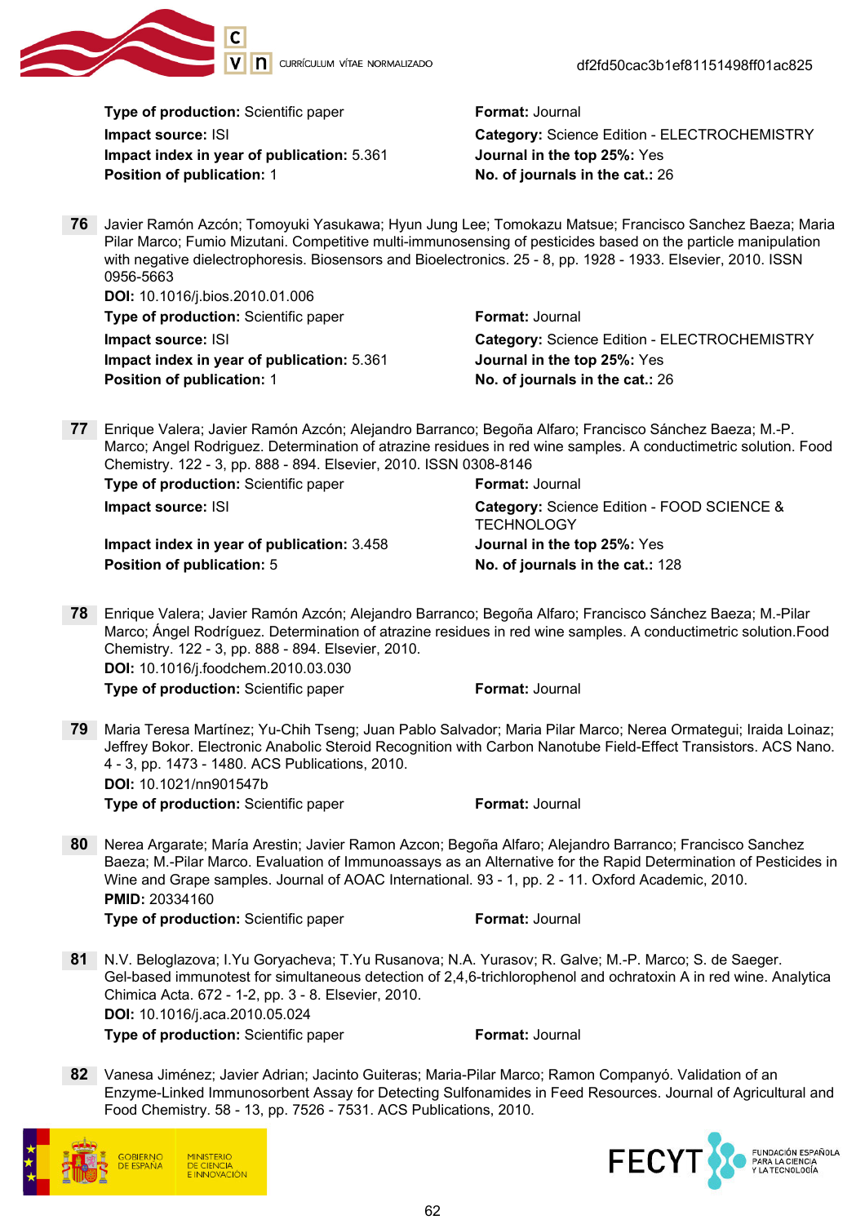

df2fd50cac3b1ef81151498ff01ac825

Type of production: Scientific paper Format: Journal

Impact index in year of publication: 5.361 Journal in the top 25%: Yes Position of publication: 1 No. of journals in the cat.: 26

Impact source: ISI Category: Science Edition - ELECTROCHEMISTRY

76 Javier Ramón Azcón; Tomoyuki Yasukawa; Hyun Jung Lee; Tomokazu Matsue; Francisco Sanchez Baeza; Maria Pilar Marco; Fumio Mizutani. Competitive multi-immunosensing of pesticides based on the particle manipulation with negative dielectrophoresis. Biosensors and Bioelectronics. 25 - 8, pp. 1928 - 1933. Elsevier, 2010. ISSN 0956-5663

DOI: 10.1016/j.bios.2010.01.006 **Type of production:** Scientific paper Format: Journal Impact index in year of publication: 5.361 Journal in the top 25%: Yes Position of publication: 1 and 1 No. of journals in the cat.: 26

Impact source: ISI Category: Science Edition - ELECTROCHEMISTRY

77 Enrique Valera; Javier Ramón Azcón; Alejandro Barranco; Begoña Alfaro; Francisco Sánchez Baeza; M.-P. Marco; Angel Rodriguez. Determination of atrazine residues in red wine samples. A conductimetric solution. Food Chemistry. 122 - 3, pp. 888 - 894. Elsevier, 2010. ISSN 0308-8146

Type of production: Scientific paper Format: Journal

Impact index in year of publication: 3.458 Journal in the top 25%: Yes Position of publication: 5 No. of journals in the cat.: 128

Impact source: ISI Category: Science Edition - FOOD SCIENCE & **TECHNOLOGY** 

78 Enrique Valera; Javier Ramón Azcón; Alejandro Barranco; Begoña Alfaro; Francisco Sánchez Baeza; M.-Pilar Marco; Ángel Rodríguez. Determination of atrazine residues in red wine samples. A conductimetric solution.Food Chemistry. 122 - 3, pp. 888 - 894. Elsevier, 2010. DOI: 10.1016/j.foodchem.2010.03.030

**Type of production:** Scientific paper Format: Journal

79 Maria Teresa Martínez; Yu-Chih Tseng; Juan Pablo Salvador; Maria Pilar Marco; Nerea Ormategui; Iraida Loinaz; Jeffrey Bokor. Electronic Anabolic Steroid Recognition with Carbon Nanotube Field-Effect Transistors. ACS Nano. 4 - 3, pp. 1473 - 1480. ACS Publications, 2010. DOI: 10.1021/nn901547b

**Type of production:** Scientific paper Format: Journal

80 Nerea Argarate; María Arestin; Javier Ramon Azcon; Begoña Alfaro; Alejandro Barranco; Francisco Sanchez Baeza; M.-Pilar Marco. Evaluation of Immunoassays as an Alternative for the Rapid Determination of Pesticides in Wine and Grape samples. Journal of AOAC International. 93 - 1, pp. 2 - 11. Oxford Academic, 2010. PMID: 20334160

- 81 N.V. Beloglazova; I.Yu Goryacheva; T.Yu Rusanova; N.A. Yurasov; R. Galve; M.-P. Marco; S. de Saeger. Gel-based immunotest for simultaneous detection of 2,4,6-trichlorophenol and ochratoxin A in red wine. Analytica Chimica Acta. 672 - 1-2, pp. 3 - 8. Elsevier, 2010. DOI: 10.1016/j.aca.2010.05.024 **Type of production:** Scientific paper Format: Journal
- 82 Vanesa Jiménez; Javier Adrian; Jacinto Guiteras; Maria-Pilar Marco; Ramon Companyó. Validation of an Enzyme-Linked Immunosorbent Assay for Detecting Sulfonamides in Feed Resources. Journal of Agricultural and Food Chemistry. 58 - 13, pp. 7526 - 7531. ACS Publications, 2010.



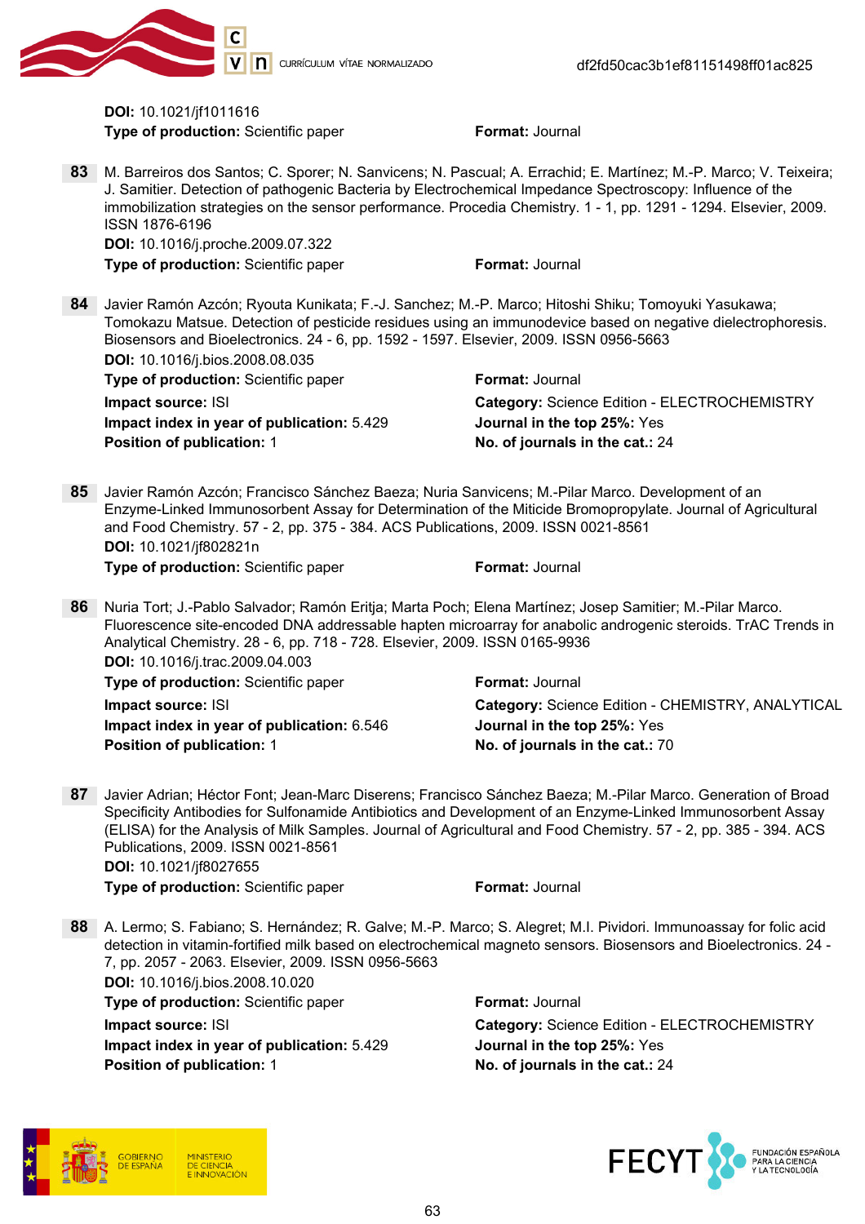

DOI: 10.1021/jf1011616 **Type of production:** Scientific paper Format: Journal

83 M. Barreiros dos Santos; C. Sporer; N. Sanvicens; N. Pascual; A. Errachid; E. Martínez; M.-P. Marco; V. Teixeira; J. Samitier. Detection of pathogenic Bacteria by Electrochemical Impedance Spectroscopy: Influence of the immobilization strategies on the sensor performance. Procedia Chemistry. 1 - 1, pp. 1291 - 1294. Elsevier, 2009. ISSN 1876-6196

DOI: 10.1016/j.proche.2009.07.322 **Type of production:** Scientific paper Format: Journal

84 Javier Ramón Azcón; Ryouta Kunikata; F.-J. Sanchez; M.-P. Marco; Hitoshi Shiku; Tomoyuki Yasukawa; Tomokazu Matsue. Detection of pesticide residues using an immunodevice based on negative dielectrophoresis. Biosensors and Bioelectronics. 24 - 6, pp. 1592 - 1597. Elsevier, 2009. ISSN 0956-5663 DOI: 10.1016/j.bios.2008.08.035

| Type of production: Scientific paper       | <b>Format: Journal</b>                              |
|--------------------------------------------|-----------------------------------------------------|
| Impact source: ISI                         | <b>Category: Science Edition - ELECTROCHEMISTRY</b> |
| Impact index in year of publication: 5.429 | <b>Journal in the top 25%: Yes</b>                  |
| <b>Position of publication: 1</b>          | No. of journals in the cat.: 24                     |

85 Javier Ramón Azcón; Francisco Sánchez Baeza; Nuria Sanvicens; M.-Pilar Marco. Development of an Enzyme-Linked Immunosorbent Assay for Determination of the Miticide Bromopropylate. Journal of Agricultural and Food Chemistry. 57 - 2, pp. 375 - 384. ACS Publications, 2009. ISSN 0021-8561 DOI: 10.1021/jf802821n **Type of production:** Scientific paper Format: Journal

86 Nuria Tort; J.-Pablo Salvador; Ramón Eritja; Marta Poch; Elena Martínez; Josep Samitier; M.-Pilar Marco. Fluorescence site-encoded DNA addressable hapten microarray for anabolic androgenic steroids. TrAC Trends in Analytical Chemistry. 28 - 6, pp. 718 - 728. Elsevier, 2009. ISSN 0165-9936 DOI: 10.1016/j.trac.2009.04.003

Type of production: Scientific paper Format: Journal Impact index in year of publication: 6.546 Journal in the top 25%: Yes Position of publication: 1 No. of journals in the cat.: 70

Impact source: ISI Category: Science Edition - CHEMISTRY, ANALYTICAL

87 Javier Adrian; Héctor Font; Jean-Marc Diserens; Francisco Sánchez Baeza; M.-Pilar Marco. Generation of Broad Specificity Antibodies for Sulfonamide Antibiotics and Development of an Enzyme-Linked Immunosorbent Assay (ELISA) for the Analysis of Milk Samples. Journal of Agricultural and Food Chemistry. 57 - 2, pp. 385 - 394. ACS Publications, 2009. ISSN 0021-8561 DOI: 10.1021/jf8027655

Type of production: Scientific paper Format: Journal

88 A. Lermo; S. Fabiano; S. Hernández; R. Galve; M.-P. Marco; S. Alegret; M.I. Pividori. Immunoassay for folic acid detection in vitamin-fortified milk based on electrochemical magneto sensors. Biosensors and Bioelectronics. 24 - 7, pp. 2057 - 2063. Elsevier, 2009. ISSN 0956-5663 DOI: 10.1016/j.bios.2008.10.020

Type of production: Scientific paper Format: Journal

Impact index in year of publication: 5.429 Journal in the top 25%: Yes Position of publication: 1 No. of journals in the cat.: 24

Impact source: ISI Category: Science Edition - ELECTROCHEMISTRY



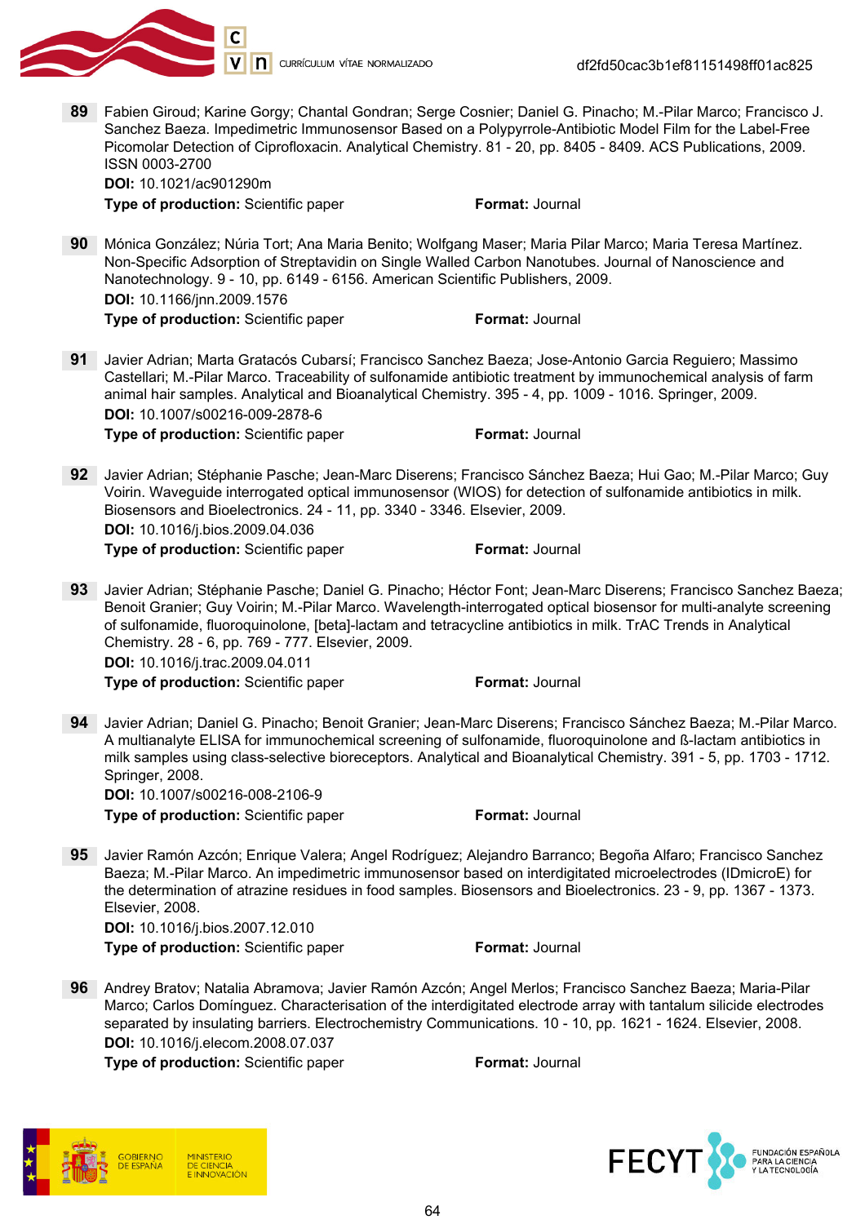

89 Fabien Giroud; Karine Gorgy; Chantal Gondran; Serge Cosnier; Daniel G. Pinacho; M.-Pilar Marco; Francisco J. Sanchez Baeza. Impedimetric Immunosensor Based on a Polypyrrole-Antibiotic Model Film for the Label-Free Picomolar Detection of Ciprofloxacin. Analytical Chemistry. 81 - 20, pp. 8405 - 8409. ACS Publications, 2009. ISSN 0003-2700

DOI: 10.1021/ac901290m **Type of production:** Scientific paper Format: Journal

90 Mónica González; Núria Tort; Ana Maria Benito; Wolfgang Maser; Maria Pilar Marco; Maria Teresa Martínez. Non-Specific Adsorption of Streptavidin on Single Walled Carbon Nanotubes. Journal of Nanoscience and Nanotechnology. 9 - 10, pp. 6149 - 6156. American Scientific Publishers, 2009. DOI: 10.1166/jnn.2009.1576

Type of production: Scientific paper Format: Journal

91 Javier Adrian; Marta Gratacós Cubarsí; Francisco Sanchez Baeza; Jose-Antonio Garcia Reguiero; Massimo Castellari; M.-Pilar Marco. Traceability of sulfonamide antibiotic treatment by immunochemical analysis of farm animal hair samples. Analytical and Bioanalytical Chemistry. 395 - 4, pp. 1009 - 1016. Springer, 2009. DOI: 10.1007/s00216-009-2878-6 **Type of production:** Scientific paper Format: Journal

- 92 Javier Adrian; Stéphanie Pasche; Jean-Marc Diserens; Francisco Sánchez Baeza; Hui Gao; M.-Pilar Marco; Guy Voirin. Waveguide interrogated optical immunosensor (WIOS) for detection of sulfonamide antibiotics in milk. Biosensors and Bioelectronics. 24 - 11, pp. 3340 - 3346. Elsevier, 2009. DOI: 10.1016/j.bios.2009.04.036 **Type of production:** Scientific paper Format: Journal
- 93 Javier Adrian; Stéphanie Pasche; Daniel G. Pinacho; Héctor Font; Jean-Marc Diserens; Francisco Sanchez Baeza; Benoit Granier; Guy Voirin; M.-Pilar Marco. Wavelength-interrogated optical biosensor for multi-analyte screening of sulfonamide, fluoroquinolone, [beta]-lactam and tetracycline antibiotics in milk. TrAC Trends in Analytical Chemistry. 28 - 6, pp. 769 - 777. Elsevier, 2009. DOI: 10.1016/j.trac.2009.04.011 Type of production: Scientific paper Format: Journal
- 94 Javier Adrian; Daniel G. Pinacho; Benoit Granier; Jean-Marc Diserens; Francisco Sánchez Baeza; M.-Pilar Marco. A multianalyte ELISA for immunochemical screening of sulfonamide, fluoroquinolone and ß-lactam antibiotics in milk samples using class-selective bioreceptors. Analytical and Bioanalytical Chemistry. 391 - 5, pp. 1703 - 1712. Springer, 2008. DOI: 10.1007/s00216-008-2106-9

**Type of production:** Scientific paper Format: Journal

95 Javier Ramón Azcón; Enrique Valera; Angel Rodríguez; Alejandro Barranco; Begoña Alfaro; Francisco Sanchez Baeza; M.-Pilar Marco. An impedimetric immunosensor based on interdigitated microelectrodes (IDmicroE) for the determination of atrazine residues in food samples. Biosensors and Bioelectronics. 23 - 9, pp. 1367 - 1373. Elsevier, 2008. DOI: 10.1016/j.bios.2007.12.010

**Type of production:** Scientific paper Format: Journal

96 Andrey Bratov; Natalia Abramova; Javier Ramón Azcón; Angel Merlos; Francisco Sanchez Baeza; Maria-Pilar Marco; Carlos Domínguez. Characterisation of the interdigitated electrode array with tantalum silicide electrodes separated by insulating barriers. Electrochemistry Communications. 10 - 10, pp. 1621 - 1624. Elsevier, 2008. DOI: 10.1016/j.elecom.2008.07.037



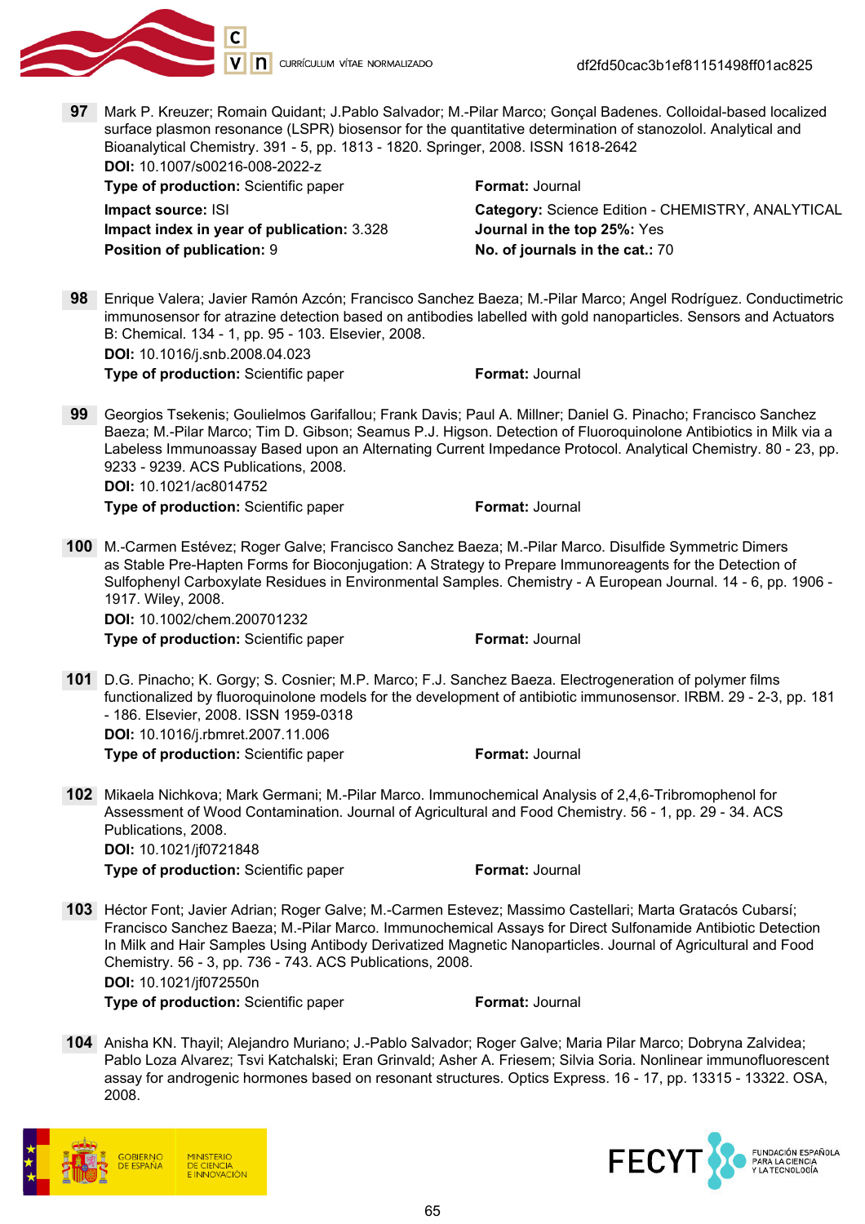

df2fd50cac3b1ef81151498ff01ac825

97 Mark P. Kreuzer; Romain Quidant; J.Pablo Salvador; M.-Pilar Marco; Gonçal Badenes. Colloidal-based localized surface plasmon resonance (LSPR) biosensor for the quantitative determination of stanozolol. Analytical and Bioanalytical Chemistry. 391 - 5, pp. 1813 - 1820. Springer, 2008. ISSN 1618-2642 DOI: 10.1007/s00216-008-2022-z

**Type of production:** Scientific paper Format: Journal Impact index in year of publication: 3.328 Journal in the top 25%: Yes Position of publication: 9 No. of journals in the cat.: 70

Impact source: ISI **Category: Science Edition - CHEMISTRY, ANALYTICAL** 

98 Enrique Valera; Javier Ramón Azcón; Francisco Sanchez Baeza; M.-Pilar Marco; Angel Rodríguez. Conductimetric immunosensor for atrazine detection based on antibodies labelled with gold nanoparticles. Sensors and Actuators B: Chemical. 134 - 1, pp. 95 - 103. Elsevier, 2008. DOI: 10.1016/j.snb.2008.04.023

Type of production: Scientific paper Format: Journal

99 Georgios Tsekenis; Goulielmos Garifallou; Frank Davis; Paul A. Millner; Daniel G. Pinacho; Francisco Sanchez Baeza; M.-Pilar Marco; Tim D. Gibson; Seamus P.J. Higson. Detection of Fluoroquinolone Antibiotics in Milk via a Labeless Immunoassay Based upon an Alternating Current Impedance Protocol. Analytical Chemistry. 80 - 23, pp. 9233 - 9239. ACS Publications, 2008. DOI: 10.1021/ac8014752

**Type of production:** Scientific paper Format: Journal

100 M.-Carmen Estévez; Roger Galve; Francisco Sanchez Baeza; M.-Pilar Marco. Disulfide Symmetric Dimers as Stable Pre-Hapten Forms for Bioconjugation: A Strategy to Prepare Immunoreagents for the Detection of Sulfophenyl Carboxylate Residues in Environmental Samples. Chemistry - A European Journal. 14 - 6, pp. 1906 - 1917. Wiley, 2008.

DOI: 10.1002/chem.200701232 Type of production: Scientific paper Format: Journal

101 D.G. Pinacho; K. Gorgy; S. Cosnier; M.P. Marco; F.J. Sanchez Baeza. Electrogeneration of polymer films functionalized by fluoroquinolone models for the development of antibiotic immunosensor. IRBM. 29 - 2-3, pp. 181 - 186. Elsevier, 2008. ISSN 1959-0318

DOI: 10.1016/j.rbmret.2007.11.006 Type of production: Scientific paper Format: Journal

102 Mikaela Nichkova; Mark Germani; M.-Pilar Marco. Immunochemical Analysis of 2,4,6-Tribromophenol for Assessment of Wood Contamination. Journal of Agricultural and Food Chemistry. 56 - 1, pp. 29 - 34. ACS Publications, 2008. DOI: 10.1021/jf0721848

- 103 Héctor Font; Javier Adrian; Roger Galve; M.-Carmen Estevez; Massimo Castellari; Marta Gratacós Cubarsí; Francisco Sanchez Baeza; M.-Pilar Marco. Immunochemical Assays for Direct Sulfonamide Antibiotic Detection In Milk and Hair Samples Using Antibody Derivatized Magnetic Nanoparticles. Journal of Agricultural and Food Chemistry. 56 - 3, pp. 736 - 743. ACS Publications, 2008. DOI: 10.1021/jf072550n Type of production: Scientific paper Format: Journal
- 104 Anisha KN. Thayil; Alejandro Muriano; J.-Pablo Salvador; Roger Galve; Maria Pilar Marco; Dobryna Zalvidea; Pablo Loza Alvarez; Tsvi Katchalski; Eran Grinvald; Asher A. Friesem; Silvia Soria. Nonlinear immunofluorescent assay for androgenic hormones based on resonant structures. Optics Express. 16 - 17, pp. 13315 - 13322. OSA, 2008.



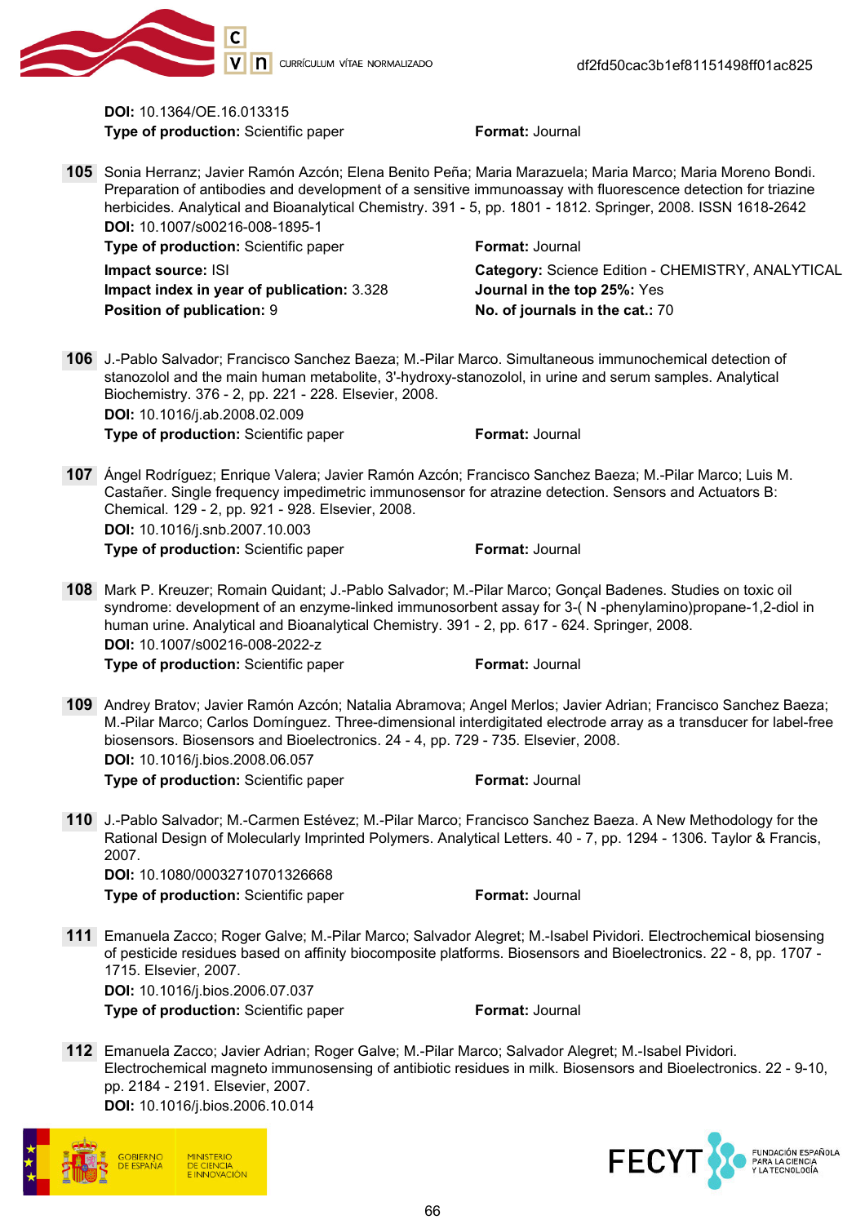

DOI: 10.1364/OE.16.013315 **Type of production:** Scientific paper Format: Journal

105 Sonia Herranz; Javier Ramón Azcón; Elena Benito Peña; Maria Marazuela; Maria Marco; Maria Moreno Bondi. Preparation of antibodies and development of a sensitive immunoassay with fluorescence detection for triazine herbicides. Analytical and Bioanalytical Chemistry. 391 - 5, pp. 1801 - 1812. Springer, 2008. ISSN 1618-2642 DOI: 10.1007/s00216-008-1895-1

Impact index in year of publication: 3.328 Journal in the top 25%: Yes Position of publication: 9 No. of journals in the cat.: 70

**Type of production:** Scientific paper Format: Journal

**Impact source: ISI** Category: Science Edition - CHEMISTRY, ANALYTICAL

106 J.-Pablo Salvador; Francisco Sanchez Baeza; M.-Pilar Marco. Simultaneous immunochemical detection of stanozolol and the main human metabolite, 3'-hydroxy-stanozolol, in urine and serum samples. Analytical Biochemistry. 376 - 2, pp. 221 - 228. Elsevier, 2008. DOI: 10.1016/j.ab.2008.02.009 Type of production: Scientific paper Format: Journal

- 107 Ángel Rodríguez; Enrique Valera; Javier Ramón Azcón; Francisco Sanchez Baeza; M.-Pilar Marco; Luis M. Castañer. Single frequency impedimetric immunosensor for atrazine detection. Sensors and Actuators B: Chemical. 129 - 2, pp. 921 - 928. Elsevier, 2008. DOI: 10.1016/j.snb.2007.10.003 **Type of production:** Scientific paper Format: Journal
- 108 Mark P. Kreuzer; Romain Quidant; J.-Pablo Salvador; M.-Pilar Marco; Gonçal Badenes. Studies on toxic oil syndrome: development of an enzyme-linked immunosorbent assay for 3-( N -phenylamino)propane-1,2-diol in human urine. Analytical and Bioanalytical Chemistry. 391 - 2, pp. 617 - 624. Springer, 2008. DOI: 10.1007/s00216-008-2022-z **Type of production:** Scientific paper Format: Journal
- 109 Andrey Bratov; Javier Ramón Azcón; Natalia Abramova; Angel Merlos; Javier Adrian; Francisco Sanchez Baeza; M.-Pilar Marco; Carlos Domínguez. Three-dimensional interdigitated electrode array as a transducer for label-free biosensors. Biosensors and Bioelectronics. 24 - 4, pp. 729 - 735. Elsevier, 2008. DOI: 10.1016/j.bios.2008.06.057 **Type of production:** Scientific paper Format: Journal
- 110 J.-Pablo Salvador; M.-Carmen Estévez; M.-Pilar Marco; Francisco Sanchez Baeza. A New Methodology for the Rational Design of Molecularly Imprinted Polymers. Analytical Letters. 40 - 7, pp. 1294 - 1306. Taylor & Francis, 2007. DOI: 10.1080/00032710701326668

**Type of production:** Scientific paper Format: Journal

111 Emanuela Zacco; Roger Galve; M.-Pilar Marco; Salvador Alegret; M.-Isabel Pividori. Electrochemical biosensing of pesticide residues based on affinity biocomposite platforms. Biosensors and Bioelectronics. 22 - 8, pp. 1707 - 1715. Elsevier, 2007. DOI: 10.1016/j.bios.2006.07.037

**Type of production:** Scientific paper Format: Journal

112 Emanuela Zacco; Javier Adrian; Roger Galve; M.-Pilar Marco; Salvador Alegret; M.-Isabel Pividori. Electrochemical magneto immunosensing of antibiotic residues in milk. Biosensors and Bioelectronics. 22 - 9-10, pp. 2184 - 2191. Elsevier, 2007. DOI: 10.1016/j.bios.2006.10.014



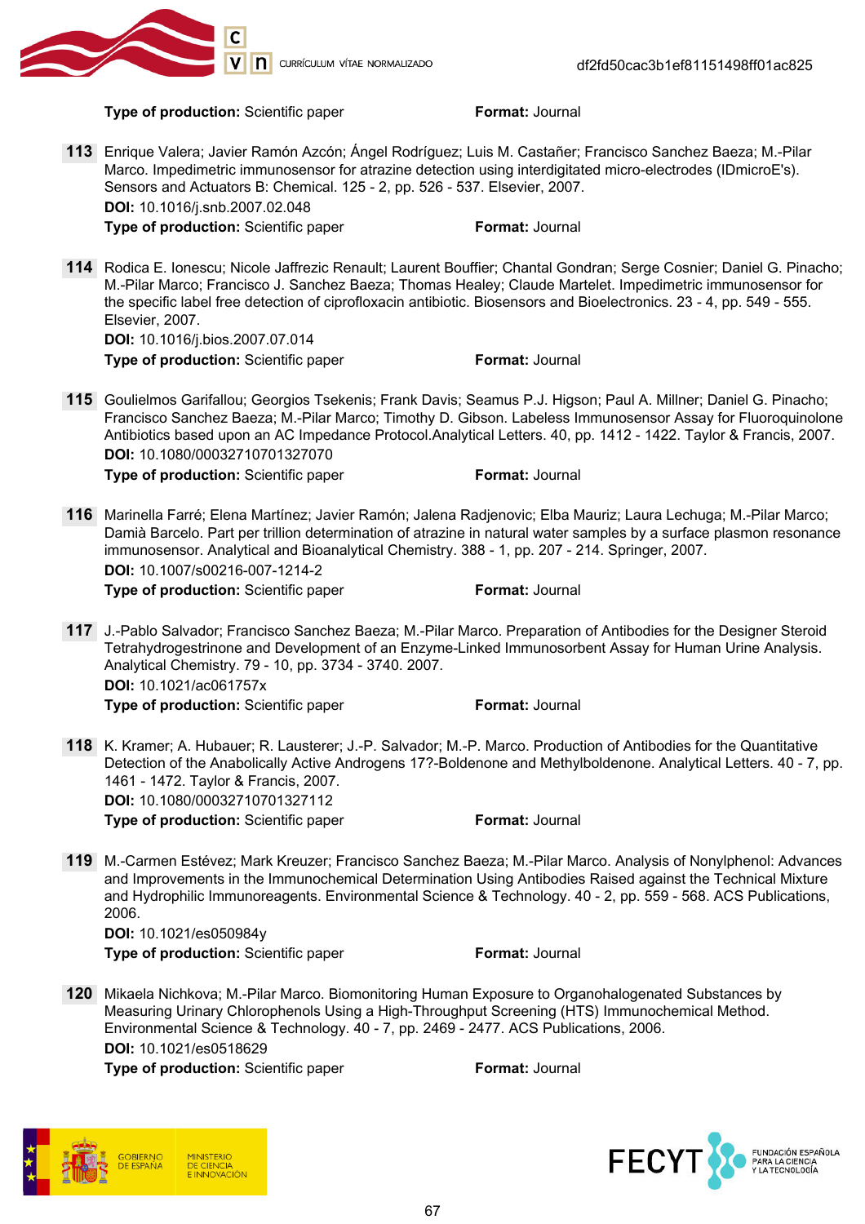

Type of production: Scientific paper Format: Journal

- 113 Enrique Valera; Javier Ramón Azcón; Ángel Rodríguez; Luis M. Castañer; Francisco Sanchez Baeza; M.-Pilar Marco. Impedimetric immunosensor for atrazine detection using interdigitated micro-electrodes (IDmicroE's). Sensors and Actuators B: Chemical. 125 - 2, pp. 526 - 537. Elsevier, 2007. DOI: 10.1016/j.snb.2007.02.048 **Type of production:** Scientific paper Format: Journal
- 114 Rodica E. Ionescu; Nicole Jaffrezic Renault; Laurent Bouffier; Chantal Gondran; Serge Cosnier; Daniel G. Pinacho; M.-Pilar Marco; Francisco J. Sanchez Baeza; Thomas Healey; Claude Martelet. Impedimetric immunosensor for the specific label free detection of ciprofloxacin antibiotic. Biosensors and Bioelectronics. 23 - 4, pp. 549 - 555. Elsevier, 2007.

DOI: 10.1016/j.bios.2007.07.014 Type of production: Scientific paper Format: Journal

115 Goulielmos Garifallou; Georgios Tsekenis; Frank Davis; Seamus P.J. Higson; Paul A. Millner; Daniel G. Pinacho; Francisco Sanchez Baeza; M.-Pilar Marco; Timothy D. Gibson. Labeless Immunosensor Assay for Fluoroquinolone Antibiotics based upon an AC Impedance Protocol.Analytical Letters. 40, pp. 1412 - 1422. Taylor & Francis, 2007. DOI: 10.1080/00032710701327070

**Type of production:** Scientific paper Format: Journal

116 Marinella Farré; Elena Martínez; Javier Ramón; Jalena Radjenovic; Elba Mauriz; Laura Lechuga; M.-Pilar Marco; Damià Barcelo. Part per trillion determination of atrazine in natural water samples by a surface plasmon resonance immunosensor. Analytical and Bioanalytical Chemistry. 388 - 1, pp. 207 - 214. Springer, 2007. DOI: 10.1007/s00216-007-1214-2

**Type of production:** Scientific paper Format: Journal

117 J.-Pablo Salvador; Francisco Sanchez Baeza; M.-Pilar Marco. Preparation of Antibodies for the Designer Steroid Tetrahydrogestrinone and Development of an Enzyme-Linked Immunosorbent Assay for Human Urine Analysis. Analytical Chemistry. 79 - 10, pp. 3734 - 3740. 2007. DOI: 10.1021/ac061757x

Type of production: Scientific paper Format: Journal

118 K. Kramer; A. Hubauer; R. Lausterer; J.-P. Salvador; M.-P. Marco. Production of Antibodies for the Quantitative Detection of the Anabolically Active Androgens 17?-Boldenone and Methylboldenone. Analytical Letters. 40 - 7, pp. 1461 - 1472. Taylor & Francis, 2007. DOI: 10.1080/00032710701327112

Type of production: Scientific paper Format: Journal

119 M.-Carmen Estévez; Mark Kreuzer; Francisco Sanchez Baeza; M.-Pilar Marco. Analysis of Nonylphenol: Advances and Improvements in the Immunochemical Determination Using Antibodies Raised against the Technical Mixture and Hydrophilic Immunoreagents. Environmental Science & Technology. 40 - 2, pp. 559 - 568. ACS Publications, 2006.

DOI: 10.1021/es050984y **Type of production:** Scientific paper Format: Journal

120 Mikaela Nichkova; M.-Pilar Marco. Biomonitoring Human Exposure to Organohalogenated Substances by Measuring Urinary Chlorophenols Using a High-Throughput Screening (HTS) Immunochemical Method. Environmental Science & Technology. 40 - 7, pp. 2469 - 2477. ACS Publications, 2006. DOI: 10.1021/es0518629

**Type of production:** Scientific paper Format: Journal

**DE CIENCIA INNOVACIÓN** 

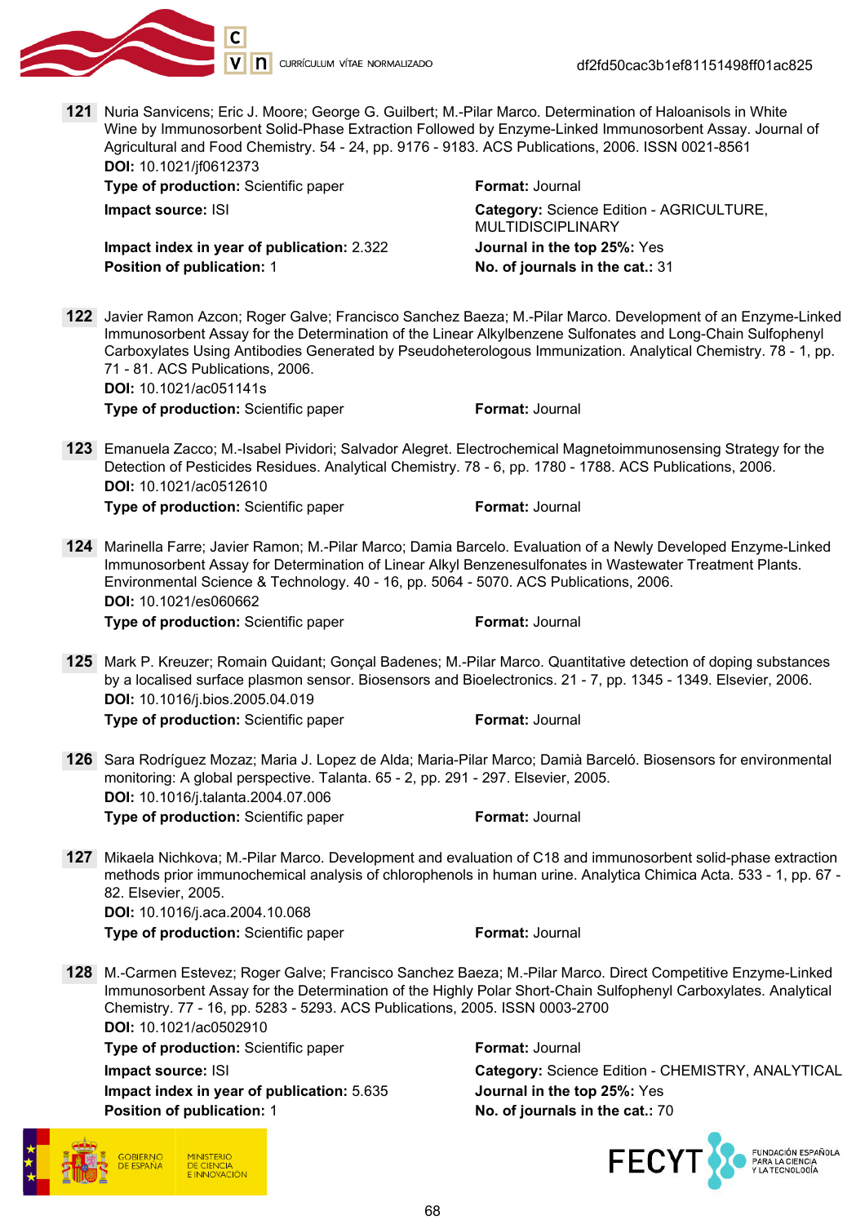

121 Nuria Sanvicens; Eric J. Moore; George G. Guilbert; M.-Pilar Marco. Determination of Haloanisols in White Wine by Immunosorbent Solid-Phase Extraction Followed by Enzyme-Linked Immunosorbent Assay. Journal of Agricultural and Food Chemistry. 54 - 24, pp. 9176 - 9183. ACS Publications, 2006. ISSN 0021-8561 DOI: 10.1021/jf0612373

**Type of production:** Scientific paper Format: Journal

Impact index in year of publication: 2.322 Journal in the top 25%: Yes Position of publication: 1 No. of journals in the cat.: 31

Impact source: ISI Category: Science Edition - AGRICULTURE, MULTIDISCIPLINARY

122 Javier Ramon Azcon; Roger Galve; Francisco Sanchez Baeza; M.-Pilar Marco. Development of an Enzyme-Linked Immunosorbent Assay for the Determination of the Linear Alkylbenzene Sulfonates and Long-Chain Sulfophenyl Carboxylates Using Antibodies Generated by Pseudoheterologous Immunization. Analytical Chemistry. 78 - 1, pp. 71 - 81. ACS Publications, 2006. DOI: 10.1021/ac051141s

**Type of production:** Scientific paper Format: Journal

123 Emanuela Zacco; M.-Isabel Pividori; Salvador Alegret. Electrochemical Magnetoimmunosensing Strategy for the Detection of Pesticides Residues. Analytical Chemistry. 78 - 6, pp. 1780 - 1788. ACS Publications, 2006. DOI: 10.1021/ac0512610

**Type of production:** Scientific paper Format: Journal

- 124 Marinella Farre; Javier Ramon; M.-Pilar Marco; Damia Barcelo. Evaluation of a Newly Developed Enzyme-Linked Immunosorbent Assay for Determination of Linear Alkyl Benzenesulfonates in Wastewater Treatment Plants. Environmental Science & Technology. 40 - 16, pp. 5064 - 5070. ACS Publications, 2006. DOI: 10.1021/es060662 Type of production: Scientific paper Format: Journal
- 125 Mark P. Kreuzer; Romain Quidant; Gonçal Badenes; M.-Pilar Marco. Quantitative detection of doping substances by a localised surface plasmon sensor. Biosensors and Bioelectronics. 21 - 7, pp. 1345 - 1349. Elsevier, 2006. DOI: 10.1016/j.bios.2005.04.019 **Type of production:** Scientific paper Format: Journal
- 126 Sara Rodríguez Mozaz; Maria J. Lopez de Alda; Maria-Pilar Marco; Damià Barceló. Biosensors for environmental monitoring: A global perspective. Talanta. 65 - 2, pp. 291 - 297. Elsevier, 2005. DOI: 10.1016/j.talanta.2004.07.006 Type of production: Scientific paper Format: Journal
- 127 Mikaela Nichkova; M.-Pilar Marco. Development and evaluation of C18 and immunosorbent solid-phase extraction methods prior immunochemical analysis of chlorophenols in human urine. Analytica Chimica Acta. 533 - 1, pp. 67 - 82. Elsevier, 2005. DOI: 10.1016/j.aca.2004.10.068

**Type of production:** Scientific paper Format: Journal

128 M.-Carmen Estevez; Roger Galve; Francisco Sanchez Baeza; M.-Pilar Marco. Direct Competitive Enzyme-Linked Immunosorbent Assay for the Determination of the Highly Polar Short-Chain Sulfophenyl Carboxylates. Analytical Chemistry. 77 - 16, pp. 5283 - 5293. ACS Publications, 2005. ISSN 0003-2700 DOI: 10.1021/ac0502910

**Type of production:** Scientific paper Format: Journal Impact index in year of publication: 5.635 Journal in the top 25%: Yes Position of publication: 1 No. of journals in the cat.: 70



**Impact source: ISI** Category: Science Edition - CHEMISTRY, ANALYTICAL

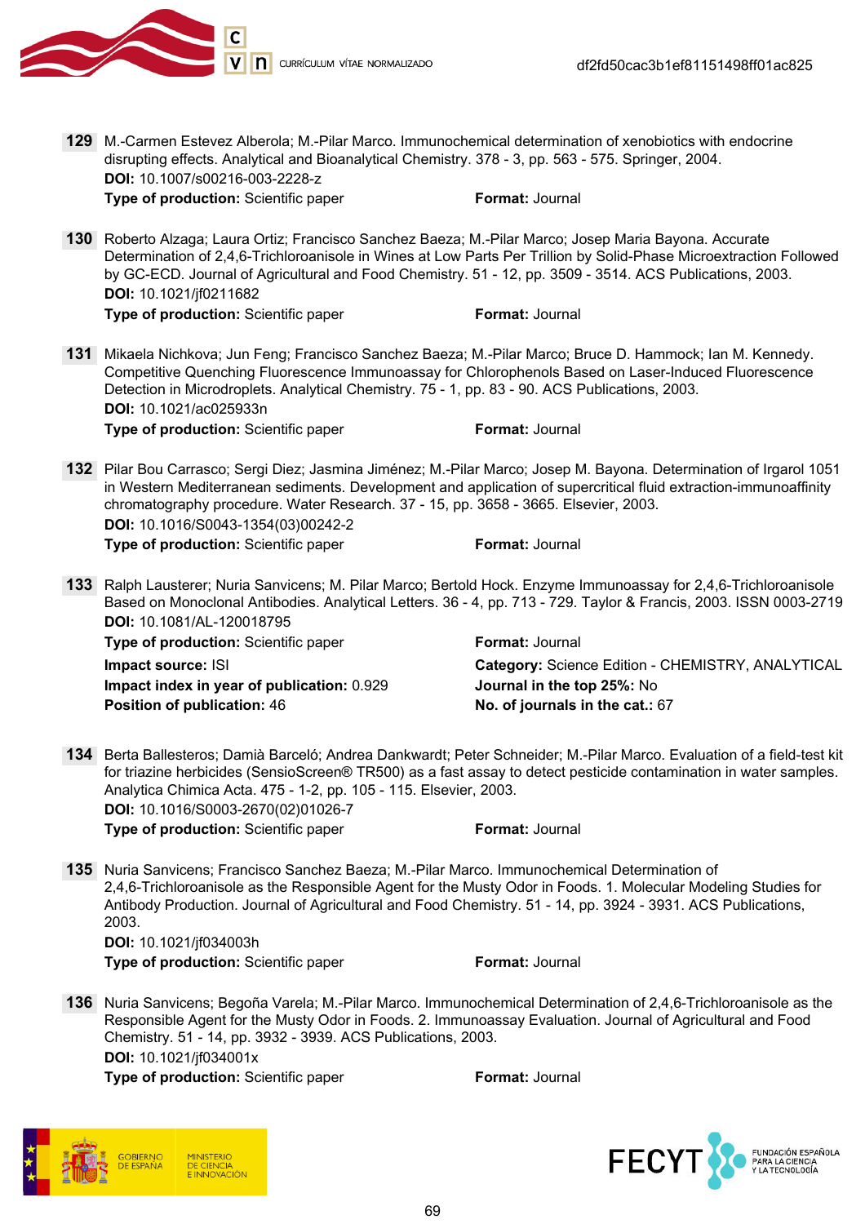

129 M.-Carmen Estevez Alberola; M.-Pilar Marco. Immunochemical determination of xenobiotics with endocrine disrupting effects. Analytical and Bioanalytical Chemistry. 378 - 3, pp. 563 - 575. Springer, 2004. DOI: 10.1007/s00216-003-2228-z

**Type of production:** Scientific paper Format: Journal

130 Roberto Alzaga; Laura Ortiz; Francisco Sanchez Baeza; M.-Pilar Marco; Josep Maria Bayona. Accurate Determination of 2,4,6-Trichloroanisole in Wines at Low Parts Per Trillion by Solid-Phase Microextraction Followed by GC-ECD. Journal of Agricultural and Food Chemistry. 51 - 12, pp. 3509 - 3514. ACS Publications, 2003. DOI: 10.1021/jf0211682

**Type of production:** Scientific paper Format: Journal

131 Mikaela Nichkova; Jun Feng; Francisco Sanchez Baeza; M.-Pilar Marco; Bruce D. Hammock; Ian M. Kennedy. Competitive Quenching Fluorescence Immunoassay for Chlorophenols Based on Laser-Induced Fluorescence Detection in Microdroplets. Analytical Chemistry. 75 - 1, pp. 83 - 90. ACS Publications, 2003. DOI: 10.1021/ac025933n **Type of production:** Scientific paper Format: Journal

132 Pilar Bou Carrasco; Sergi Diez; Jasmina Jiménez; M.-Pilar Marco; Josep M. Bayona. Determination of Irgarol 1051 in Western Mediterranean sediments. Development and application of supercritical fluid extraction-immunoaffinity chromatography procedure. Water Research. 37 - 15, pp. 3658 - 3665. Elsevier, 2003. DOI: 10.1016/S0043-1354(03)00242-2 **Type of production:** Scientific paper Format: Journal

133 Ralph Lausterer; Nuria Sanvicens; M. Pilar Marco; Bertold Hock. Enzyme Immunoassay for 2,4,6-Trichloroanisole Based on Monoclonal Antibodies. Analytical Letters. 36 - 4, pp. 713 - 729. Taylor & Francis, 2003. ISSN 0003-2719 DOI: 10.1081/AL-120018795

Type of production: Scientific paper Format: Journal Impact index in year of publication: 0.929 Journal in the top 25%: No Position of publication: 46 No. of journals in the cat.: 67

Impact source: ISI **Category:** Science Edition - CHEMISTRY, ANALYTICAL

- 134 Berta Ballesteros; Damià Barceló; Andrea Dankwardt; Peter Schneider; M.-Pilar Marco. Evaluation of a field-test kit for triazine herbicides (SensioScreen® TR500) as a fast assay to detect pesticide contamination in water samples. Analytica Chimica Acta. 475 - 1-2, pp. 105 - 115. Elsevier, 2003. DOI: 10.1016/S0003-2670(02)01026-7 **Type of production:** Scientific paper Format: Journal
- 135 Nuria Sanvicens; Francisco Sanchez Baeza; M.-Pilar Marco. Immunochemical Determination of 2,4,6-Trichloroanisole as the Responsible Agent for the Musty Odor in Foods. 1. Molecular Modeling Studies for Antibody Production. Journal of Agricultural and Food Chemistry. 51 - 14, pp. 3924 - 3931. ACS Publications, 2003.

DOI: 10.1021/jf034003h

**Type of production:** Scientific paper Format: Journal

136 Nuria Sanvicens; Begoña Varela; M.-Pilar Marco. Immunochemical Determination of 2,4,6-Trichloroanisole as the Responsible Agent for the Musty Odor in Foods. 2. Immunoassay Evaluation. Journal of Agricultural and Food Chemistry. 51 - 14, pp. 3932 - 3939. ACS Publications, 2003. DOI: 10.1021/jf034001x



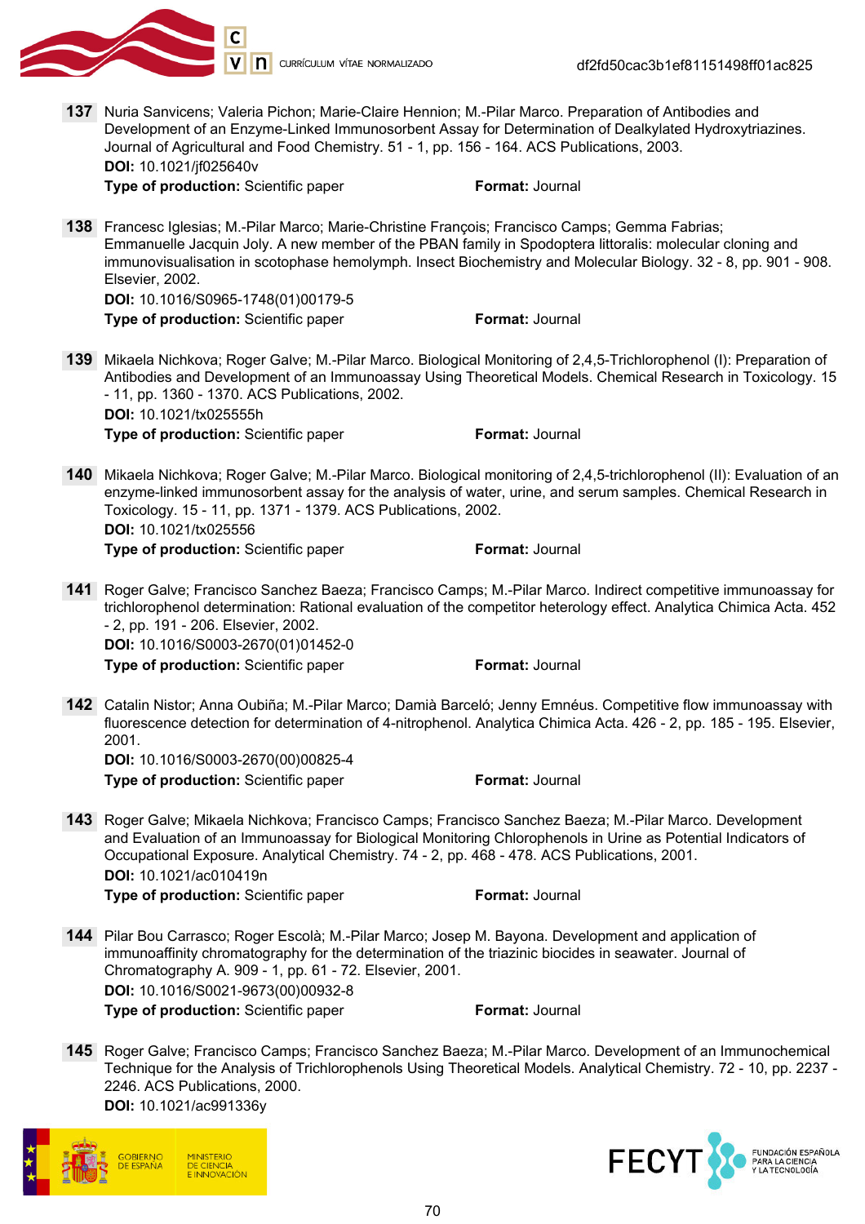

137 Nuria Sanvicens; Valeria Pichon; Marie-Claire Hennion; M.-Pilar Marco. Preparation of Antibodies and Development of an Enzyme-Linked Immunosorbent Assay for Determination of Dealkylated Hydroxytriazines. Journal of Agricultural and Food Chemistry. 51 - 1, pp. 156 - 164. ACS Publications, 2003. DOI: 10.1021/jf025640v

**Type of production:** Scientific paper Format: Journal

138 Francesc Iglesias; M.-Pilar Marco; Marie-Christine François; Francisco Camps; Gemma Fabrias; Emmanuelle Jacquin Joly. A new member of the PBAN family in Spodoptera littoralis: molecular cloning and immunovisualisation in scotophase hemolymph. Insect Biochemistry and Molecular Biology. 32 - 8, pp. 901 - 908. Elsevier, 2002. DOI: 10.1016/S0965-1748(01)00179-5

**Type of production:** Scientific paper Format: Journal

- 139 Mikaela Nichkova; Roger Galve; M.-Pilar Marco. Biological Monitoring of 2,4,5-Trichlorophenol (I): Preparation of Antibodies and Development of an Immunoassay Using Theoretical Models. Chemical Research in Toxicology. 15 - 11, pp. 1360 - 1370. ACS Publications, 2002. DOI: 10.1021/tx025555h **Type of production:** Scientific paper Format: Journal
- 140 Mikaela Nichkova; Roger Galve; M.-Pilar Marco. Biological monitoring of 2,4,5-trichlorophenol (II): Evaluation of an enzyme-linked immunosorbent assay for the analysis of water, urine, and serum samples. Chemical Research in Toxicology. 15 - 11, pp. 1371 - 1379. ACS Publications, 2002. DOI: 10.1021/tx025556

**Type of production:** Scientific paper Format: Journal

141 Roger Galve; Francisco Sanchez Baeza; Francisco Camps; M.-Pilar Marco. Indirect competitive immunoassay for trichlorophenol determination: Rational evaluation of the competitor heterology effect. Analytica Chimica Acta. 452 - 2, pp. 191 - 206. Elsevier, 2002. DOI: 10.1016/S0003-2670(01)01452-0

**Type of production:** Scientific paper Format: Journal

142 Catalin Nistor; Anna Oubiña; M.-Pilar Marco; Damià Barceló; Jenny Emnéus. Competitive flow immunoassay with fluorescence detection for determination of 4-nitrophenol. Analytica Chimica Acta. 426 - 2, pp. 185 - 195. Elsevier, 2001. DOI: 10.1016/S0003-2670(00)00825-4

- 143 Roger Galve; Mikaela Nichkova; Francisco Camps; Francisco Sanchez Baeza; M.-Pilar Marco. Development and Evaluation of an Immunoassay for Biological Monitoring Chlorophenols in Urine as Potential Indicators of Occupational Exposure. Analytical Chemistry. 74 - 2, pp. 468 - 478. ACS Publications, 2001. DOI: 10.1021/ac010419n **Type of production:** Scientific paper Format: Journal
- 144 Pilar Bou Carrasco; Roger Escolà; M.-Pilar Marco; Josep M. Bayona. Development and application of immunoaffinity chromatography for the determination of the triazinic biocides in seawater. Journal of Chromatography A. 909 - 1, pp. 61 - 72. Elsevier, 2001. DOI: 10.1016/S0021-9673(00)00932-8 **Type of production:** Scientific paper Format: Journal
- 145 Roger Galve; Francisco Camps; Francisco Sanchez Baeza; M.-Pilar Marco. Development of an Immunochemical Technique for the Analysis of Trichlorophenols Using Theoretical Models. Analytical Chemistry. 72 - 10, pp. 2237 - 2246. ACS Publications, 2000. DOI: 10.1021/ac991336y



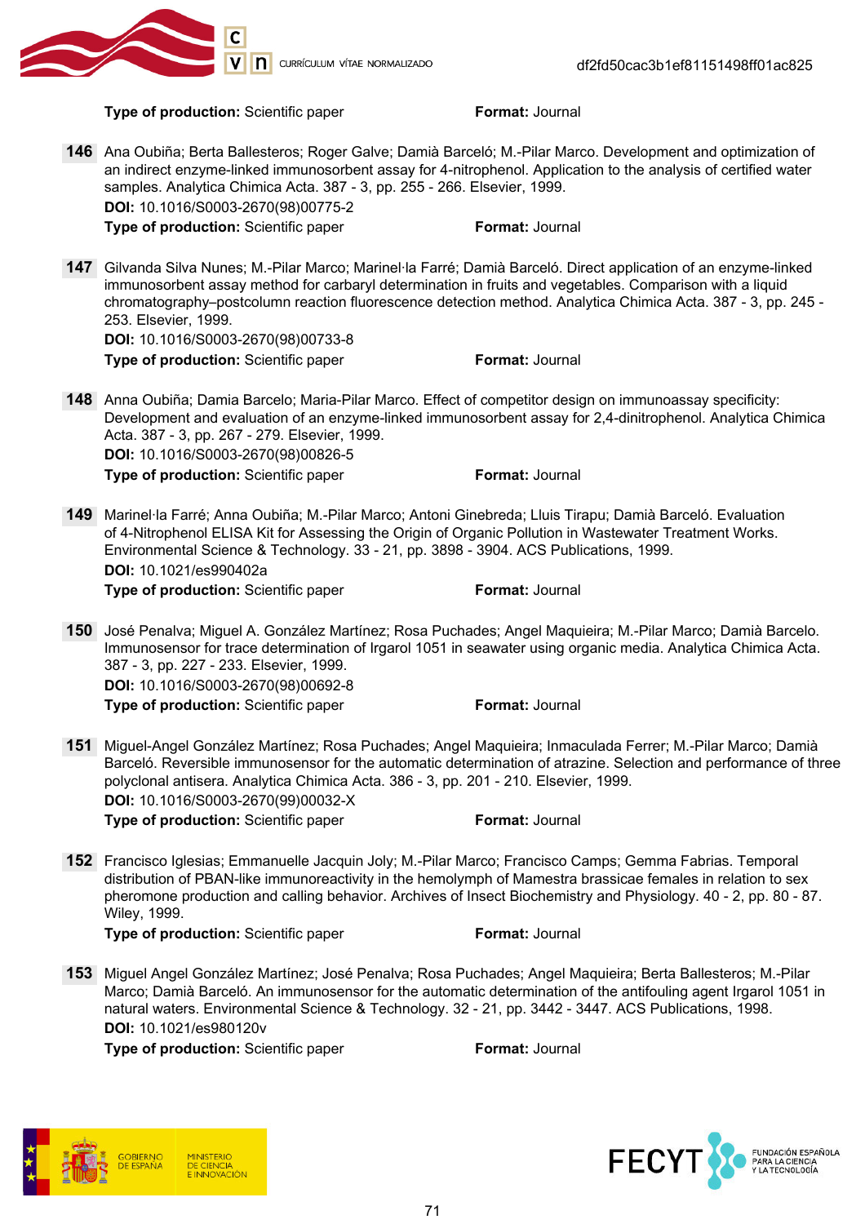

Type of production: Scientific paper Format: Journal

- 146 Ana Oubiña; Berta Ballesteros; Roger Galve; Damià Barceló; M.-Pilar Marco. Development and optimization of an indirect enzyme-linked immunosorbent assay for 4-nitrophenol. Application to the analysis of certified water samples. Analytica Chimica Acta. 387 - 3, pp. 255 - 266. Elsevier, 1999. DOI: 10.1016/S0003-2670(98)00775-2 **Type of production:** Scientific paper Format: Journal
- 147 Gilvanda Silva Nunes; M.-Pilar Marco; Marinel·la Farré; Damià Barceló. Direct application of an enzyme-linked immunosorbent assay method for carbaryl determination in fruits and vegetables. Comparison with a liquid chromatography–postcolumn reaction fluorescence detection method. Analytica Chimica Acta. 387 - 3, pp. 245 - 253. Elsevier, 1999.

DOI: 10.1016/S0003-2670(98)00733-8

Type of production: Scientific paper Format: Journal

148 Anna Oubiña; Damia Barcelo; Maria-Pilar Marco. Effect of competitor design on immunoassay specificity: Development and evaluation of an enzyme-linked immunosorbent assay for 2,4-dinitrophenol. Analytica Chimica Acta. 387 - 3, pp. 267 - 279. Elsevier, 1999. DOI: 10.1016/S0003-2670(98)00826-5

**Type of production:** Scientific paper Format: Journal

149 Marinel·la Farré; Anna Oubiña; M.-Pilar Marco; Antoni Ginebreda; Lluis Tirapu; Damià Barceló. Evaluation of 4-Nitrophenol ELISA Kit for Assessing the Origin of Organic Pollution in Wastewater Treatment Works. Environmental Science & Technology. 33 - 21, pp. 3898 - 3904. ACS Publications, 1999. DOI: 10.1021/es990402a Type of production: Scientific paper Format: Journal

150 José Penalva; Miguel A. González Martínez; Rosa Puchades; Angel Maquieira; M.-Pilar Marco; Damià Barcelo.

Immunosensor for trace determination of Irgarol 1051 in seawater using organic media. Analytica Chimica Acta. 387 - 3, pp. 227 - 233. Elsevier, 1999. DOI: 10.1016/S0003-2670(98)00692-8

Type of production: Scientific paper Format: Journal

- 151 Miguel-Angel González Martínez; Rosa Puchades; Angel Maquieira; Inmaculada Ferrer; M.-Pilar Marco; Damià Barceló. Reversible immunosensor for the automatic determination of atrazine. Selection and performance of three polyclonal antisera. Analytica Chimica Acta. 386 - 3, pp. 201 - 210. Elsevier, 1999. DOI: 10.1016/S0003-2670(99)00032-X Type of production: Scientific paper Format: Journal
- 152 Francisco Iglesias; Emmanuelle Jacquin Joly; M.-Pilar Marco; Francisco Camps; Gemma Fabrias. Temporal distribution of PBAN-like immunoreactivity in the hemolymph of Mamestra brassicae females in relation to sex pheromone production and calling behavior. Archives of Insect Biochemistry and Physiology. 40 - 2, pp. 80 - 87. Wiley, 1999.

**Type of production:** Scientific paper Format: Journal

153 Miguel Angel González Martínez; José Penalva; Rosa Puchades; Angel Maquieira; Berta Ballesteros; M.-Pilar Marco; Damià Barceló. An immunosensor for the automatic determination of the antifouling agent Irgarol 1051 in natural waters. Environmental Science & Technology. 32 - 21, pp. 3442 - 3447. ACS Publications, 1998. DOI: 10.1021/es980120v



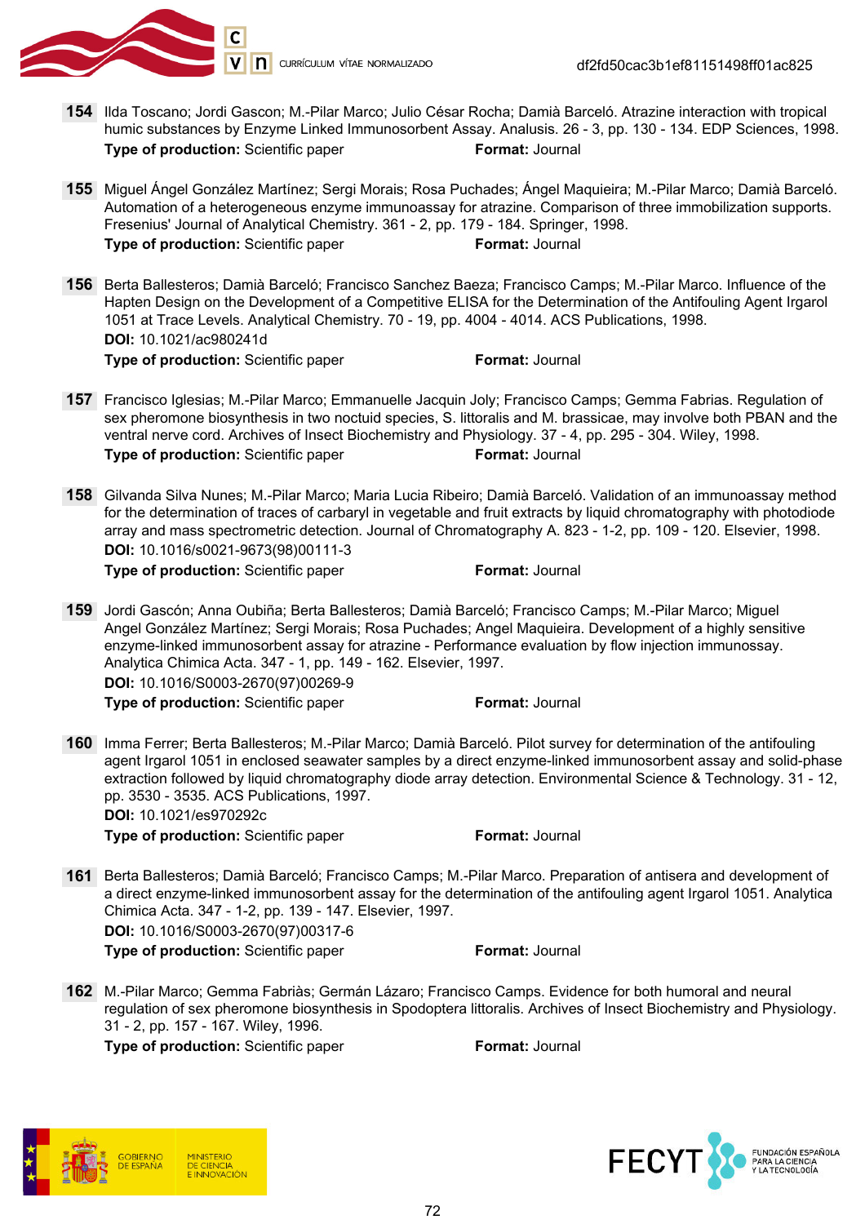

- 154 Ilda Toscano; Jordi Gascon; M.-Pilar Marco; Julio César Rocha; Damià Barceló. Atrazine interaction with tropical humic substances by Enzyme Linked Immunosorbent Assay. Analusis. 26 - 3, pp. 130 - 134. EDP Sciences, 1998. Type of production: Scientific paper Format: Journal
- 155 Miguel Ángel González Martínez; Sergi Morais; Rosa Puchades; Ángel Maquieira; M.-Pilar Marco; Damià Barceló. Automation of a heterogeneous enzyme immunoassay for atrazine. Comparison of three immobilization supports. Fresenius' Journal of Analytical Chemistry. 361 - 2, pp. 179 - 184. Springer, 1998. **Type of production:** Scientific paper Format: Journal
- 156 Berta Ballesteros; Damià Barceló; Francisco Sanchez Baeza; Francisco Camps; M.-Pilar Marco. Influence of the Hapten Design on the Development of a Competitive ELISA for the Determination of the Antifouling Agent Irgarol 1051 at Trace Levels. Analytical Chemistry. 70 - 19, pp. 4004 - 4014. ACS Publications, 1998. DOI: 10.1021/ac980241d Type of production: Scientific paper Format: Journal

- 157 Francisco Iglesias; M.-Pilar Marco; Emmanuelle Jacquin Joly; Francisco Camps; Gemma Fabrias. Regulation of sex pheromone biosynthesis in two noctuid species, S. littoralis and M. brassicae, may involve both PBAN and the ventral nerve cord. Archives of Insect Biochemistry and Physiology. 37 - 4, pp. 295 - 304. Wiley, 1998. **Type of production:** Scientific paper Format: Journal
- 158 Gilvanda Silva Nunes; M.-Pilar Marco; Maria Lucia Ribeiro; Damià Barceló. Validation of an immunoassay method for the determination of traces of carbaryl in vegetable and fruit extracts by liquid chromatography with photodiode array and mass spectrometric detection. Journal of Chromatography A. 823 - 1-2, pp. 109 - 120. Elsevier, 1998. DOI: 10.1016/s0021-9673(98)00111-3

**Type of production:** Scientific paper Format: Journal

159 Jordi Gascón; Anna Oubiña; Berta Ballesteros; Damià Barceló; Francisco Camps; M.-Pilar Marco; Miguel Angel González Martínez; Sergi Morais; Rosa Puchades; Angel Maquieira. Development of a highly sensitive enzyme-linked immunosorbent assay for atrazine - Performance evaluation by flow injection immunossay. Analytica Chimica Acta. 347 - 1, pp. 149 - 162. Elsevier, 1997. DOI: 10.1016/S0003-2670(97)00269-9 **Type of production:** Scientific paper Format: Journal

160 Imma Ferrer; Berta Ballesteros; M.-Pilar Marco; Damià Barceló. Pilot survey for determination of the antifouling agent Irgarol 1051 in enclosed seawater samples by a direct enzyme-linked immunosorbent assay and solid-phase extraction followed by liquid chromatography diode array detection. Environmental Science & Technology. 31 - 12, pp. 3530 - 3535. ACS Publications, 1997. DOI: 10.1021/es970292c

**Type of production:** Scientific paper Format: Journal

- 161 Berta Ballesteros; Damià Barceló; Francisco Camps; M.-Pilar Marco. Preparation of antisera and development of a direct enzyme-linked immunosorbent assay for the determination of the antifouling agent Irgarol 1051. Analytica Chimica Acta. 347 - 1-2, pp. 139 - 147. Elsevier, 1997. DOI: 10.1016/S0003-2670(97)00317-6 **Type of production:** Scientific paper Format: Journal
- 162 M.-Pilar Marco; Gemma Fabriàs; Germán Lázaro; Francisco Camps. Evidence for both humoral and neural regulation of sex pheromone biosynthesis in Spodoptera littoralis. Archives of Insect Biochemistry and Physiology. 31 - 2, pp. 157 - 167. Wiley, 1996.



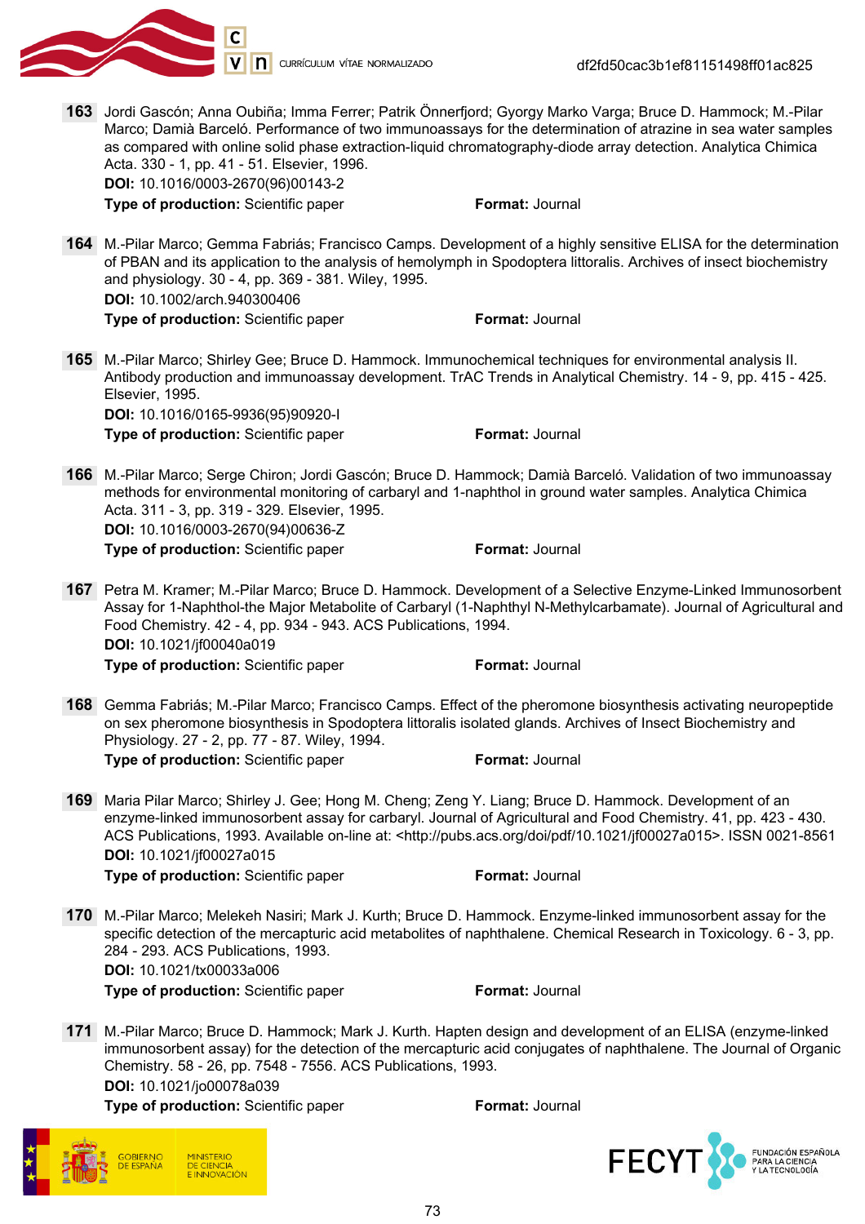

df2fd50cac3b1ef81151498ff01ac825

163 Jordi Gascón; Anna Oubiña; Imma Ferrer; Patrik Önnerfjord; Gyorgy Marko Varga; Bruce D. Hammock; M.-Pilar Marco; Damià Barceló. Performance of two immunoassays for the determination of atrazine in sea water samples as compared with online solid phase extraction-liquid chromatography-diode array detection. Analytica Chimica Acta. 330 - 1, pp. 41 - 51. Elsevier, 1996. DOI: 10.1016/0003-2670(96)00143-2

**Type of production:** Scientific paper Format: Journal

164 M.-Pilar Marco; Gemma Fabriás; Francisco Camps. Development of a highly sensitive ELISA for the determination of PBAN and its application to the analysis of hemolymph in Spodoptera littoralis. Archives of insect biochemistry and physiology. 30 - 4, pp. 369 - 381. Wiley, 1995. DOI: 10.1002/arch.940300406

**Type of production:** Scientific paper Format: Journal

165 M.-Pilar Marco; Shirley Gee; Bruce D. Hammock. Immunochemical techniques for environmental analysis II. Antibody production and immunoassay development. TrAC Trends in Analytical Chemistry. 14 - 9, pp. 415 - 425. Elsevier, 1995. DOI: 10.1016/0165-9936(95)90920-I

**Type of production:** Scientific paper Format: Journal

166 M.-Pilar Marco; Serge Chiron; Jordi Gascón; Bruce D. Hammock; Damià Barceló. Validation of two immunoassay methods for environmental monitoring of carbaryl and 1-naphthol in ground water samples. Analytica Chimica Acta. 311 - 3, pp. 319 - 329. Elsevier, 1995. DOI: 10.1016/0003-2670(94)00636-Z

**Type of production:** Scientific paper Format: Journal

- 167 Petra M. Kramer; M.-Pilar Marco; Bruce D. Hammock. Development of a Selective Enzyme-Linked Immunosorbent Assay for 1-Naphthol-the Major Metabolite of Carbaryl (1-Naphthyl N-Methylcarbamate). Journal of Agricultural and Food Chemistry. 42 - 4, pp. 934 - 943. ACS Publications, 1994. DOI: 10.1021/jf00040a019 **Type of production:** Scientific paper Format: Journal
- 168 Gemma Fabriás; M.-Pilar Marco; Francisco Camps. Effect of the pheromone biosynthesis activating neuropeptide on sex pheromone biosynthesis in Spodoptera littoralis isolated glands. Archives of Insect Biochemistry and Physiology. 27 - 2, pp. 77 - 87. Wiley, 1994. **Type of production:** Scientific paper Format: Journal
- 169 Maria Pilar Marco; Shirley J. Gee; Hong M. Cheng; Zeng Y. Liang; Bruce D. Hammock. Development of an enzyme-linked immunosorbent assay for carbaryl. Journal of Agricultural and Food Chemistry. 41, pp. 423 - 430. ACS Publications, 1993. Available on-line at: <http://pubs.acs.org/doi/pdf/10.1021/jf00027a015>. ISSN 0021-8561 DOI: 10.1021/jf00027a015

**Type of production:** Scientific paper Format: Journal

170 M.-Pilar Marco; Melekeh Nasiri; Mark J. Kurth; Bruce D. Hammock. Enzyme-linked immunosorbent assay for the specific detection of the mercapturic acid metabolites of naphthalene. Chemical Research in Toxicology. 6 - 3, pp. 284 - 293. ACS Publications, 1993. DOI: 10.1021/tx00033a006

**Type of production:** Scientific paper Format: Journal

171 M.-Pilar Marco; Bruce D. Hammock; Mark J. Kurth. Hapten design and development of an ELISA (enzyme-linked immunosorbent assay) for the detection of the mercapturic acid conjugates of naphthalene. The Journal of Organic Chemistry. 58 - 26, pp. 7548 - 7556. ACS Publications, 1993. DOI: 10.1021/jo00078a039

Type of production: Scientific paper Format: Journal



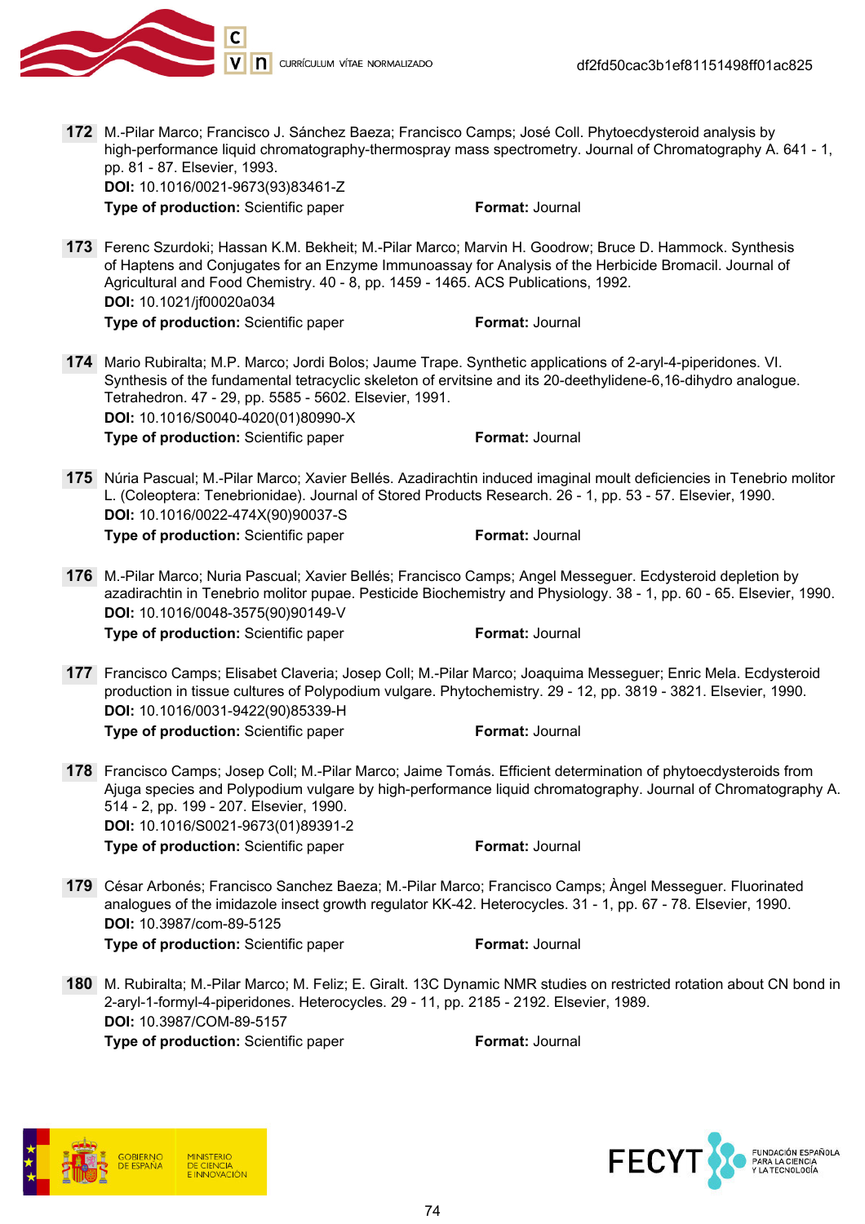

172 M.-Pilar Marco; Francisco J. Sánchez Baeza; Francisco Camps; José Coll. Phytoecdysteroid analysis by high-performance liquid chromatography-thermospray mass spectrometry. Journal of Chromatography A. 641 - 1, pp. 81 - 87. Elsevier, 1993. DOI: 10.1016/0021-9673(93)83461-Z

**Type of production:** Scientific paper Format: Journal

- 173 Ferenc Szurdoki; Hassan K.M. Bekheit; M.-Pilar Marco; Marvin H. Goodrow; Bruce D. Hammock. Synthesis of Haptens and Conjugates for an Enzyme Immunoassay for Analysis of the Herbicide Bromacil. Journal of Agricultural and Food Chemistry. 40 - 8, pp. 1459 - 1465. ACS Publications, 1992. DOI: 10.1021/jf00020a034 **Type of production:** Scientific paper Format: Journal
- 174 Mario Rubiralta; M.P. Marco; Jordi Bolos; Jaume Trape. Synthetic applications of 2-aryl-4-piperidones. VI. Synthesis of the fundamental tetracyclic skeleton of ervitsine and its 20-deethylidene-6,16-dihydro analogue. Tetrahedron. 47 - 29, pp. 5585 - 5602. Elsevier, 1991. DOI: 10.1016/S0040-4020(01)80990-X Type of production: Scientific paper Format: Journal
- 175 Núria Pascual; M.-Pilar Marco; Xavier Bellés. Azadirachtin induced imaginal moult deficiencies in Tenebrio molitor L. (Coleoptera: Tenebrionidae). Journal of Stored Products Research. 26 - 1, pp. 53 - 57. Elsevier, 1990. DOI: 10.1016/0022-474X(90)90037-S Type of production: Scientific paper Format: Journal
- 176 M.-Pilar Marco; Nuria Pascual; Xavier Bellés; Francisco Camps; Angel Messeguer. Ecdysteroid depletion by azadirachtin in Tenebrio molitor pupae. Pesticide Biochemistry and Physiology. 38 - 1, pp. 60 - 65. Elsevier, 1990. DOI: 10.1016/0048-3575(90)90149-V

Type of production: Scientific paper Format: Journal

- 177 Francisco Camps; Elisabet Claveria; Josep Coll; M.-Pilar Marco; Joaquima Messeguer; Enric Mela. Ecdysteroid production in tissue cultures of Polypodium vulgare. Phytochemistry. 29 - 12, pp. 3819 - 3821. Elsevier, 1990. DOI: 10.1016/0031-9422(90)85339-H **Type of production:** Scientific paper Format: Journal
- 178 Francisco Camps; Josep Coll; M.-Pilar Marco; Jaime Tomás. Efficient determination of phytoecdysteroids from Ajuga species and Polypodium vulgare by high-performance liquid chromatography. Journal of Chromatography A. 514 - 2, pp. 199 - 207. Elsevier, 1990. DOI: 10.1016/S0021-9673(01)89391-2 **Type of production:** Scientific paper Format: Journal
- 179 César Arbonés; Francisco Sanchez Baeza; M.-Pilar Marco; Francisco Camps; Àngel Messeguer. Fluorinated analogues of the imidazole insect growth regulator KK-42. Heterocycles. 31 - 1, pp. 67 - 78. Elsevier, 1990. DOI: 10.3987/com-89-5125 Type of production: Scientific paper Format: Journal
- 180 M. Rubiralta; M.-Pilar Marco; M. Feliz; E. Giralt. 13C Dynamic NMR studies on restricted rotation about CN bond in 2-aryl-1-formyl-4-piperidones. Heterocycles. 29 - 11, pp. 2185 - 2192. Elsevier, 1989. DOI: 10.3987/COM-89-5157 **Type of production:** Scientific paper Format: Journal



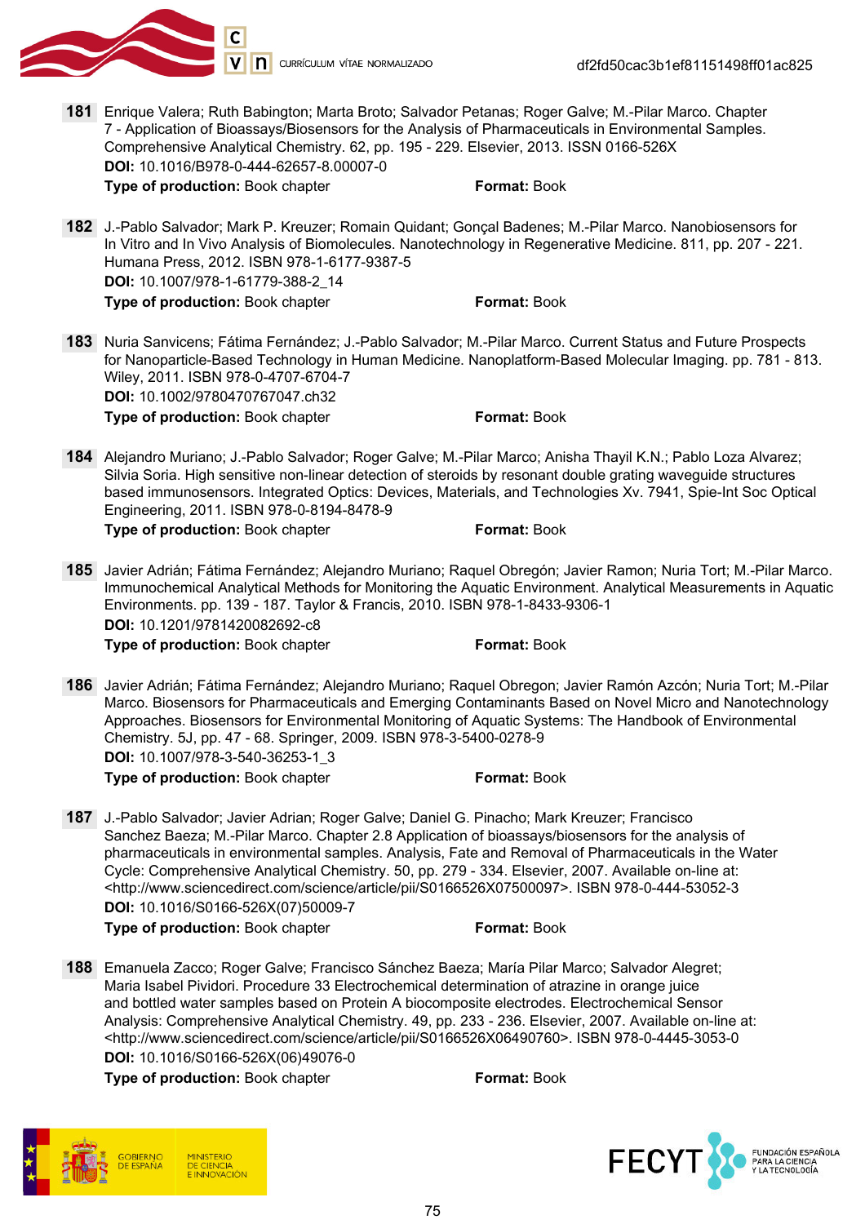

181 Enrique Valera; Ruth Babington; Marta Broto; Salvador Petanas; Roger Galve; M.-Pilar Marco. Chapter 7 - Application of Bioassays/Biosensors for the Analysis of Pharmaceuticals in Environmental Samples. Comprehensive Analytical Chemistry. 62, pp. 195 - 229. Elsevier, 2013. ISSN 0166-526X DOI: 10.1016/B978-0-444-62657-8.00007-0

**Type of production:** Book chapter **Format: Book** Format: Book

182 J.-Pablo Salvador; Mark P. Kreuzer; Romain Quidant; Gonçal Badenes; M.-Pilar Marco. Nanobiosensors for In Vitro and In Vivo Analysis of Biomolecules. Nanotechnology in Regenerative Medicine. 811, pp. 207 - 221. Humana Press, 2012. ISBN 978-1-6177-9387-5 DOI: 10.1007/978-1-61779-388-2\_14

Type of production: Book chapter Format: Book

- 183 Nuria Sanvicens; Fátima Fernández; J.-Pablo Salvador; M.-Pilar Marco. Current Status and Future Prospects for Nanoparticle-Based Technology in Human Medicine. Nanoplatform-Based Molecular Imaging. pp. 781 - 813. Wiley, 2011. ISBN 978-0-4707-6704-7 DOI: 10.1002/9780470767047.ch32 **Type of production:** Book chapter **Format: Book** Format: Book
- 184 Alejandro Muriano; J.-Pablo Salvador; Roger Galve; M.-Pilar Marco; Anisha Thayil K.N.; Pablo Loza Alvarez; Silvia Soria. High sensitive non-linear detection of steroids by resonant double grating waveguide structures based immunosensors. Integrated Optics: Devices, Materials, and Technologies Xv. 7941, Spie-Int Soc Optical Engineering, 2011. ISBN 978-0-8194-8478-9

**Type of production:** Book chapter **Format: Book** 

185 Javier Adrián; Fátima Fernández; Alejandro Muriano; Raquel Obregón; Javier Ramon; Nuria Tort; M.-Pilar Marco. Immunochemical Analytical Methods for Monitoring the Aquatic Environment. Analytical Measurements in Aquatic Environments. pp. 139 - 187. Taylor & Francis, 2010. ISBN 978-1-8433-9306-1 DOI: 10.1201/9781420082692-c8 Type of production: Book chapter Format: Book

- 186 Javier Adrián; Fátima Fernández; Alejandro Muriano; Raquel Obregon; Javier Ramón Azcón; Nuria Tort; M.-Pilar Marco. Biosensors for Pharmaceuticals and Emerging Contaminants Based on Novel Micro and Nanotechnology Approaches. Biosensors for Environmental Monitoring of Aquatic Systems: The Handbook of Environmental Chemistry. 5J, pp. 47 - 68. Springer, 2009. ISBN 978-3-5400-0278-9 DOI: 10.1007/978-3-540-36253-1\_3 Type of production: Book chapter Format: Book
- 187 J.-Pablo Salvador; Javier Adrian; Roger Galve; Daniel G. Pinacho; Mark Kreuzer; Francisco Sanchez Baeza; M.-Pilar Marco. Chapter 2.8 Application of bioassays/biosensors for the analysis of pharmaceuticals in environmental samples. Analysis, Fate and Removal of Pharmaceuticals in the Water Cycle: Comprehensive Analytical Chemistry. 50, pp. 279 - 334. Elsevier, 2007. Available on-line at: <http://www.sciencedirect.com/science/article/pii/S0166526X07500097>. ISBN 978-0-444-53052-3 DOI: 10.1016/S0166-526X(07)50009-7 Type of production: Book chapter Format: Book

188 Emanuela Zacco; Roger Galve; Francisco Sánchez Baeza; María Pilar Marco; Salvador Alegret; Maria Isabel Pividori. Procedure 33 Electrochemical determination of atrazine in orange juice and bottled water samples based on Protein A biocomposite electrodes. Electrochemical Sensor Analysis: Comprehensive Analytical Chemistry. 49, pp. 233 - 236. Elsevier, 2007. Available on-line at: <http://www.sciencedirect.com/science/article/pii/S0166526X06490760>. ISBN 978-0-4445-3053-0 DOI: 10.1016/S0166-526X(06)49076-0

Type of production: Book chapter Format: Book



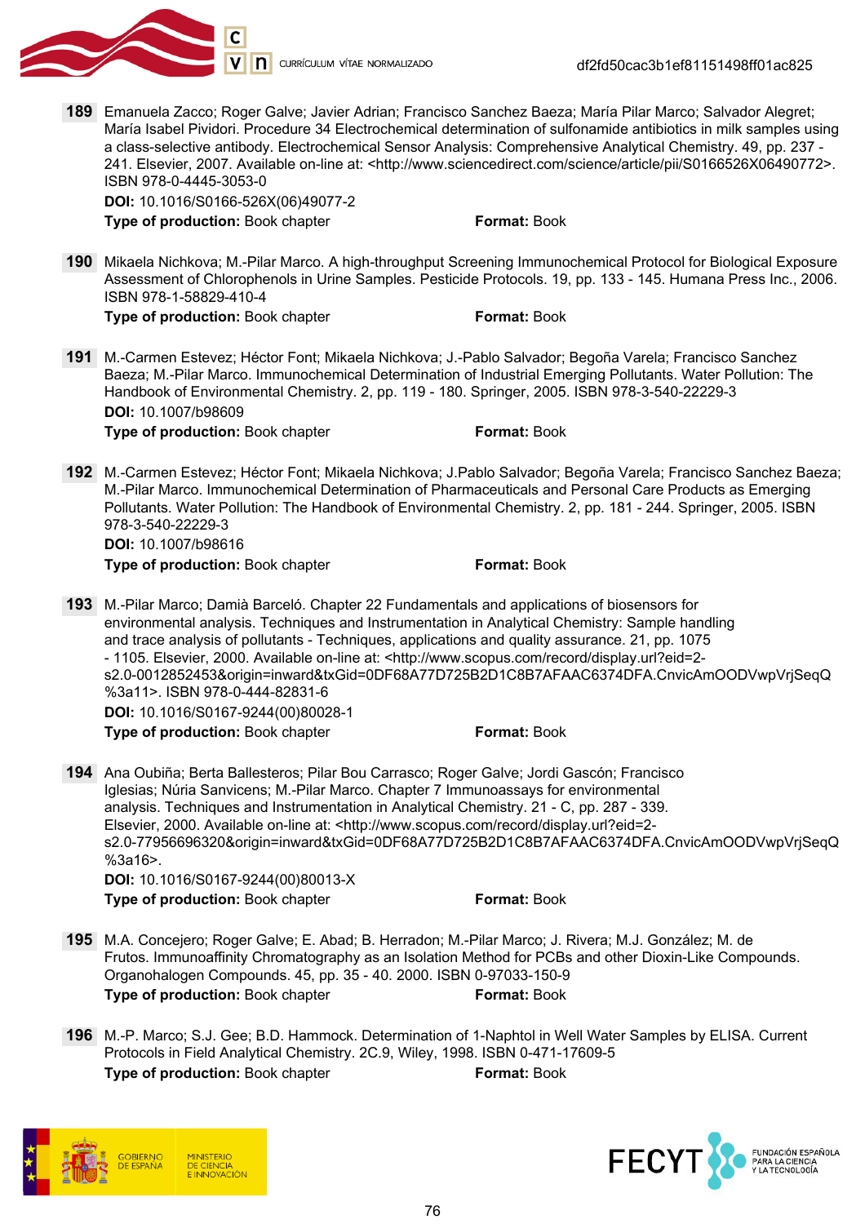

V n currículum vítae normalizado

df2fd50cac3b1ef81151498ff01ac825

189 Emanuela Zacco; Roger Galve; Javier Adrian; Francisco Sanchez Baeza; María Pilar Marco; Salvador Alegret; María Isabel Pividori. Procedure 34 Electrochemical determination of sulfonamide antibiotics in milk samples using a class-selective antibody. Electrochemical Sensor Analysis: Comprehensive Analytical Chemistry. 49, pp. 237 - 241. Elsevier, 2007. Available on-line at: <http://www.sciencedirect.com/science/article/pii/S0166526X06490772>. ISBN 978-0-4445-3053-0

DOI: 10.1016/S0166-526X(06)49077-2 Type of production: Book chapter Format: Book

190 Mikaela Nichkova; M.-Pilar Marco. A high-throughput Screening Immunochemical Protocol for Biological Exposure Assessment of Chlorophenols in Urine Samples. Pesticide Protocols. 19, pp. 133 - 145. Humana Press Inc., 2006. ISBN 978-1-58829-410-4

Type of production: Book chapter Format: Book

- 191 M.-Carmen Estevez; Héctor Font; Mikaela Nichkova; J.-Pablo Salvador; Begoña Varela; Francisco Sanchez Baeza; M.-Pilar Marco. Immunochemical Determination of Industrial Emerging Pollutants. Water Pollution: The Handbook of Environmental Chemistry. 2, pp. 119 - 180. Springer, 2005. ISBN 978-3-540-22229-3 DOI: 10.1007/b98609 **Type of production:** Book chapter Format: Book **Format:** Book
- 192 M.-Carmen Estevez; Héctor Font; Mikaela Nichkova; J.Pablo Salvador; Begoña Varela; Francisco Sanchez Baeza; M.-Pilar Marco. Immunochemical Determination of Pharmaceuticals and Personal Care Products as Emerging Pollutants. Water Pollution: The Handbook of Environmental Chemistry. 2, pp. 181 - 244. Springer, 2005. ISBN 978-3-540-22229-3

DOI: 10.1007/b98616

Type of production: Book chapter Format: Book

193 M.-Pilar Marco; Damià Barceló. Chapter 22 Fundamentals and applications of biosensors for environmental analysis. Techniques and Instrumentation in Analytical Chemistry: Sample handling and trace analysis of pollutants - Techniques, applications and quality assurance. 21, pp. 1075 - 1105. Elsevier, 2000. Available on-line at: <http://www.scopus.com/record/display.url?eid=2 s2.0-0012852453&origin=inward&txGid=0DF68A77D725B2D1C8B7AFAAC6374DFA.CnvicAmOODVwpVrjSeqQ %3a11>. ISBN 978-0-444-82831-6 DOI: 10.1016/S0167-9244(00)80028-1 Type of production: Book chapter Format: Book

194 Ana Oubiña; Berta Ballesteros; Pilar Bou Carrasco; Roger Galve; Jordi Gascón; Francisco Iglesias; Núria Sanvicens; M.-Pilar Marco. Chapter 7 Immunoassays for environmental analysis. Techniques and Instrumentation in Analytical Chemistry. 21 - C, pp. 287 - 339. Elsevier, 2000. Available on-line at: <http://www.scopus.com/record/display.url?eid=2 s2.0-77956696320&origin=inward&txGid=0DF68A77D725B2D1C8B7AFAAC6374DFA.CnvicAmOODVwpVrjSeqQ %3a16>. DOI: 10.1016/S0167-9244(00)80013-X

**Type of production:** Book chapter **Format: Book** 

- 195 M.A. Concejero; Roger Galve; E. Abad; B. Herradon; M.-Pilar Marco; J. Rivera; M.J. González; M. de Frutos. Immunoaffinity Chromatography as an Isolation Method for PCBs and other Dioxin-Like Compounds. Organohalogen Compounds. 45, pp. 35 - 40. 2000. ISBN 0-97033-150-9 Type of production: Book chapter Format: Book
- 196 M.-P. Marco; S.J. Gee; B.D. Hammock. Determination of 1-Naphtol in Well Water Samples by ELISA. Current Protocols in Field Analytical Chemistry. 2C.9, Wiley, 1998. ISBN 0-471-17609-5 Type of production: Book chapter Format: Book



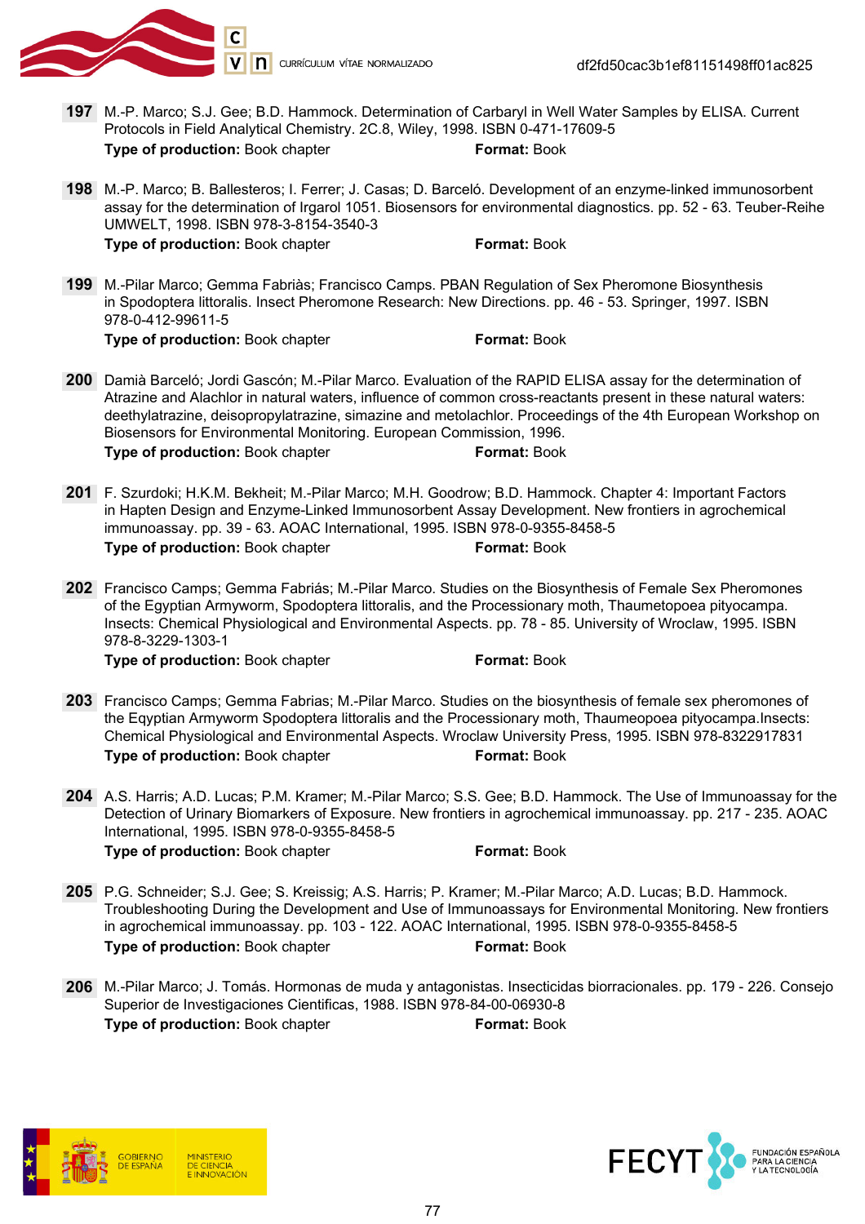

df2fd50cac3b1ef81151498ff01ac825

- 197 M.-P. Marco; S.J. Gee; B.D. Hammock. Determination of Carbaryl in Well Water Samples by ELISA. Current Protocols in Field Analytical Chemistry. 2C.8, Wiley, 1998. ISBN 0-471-17609-5 Type of production: Book chapter Format: Book
- 198 M.-P. Marco; B. Ballesteros; I. Ferrer; J. Casas; D. Barceló. Development of an enzyme-linked immunosorbent assay for the determination of Irgarol 1051. Biosensors for environmental diagnostics. pp. 52 - 63. Teuber-Reihe UMWELT, 1998. ISBN 978-3-8154-3540-3 **Type of production:** Book chapter **Format: Book**
- 199 M.-Pilar Marco; Gemma Fabriàs; Francisco Camps. PBAN Regulation of Sex Pheromone Biosynthesis in Spodoptera littoralis. Insect Pheromone Research: New Directions. pp. 46 - 53. Springer, 1997. ISBN 978-0-412-99611-5 Type of production: Book chapter Format: Book

- 200 Damià Barceló; Jordi Gascón; M.-Pilar Marco. Evaluation of the RAPID ELISA assay for the determination of Atrazine and Alachlor in natural waters, influence of common cross-reactants present in these natural waters: deethylatrazine, deisopropylatrazine, simazine and metolachlor. Proceedings of the 4th European Workshop on Biosensors for Environmental Monitoring. European Commission, 1996. Type of production: Book chapter Format: Book
- 201 F. Szurdoki; H.K.M. Bekheit; M.-Pilar Marco; M.H. Goodrow; B.D. Hammock. Chapter 4: Important Factors in Hapten Design and Enzyme-Linked Immunosorbent Assay Development. New frontiers in agrochemical immunoassay. pp. 39 - 63. AOAC International, 1995. ISBN 978-0-9355-8458-5 Type of production: Book chapter Format: Book
- 202 Francisco Camps; Gemma Fabriás; M.-Pilar Marco. Studies on the Biosynthesis of Female Sex Pheromones of the Egyptian Armyworm, Spodoptera littoralis, and the Processionary moth, Thaumetopoea pityocampa. Insects: Chemical Physiological and Environmental Aspects. pp. 78 - 85. University of Wroclaw, 1995. ISBN 978-8-3229-1303-1

**Type of production:** Book chapter **Format: Book** Format: Book

- 203 Francisco Camps; Gemma Fabrias; M.-Pilar Marco. Studies on the biosynthesis of female sex pheromones of the Eqyptian Armyworm Spodoptera littoralis and the Processionary moth, Thaumeopoea pityocampa.Insects: Chemical Physiological and Environmental Aspects. Wroclaw University Press, 1995. ISBN 978-8322917831 Type of production: Book chapter Format: Book
- 204 A.S. Harris; A.D. Lucas; P.M. Kramer; M.-Pilar Marco; S.S. Gee; B.D. Hammock. The Use of Immunoassay for the Detection of Urinary Biomarkers of Exposure. New frontiers in agrochemical immunoassay. pp. 217 - 235. AOAC International, 1995. ISBN 978-0-9355-8458-5

Type of production: Book chapter Format: Book

- 205 P.G. Schneider; S.J. Gee; S. Kreissig; A.S. Harris; P. Kramer; M.-Pilar Marco; A.D. Lucas; B.D. Hammock. Troubleshooting During the Development and Use of Immunoassays for Environmental Monitoring. New frontiers in agrochemical immunoassay. pp. 103 - 122. AOAC International, 1995. ISBN 978-0-9355-8458-5 Type of production: Book chapter Format: Book
- 206 M.-Pilar Marco; J. Tomás. Hormonas de muda y antagonistas. Insecticidas biorracionales. pp. 179 226. Consejo Superior de Investigaciones Cientificas, 1988. ISBN 978-84-00-06930-8 Type of production: Book chapter Format: Book



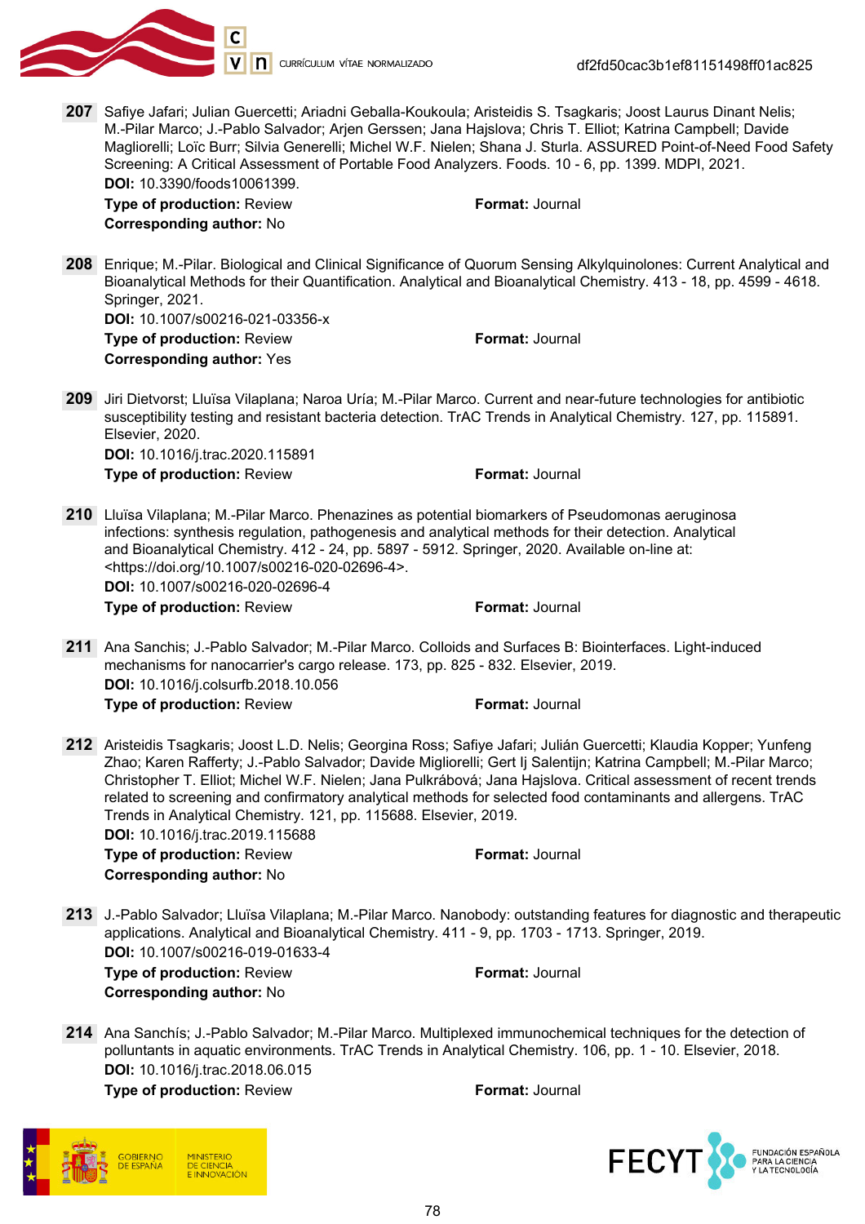

df2fd50cac3b1ef81151498ff01ac825

207 Safiye Jafari; Julian Guercetti; Ariadni Geballa-Koukoula; Aristeidis S. Tsagkaris; Joost Laurus Dinant Nelis; M.-Pilar Marco; J.-Pablo Salvador; Arjen Gerssen; Jana Hajslova; Chris T. Elliot; Katrina Campbell; Davide Magliorelli; Loïc Burr; Silvia Generelli; Michel W.F. Nielen; Shana J. Sturla. ASSURED Point-of-Need Food Safety Screening: A Critical Assessment of Portable Food Analyzers. Foods. 10 - 6, pp. 1399. MDPI, 2021. DOI: 10.3390/foods10061399.

**Type of production: Review Format: Journal** Corresponding author: No

208 Enrique; M.-Pilar. Biological and Clinical Significance of Quorum Sensing Alkylquinolones: Current Analytical and Bioanalytical Methods for their Quantification. Analytical and Bioanalytical Chemistry. 413 - 18, pp. 4599 - 4618. Springer, 2021.

DOI: 10.1007/s00216-021-03356-x Type of production: Review Format: Journal Corresponding author: Yes

209 Jiri Dietvorst; Lluïsa Vilaplana; Naroa Uría; M.-Pilar Marco. Current and near-future technologies for antibiotic susceptibility testing and resistant bacteria detection. TrAC Trends in Analytical Chemistry. 127, pp. 115891. Elsevier, 2020. DOI: 10.1016/j.trac.2020.115891

Type of production: Review Format: Journal

210 Lluïsa Vilaplana; M.-Pilar Marco. Phenazines as potential biomarkers of Pseudomonas aeruginosa infections: synthesis regulation, pathogenesis and analytical methods for their detection. Analytical and Bioanalytical Chemistry. 412 - 24, pp. 5897 - 5912. Springer, 2020. Available on-line at: <https://doi.org/10.1007/s00216-020-02696-4>.

DOI: 10.1007/s00216-020-02696-4

**Type of production:** Review **Format: Journal** 

- 211 Ana Sanchis; J.-Pablo Salvador; M.-Pilar Marco. Colloids and Surfaces B: Biointerfaces. Light-induced mechanisms for nanocarrier's cargo release. 173, pp. 825 - 832. Elsevier, 2019. DOI: 10.1016/j.colsurfb.2018.10.056 **Type of production: Review Format: Journal**
- 212 Aristeidis Tsagkaris; Joost L.D. Nelis; Georgina Ross; Safiye Jafari; Julián Guercetti; Klaudia Kopper; Yunfeng Zhao; Karen Rafferty; J.-Pablo Salvador; Davide Migliorelli; Gert Ij Salentijn; Katrina Campbell; M.-Pilar Marco; Christopher T. Elliot; Michel W.F. Nielen; Jana Pulkrábová; Jana Hajslova. Critical assessment of recent trends related to screening and confirmatory analytical methods for selected food contaminants and allergens. TrAC Trends in Analytical Chemistry. 121, pp. 115688. Elsevier, 2019.

DOI: 10.1016/j.trac.2019.115688 Type of production: Review Format: Journal Corresponding author: No

213 J.-Pablo Salvador; Lluïsa Vilaplana; M.-Pilar Marco. Nanobody: outstanding features for diagnostic and therapeutic applications. Analytical and Bioanalytical Chemistry. 411 - 9, pp. 1703 - 1713. Springer, 2019. DOI: 10.1007/s00216-019-01633-4 Type of production: Review Format: Journal

Corresponding author: No

214 Ana Sanchís; J.-Pablo Salvador; M.-Pilar Marco. Multiplexed immunochemical techniques for the detection of polluntants in aquatic environments. TrAC Trends in Analytical Chemistry. 106, pp. 1 - 10. Elsevier, 2018. DOI: 10.1016/j.trac.2018.06.015 Type of production: Review Format: Journal



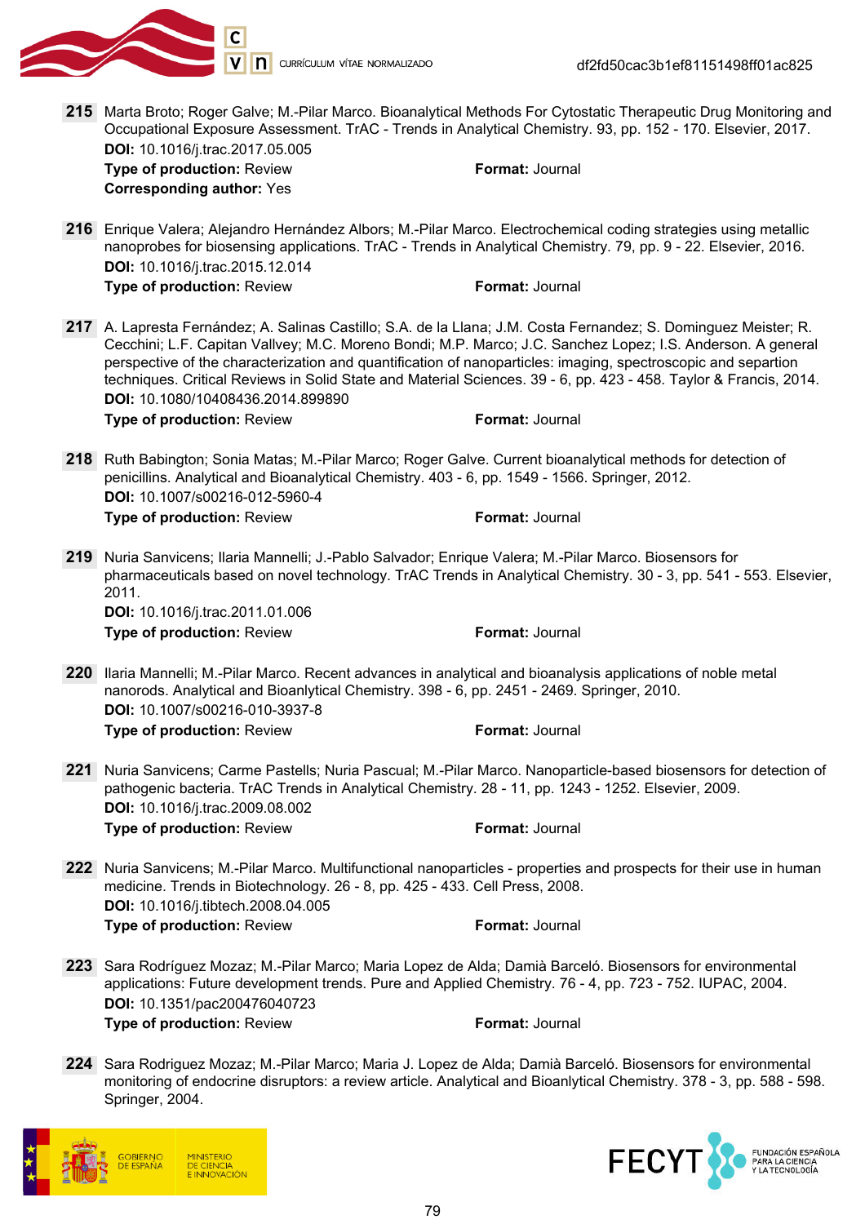

- 215 Marta Broto; Roger Galve; M.-Pilar Marco. Bioanalytical Methods For Cytostatic Therapeutic Drug Monitoring and Occupational Exposure Assessment. TrAC - Trends in Analytical Chemistry. 93, pp. 152 - 170. Elsevier, 2017. DOI: 10.1016/j.trac.2017.05.005 **Type of production: Review Format: Journal** Corresponding author: Yes 216 Enrique Valera; Alejandro Hernández Albors; M.-Pilar Marco. Electrochemical coding strategies using metallic nanoprobes for biosensing applications. TrAC - Trends in Analytical Chemistry. 79, pp. 9 - 22. Elsevier, 2016. DOI: 10.1016/j.trac.2015.12.014 Type of production: Review Format: Journal 217 A. Lapresta Fernández; A. Salinas Castillo; S.A. de la Llana; J.M. Costa Fernandez; S. Dominguez Meister; R. Cecchini; L.F. Capitan Vallvey; M.C. Moreno Bondi; M.P. Marco; J.C. Sanchez Lopez; I.S. Anderson. A general perspective of the characterization and quantification of nanoparticles: imaging, spectroscopic and separtion techniques. Critical Reviews in Solid State and Material Sciences. 39 - 6, pp. 423 - 458. Taylor & Francis, 2014. DOI: 10.1080/10408436.2014.899890 Type of production: Review Format: Journal 218 Ruth Babington; Sonia Matas; M.-Pilar Marco; Roger Galve. Current bioanalytical methods for detection of penicillins. Analytical and Bioanalytical Chemistry. 403 - 6, pp. 1549 - 1566. Springer, 2012. DOI: 10.1007/s00216-012-5960-4 **Type of production: Review Format: Journal** 219 Nuria Sanvicens; Ilaria Mannelli; J.-Pablo Salvador; Enrique Valera; M.-Pilar Marco. Biosensors for pharmaceuticals based on novel technology. TrAC Trends in Analytical Chemistry. 30 - 3, pp. 541 - 553. Elsevier, 2011. DOI: 10.1016/j.trac.2011.01.006 **Type of production:** Review **Format:** Journal 220 Ilaria Mannelli; M.-Pilar Marco. Recent advances in analytical and bioanalysis applications of noble metal nanorods. Analytical and Bioanlytical Chemistry. 398 - 6, pp. 2451 - 2469. Springer, 2010. DOI: 10.1007/s00216-010-3937-8 **Type of production: Review Format: Journal** 221 Nuria Sanvicens; Carme Pastells; Nuria Pascual; M.-Pilar Marco. Nanoparticle-based biosensors for detection of pathogenic bacteria. TrAC Trends in Analytical Chemistry. 28 - 11, pp. 1243 - 1252. Elsevier, 2009. DOI: 10.1016/j.trac.2009.08.002 **Type of production: Review Format: Journal** 222 Nuria Sanvicens; M.-Pilar Marco. Multifunctional nanoparticles - properties and prospects for their use in human medicine. Trends in Biotechnology. 26 - 8, pp. 425 - 433. Cell Press, 2008. DOI: 10.1016/j.tibtech.2008.04.005 **Type of production: Review Format: Journal** 223 Sara Rodríguez Mozaz; M.-Pilar Marco; Maria Lopez de Alda; Damià Barceló. Biosensors for environmental applications: Future development trends. Pure and Applied Chemistry. 76 - 4, pp. 723 - 752. IUPAC, 2004. DOI: 10.1351/pac200476040723 Type of production: Review Format: Journal 224 Sara Rodriguez Mozaz; M.-Pilar Marco; Maria J. Lopez de Alda; Damià Barceló. Biosensors for environmental
- monitoring of endocrine disruptors: a review article. Analytical and Bioanlytical Chemistry. 378 3, pp. 588 598. Springer, 2004.



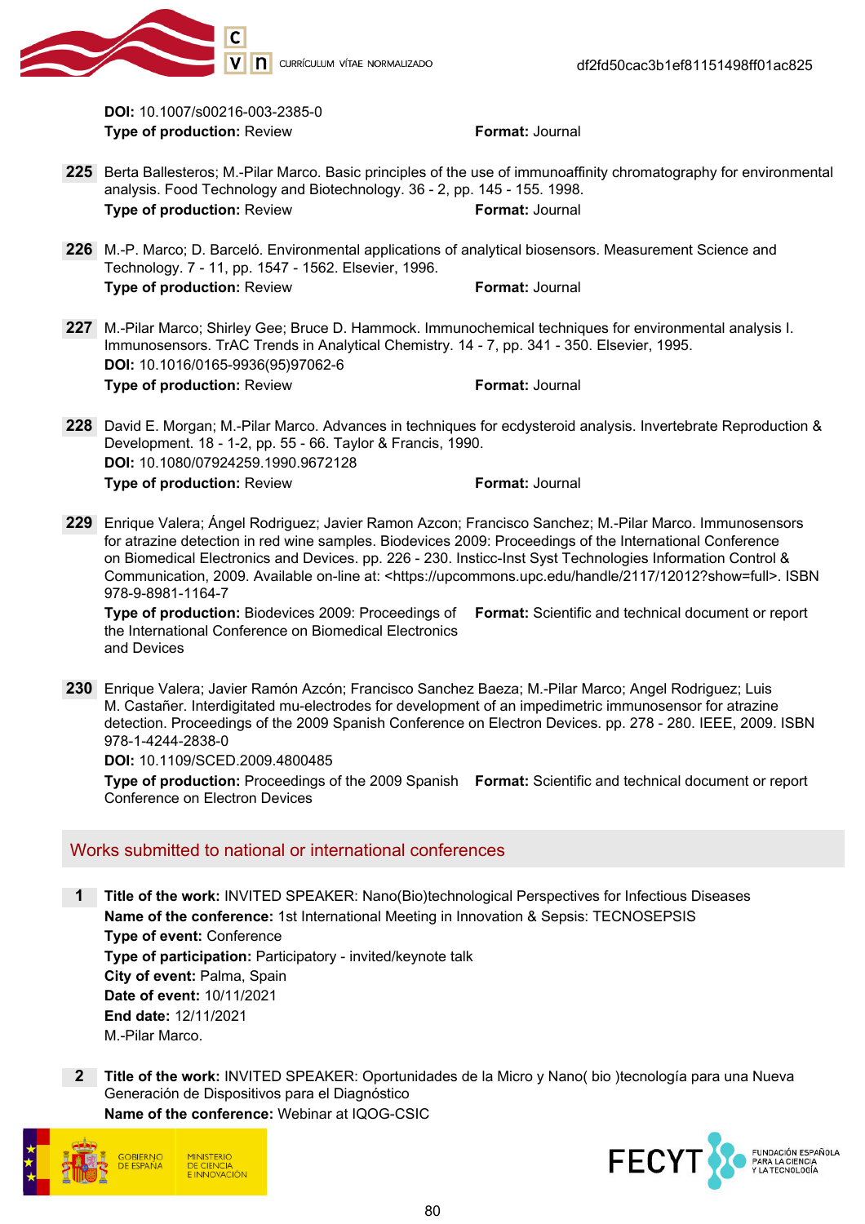

DOI: 10.1007/s00216-003-2385-0 Type of production: Review Format: Journal

- 225 Berta Ballesteros; M.-Pilar Marco. Basic principles of the use of immunoaffinity chromatography for environmental analysis. Food Technology and Biotechnology. 36 - 2, pp. 145 - 155. 1998. Type of production: Review Format: Journal
- 226 M.-P. Marco; D. Barceló. Environmental applications of analytical biosensors. Measurement Science and Technology. 7 - 11, pp. 1547 - 1562. Elsevier, 1996. **Type of production: Review Format: Journal**
- 227 M.-Pilar Marco; Shirley Gee; Bruce D. Hammock. Immunochemical techniques for environmental analysis I. Immunosensors. TrAC Trends in Analytical Chemistry. 14 - 7, pp. 341 - 350. Elsevier, 1995. DOI: 10.1016/0165-9936(95)97062-6 Type of production: Review Type of production: Review
- 228 David E. Morgan; M.-Pilar Marco. Advances in techniques for ecdysteroid analysis. Invertebrate Reproduction & Development. 18 - 1-2, pp. 55 - 66. Taylor & Francis, 1990. DOI: 10.1080/07924259.1990.9672128 Type of production: Review Format: Journal
- 229 Enrique Valera; Ángel Rodriguez; Javier Ramon Azcon; Francisco Sanchez; M.-Pilar Marco. Immunosensors for atrazine detection in red wine samples. Biodevices 2009: Proceedings of the International Conference on Biomedical Electronics and Devices. pp. 226 - 230. Insticc-Inst Syst Technologies Information Control & Communication, 2009. Available on-line at: <https://upcommons.upc.edu/handle/2117/12012?show=full>. ISBN 978-9-8981-1164-7

Type of production: Biodevices 2009: Proceedings of Format: Scientific and technical document or report the International Conference on Biomedical Electronics and Devices

230 Enrique Valera; Javier Ramón Azcón; Francisco Sanchez Baeza; M.-Pilar Marco; Angel Rodriguez; Luis M. Castañer. Interdigitated mu-electrodes for development of an impedimetric immunosensor for atrazine detection. Proceedings of the 2009 Spanish Conference on Electron Devices. pp. 278 - 280. IEEE, 2009. ISBN 978-1-4244-2838-0

DOI: 10.1109/SCED.2009.4800485

Type of production: Proceedings of the 2009 Spanish Format: Scientific and technical document or report Conference on Electron Devices

# Works submitted to national or international conferences

1 Title of the work: INVITED SPEAKER: Nano(Bio)technological Perspectives for Infectious Diseases Name of the conference: 1st International Meeting in Innovation & Sepsis: TECNOSEPSIS Type of event: Conference Type of participation: Participatory - invited/keynote talk City of event: Palma, Spain Date of event: 10/11/2021 End date: 12/11/2021 M.-Pilar Marco.

2 Title of the work: INVITED SPEAKER: Oportunidades de la Micro y Nano( bio )tecnología para una Nueva Generación de Dispositivos para el Diagnóstico

Name of the conference: Webinar at IQOG-CSIC



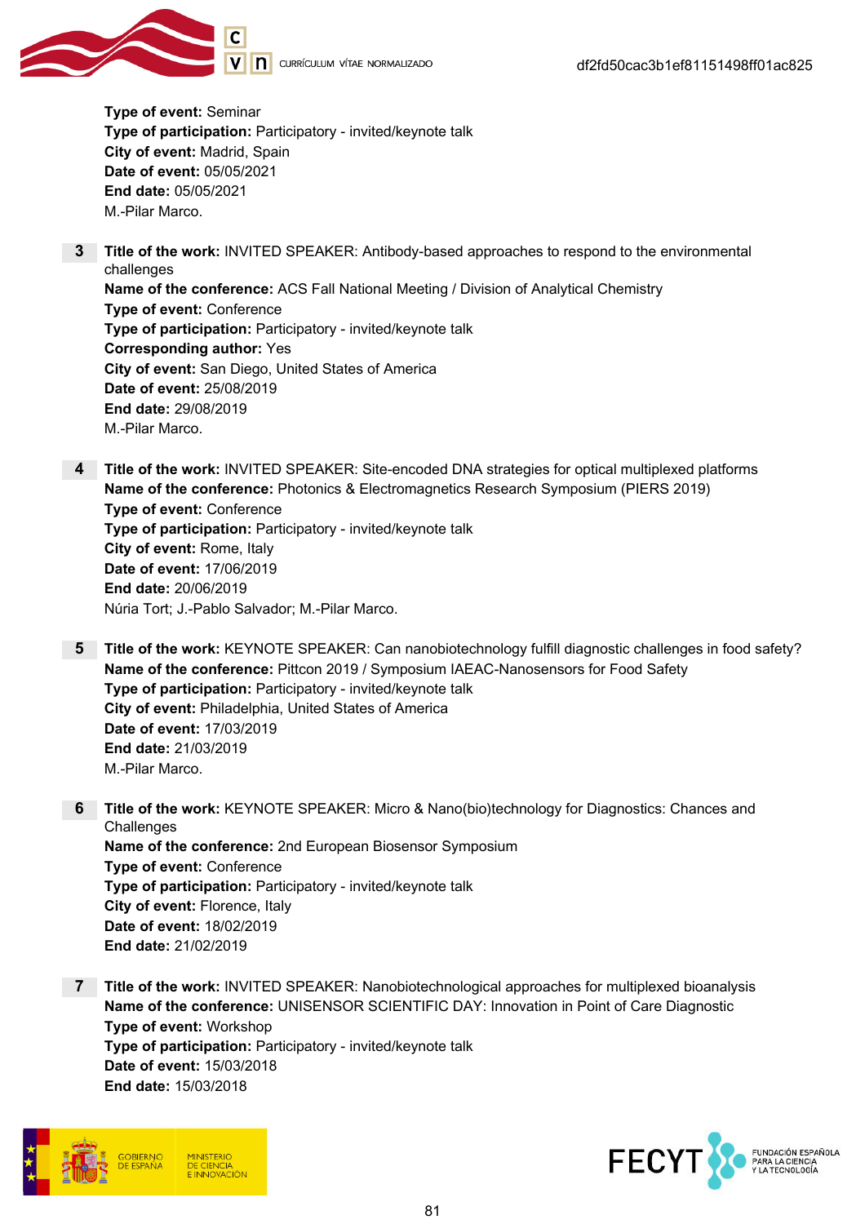

Type of event: Seminar Type of participation: Participatory - invited/keynote talk City of event: Madrid, Spain Date of event: 05/05/2021 End date: 05/05/2021 M.-Pilar Marco.

- **3** Title of the work: INVITED SPEAKER: Antibody-based approaches to respond to the environmental challenges Name of the conference: ACS Fall National Meeting / Division of Analytical Chemistry Type of event: Conference Type of participation: Participatory - invited/keynote talk Corresponding author: Yes City of event: San Diego, United States of America Date of event: 25/08/2019 End date: 29/08/2019 M.-Pilar Marco.
- 4 Title of the work: INVITED SPEAKER: Site-encoded DNA strategies for optical multiplexed platforms Name of the conference: Photonics & Electromagnetics Research Symposium (PIERS 2019) Type of event: Conference Type of participation: Participatory - invited/keynote talk City of event: Rome, Italy Date of event: 17/06/2019 End date: 20/06/2019 Núria Tort; J.-Pablo Salvador; M.-Pilar Marco.
- 5 Title of the work: KEYNOTE SPEAKER: Can nanobiotechnology fulfill diagnostic challenges in food safety? Name of the conference: Pittcon 2019 / Symposium IAEAC-Nanosensors for Food Safety Type of participation: Participatory - invited/keynote talk City of event: Philadelphia, United States of America Date of event: 17/03/2019 End date: 21/03/2019 M.-Pilar Marco.
- 6 Title of the work: KEYNOTE SPEAKER: Micro & Nano(bio)technology for Diagnostics: Chances and **Challenges** Name of the conference: 2nd European Biosensor Symposium Type of event: Conference Type of participation: Participatory - invited/keynote talk City of event: Florence, Italy Date of event: 18/02/2019 End date: 21/02/2019
- 7 Title of the work: INVITED SPEAKER: Nanobiotechnological approaches for multiplexed bioanalysis Name of the conference: UNISENSOR SCIENTIFIC DAY: Innovation in Point of Care Diagnostic Type of event: Workshop Type of participation: Participatory - invited/keynote talk Date of event: 15/03/2018 End date: 15/03/2018



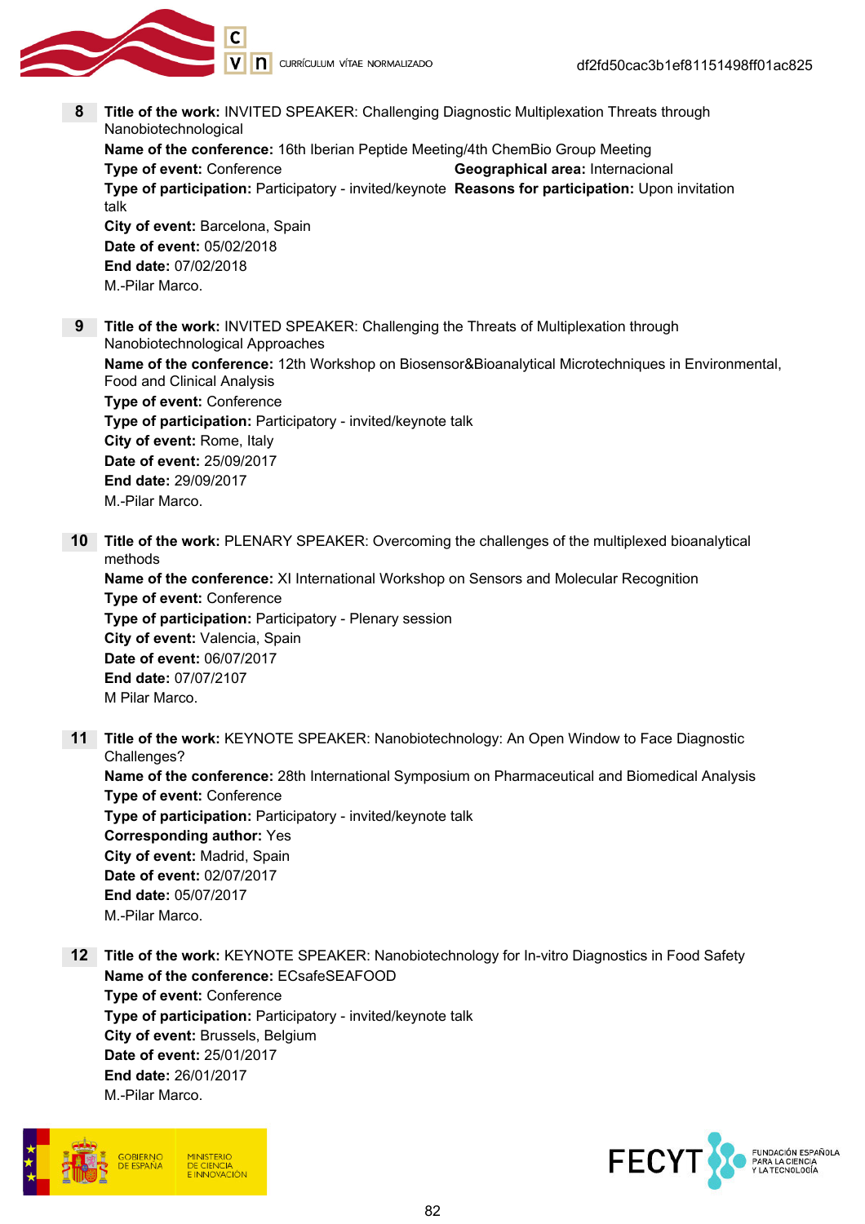

8 Title of the work: INVITED SPEAKER: Challenging Diagnostic Multiplexation Threats through Nanobiotechnological

Name of the conference: 16th Iberian Peptide Meeting/4th ChemBio Group Meeting Type of event: Conference Type of event: Conference Geographical area: Internacional Type of participation: Participatory - invited/keynote Reasons for participation: Upon invitation talk City of event: Barcelona, Spain Date of event: 05/02/2018 End date: 07/02/2018 M.-Pilar Marco.

9 Title of the work: INVITED SPEAKER: Challenging the Threats of Multiplexation through Nanobiotechnological Approaches Name of the conference: 12th Workshop on Biosensor&Bioanalytical Microtechniques in Environmental, Food and Clinical Analysis Type of event: Conference Type of participation: Participatory - invited/keynote talk City of event: Rome, Italy Date of event: 25/09/2017 End date: 29/09/2017 M.-Pilar Marco.

10 Title of the work: PLENARY SPEAKER: Overcoming the challenges of the multiplexed bioanalytical methods

Name of the conference: XI International Workshop on Sensors and Molecular Recognition Type of event: Conference Type of participation: Participatory - Plenary session City of event: Valencia, Spain Date of event: 06/07/2017 End date: 07/07/2107 M Pilar Marco.

- 11 Title of the work: KEYNOTE SPEAKER: Nanobiotechnology: An Open Window to Face Diagnostic Challenges? Name of the conference: 28th International Symposium on Pharmaceutical and Biomedical Analysis Type of event: Conference Type of participation: Participatory - invited/keynote talk Corresponding author: Yes City of event: Madrid, Spain Date of event: 02/07/2017 End date: 05/07/2017 M.-Pilar Marco.
- 12 Title of the work: KEYNOTE SPEAKER: Nanobiotechnology for In-vitro Diagnostics in Food Safety Name of the conference: ECsafeSEAFOOD Type of event: Conference Type of participation: Participatory - invited/keynote talk City of event: Brussels, Belgium Date of event: 25/01/2017 End date: 26/01/2017 M.-Pilar Marco.



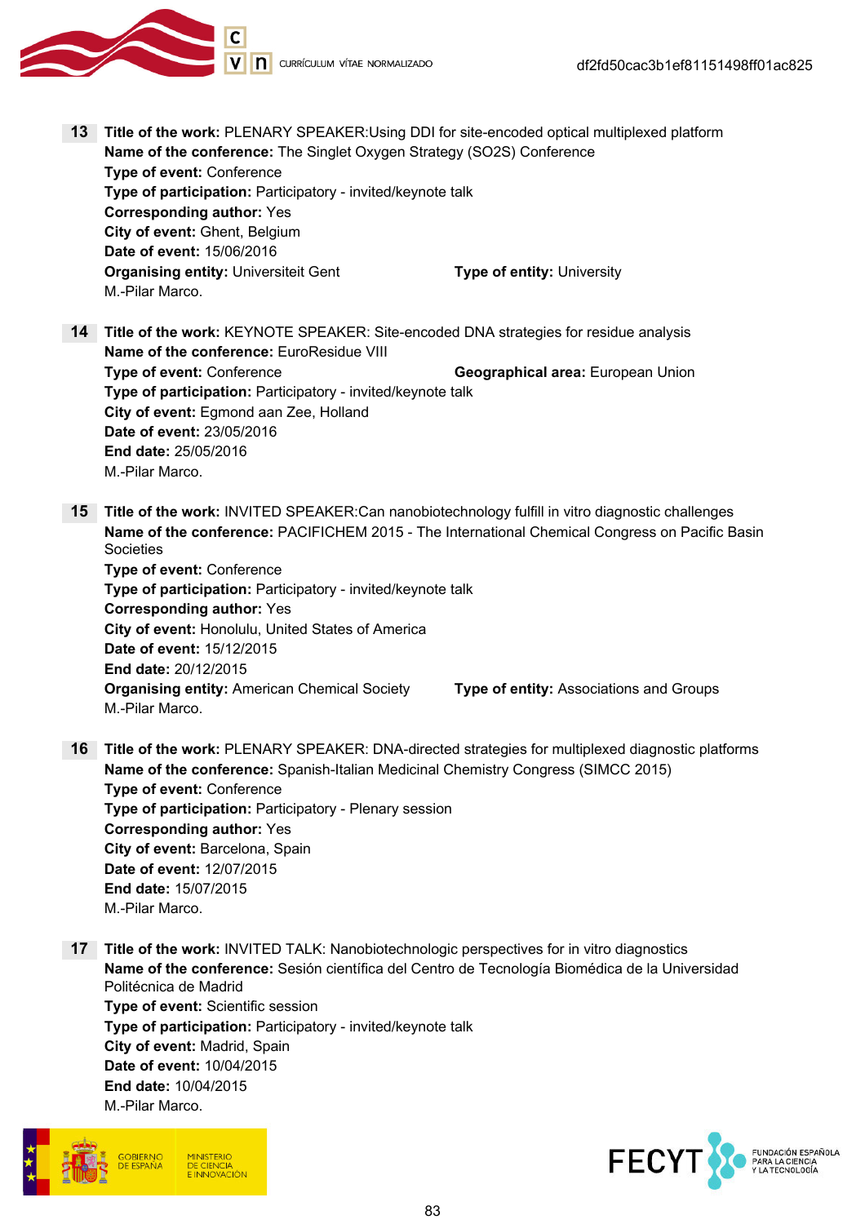

- 13 Title of the work: PLENARY SPEAKER: Using DDI for site-encoded optical multiplexed platform Name of the conference: The Singlet Oxygen Strategy (SO2S) Conference Type of event: Conference Type of participation: Participatory - invited/keynote talk Corresponding author: Yes City of event: Ghent, Belgium Date of event: 15/06/2016 **Organising entity:** Universiteit Gent Type of entity: University M.-Pilar Marco.
- 14 Title of the work: KEYNOTE SPEAKER: Site-encoded DNA strategies for residue analysis Name of the conference: EuroResidue VIII Type of event: Conference Geographical area: European Union Type of participation: Participatory - invited/keynote talk City of event: Egmond aan Zee, Holland Date of event: 23/05/2016 End date: 25/05/2016 M.-Pilar Marco.
- 15 Title of the work: INVITED SPEAKER: Can nanobiotechnology fulfill in vitro diagnostic challenges Name of the conference: PACIFICHEM 2015 - The International Chemical Congress on Pacific Basin **Societies**

Type of event: Conference Type of participation: Participatory - invited/keynote talk Corresponding author: Yes City of event: Honolulu, United States of America Date of event: 15/12/2015 End date: 20/12/2015 Organising entity: American Chemical Society Type of entity: Associations and Groups M.-Pilar Marco.

- 16 Title of the work: PLENARY SPEAKER: DNA-directed strategies for multiplexed diagnostic platforms Name of the conference: Spanish-Italian Medicinal Chemistry Congress (SIMCC 2015) Type of event: Conference Type of participation: Participatory - Plenary session Corresponding author: Yes City of event: Barcelona, Spain Date of event: 12/07/2015 End date: 15/07/2015 M.-Pilar Marco.
- 17 Title of the work: INVITED TALK: Nanobiotechnologic perspectives for in vitro diagnostics Name of the conference: Sesión científica del Centro de Tecnología Biomédica de la Universidad Politécnica de Madrid Type of event: Scientific session Type of participation: Participatory - invited/keynote talk City of event: Madrid, Spain Date of event: 10/04/2015 End date: 10/04/2015 M.-Pilar Marco.



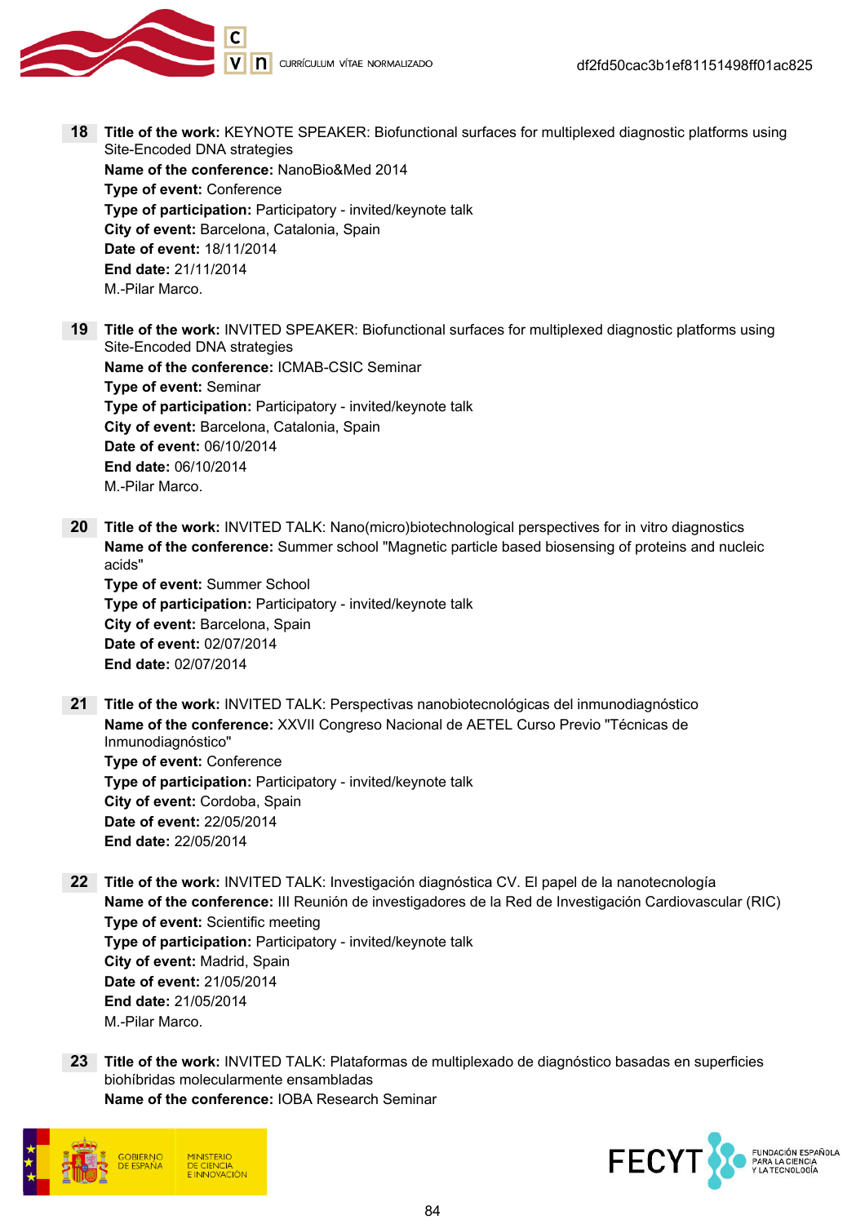

- 18 Title of the work: KEYNOTE SPEAKER: Biofunctional surfaces for multiplexed diagnostic platforms using Site-Encoded DNA strategies Name of the conference: NanoBio&Med 2014 Type of event: Conference Type of participation: Participatory - invited/keynote talk City of event: Barcelona, Catalonia, Spain Date of event: 18/11/2014 End date: 21/11/2014 M.-Pilar Marco.
- 19 Title of the work: INVITED SPEAKER: Biofunctional surfaces for multiplexed diagnostic platforms using Site-Encoded DNA strategies Name of the conference: ICMAB-CSIC Seminar Type of event: Seminar Type of participation: Participatory - invited/keynote talk City of event: Barcelona, Catalonia, Spain Date of event: 06/10/2014 End date: 06/10/2014 M.-Pilar Marco.
- 20 Title of the work: INVITED TALK: Nano(micro)biotechnological perspectives for in vitro diagnostics Name of the conference: Summer school "Magnetic particle based biosensing of proteins and nucleic acids" Type of event: Summer School Type of participation: Participatory - invited/keynote talk

City of event: Barcelona, Spain Date of event: 02/07/2014 End date: 02/07/2014

21 Title of the work: INVITED TALK: Perspectivas nanobiotecnológicas del inmunodiagnóstico Name of the conference: XXVII Congreso Nacional de AETEL Curso Previo "Técnicas de Inmunodiagnóstico" Type of event: Conference

Type of participation: Participatory - invited/keynote talk City of event: Cordoba, Spain Date of event: 22/05/2014 End date: 22/05/2014

- 22 Title of the work: INVITED TALK: Investigación diagnóstica CV. El papel de la nanotecnología Name of the conference: III Reunión de investigadores de la Red de Investigación Cardiovascular (RIC) Type of event: Scientific meeting Type of participation: Participatory - invited/keynote talk City of event: Madrid, Spain Date of event: 21/05/2014 End date: 21/05/2014 M.-Pilar Marco.
- 23 Title of the work: INVITED TALK: Plataformas de multiplexado de diagnóstico basadas en superficies biohíbridas molecularmente ensambladas Name of the conference: IOBA Research Seminar



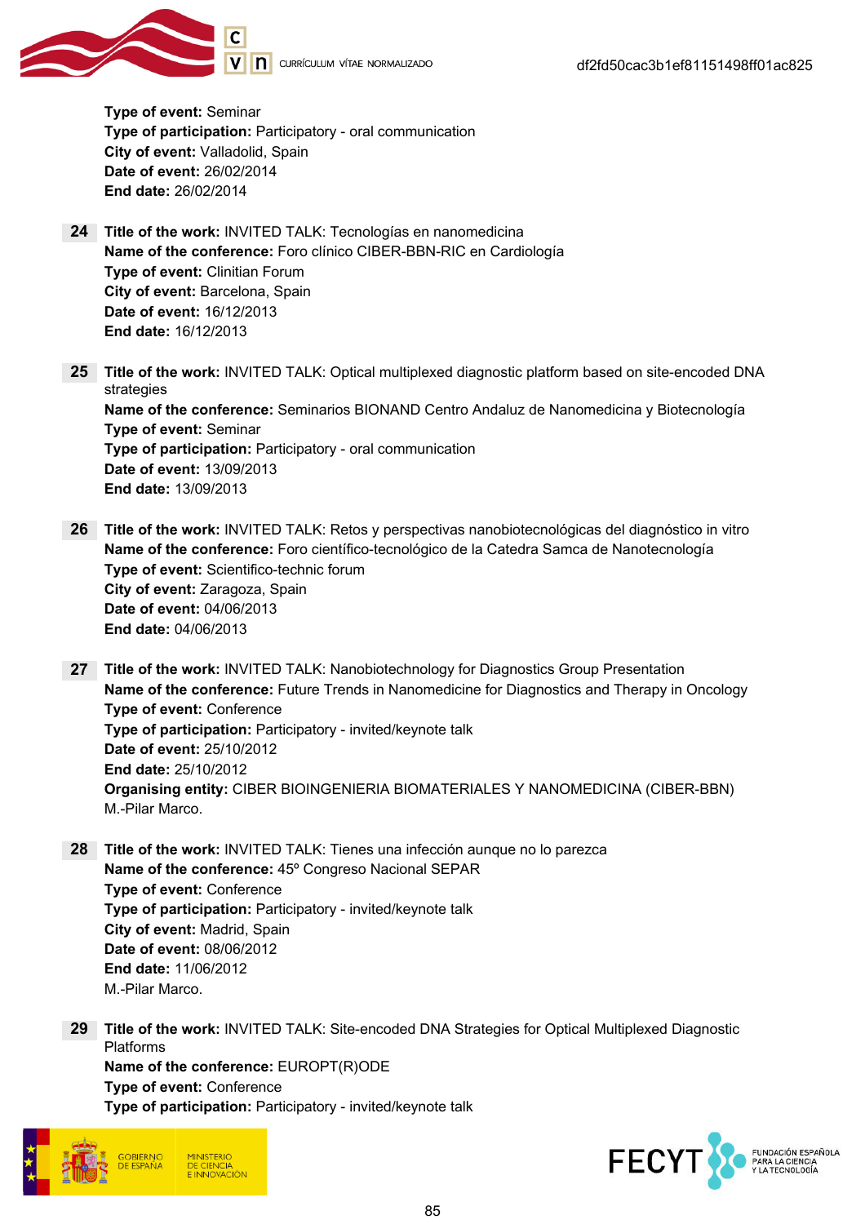

Type of event: Seminar Type of participation: Participatory - oral communication City of event: Valladolid, Spain Date of event: 26/02/2014 End date: 26/02/2014

- 24 Title of the work: INVITED TALK: Tecnologías en nanomedicina Name of the conference: Foro clínico CIBER-BBN-RIC en Cardiología Type of event: Clinitian Forum City of event: Barcelona, Spain Date of event: 16/12/2013 End date: 16/12/2013
- 25 Title of the work: INVITED TALK: Optical multiplexed diagnostic platform based on site-encoded DNA strategies Name of the conference: Seminarios BIONAND Centro Andaluz de Nanomedicina y Biotecnología Type of event: Seminar Type of participation: Participatory - oral communication Date of event: 13/09/2013 End date: 13/09/2013
- 26 Title of the work: INVITED TALK: Retos y perspectivas nanobiotecnológicas del diagnóstico in vitro Name of the conference: Foro científico-tecnológico de la Catedra Samca de Nanotecnología Type of event: Scientifico-technic forum City of event: Zaragoza, Spain Date of event: 04/06/2013 End date: 04/06/2013
- 27 Title of the work: INVITED TALK: Nanobiotechnology for Diagnostics Group Presentation Name of the conference: Future Trends in Nanomedicine for Diagnostics and Therapy in Oncology Type of event: Conference Type of participation: Participatory - invited/keynote talk Date of event: 25/10/2012 End date: 25/10/2012 Organising entity: CIBER BIOINGENIERIA BIOMATERIALES Y NANOMEDICINA (CIBER-BBN) M.-Pilar Marco.
- 28 Title of the work: INVITED TALK: Tienes una infección aunque no lo parezca Name of the conference: 45º Congreso Nacional SEPAR Type of event: Conference Type of participation: Participatory - invited/keynote talk City of event: Madrid, Spain Date of event: 08/06/2012 End date: 11/06/2012 M.-Pilar Marco.
- 29 Title of the work: INVITED TALK: Site-encoded DNA Strategies for Optical Multiplexed Diagnostic Platforms Name of the conference: EUROPT(R)ODE Type of event: Conference Type of participation: Participatory - invited/keynote talk



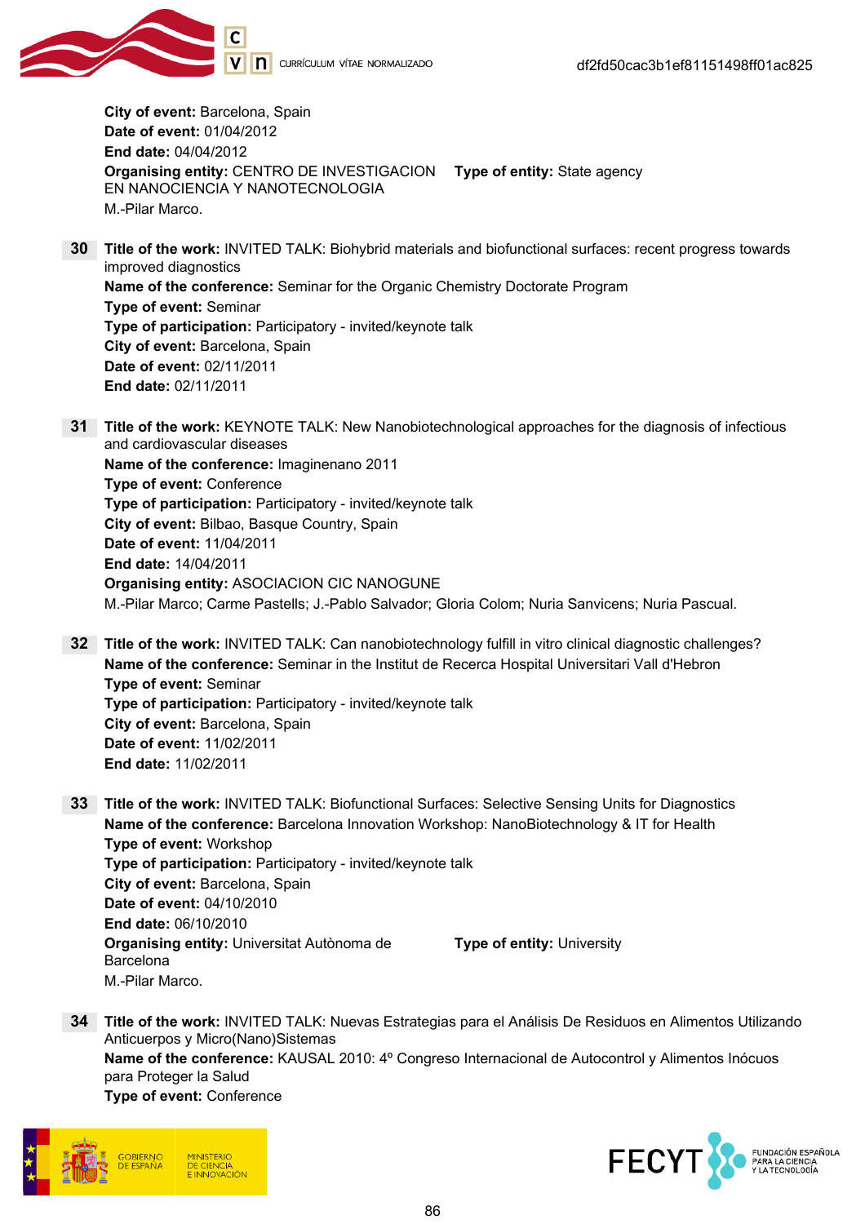

City of event: Barcelona, Spain Date of event: 01/04/2012 End date: 04/04/2012 Organising entity: CENTRO DE INVESTIGACION Type of entity: State agency EN NANOCIENCIA Y NANOTECNOLOGIA M.-Pilar Marco.

- 30 Title of the work: INVITED TALK: Biohybrid materials and biofunctional surfaces: recent progress towards improved diagnostics Name of the conference: Seminar for the Organic Chemistry Doctorate Program Type of event: Seminar Type of participation: Participatory - invited/keynote talk City of event: Barcelona, Spain Date of event: 02/11/2011 End date: 02/11/2011
- 31 Title of the work: KEYNOTE TALK: New Nanobiotechnological approaches for the diagnosis of infectious and cardiovascular diseases Name of the conference: Imaginenano 2011 Type of event: Conference Type of participation: Participatory - invited/keynote talk City of event: Bilbao, Basque Country, Spain Date of event: 11/04/2011 End date: 14/04/2011 Organising entity: ASOCIACION CIC NANOGUNE M.-Pilar Marco; Carme Pastells; J.-Pablo Salvador; Gloria Colom; Nuria Sanvicens; Nuria Pascual.
- 32 Title of the work: INVITED TALK: Can nanobiotechnology fulfill in vitro clinical diagnostic challenges? Name of the conference: Seminar in the Institut de Recerca Hospital Universitari Vall d'Hebron Type of event: Seminar Type of participation: Participatory - invited/keynote talk City of event: Barcelona, Spain Date of event: 11/02/2011 End date: 11/02/2011
- 33 Title of the work: INVITED TALK: Biofunctional Surfaces: Selective Sensing Units for Diagnostics Name of the conference: Barcelona Innovation Workshop: NanoBiotechnology & IT for Health Type of event: Workshop Type of participation: Participatory - invited/keynote talk City of event: Barcelona, Spain Date of event: 04/10/2010 End date: 06/10/2010 Organising entity: Universitat Autònoma de Barcelona Type of entity: University M.-Pilar Marco.
- 34 Title of the work: INVITED TALK: Nuevas Estrategias para el Análisis De Residuos en Alimentos Utilizando Anticuerpos y Micro(Nano)Sistemas Name of the conference: KAUSAL 2010: 4º Congreso Internacional de Autocontrol y Alimentos Inócuos para Proteger la Salud Type of event: Conference



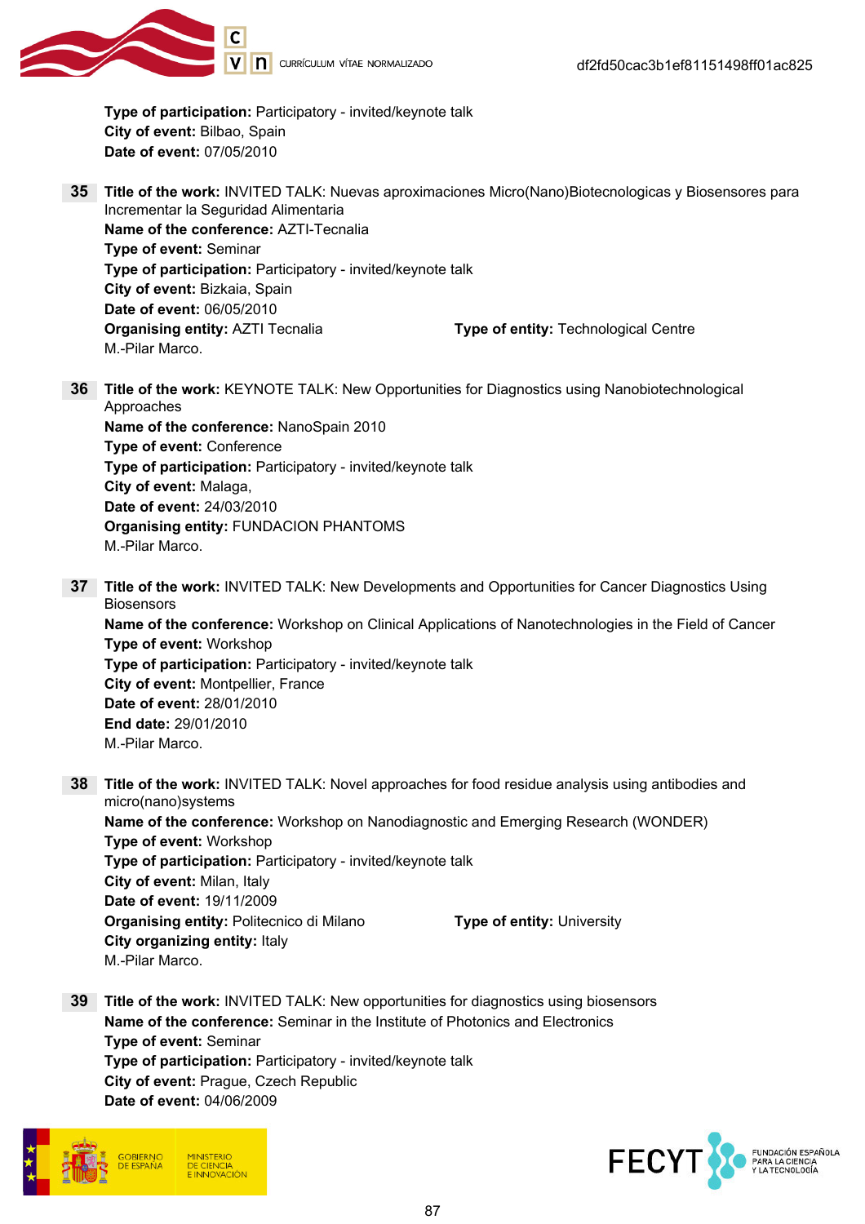

Type of participation: Participatory - invited/keynote talk City of event: Bilbao, Spain Date of event: 07/05/2010

- 35 Title of the work: INVITED TALK: Nuevas aproximaciones Micro(Nano)Biotecnologicas y Biosensores para Incrementar la Seguridad Alimentaria Name of the conference: AZTI-Tecnalia Type of event: Seminar Type of participation: Participatory - invited/keynote talk City of event: Bizkaia, Spain Date of event: 06/05/2010 **Organising entity: AZTI Tecnalia Type of entity: Technological Centre** M.-Pilar Marco.
- 36 Title of the work: KEYNOTE TALK: New Opportunities for Diagnostics using Nanobiotechnological Approaches

Name of the conference: NanoSpain 2010 Type of event: Conference Type of participation: Participatory - invited/keynote talk City of event: Malaga, Date of event: 24/03/2010 Organising entity: FUNDACION PHANTOMS M.-Pilar Marco.

37 Title of the work: INVITED TALK: New Developments and Opportunities for Cancer Diagnostics Using **Biosensors** 

Name of the conference: Workshop on Clinical Applications of Nanotechnologies in the Field of Cancer Type of event: Workshop Type of participation: Participatory - invited/keynote talk City of event: Montpellier, France Date of event: 28/01/2010 End date: 29/01/2010 M.-Pilar Marco.

38 Title of the work: INVITED TALK: Novel approaches for food residue analysis using antibodies and micro(nano)systems Name of the conference: Workshop on Nanodiagnostic and Emerging Research (WONDER) Type of event: Workshop

Type of participation: Participatory - invited/keynote talk City of event: Milan, Italy Date of event: 19/11/2009 **Organising entity:** Politecnico di Milano Type of entity: University City organizing entity: Italy M.-Pilar Marco.

39 Title of the work: INVITED TALK: New opportunities for diagnostics using biosensors Name of the conference: Seminar in the Institute of Photonics and Electronics Type of event: Seminar Type of participation: Participatory - invited/keynote talk City of event: Prague, Czech Republic Date of event: 04/06/2009



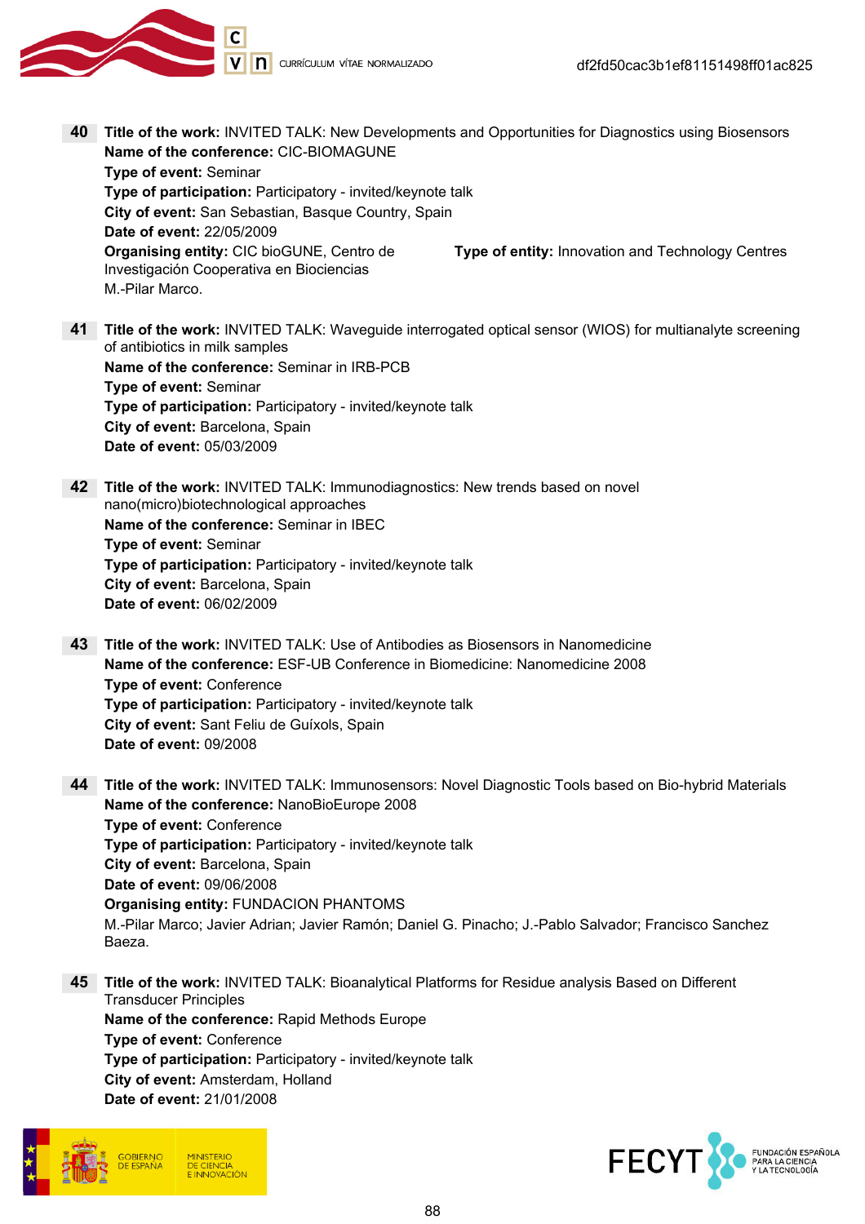

- 40 Title of the work: INVITED TALK: New Developments and Opportunities for Diagnostics using Biosensors Name of the conference: CIC-BIOMAGUNE Type of event: Seminar Type of participation: Participatory - invited/keynote talk City of event: San Sebastian, Basque Country, Spain Date of event: 22/05/2009 Organising entity: CIC bioGUNE, Centro de Investigación Cooperativa en Biociencias Type of entity: Innovation and Technology Centres M.-Pilar Marco.
- 41 Title of the work: INVITED TALK: Waveguide interrogated optical sensor (WIOS) for multianalyte screening of antibiotics in milk samples Name of the conference: Seminar in IRB-PCB Type of event: Seminar Type of participation: Participatory - invited/keynote talk City of event: Barcelona, Spain Date of event: 05/03/2009
- 42 Title of the work: INVITED TALK: Immunodiagnostics: New trends based on novel nano(micro)biotechnological approaches Name of the conference: Seminar in IBEC Type of event: Seminar Type of participation: Participatory - invited/keynote talk City of event: Barcelona, Spain Date of event: 06/02/2009
- 43 Title of the work: INVITED TALK: Use of Antibodies as Biosensors in Nanomedicine Name of the conference: ESF-UB Conference in Biomedicine: Nanomedicine 2008 Type of event: Conference Type of participation: Participatory - invited/keynote talk City of event: Sant Feliu de Guíxols, Spain Date of event: 09/2008
- 44 Title of the work: INVITED TALK: Immunosensors: Novel Diagnostic Tools based on Bio-hybrid Materials Name of the conference: NanoBioEurope 2008 Type of event: Conference Type of participation: Participatory - invited/keynote talk City of event: Barcelona, Spain Date of event: 09/06/2008 Organising entity: FUNDACION PHANTOMS M.-Pilar Marco; Javier Adrian; Javier Ramón; Daniel G. Pinacho; J.-Pablo Salvador; Francisco Sanchez Baeza.
- 45 Title of the work: INVITED TALK: Bioanalytical Platforms for Residue analysis Based on Different Transducer Principles Name of the conference: Rapid Methods Europe Type of event: Conference Type of participation: Participatory - invited/keynote talk City of event: Amsterdam, Holland Date of event: 21/01/2008



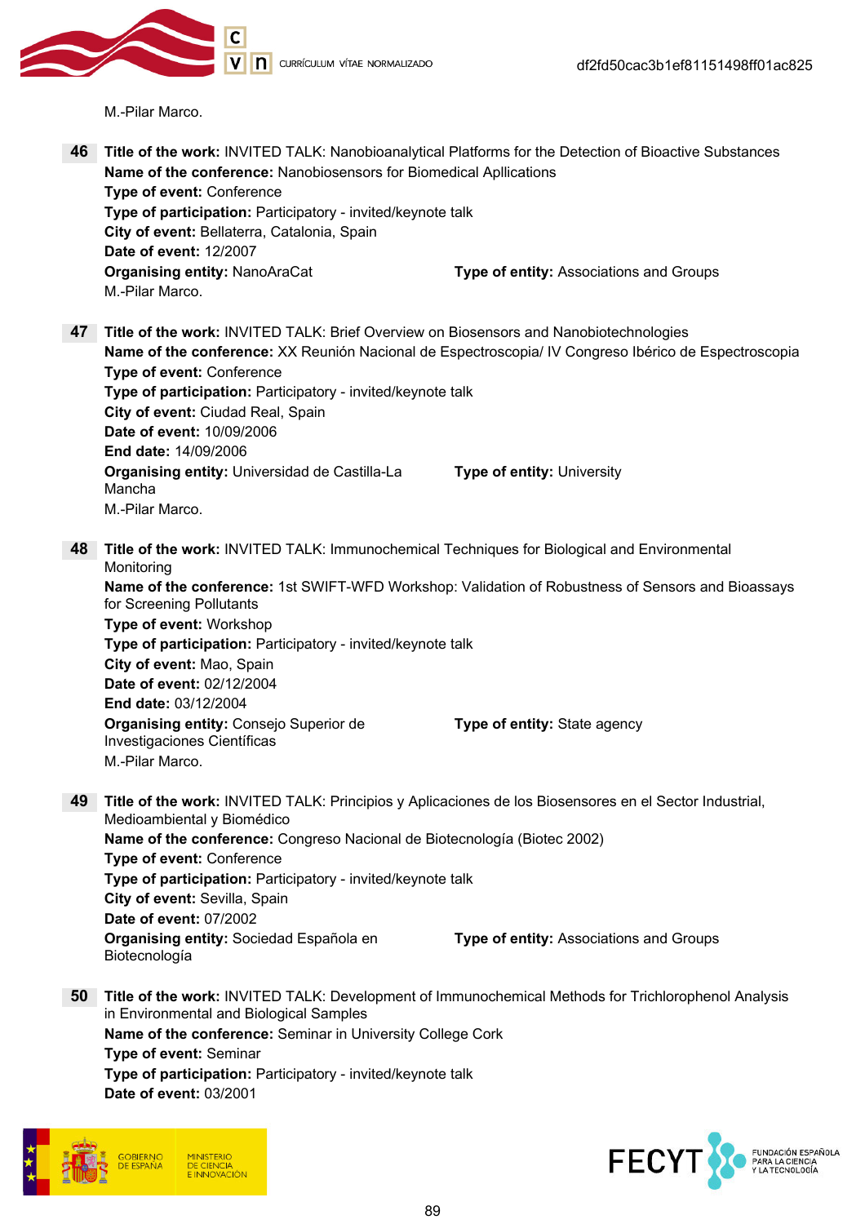

V n currículum vítae normalizado

M.-Pilar Marco.

- 46 Title of the work: INVITED TALK: Nanobioanalytical Platforms for the Detection of Bioactive Substances Name of the conference: Nanobiosensors for Biomedical Apllications Type of event: Conference Type of participation: Participatory - invited/keynote talk City of event: Bellaterra, Catalonia, Spain Date of event: 12/2007 **Organising entity: NanoAraCat Type of entity: Associations and Groups** M.-Pilar Marco. 47 Title of the work: INVITED TALK: Brief Overview on Biosensors and Nanobiotechnologies Name of the conference: XX Reunión Nacional de Espectroscopia/ IV Congreso Ibérico de Espectroscopia Type of event: Conference Type of participation: Participatory - invited/keynote talk City of event: Ciudad Real, Spain Date of event: 10/09/2006 End date: 14/09/2006 Organising entity: Universidad de Castilla-La Mancha Type of entity: University M.-Pilar Marco. 48 Title of the work: INVITED TALK: Immunochemical Techniques for Biological and Environmental **Monitoring** Name of the conference: 1st SWIFT-WFD Workshop: Validation of Robustness of Sensors and Bioassays for Screening Pollutants Type of event: Workshop Type of participation: Participatory - invited/keynote talk City of event: Mao, Spain Date of event: 02/12/2004 End date: 03/12/2004 Organising entity: Consejo Superior de Investigaciones Científicas Type of entity: State agency M.-Pilar Marco. 49 Title of the work: INVITED TALK: Principios y Aplicaciones de los Biosensores en el Sector Industrial, Medioambiental y Biomédico Name of the conference: Congreso Nacional de Biotecnología (Biotec 2002) Type of event: Conference Type of participation: Participatory - invited/keynote talk City of event: Sevilla, Spain Date of event: 07/2002 Organising entity: Sociedad Española en Biotecnología Type of entity: Associations and Groups 50 Title of the work: INVITED TALK: Development of Immunochemical Methods for Trichlorophenol Analysis in Environmental and Biological Samples Name of the conference: Seminar in University College Cork
	- Type of event: Seminar Type of participation: Participatory - invited/keynote talk

Date of event: 03/2001



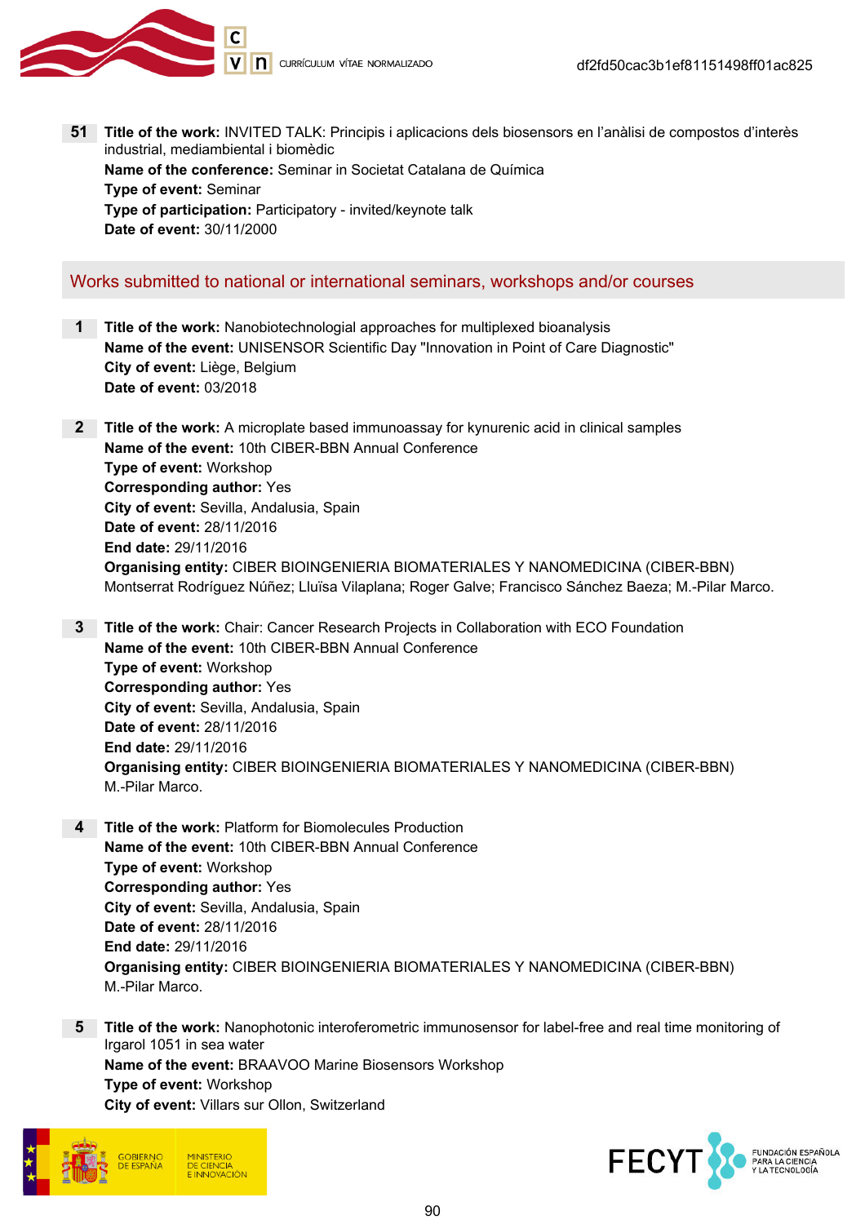

51 Title of the work: INVITED TALK: Principis i aplicacions dels biosensors en l'anàlisi de compostos d'interès industrial, mediambiental i biomèdic Name of the conference: Seminar in Societat Catalana de Química Type of event: Seminar Type of participation: Participatory - invited/keynote talk Date of event: 30/11/2000

# Works submitted to national or international seminars, workshops and/or courses

- 1 Title of the work: Nanobiotechnologial approaches for multiplexed bioanalysis Name of the event: UNISENSOR Scientific Day "Innovation in Point of Care Diagnostic" City of event: Liège, Belgium Date of event: 03/2018
- 2 Title of the work: A microplate based immunoassay for kynurenic acid in clinical samples Name of the event: 10th CIBER-BBN Annual Conference Type of event: Workshop Corresponding author: Yes City of event: Sevilla, Andalusia, Spain Date of event: 28/11/2016 End date: 29/11/2016 Organising entity: CIBER BIOINGENIERIA BIOMATERIALES Y NANOMEDICINA (CIBER-BBN) Montserrat Rodríguez Núñez; Lluïsa Vilaplana; Roger Galve; Francisco Sánchez Baeza; M.-Pilar Marco.
- **3** Title of the work: Chair: Cancer Research Projects in Collaboration with ECO Foundation Name of the event: 10th CIBER-BBN Annual Conference Type of event: Workshop Corresponding author: Yes City of event: Sevilla, Andalusia, Spain Date of event: 28/11/2016 End date: 29/11/2016 Organising entity: CIBER BIOINGENIERIA BIOMATERIALES Y NANOMEDICINA (CIBER-BBN) M.-Pilar Marco.
- 4 Title of the work: Platform for Biomolecules Production Name of the event: 10th CIBER-BBN Annual Conference Type of event: Workshop Corresponding author: Yes City of event: Sevilla, Andalusia, Spain Date of event: 28/11/2016 End date: 29/11/2016 Organising entity: CIBER BIOINGENIERIA BIOMATERIALES Y NANOMEDICINA (CIBER-BBN) M.-Pilar Marco.
- 5 Title of the work: Nanophotonic interoferometric immunosensor for label-free and real time monitoring of Irgarol 1051 in sea water Name of the event: BRAAVOO Marine Biosensors Workshop Type of event: Workshop City of event: Villars sur Ollon, Switzerland



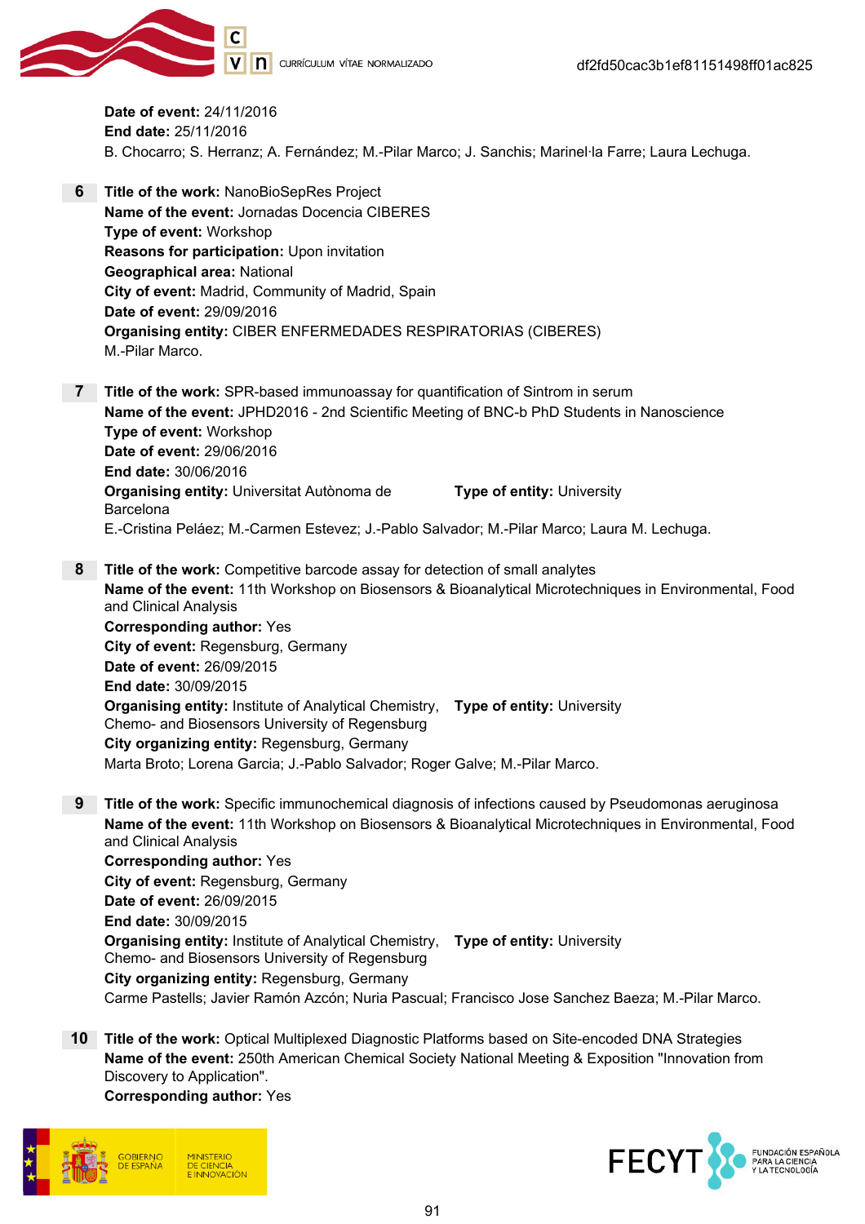

Date of event: 24/11/2016 End date: 25/11/2016 B. Chocarro; S. Herranz; A. Fernández; M.-Pilar Marco; J. Sanchis; Marinel·la Farre; Laura Lechuga.

- 6 Title of the work: NanoBioSepRes Project Name of the event: Jornadas Docencia CIBERES Type of event: Workshop Reasons for participation: Upon invitation Geographical area: National City of event: Madrid, Community of Madrid, Spain Date of event: 29/09/2016 Organising entity: CIBER ENFERMEDADES RESPIRATORIAS (CIBERES) M.-Pilar Marco.
- 7 Title of the work: SPR-based immunoassay for quantification of Sintrom in serum Name of the event: JPHD2016 - 2nd Scientific Meeting of BNC-b PhD Students in Nanoscience Type of event: Workshop Date of event: 29/06/2016 End date: 30/06/2016 Organising entity: Universitat Autònoma de Barcelona Type of entity: University E.-Cristina Peláez; M.-Carmen Estevez; J.-Pablo Salvador; M.-Pilar Marco; Laura M. Lechuga.
- 8 Title of the work: Competitive barcode assay for detection of small analytes Name of the event: 11th Workshop on Biosensors & Bioanalytical Microtechniques in Environmental, Food and Clinical Analysis Corresponding author: Yes City of event: Regensburg, Germany Date of event: 26/09/2015 End date: 30/09/2015 **Organising entity:** Institute of Analytical Chemistry, Type of entity: University Chemo- and Biosensors University of Regensburg City organizing entity: Regensburg, Germany Marta Broto; Lorena Garcia; J.-Pablo Salvador; Roger Galve; M.-Pilar Marco.
- 9 Title of the work: Specific immunochemical diagnosis of infections caused by Pseudomonas aeruginosa Name of the event: 11th Workshop on Biosensors & Bioanalytical Microtechniques in Environmental, Food and Clinical Analysis

Corresponding author: Yes City of event: Regensburg, Germany Date of event: 26/09/2015 End date: 30/09/2015 **Organising entity:** Institute of Analytical Chemistry, Type of entity: University Chemo- and Biosensors University of Regensburg City organizing entity: Regensburg, Germany Carme Pastells; Javier Ramón Azcón; Nuria Pascual; Francisco Jose Sanchez Baeza; M.-Pilar Marco.

10 Title of the work: Optical Multiplexed Diagnostic Platforms based on Site-encoded DNA Strategies Name of the event: 250th American Chemical Society National Meeting & Exposition "Innovation from Discovery to Application".

Corresponding author: Yes



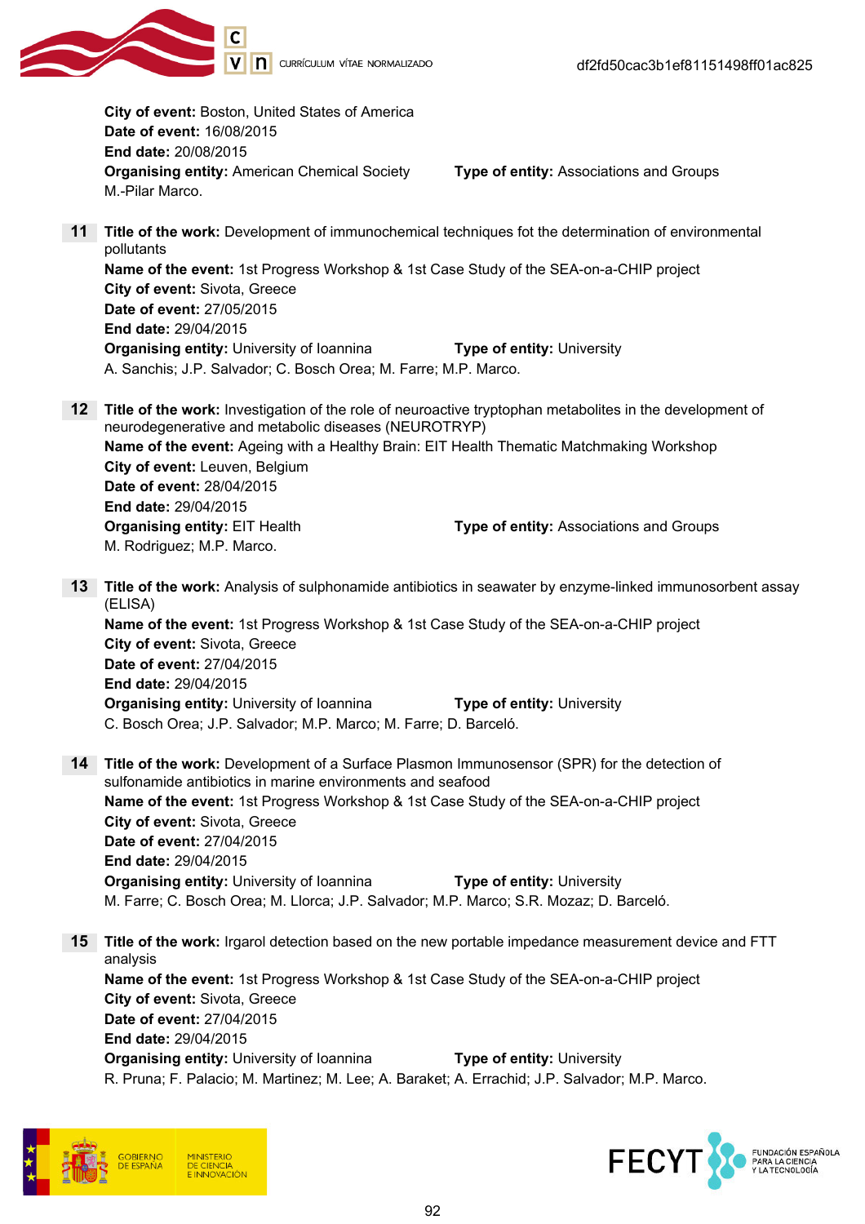

City of event: Boston, United States of America Date of event: 16/08/2015 End date: 20/08/2015 Organising entity: American Chemical Society Type of entity: Associations and Groups M.-Pilar Marco. 11 Title of the work: Development of immunochemical techniques fot the determination of environmental pollutants Name of the event: 1st Progress Workshop & 1st Case Study of the SEA-on-a-CHIP project City of event: Sivota, Greece Date of event: 27/05/2015 End date: 29/04/2015 **Organising entity:** University of Ioannina Type of entity: University A. Sanchis; J.P. Salvador; C. Bosch Orea; M. Farre; M.P. Marco. 12 Title of the work: Investigation of the role of neuroactive tryptophan metabolites in the development of neurodegenerative and metabolic diseases (NEUROTRYP) Name of the event: Ageing with a Healthy Brain: EIT Health Thematic Matchmaking Workshop City of event: Leuven, Belgium Date of event: 28/04/2015 End date: 29/04/2015 **Organising entity: EIT Health Type of entity: Associations and Groups** M. Rodriguez; M.P. Marco. 13 Title of the work: Analysis of sulphonamide antibiotics in seawater by enzyme-linked immunosorbent assay (ELISA) Name of the event: 1st Progress Workshop & 1st Case Study of the SEA-on-a-CHIP project City of event: Sivota, Greece Date of event: 27/04/2015 End date: 29/04/2015 **Organising entity:** University of Ioannina Type of entity: University C. Bosch Orea; J.P. Salvador; M.P. Marco; M. Farre; D. Barceló. 14 Title of the work: Development of a Surface Plasmon Immunosensor (SPR) for the detection of sulfonamide antibiotics in marine environments and seafood Name of the event: 1st Progress Workshop & 1st Case Study of the SEA-on-a-CHIP project City of event: Sivota, Greece Date of event: 27/04/2015 End date: 29/04/2015 Organising entity: University of Ioannina Type of entity: University M. Farre; C. Bosch Orea; M. Llorca; J.P. Salvador; M.P. Marco; S.R. Mozaz; D. Barceló. 15 Title of the work: Irgarol detection based on the new portable impedance measurement device and FTT analysis Name of the event: 1st Progress Workshop & 1st Case Study of the SEA-on-a-CHIP project City of event: Sivota, Greece Date of event: 27/04/2015 End date: 29/04/2015 Organising entity: University of Ioannina Type of entity: University R. Pruna; F. Palacio; M. Martinez; M. Lee; A. Baraket; A. Errachid; J.P. Salvador; M.P. Marco.



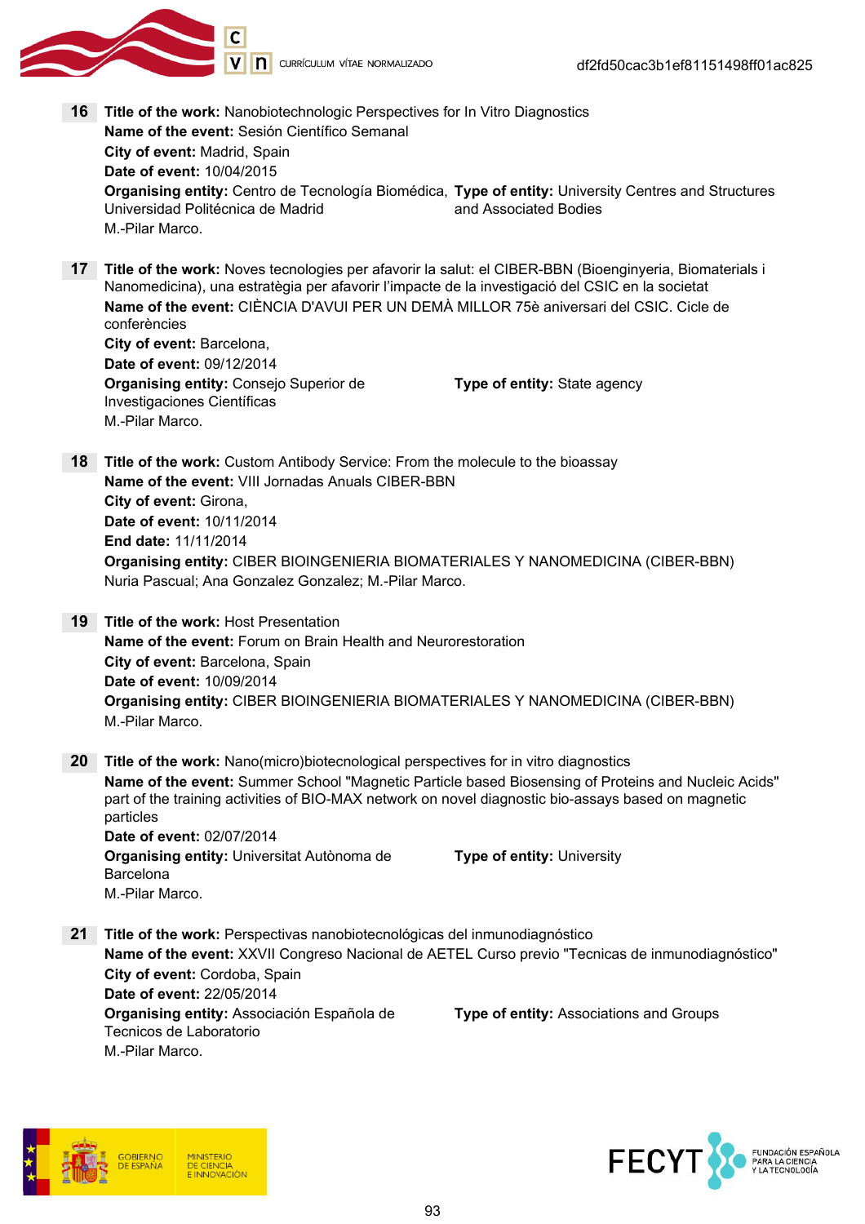

- 16 Title of the work: Nanobiotechnologic Perspectives for In Vitro Diagnostics Name of the event: Sesión Científico Semanal City of event: Madrid, Spain Date of event: 10/04/2015 **Organising entity:** Centro de Tecnología Biomédica, **Type of entity:** University Centres and Structures Universidad Politécnica de Madrid and Associated Bodies M.-Pilar Marco.
- 17 Title of the work: Noves tecnologies per afavorir la salut: el CIBER-BBN (Bioenginyeria, Biomaterials i Nanomedicina), una estratègia per afavorir l'impacte de la investigació del CSIC en la societat Name of the event: CIÈNCIA D'AVUI PER UN DEMÀ MILLOR 75è aniversari del CSIC. Cicle de conferències

City of event: Barcelona, Date of event: 09/12/2014 Organising entity: Consejo Superior de Investigaciones Científicas M.-Pilar Marco.

Type of entity: State agency

- 18 Title of the work: Custom Antibody Service: From the molecule to the bioassay Name of the event: VIII Jornadas Anuals CIBER-BBN City of event: Girona, Date of event: 10/11/2014 End date: 11/11/2014 Organising entity: CIBER BIOINGENIERIA BIOMATERIALES Y NANOMEDICINA (CIBER-BBN) Nuria Pascual; Ana Gonzalez Gonzalez; M.-Pilar Marco.
- 19 Title of the work: Host Presentation Name of the event: Forum on Brain Health and Neurorestoration City of event: Barcelona, Spain Date of event: 10/09/2014 Organising entity: CIBER BIOINGENIERIA BIOMATERIALES Y NANOMEDICINA (CIBER-BBN) M.-Pilar Marco.
- 20 Title of the work: Nano(micro)biotecnological perspectives for in vitro diagnostics Name of the event: Summer School "Magnetic Particle based Biosensing of Proteins and Nucleic Acids" part of the training activities of BIO-MAX network on novel diagnostic bio-assays based on magnetic particles Date of event: 02/07/2014 Organising entity: Universitat Autònoma de Type of entity: University

21 Title of the work: Perspectivas nanobiotecnológicas del inmunodiagnóstico Name of the event: XXVII Congreso Nacional de AETEL Curso previo "Tecnicas de inmunodiagnóstico" City of event: Cordoba, Spain Date of event: 22/05/2014 Organising entity: Associación Española de Tecnicos de Laboratorio Type of entity: Associations and Groups M.-Pilar Marco.



Barcelona

M.-Pilar Marco.

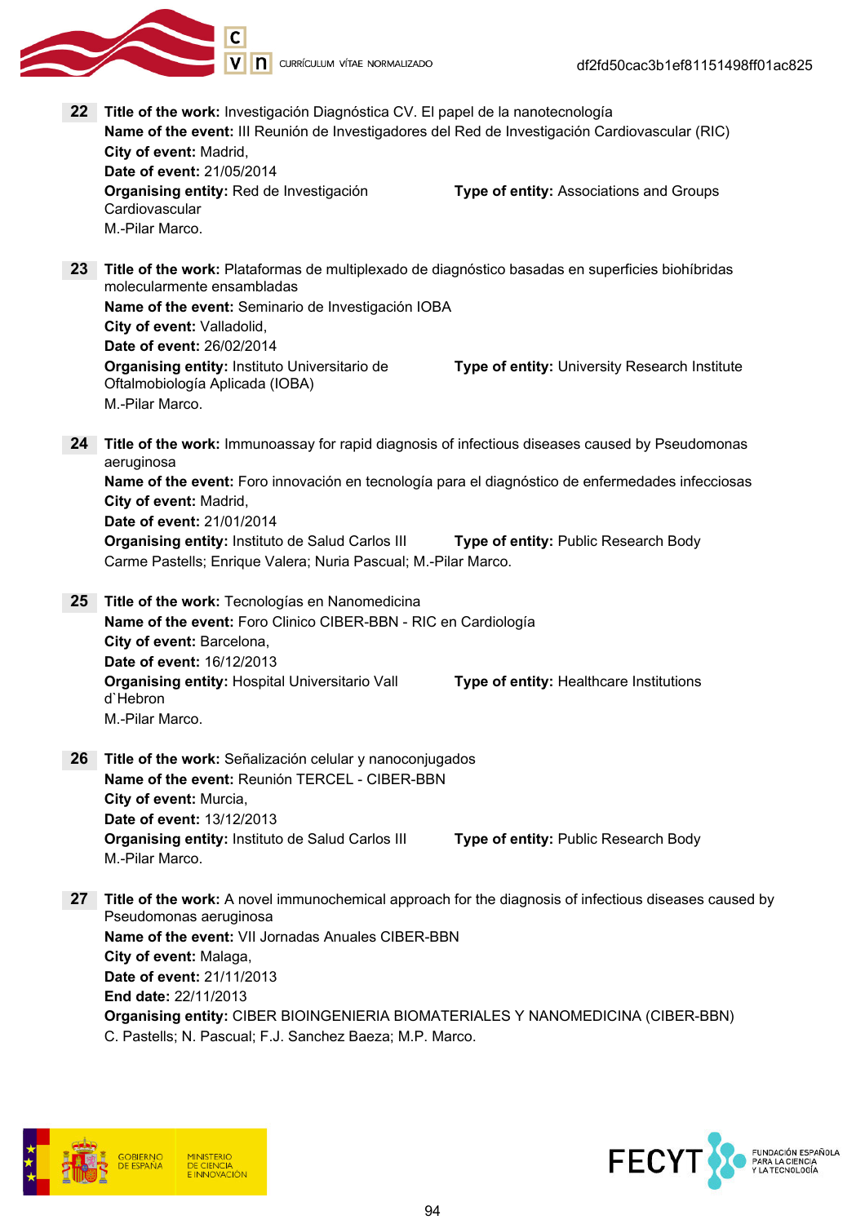V | | | CURRÍCULUM VÍTAE NORMALIZADO

22 Title of the work: Investigación Diagnóstica CV. El papel de la nanotecnología Name of the event: III Reunión de Investigadores del Red de Investigación Cardiovascular (RIC) City of event: Madrid, Date of event: 21/05/2014 Organising entity: Red de Investigación Cardiovascular Type of entity: Associations and Groups M.-Pilar Marco. 23 Title of the work: Plataformas de multiplexado de diagnóstico basadas en superficies biohíbridas molecularmente ensambladas Name of the event: Seminario de Investigación IOBA City of event: Valladolid, Date of event: 26/02/2014 Organising entity: Instituto Universitario de Oftalmobiología Aplicada (IOBA) Type of entity: University Research Institute M.-Pilar Marco. 24 Title of the work: Immunoassay for rapid diagnosis of infectious diseases caused by Pseudomonas aeruginosa Name of the event: Foro innovación en tecnología para el diagnóstico de enfermedades infecciosas City of event: Madrid, Date of event: 21/01/2014 **Organising entity:** Instituto de Salud Carlos III **Type of entity:** Public Research Body Carme Pastells; Enrique Valera; Nuria Pascual; M.-Pilar Marco. 25 Title of the work: Tecnologías en Nanomedicina Name of the event: Foro Clinico CIBER-BBN - RIC en Cardiología City of event: Barcelona, Date of event: 16/12/2013 Organising entity: Hospital Universitario Vall d`Hebron Type of entity: Healthcare Institutions M.-Pilar Marco. 26 Title of the work: Señalización celular y nanoconiugados Name of the event: Reunión TERCEL - CIBER-BBN City of event: Murcia, Date of event: 13/12/2013 **Organising entity: Instituto de Salud Carlos III Type of entity: Public Research Body** M.-Pilar Marco. 27 Title of the work: A novel immunochemical approach for the diagnosis of infectious diseases caused by Pseudomonas aeruginosa Name of the event: VII Jornadas Anuales CIBER-BBN City of event: Malaga, Date of event: 21/11/2013 End date: 22/11/2013 Organising entity: CIBER BIOINGENIERIA BIOMATERIALES Y NANOMEDICINA (CIBER-BBN) C. Pastells; N. Pascual; F.J. Sanchez Baeza; M.P. Marco.



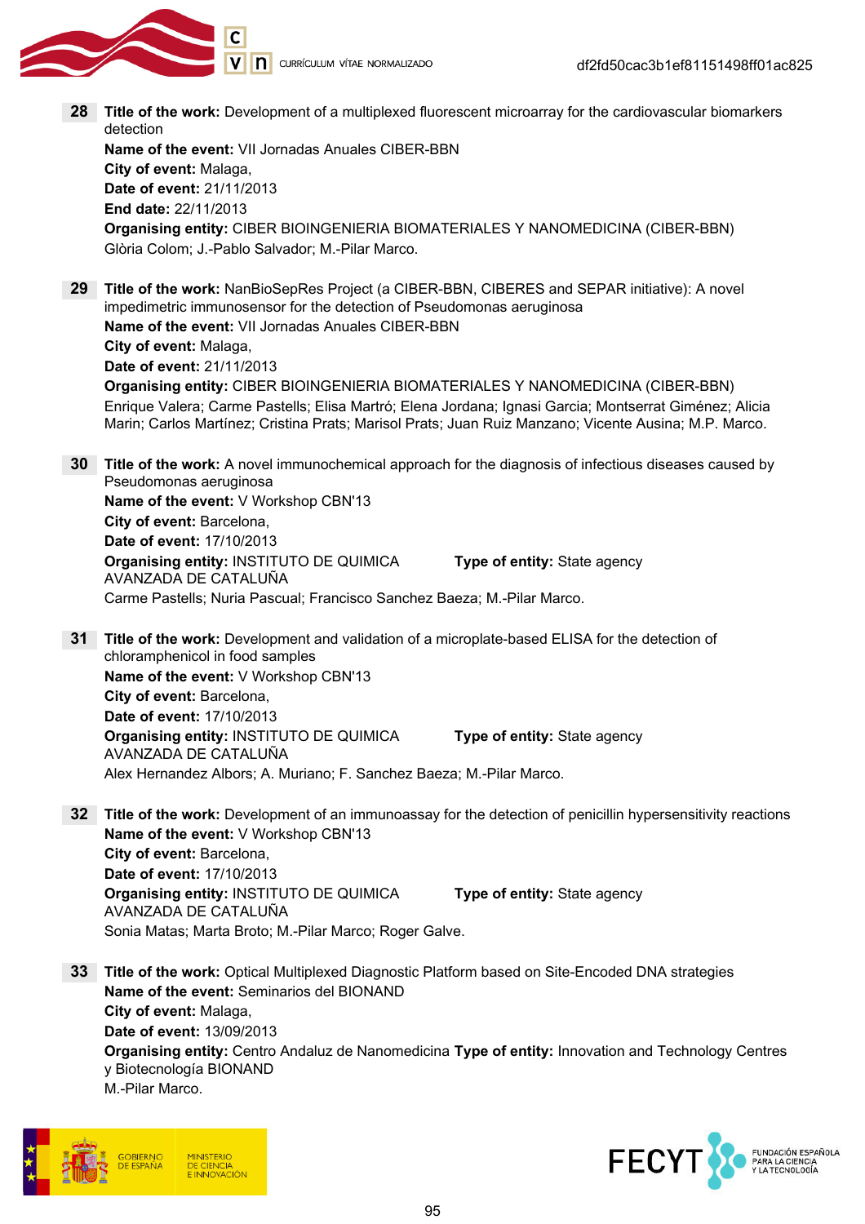

28 Title of the work: Development of a multiplexed fluorescent microarray for the cardiovascular biomarkers detection

Name of the event: VII Jornadas Anuales CIBER-BBN City of event: Malaga, Date of event: 21/11/2013 End date: 22/11/2013 Organising entity: CIBER BIOINGENIERIA BIOMATERIALES Y NANOMEDICINA (CIBER-BBN) Glòria Colom; J.-Pablo Salvador; M.-Pilar Marco.

29 Title of the work: NanBioSepRes Project (a CIBER-BBN, CIBERES and SEPAR initiative): A novel impedimetric immunosensor for the detection of Pseudomonas aeruginosa Name of the event: VII Jornadas Anuales CIBER-BBN City of event: Malaga,

Date of event: 21/11/2013

Organising entity: CIBER BIOINGENIERIA BIOMATERIALES Y NANOMEDICINA (CIBER-BBN) Enrique Valera; Carme Pastells; Elisa Martró; Elena Jordana; Ignasi Garcia; Montserrat Giménez; Alicia Marin; Carlos Martínez; Cristina Prats; Marisol Prats; Juan Ruiz Manzano; Vicente Ausina; M.P. Marco.

**30** Title of the work: A novel immunochemical approach for the diagnosis of infectious diseases caused by Pseudomonas aeruginosa Name of the event: V Workshop CBN'13 City of event: Barcelona, Date of event: 17/10/2013 Organising entity: INSTITUTO DE QUIMICA AVANZADA DE CATALUÑA Type of entity: State agency Carme Pastells; Nuria Pascual; Francisco Sanchez Baeza; M.-Pilar Marco.

- 31 Title of the work: Development and validation of a microplate-based ELISA for the detection of chloramphenicol in food samples Name of the event: V Workshop CBN'13 City of event: Barcelona, Date of event: 17/10/2013 Organising entity: INSTITUTO DE QUIMICA AVANZADA DE CATALUÑA Type of entity: State agency Alex Hernandez Albors; A. Muriano; F. Sanchez Baeza; M.-Pilar Marco.
- **32** Title of the work: Development of an immunoassay for the detection of penicillin hypersensitivity reactions Name of the event: V Workshop CBN'13 City of event: Barcelona, Date of event: 17/10/2013 Organising entity: INSTITUTO DE QUIMICA AVANZADA DE CATALUÑA Type of entity: State agency Sonia Matas; Marta Broto; M.-Pilar Marco; Roger Galve.
- 33 Title of the work: Optical Multiplexed Diagnostic Platform based on Site-Encoded DNA strategies Name of the event: Seminarios del BIONAND City of event: Malaga, Date of event: 13/09/2013  $\boldsymbol{O}$ rganising entity: Centro Andaluz de Nanomedicina  $\boldsymbol{\mathsf{Type}}$  of entity: Innovation and Technology Centres y Biotecnología BIONAND

M.-Pilar Marco.



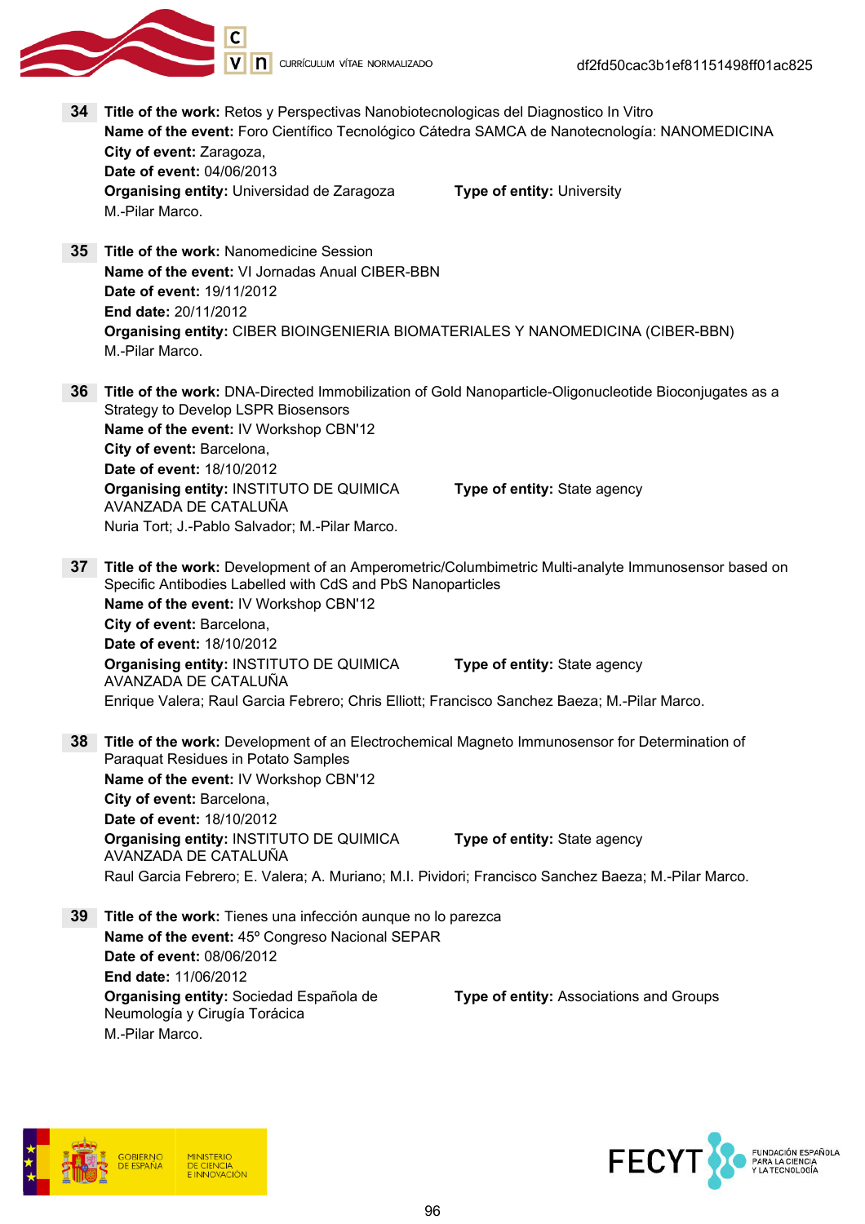

V | **n** currículum vítae normalizado

34 Title of the work: Retos y Perspectivas Nanobiotecnologicas del Diagnostico In Vitro Name of the event: Foro Científico Tecnológico Cátedra SAMCA de Nanotecnología: NANOMEDICINA City of event: Zaragoza, Date of event: 04/06/2013 Organising entity: Universidad de Zaragoza Type of entity: University M.-Pilar Marco. 35 Title of the work: Nanomedicine Session Name of the event: VI Jornadas Anual CIBER-BBN Date of event: 19/11/2012 End date: 20/11/2012 Organising entity: CIBER BIOINGENIERIA BIOMATERIALES Y NANOMEDICINA (CIBER-BBN) M.-Pilar Marco. 36 Title of the work: DNA-Directed Immobilization of Gold Nanoparticle-Oligonucleotide Bioconjugates as a Strategy to Develop LSPR Biosensors Name of the event: IV Workshop CBN'12 City of event: Barcelona, Date of event: 18/10/2012 Organising entity: INSTITUTO DE QUIMICA AVANZADA DE CATALUÑA Type of entity: State agency Nuria Tort; J.-Pablo Salvador; M.-Pilar Marco. 37 Title of the work: Development of an Amperometric/Columbimetric Multi-analyte Immunosensor based on Specific Antibodies Labelled with CdS and PbS Nanoparticles Name of the event: IV Workshop CBN'12 City of event: Barcelona, Date of event: 18/10/2012 Organising entity: INSTITUTO DE QUIMICA AVANZADA DE CATALUÑA Type of entity: State agency Enrique Valera; Raul Garcia Febrero; Chris Elliott; Francisco Sanchez Baeza; M.-Pilar Marco. 38 Title of the work: Development of an Electrochemical Magneto Immunosensor for Determination of Paraquat Residues in Potato Samples Name of the event: IV Workshop CBN'12 City of event: Barcelona, Date of event: 18/10/2012 Organising entity: INSTITUTO DE QUIMICA AVANZADA DE CATALUÑA Type of entity: State agency Raul Garcia Febrero; E. Valera; A. Muriano; M.I. Pividori; Francisco Sanchez Baeza; M.-Pilar Marco. 39 Title of the work: Tienes una infección aunque no lo parezca Name of the event: 45º Congreso Nacional SEPAR Date of event: 08/06/2012 End date: 11/06/2012 Organising entity: Sociedad Española de Neumología y Cirugía Torácica Type of entity: Associations and Groups M.-Pilar Marco.



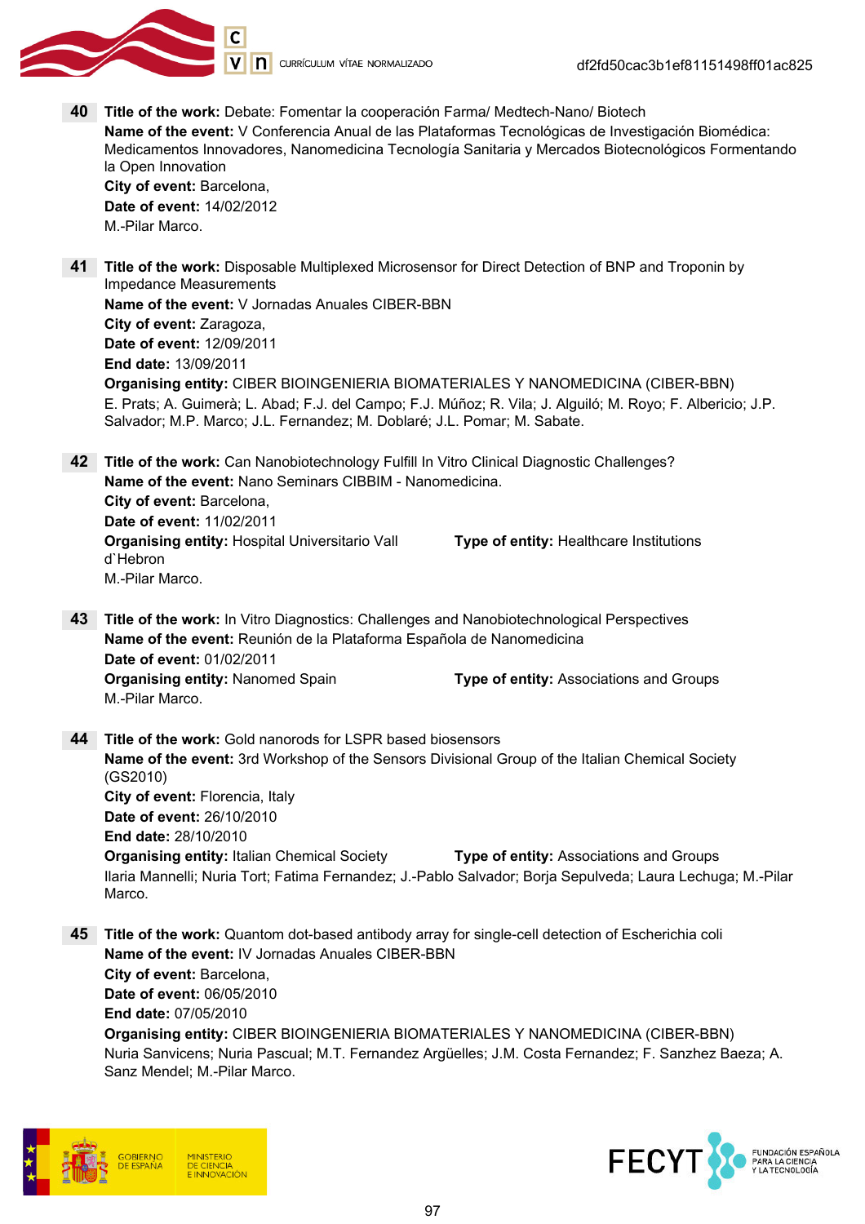

V | **n** currículum vítae normalizado

40 Title of the work: Debate: Fomentar la cooperación Farma/ Medtech-Nano/ Biotech Name of the event: V Conferencia Anual de las Plataformas Tecnológicas de Investigación Biomédica: Medicamentos Innovadores, Nanomedicina Tecnología Sanitaria y Mercados Biotecnológicos Formentando la Open Innovation City of event: Barcelona, Date of event: 14/02/2012

M.-Pilar Marco.

41 Title of the work: Disposable Multiplexed Microsensor for Direct Detection of BNP and Troponin by Impedance Measurements Name of the event: V Jornadas Anuales CIBER-BBN City of event: Zaragoza, Date of event: 12/09/2011 End date: 13/09/2011 Organising entity: CIBER BIOINGENIERIA BIOMATERIALES Y NANOMEDICINA (CIBER-BBN)

E. Prats; A. Guimerà; L. Abad; F.J. del Campo; F.J. Múñoz; R. Vila; J. Alguiló; M. Royo; F. Albericio; J.P. Salvador; M.P. Marco; J.L. Fernandez; M. Doblaré; J.L. Pomar; M. Sabate.

42 Title of the work: Can Nanobiotechnology Fulfill In Vitro Clinical Diagnostic Challenges? Name of the event: Nano Seminars CIBBIM - Nanomedicina. City of event: Barcelona, Date of event: 11/02/2011 Organising entity: Hospital Universitario Vall d`Hebron Type of entity: Healthcare Institutions M.-Pilar Marco.

- 43 Title of the work: In Vitro Diagnostics: Challenges and Nanobiotechnological Perspectives Name of the event: Reunión de la Plataforma Española de Nanomedicina Date of event: 01/02/2011 Organising entity: Nanomed Spain Type of entity: Associations and Groups M.-Pilar Marco.
- 44 Title of the work: Gold nanorods for LSPR based biosensors Name of the event: 3rd Workshop of the Sensors Divisional Group of the Italian Chemical Society (GS2010) City of event: Florencia, Italy Date of event: 26/10/2010 End date: 28/10/2010 **Organising entity:** Italian Chemical Society **Type of entity:** Associations and Groups Ilaria Mannelli; Nuria Tort; Fatima Fernandez; J.-Pablo Salvador; Borja Sepulveda; Laura Lechuga; M.-Pilar Marco.
- 45 Title of the work: Quantom dot-based antibody array for single-cell detection of Escherichia coli Name of the event: IV Jornadas Anuales CIBER-BBN City of event: Barcelona, Date of event: 06/05/2010 End date: 07/05/2010 Organising entity: CIBER BIOINGENIERIA BIOMATERIALES Y NANOMEDICINA (CIBER-BBN) Nuria Sanvicens; Nuria Pascual; M.T. Fernandez Argüelles; J.M. Costa Fernandez; F. Sanzhez Baeza; A. Sanz Mendel; M.-Pilar Marco.



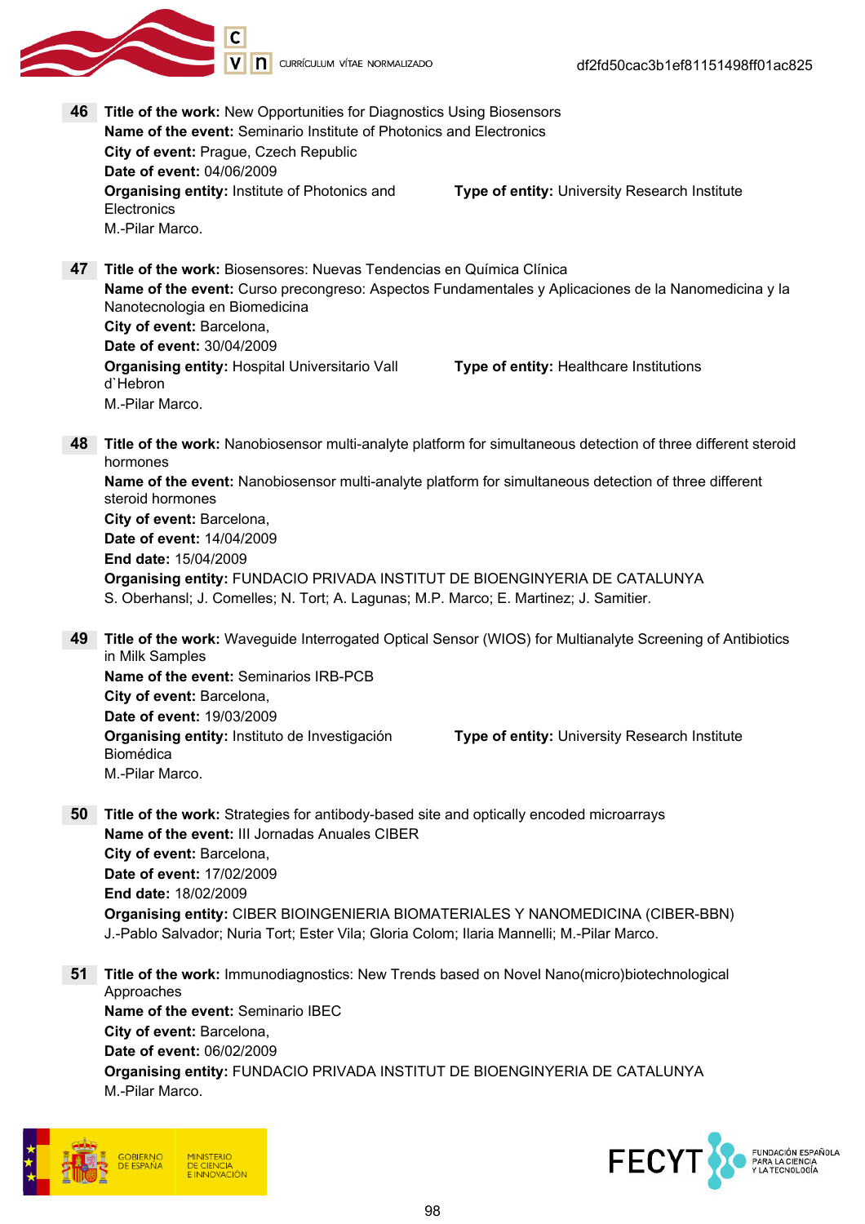

46 Title of the work: New Opportunities for Diagnostics Using Biosensors Name of the event: Seminario Institute of Photonics and Electronics City of event: Prague, Czech Republic Date of event: 04/06/2009 **Organising entity: Institute of Photonics and Electronics** Type of entity: University Research Institute M.-Pilar Marco. 47 Title of the work: Biosensores: Nuevas Tendencias en Química Clínica Name of the event: Curso precongreso: Aspectos Fundamentales y Aplicaciones de la Nanomedicina y la Nanotecnologia en Biomedicina City of event: Barcelona, Date of event: 30/04/2009 Organising entity: Hospital Universitario Vall d`Hebron Type of entity: Healthcare Institutions M.-Pilar Marco. 48 Title of the work: Nanobiosensor multi-analyte platform for simultaneous detection of three different steroid hormones Name of the event: Nanobiosensor multi-analyte platform for simultaneous detection of three different steroid hormones City of event: Barcelona, Date of event: 14/04/2009 End date: 15/04/2009 Organising entity: FUNDACIO PRIVADA INSTITUT DE BIOENGINYERIA DE CATALUNYA S. Oberhansl; J. Comelles; N. Tort; A. Lagunas; M.P. Marco; E. Martinez; J. Samitier. 49 Title of the work: Waveguide Interrogated Optical Sensor (WIOS) for Multianalyte Screening of Antibiotics in Milk Samples Name of the event: Seminarios IRB-PCB City of event: Barcelona, Date of event: 19/03/2009 Organising entity: Instituto de Investigación Biomédica Type of entity: University Research Institute M.-Pilar Marco. 50 Title of the work: Strategies for antibody-based site and optically encoded microarrays Name of the event: III Jornadas Anuales CIBER City of event: Barcelona,

Date of event: 17/02/2009 End date: 18/02/2009 Organising entity: CIBER BIOINGENIERIA BIOMATERIALES Y NANOMEDICINA (CIBER-BBN) J.-Pablo Salvador; Nuria Tort; Ester Vila; Gloria Colom; Ilaria Mannelli; M.-Pilar Marco.

51 Title of the work: Immunodiagnostics: New Trends based on Novel Nano(micro)biotechnological Approaches Name of the event: Seminario IBEC City of event: Barcelona, Date of event: 06/02/2009 Organising entity: FUNDACIO PRIVADA INSTITUT DE BIOENGINYERIA DE CATALUNYA M.-Pilar Marco.



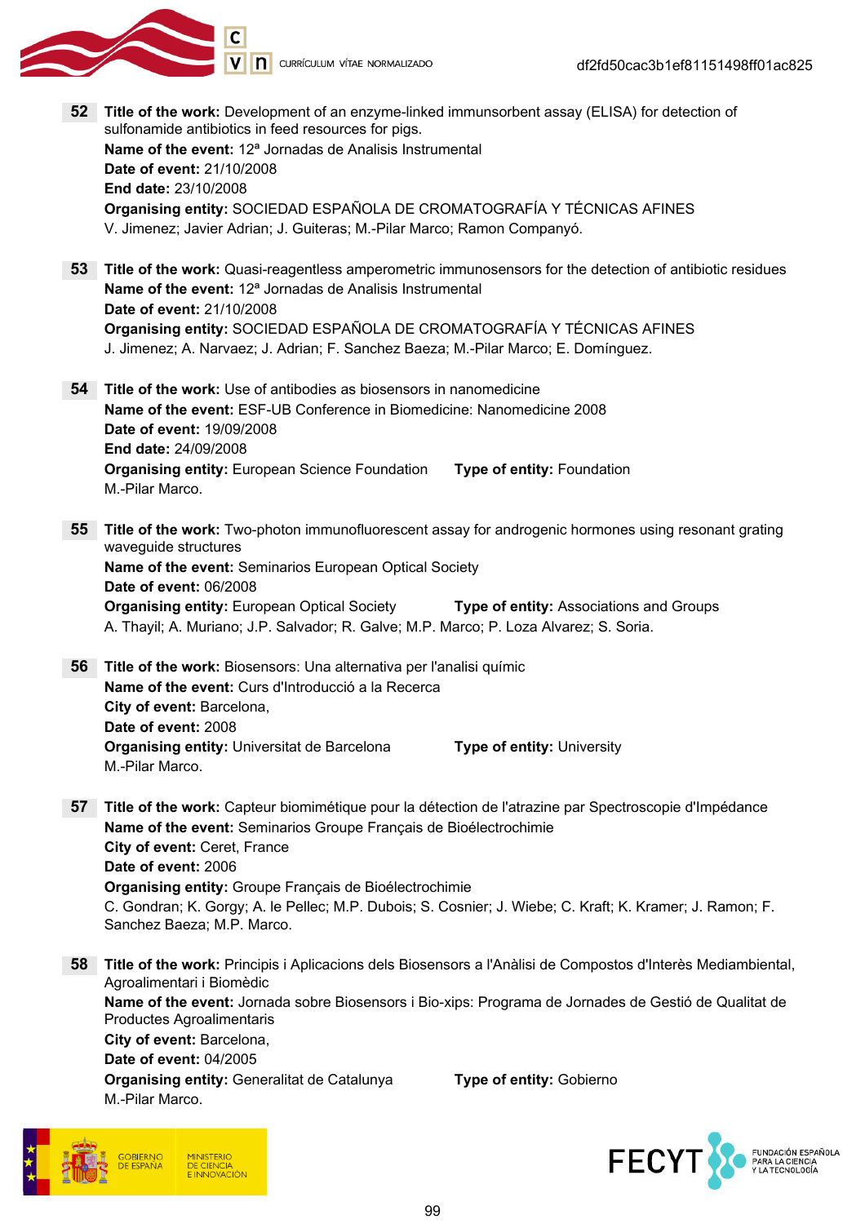

52 Title of the work: Development of an enzyme-linked immunsorbent assay (ELISA) for detection of sulfonamide antibiotics in feed resources for pigs. Name of the event: 12<sup>ª</sup> Jornadas de Analisis Instrumental Date of event: 21/10/2008 End date: 23/10/2008 Organising entity: SOCIEDAD ESPAÑOLA DE CROMATOGRAFÍA Y TÉCNICAS AFINES V. Jimenez; Javier Adrian; J. Guiteras; M.-Pilar Marco; Ramon Companyó. 53 Title of the work: Quasi-reagentless amperometric immunosensors for the detection of antibiotic residues Name of the event: 12ª Jornadas de Analisis Instrumental Date of event: 21/10/2008 Organising entity: SOCIEDAD ESPAÑOLA DE CROMATOGRAFÍA Y TÉCNICAS AFINES J. Jimenez; A. Narvaez; J. Adrian; F. Sanchez Baeza; M.-Pilar Marco; E. Domínguez. 54 Title of the work: Use of antibodies as biosensors in nanomedicine Name of the event: ESF-UB Conference in Biomedicine: Nanomedicine 2008 Date of event: 19/09/2008 End date: 24/09/2008 Organising entity: European Science Foundation Type of entity: Foundation M.-Pilar Marco. **55 Title of the work:** Two-photon immunofluorescent assay for androgenic hormones using resonant grating waveguide structures Name of the event: Seminarios European Optical Society Date of event: 06/2008 **Organising entity: European Optical Society Type of entity: Associations and Groups** A. Thayil; A. Muriano; J.P. Salvador; R. Galve; M.P. Marco; P. Loza Alvarez; S. Soria. 56 Title of the work: Biosensors: Una alternativa per l'analisi químic Name of the event: Curs d'Introducció a la Recerca City of event: Barcelona, Date of event: 2008 **Organising entity:** Universitat de Barcelona Type of entity: University M.-Pilar Marco. 57 Title of the work: Capteur biomimétique pour la détection de l'atrazine par Spectroscopie d'Impédance Name of the event: Seminarios Groupe Français de Bioélectrochimie City of event: Ceret, France Date of event: 2006 Organising entity: Groupe Français de Bioélectrochimie C. Gondran; K. Gorgy; A. le Pellec; M.P. Dubois; S. Cosnier; J. Wiebe; C. Kraft; K. Kramer; J. Ramon; F. Sanchez Baeza; M.P. Marco. 58 Title of the work: Principis i Aplicacions dels Biosensors a l'Anàlisi de Compostos d'Interès Mediambiental, Agroalimentari i Biomèdic Name of the event: Jornada sobre Biosensors i Bio-xips: Programa de Jornades de Gestió de Qualitat de Productes Agroalimentaris City of event: Barcelona, Date of event: 04/2005 **Organising entity: Generalitat de Catalunya Type of entity: Gobierno** M.-Pilar Marco.



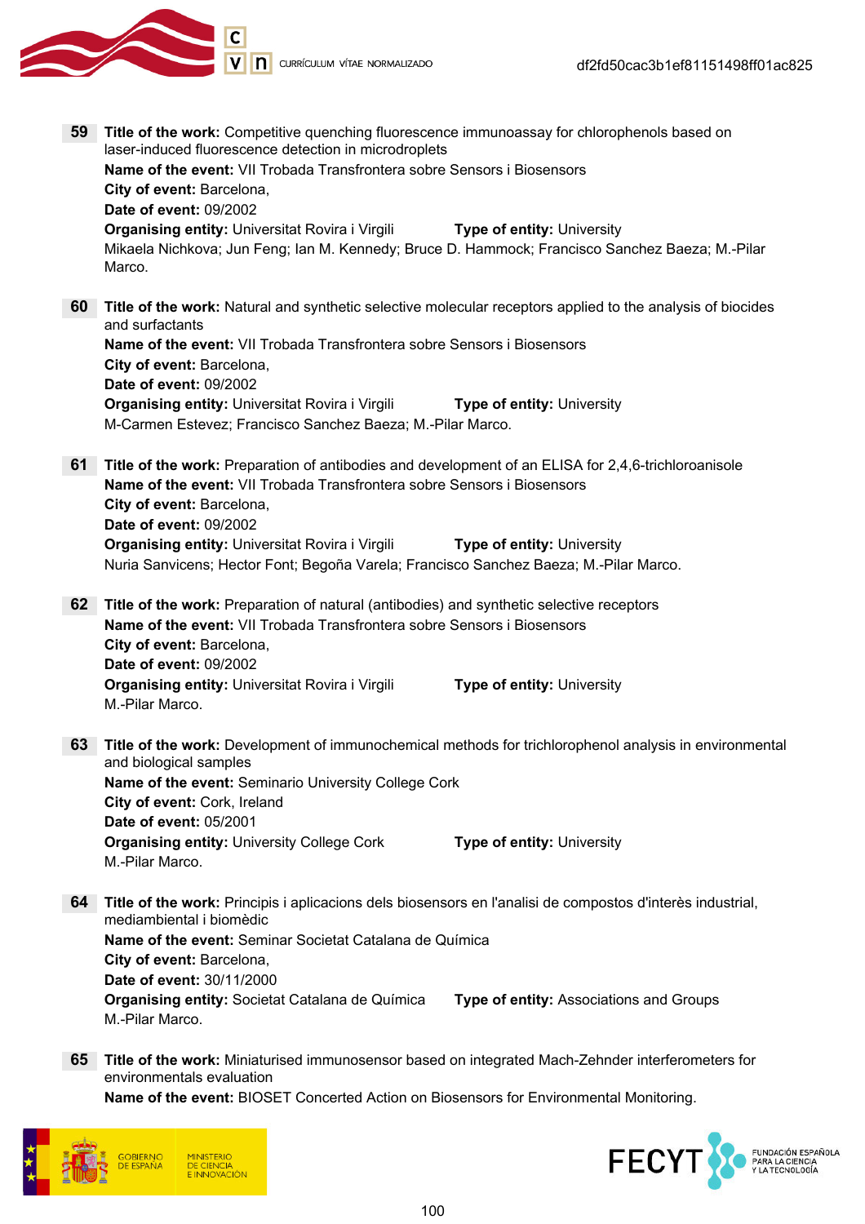

| 59 | Title of the work: Competitive quenching fluorescence immunoassay for chlorophenols based on<br>laser-induced fluorescence detection in microdroplets<br>Name of the event: VII Trobada Transfrontera sobre Sensors i Biosensors<br>City of event: Barcelona,<br><b>Date of event: 09/2002</b>                     |
|----|--------------------------------------------------------------------------------------------------------------------------------------------------------------------------------------------------------------------------------------------------------------------------------------------------------------------|
|    | <b>Organising entity: Universitat Rovira i Virgili</b><br><b>Type of entity: University</b><br>Mikaela Nichkova; Jun Feng; Ian M. Kennedy; Bruce D. Hammock; Francisco Sanchez Baeza; M.-Pilar<br>Marco.                                                                                                           |
| 60 | Title of the work: Natural and synthetic selective molecular receptors applied to the analysis of biocides<br>and surfactants<br><b>Name of the event: VII Trobada Transfrontera sobre Sensors i Biosensors</b>                                                                                                    |
|    | City of event: Barcelona,<br>Date of event: 09/2002                                                                                                                                                                                                                                                                |
|    | <b>Organising entity: Universitat Rovira i Virgili</b><br><b>Type of entity: University</b><br>M-Carmen Estevez; Francisco Sanchez Baeza; M.-Pilar Marco.                                                                                                                                                          |
| 61 | Title of the work: Preparation of antibodies and development of an ELISA for 2,4,6-trichloroanisole<br>Name of the event: VII Trobada Transfrontera sobre Sensors i Biosensors<br>City of event: Barcelona,<br>Date of event: 09/2002                                                                              |
|    | <b>Organising entity: Universitat Rovira i Virgili</b><br><b>Type of entity: University</b><br>Nuria Sanvicens; Hector Font; Begoña Varela; Francisco Sanchez Baeza; M.-Pilar Marco.                                                                                                                               |
| 62 | Title of the work: Preparation of natural (antibodies) and synthetic selective receptors<br>Name of the event: VII Trobada Transfrontera sobre Sensors i Biosensors<br>City of event: Barcelona,<br>Date of event: 09/2002<br><b>Organising entity: Universitat Rovira i Virgili</b><br>Type of entity: University |
|    | M.-Pilar Marco.                                                                                                                                                                                                                                                                                                    |
| 63 | Title of the work: Development of immunochemical methods for trichlorophenol analysis in environmental<br>and biological samples<br>Name of the event: Seminario University College Cork<br>City of event: Cork, Ireland                                                                                           |
|    | Date of event: 05/2001<br><b>Organising entity: University College Cork</b><br>Type of entity: University<br>M.-Pilar Marco.                                                                                                                                                                                       |
| 64 | Title of the work: Principis i aplicacions dels biosensors en l'analisi de compostos d'interès industrial,<br>mediambiental i biomèdic                                                                                                                                                                             |
|    | Name of the event: Seminar Societat Catalana de Química<br>City of event: Barcelona,<br>Date of event: 30/11/2000                                                                                                                                                                                                  |
|    | Organising entity: Societat Catalana de Química<br>Type of entity: Associations and Groups<br>M.-Pilar Marco.                                                                                                                                                                                                      |
| 65 | Title of the work: Miniaturised immunosensor based on integrated Mach-Zehnder interferometers for<br>environmentals evaluation                                                                                                                                                                                     |
|    | Name of the event: BIOSET Concerted Action on Biosensors for Environmental Monitoring.                                                                                                                                                                                                                             |



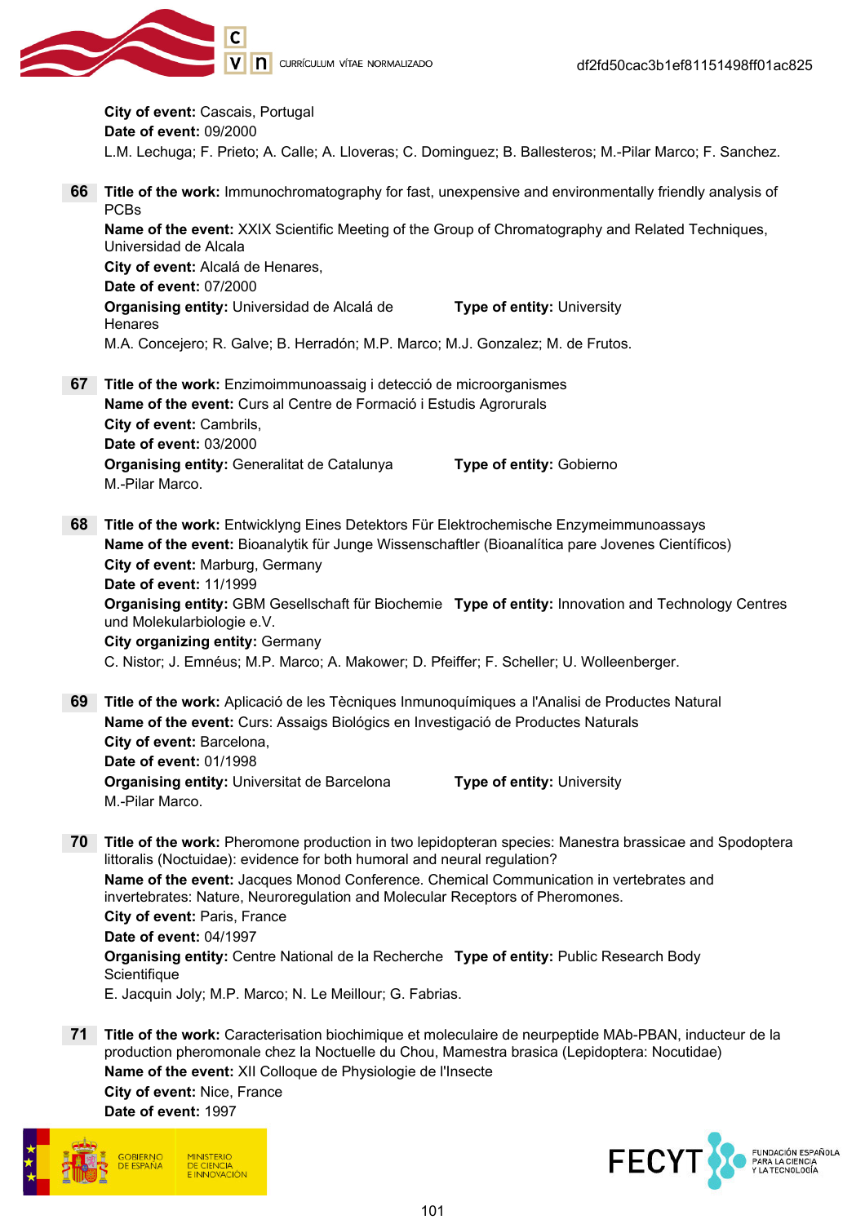

City of event: Cascais, Portugal Date of event: 09/2000 L.M. Lechuga; F. Prieto; A. Calle; A. Lloveras; C. Dominguez; B. Ballesteros; M.-Pilar Marco; F. Sanchez.

- 66 Title of the work: Immunochromatography for fast, unexpensive and environmentally friendly analysis of PCBs Name of the event: XXIX Scientific Meeting of the Group of Chromatography and Related Techniques, Universidad de Alcala City of event: Alcalá de Henares, Date of event: 07/2000 Organising entity: Universidad de Alcalá de **Henares** Type of entity: University M.A. Concejero; R. Galve; B. Herradón; M.P. Marco; M.J. Gonzalez; M. de Frutos. 67 Title of the work: Enzimoimmunoassaig i detecció de microorganismes Name of the event: Curs al Centre de Formació i Estudis Agrorurals City of event: Cambrils, Date of event: 03/2000 **Organising entity: Generalitat de Catalunya Type of entity: Gobierno** M.-Pilar Marco. 68 Title of the work: Entwicklyng Eines Detektors Für Elektrochemische Enzymeimmunoassays Name of the event: Bioanalytik für Junge Wissenschaftler (Bioanalítica pare Jovenes Científicos) City of event: Marburg, Germany Date of event: 11/1999 Organising entity: GBM Gesellschaft für Biochemie Type of entity: Innovation and Technology Centres und Molekularbiologie e.V. City organizing entity: Germany C. Nistor; J. Emnéus; M.P. Marco; A. Makower; D. Pfeiffer; F. Scheller; U. Wolleenberger. 69 Title of the work: Aplicació de les Tècniques Inmunoquímiques a l'Analisi de Productes Natural
- Name of the event: Curs: Assaigs Biológics en Investigació de Productes Naturals City of event: Barcelona, Date of event: 01/1998 **Organising entity:** Universitat de Barcelona **Type of entity:** University M.-Pilar Marco.
- 70 Title of the work: Pheromone production in two lepidopteran species: Manestra brassicae and Spodoptera littoralis (Noctuidae): evidence for both humoral and neural regulation? Name of the event: Jacques Monod Conference. Chemical Communication in vertebrates and invertebrates: Nature, Neuroregulation and Molecular Receptors of Pheromones. City of event: Paris, France Date of event: 04/1997 **Organising entity:** Centre National de la Recherche **Type of entity:** Public Research Body **Scientifique** E. Jacquin Joly; M.P. Marco; N. Le Meillour; G. Fabrias.
- 71 Title of the work: Caracterisation biochimique et moleculaire de neurpeptide MAb-PBAN, inducteur de la production pheromonale chez la Noctuelle du Chou, Mamestra brasica (Lepidoptera: Nocutidae) Name of the event: XII Colloque de Physiologie de l'Insecte City of event: Nice, France Date of event: 1997



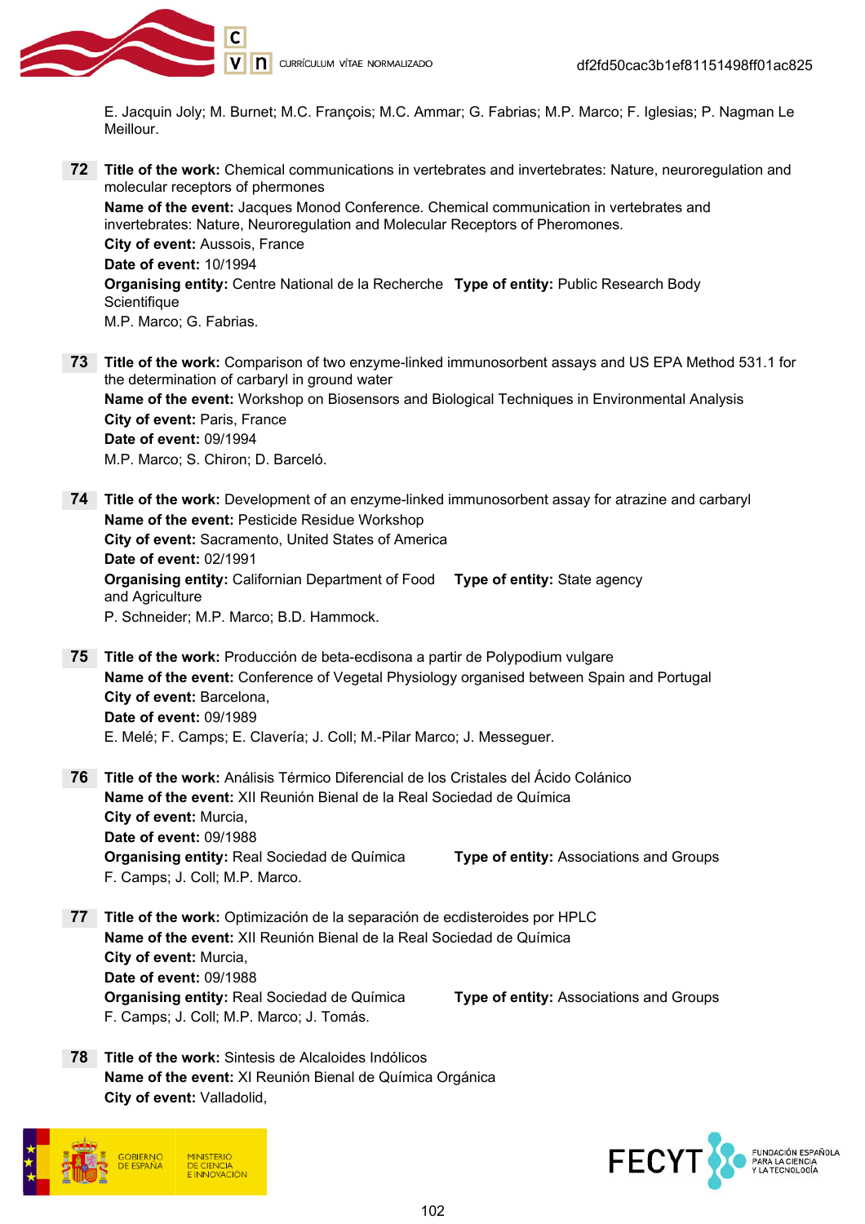

E. Jacquin Joly; M. Burnet; M.C. François; M.C. Ammar; G. Fabrias; M.P. Marco; F. Iglesias; P. Nagman Le Meillour.

72 Title of the work: Chemical communications in vertebrates and invertebrates: Nature, neuroregulation and molecular receptors of phermones

Name of the event: Jacques Monod Conference. Chemical communication in vertebrates and invertebrates: Nature, Neuroregulation and Molecular Receptors of Pheromones. City of event: Aussois, France Date of event: 10/1994 **Organising entity:** Centre National de la Recherche **Type of entity:** Public Research Body

M.P. Marco; G. Fabrias.

73 Title of the work: Comparison of two enzyme-linked immunosorbent assays and US EPA Method 531.1 for the determination of carbaryl in ground water Name of the event: Workshop on Biosensors and Biological Techniques in Environmental Analysis City of event: Paris, France Date of event: 09/1994 M.P. Marco; S. Chiron; D. Barceló.

74 Title of the work: Development of an enzyme-linked immunosorbent assay for atrazine and carbaryl Name of the event: Pesticide Residue Workshop City of event: Sacramento, United States of America Date of event: 02/1991 **Organising entity:** Californian Department of Food Type of entity: State agency and Agriculture P. Schneider; M.P. Marco; B.D. Hammock.

75 Title of the work: Producción de beta-ecdisona a partir de Polypodium vulgare Name of the event: Conference of Vegetal Physiology organised between Spain and Portugal City of event: Barcelona, Date of event: 09/1989 E. Melé; F. Camps; E. Clavería; J. Coll; M.-Pilar Marco; J. Messeguer.

- 76 Title of the work: Análisis Térmico Diferencial de los Cristales del Ácido Colánico Name of the event: XII Reunión Bienal de la Real Sociedad de Química City of event: Murcia, Date of event: 09/1988 **Organising entity: Real Sociedad de Química Type of entity: Associations and Groups** F. Camps; J. Coll; M.P. Marco.
- 77 Title of the work: Optimización de la separación de ecdisteroides por HPLC Name of the event: XII Reunión Bienal de la Real Sociedad de Química City of event: Murcia, Date of event: 09/1988 Organising entity: Real Sociedad de Química Type of entity: Associations and Groups F. Camps; J. Coll; M.P. Marco; J. Tomás.
- 78 Title of the work: Sintesis de Alcaloides Indólicos Name of the event: XI Reunión Bienal de Química Orgánica City of event: Valladolid,





**Scientifique**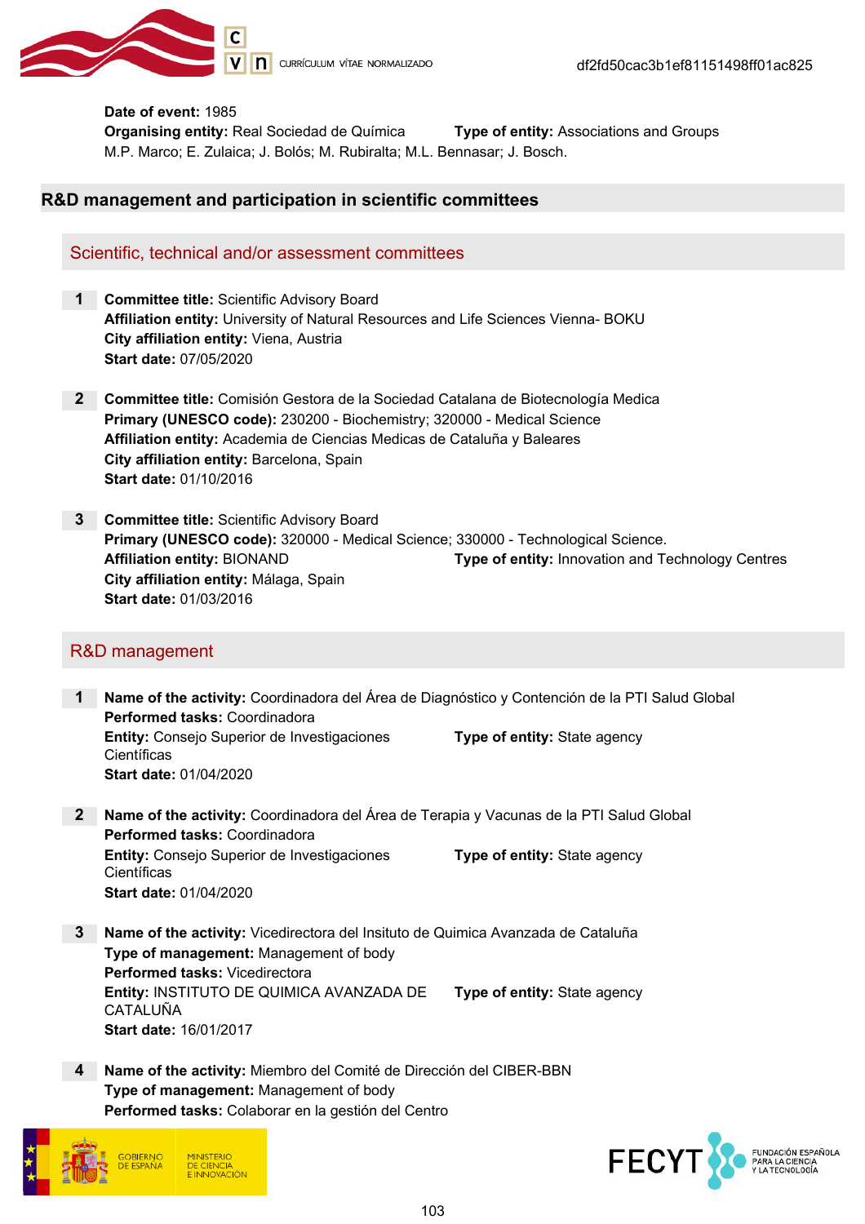

#### Date of event: 1985

**Organising entity: Real Sociedad de Química Type of entity: Associations and Groups** M.P. Marco; E. Zulaica; J. Bolós; M. Rubiralta; M.L. Bennasar; J. Bosch.

#### R&D management and participation in scientific committees

#### Scientific, technical and/or assessment committees

- 1 Committee title: Scientific Advisory Board Affiliation entity: University of Natural Resources and Life Sciences Vienna- BOKU City affiliation entity: Viena, Austria Start date: 07/05/2020
- 2 Committee title: Comisión Gestora de la Sociedad Catalana de Biotecnología Medica Primary (UNESCO code): 230200 - Biochemistry; 320000 - Medical Science Affiliation entity: Academia de Ciencias Medicas de Cataluña y Baleares City affiliation entity: Barcelona, Spain Start date: 01/10/2016
- 3 Committee title: Scientific Advisory Board Primary (UNESCO code): 320000 - Medical Science; 330000 - Technological Science. Affiliation entity: BIONAND Type of entity: Innovation and Technology Centres City affiliation entity: Málaga, Spain Start date: 01/03/2016

#### R&D management

- 1 Name of the activity: Coordinadora del Área de Diagnóstico y Contención de la PTI Salud Global Performed tasks: Coordinadora Entity: Consejo Superior de Investigaciones **Científicas** Type of entity: State agency Start date: 01/04/2020
- 2 Name of the activity: Coordinadora del Area de Terapia y Vacunas de la PTI Salud Global Performed tasks: Coordinadora Entity: Consejo Superior de Investigaciones **Científicas** Type of entity: State agency Start date: 01/04/2020
- 3 Name of the activity: Vicedirectora del Insituto de Quimica Avanzada de Cataluña Type of management: Management of body Performed tasks: Vicedirectora Entity: INSTITUTO DE QUIMICA AVANZADA DE CATALUÑA Type of entity: State agency Start date: 16/01/2017
- 4 Name of the activity: Miembro del Comité de Dirección del CIBER-BBN Type of management: Management of body Performed tasks: Colaborar en la gestión del Centro